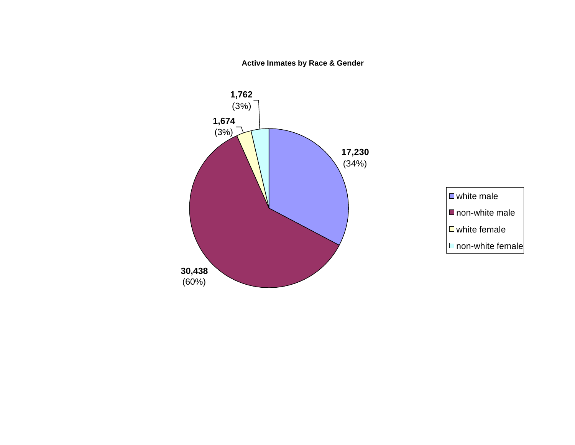**Active Inmates by Race & Gender**



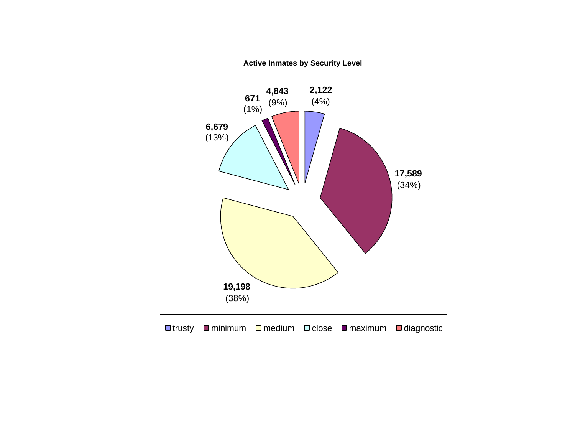**Active Inmates by Security Level**

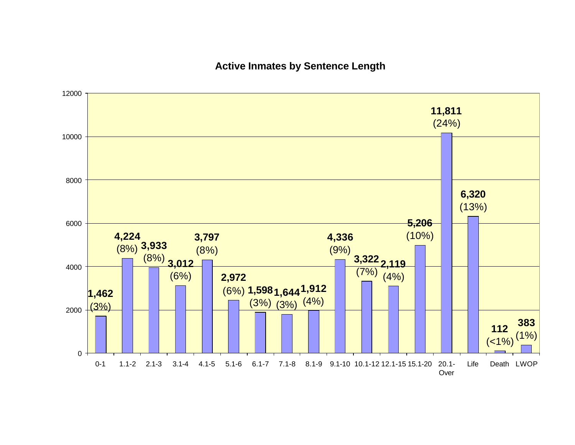### **Active Inmates by Sentence Length**

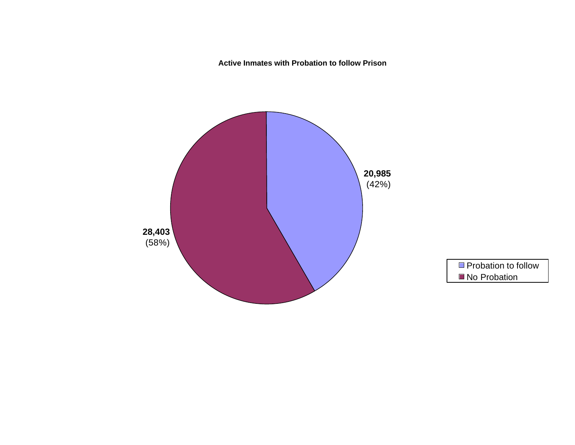**Active Inmates with Probation to follow Prison**

![](_page_3_Figure_1.jpeg)

![](_page_3_Figure_2.jpeg)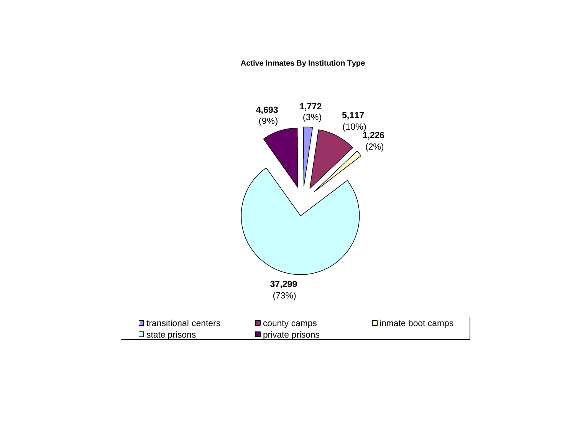**Active Inmates By Institution Type** 

![](_page_4_Figure_1.jpeg)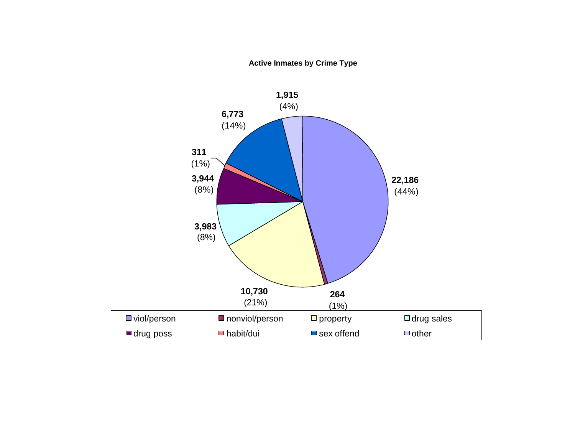**Active Inmates by Crime Type**

![](_page_5_Figure_1.jpeg)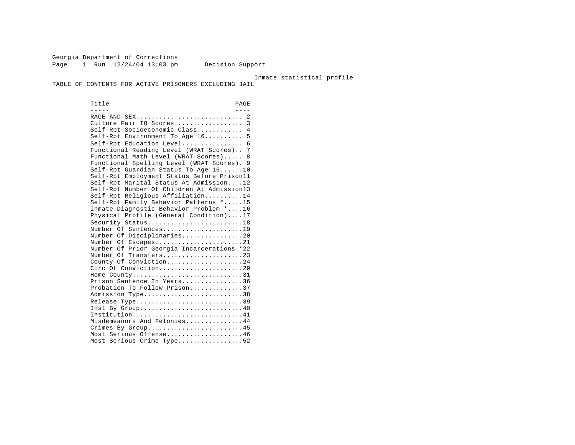Georgia Department of Corrections Page 1 Run  $12/24/04$  13:03 pm Decision Support

Inmate statistical profile

TABLE OF CONTENTS FOR ACTIVE PRISONERS EXCLUDING JAIL

Title PAGE ----- ---- RACE AND SEX............................ 2 Culture Fair IQ Scores...................... 3 Self-Rpt Socioeconomic Class............ 4 Self-Rpt Environment To Age 16.......... 5 Self-Rpt Education Level................ 6 Functional Reading Level (WRAT Scores).. 7 Functional Math Level (WRAT Scores)..... 8 Functional Spelling Level (WRAT Scores). 9 Self-Rpt Guardian Status To Age 16......10 Self-Rpt Employment Status Before Prison11 Self-Rpt Marital Status At Admission....12 Self-Rpt Number Of Children At Admission13 Self-Rpt Religious Affiliation..........14 Self-Rpt Family Behavior Patterns \*.....15 Inmate Diagnostic Behavior Problem \*....16 Physical Profile (General Condition)....17 Security Status..............................18 Number Of Sentences.....................19 Number Of Disciplinaries................20 Number Of Escapes........................21 Number Of Prior Georgia Incarcerations \*22 Number Of Transfers.....................23 County Of Conviction....................24 Circ Of Conviction.........................29 Home County.............................31 Prison Sentence In Years................36 Probation To Follow Prison..............37 Admission Type.............................38 Release Type...............................39 Inst By Group..............................40 Institution.............................41 Misdemeanors And Felonies...............44 Crimes By Group..........................45 Most Serious Offense....................46 Most Serious Crime Type..................52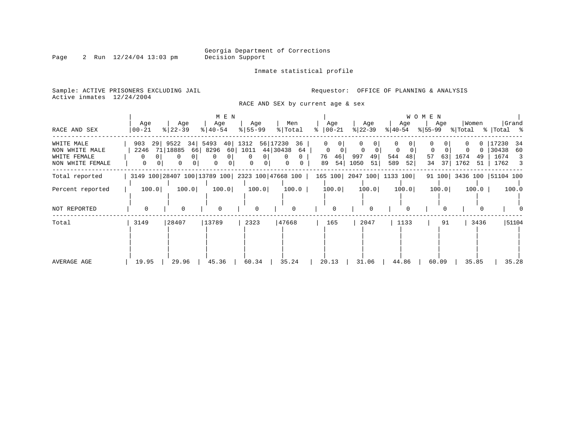Inmate statistical profile

Sample: ACTIVE PRISONERS EXCLUDING JAIL **Requestor:** OFFICE OF PLANNING & ANALYSIS Active inmates 12/24/2004

RACE AND SEX by current age & sex

| RACE AND SEX                                                     | Age<br>$00 - 21$             | Age<br>$ 22 - 39 $                                                                 | M E N<br>Age<br>$8   40 - 54$                                 | Age<br>$8 55-99$                                           | Men<br>% Total                                   | Age<br>$ 00-21 $<br>°                            | Age<br>$ 22-39 $                    | W O M E N<br>Age<br>୫∣40-54              | Women<br>Age<br>$ \$ 55-99 \$ \[Total \; \] Total \; \; | Grand                                                  |
|------------------------------------------------------------------|------------------------------|------------------------------------------------------------------------------------|---------------------------------------------------------------|------------------------------------------------------------|--------------------------------------------------|--------------------------------------------------|-------------------------------------|------------------------------------------|---------------------------------------------------------|--------------------------------------------------------|
| WHITE MALE<br>NON WHITE MALE<br>WHITE FEMALE<br>NON WHITE FEMALE | 903<br>2246<br>$\Omega$<br>0 | 34 5493<br>29  9522<br>71   18885<br>66<br>0 <sup>1</sup><br>0<br>$\mathbf 0$<br>0 | 8296<br>0 <sup>1</sup><br>0<br>$\mathbf{0}$<br>$\overline{0}$ | 40 1312<br>56 17230<br>44 30438<br>60 1011<br>$\circ$<br>0 | 36  <br>64<br>$\overline{0}$<br>0<br>$\mathbf 0$ | $\mathbf{0}$<br>$\Omega$<br>76<br>46<br>54<br>89 | $\Omega$<br>997<br>49<br>1050<br>51 | 0<br>544<br>48<br>57<br>589<br>52 <br>34 | 631<br>1674<br>-49<br>37<br>1762<br>51                  | 17230<br>-34<br>30438<br>60<br>1674<br>3<br>1762<br>-3 |
| Total reported                                                   |                              |                                                                                    |                                                               | 3149 100 28407 100 13789 100 2323 100 47668 100            |                                                  | 165 100 2047 100 1133 100                        |                                     |                                          | 91 100 3436 100 51104 100                               |                                                        |
| Percent reported                                                 | 100.0                        | 100.0                                                                              | 100.0                                                         | 100.0                                                      | $100.0$                                          | 100.0                                            | 100.0                               | 100.0                                    | 100.0<br>100.0                                          | 100.0                                                  |
| NOT REPORTED                                                     |                              | $\Omega$                                                                           | $\mathbf 0$                                                   | $\Omega$                                                   |                                                  | $\Omega$                                         | $\Omega$                            |                                          |                                                         |                                                        |
| Total                                                            | 3149                         | 28407                                                                              | 13789                                                         | 2323                                                       | 47668                                            | 165                                              | 2047                                | 1133                                     | 3436<br>91                                              | 51104                                                  |
| AVERAGE AGE                                                      | 19.95                        | 29.96                                                                              | 45.36                                                         | 60.34                                                      | 35.24                                            | 20.13                                            | 31.06                               | 44.86                                    | 60.09<br>35.85                                          | 35.28                                                  |

Page 2 Run 12/24/04 13:03 pm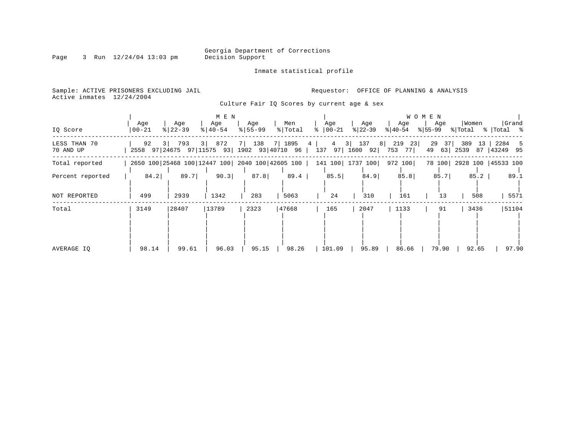Inmate statistical profile

Page 3 Run 12/24/04 13:03 pm

Active inmates 12/24/2004

Sample: ACTIVE PRISONERS EXCLUDING JAIL **Requestor:** OFFICE OF PLANNING & ANALYSIS

Culture Fair IQ Scores by current age & sex

|                           |                                                  |                      | M E N              |                              |                |                       |                                 |                  | <b>WOMEN</b>          |                         |                       |
|---------------------------|--------------------------------------------------|----------------------|--------------------|------------------------------|----------------|-----------------------|---------------------------------|------------------|-----------------------|-------------------------|-----------------------|
| IQ Score                  | Age<br>$ 00 - 21$                                | Age<br>$8   22 - 39$ | Age<br>$8140 - 54$ | Age<br>$\frac{1}{6}$   55-99 | Men<br>% Total | Age<br>$ 00-21$<br>፟፠ | Age<br>$ 22-39 $                | Age<br>$ 40-54 $ | Age<br>$ 55-99 $      | Women<br>% Total        | Grand<br>%   Total %  |
| LESS THAN 70<br>70 AND UP | 92<br>2558 97 24675 97 11575 93 1902 93 40710 96 | 3   793              | 3   872            | 7 138                        | 7 1895         | 4                     | 4 3 137 8 219<br>137 97 1600 92 | 23<br>753<br>771 | 29<br>37 <br>49<br>63 | 389<br>13<br>2539<br>87 | 2284 5<br>43249<br>95 |
| Total reported            | 2650 100 25468 100 12447 100 2040 100 42605 100  |                      |                    |                              |                |                       | 141 100 1737 100                | 972 100          | 78 100                | 2928 100   45533 100    |                       |
| Percent reported          | 84.2                                             | 89.7                 | 90.3               | 87.8                         | 89.4           | 85.5                  | 84.9                            | 85.8             | 85.7                  | 85.2                    | 89.1                  |
| NOT REPORTED              | 499                                              | 2939                 | 1342               | 283                          | 5063           | 24                    | 310                             | 161              | 13                    | 508                     | 5571                  |
| Total                     | 3149                                             | 28407                | 13789              | 2323                         | 47668          | 165                   | 2047                            | 1133             | 91                    | 3436                    | 51104                 |
| AVERAGE IO                | 98.14                                            | 99.61                | 96.03              | 95.15                        | 98.26          | 101.09                | 95.89                           | 86.66            | 79.90                 | 92.65                   | 97.90                 |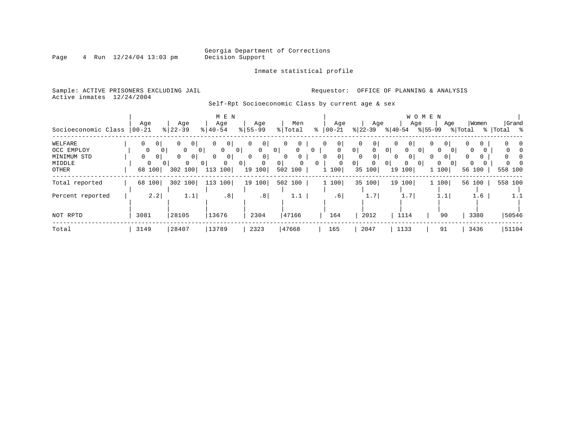Page 4 Run 12/24/04 13:03 pm

#### Inmate statistical profile

Sample: ACTIVE PRISONERS EXCLUDING JAIL **Requestor:** OFFICE OF PLANNING & ANALYSIS Active inmates 12/24/2004

Self-Rpt Socioeconomic Class by current age & sex

|                     |                            |                     | M E N                      |                               |                            |                 |                            | W O M E N                             |                            |          |             |
|---------------------|----------------------------|---------------------|----------------------------|-------------------------------|----------------------------|-----------------|----------------------------|---------------------------------------|----------------------------|----------|-------------|
|                     | Age                        | Age                 | Age                        | Age                           | Men                        | Age             | Age                        | Age                                   | Age                        | Women    | Grand       |
| Socioeconomic Class | $ 00 - 21 $                | $8 22-39$           | $8   40 - 54$              | $8 55-99$                     | % Total                    | $ 00 - 21$<br>ႜ | $ 22-39 $                  | $8 40-54$<br>$8155 - 99$              |                            | % Total  | %   Total % |
| WELFARE             | 0<br>0 <sup>1</sup>        | 0<br>0 I            | 0 <sup>1</sup>             | $\circ$<br>$\Omega$           | $\mathbf{0}$               | 0               | 0 <sup>1</sup>             | 0 <sup>1</sup>                        | 0<br>0                     |          | $\Omega$    |
| OCC EMPLOY          |                            | 0                   | $\Omega$<br>0 <sup>1</sup> |                               | $\Omega$<br>$\mathbf{0}$   | $\Omega$        | $\circ$<br>0               | 0 <sup>1</sup><br>$\Omega$            | $\Omega$                   | $\Omega$ |             |
| MINIMUM STD         | $\Omega$<br>0 <sup>1</sup> | 0<br>0 <sup>1</sup> | 0 <sup>1</sup>             | 0 <sup>1</sup><br>$\Omega$    | $\mathbf{0}$               | 0 <sup>1</sup>  | $\overline{0}$             | 0 <sup>1</sup>                        | 0                          |          |             |
| MIDDLE              | $\Omega$                   | $\Omega$            | $\Omega$                   | $\mathbf 0$<br>0 <sup>1</sup> | 0 <sup>1</sup><br>$\Omega$ | $\Omega$        | 0 <sup>1</sup><br>$\Omega$ | $\circ$<br>0 <sup>1</sup><br>$\Omega$ | $\Omega$<br>0 <sup>1</sup> | 0        |             |
| OTHER               | 68 100                     | 302 100             | 100<br>113                 | 19 100                        | 502 100                    | 1 100           | 35 100                     | 100<br>19                             | 1 100                      | 56 100   | 558 100     |
| Total reported      | 68 100                     | 302 100             | 100<br>113                 | 19 100                        | 502 100                    | 1 100           | 35 100                     | 19 100                                | 1 100                      | 56 100   | 558 100     |
| Percent reported    | 2.2                        | 1.1                 | .8                         | .8                            | 1.1                        | .61             | 1.7                        | 1.7                                   | 1.1                        | 1.6      | 1.1         |
|                     |                            |                     |                            |                               |                            |                 |                            |                                       |                            |          |             |
| NOT RPTD            | 3081                       | 28105               | 13676                      | 2304                          | 47166                      | 164             | 2012                       | 1114                                  | 90                         | 3380     | 50546       |
| Total               | 3149                       | 28407               | 13789                      | 2323                          | 47668                      | 165             | 2047                       | 1133                                  | 91                         | 3436     | 51104       |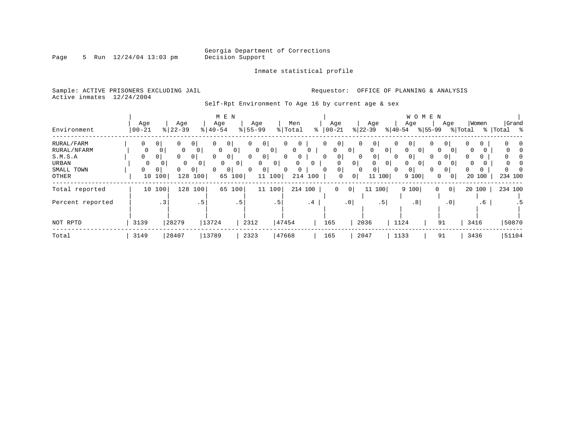Page 5 Run 12/24/04 13:03 pm

#### Inmate statistical profile

Sample: ACTIVE PRISONERS EXCLUDING JAIL **Requestor:** OFFICE OF PLANNING & ANALYSIS Active inmates 12/24/2004

### Self-Rpt Environment To Age 16 by current age & sex

|                  |           |                |               |                | M E N         |                |              |                |                            |              |                            |                |                     |                | W O M E N           |                       |                |          |        |                       |
|------------------|-----------|----------------|---------------|----------------|---------------|----------------|--------------|----------------|----------------------------|--------------|----------------------------|----------------|---------------------|----------------|---------------------|-----------------------|----------------|----------|--------|-----------------------|
|                  | Age       |                | Age           |                | Age           |                | Age          |                | Men                        |              | Age                        |                | Age                 |                | Age                 |                       | Age            |          | Women  | Grand                 |
| Environment      | $00 - 21$ |                | $8   22 - 39$ |                | $8   40 - 54$ |                | $8155 - 99$  |                | % Total                    | ႜ            | $ 00 - 21$                 |                | $ 22-39 $           | $ 40-54 $      |                     | $\frac{1}{6}$   55-99 |                | % Total  |        | %   Total<br>$\sim$ 8 |
| RURAL/FARM       | 0         | 0 <sup>1</sup> | 0             | 0 <sup>1</sup> | 0             | 0 <sup>1</sup> | $\mathbf{0}$ | 0              | 0<br>$\mathbf{0}$          |              | 0 <br>$\Omega$             |                | $\circ$<br>0        | 0              | 0 <sup>1</sup>      | 0                     | 0 <sup>1</sup> | 0        | 0      |                       |
| RURAL/NFARM      | 0         | 0 <sup>1</sup> | 0             | 0              | $\mathbf 0$   | 0              | 0            | $\overline{0}$ | $\overline{0}$             |              | $\mathbf{0}$               | 0 <sup>1</sup> | $\mathbf 0$         | 0 <sup>1</sup> | 0<br>0 <sup>1</sup> | 0                     | 0              | 0        |        | 0                     |
| S.M.S.A          | 0         | $\circ$        | 0             | $\overline{0}$ | $\Omega$      | 0 <sup>1</sup> | 0            | 0              | $\overline{0}$<br>$\Omega$ |              | 0 <sup>1</sup><br>$\Omega$ | $\mathbf 0$    | 0 <sup>1</sup>      | $\Omega$       | 0 <sup>1</sup>      | 0                     | 0 <sup>1</sup> | $\Omega$ | 0      |                       |
| <b>URBAN</b>     | $\Omega$  | 0              | 0             | $\mathbf{0}$   | 0             | 0 <sup>1</sup> |              | 0 <sup>1</sup> | 0                          | $\mathbf{0}$ |                            | 0 <sup>1</sup> | 0                   | 0 <sup>1</sup> | 0<br>0 <sup>1</sup> | 0                     | 0              | 0        |        |                       |
| SMALL TOWN       | $\Omega$  | $\mathbf{0}$   | 0             | 0 <sup>1</sup> |               | $\circ$        | $\Omega$     | 0              | $\mathbf{0}$<br>0          |              | 0 <sup>1</sup><br>$\Omega$ |                | 0 <sup>1</sup><br>0 | $\Omega$       | 0 <sup>1</sup>      | 0                     | $\mathbf{0}$   | $\Omega$ | 0      |                       |
| OTHER            |           | 10100          | 128           | 100            |               | 65 100         |              | 11 100         | 214                        | 100          | 0                          | 0              | 11 100              |                | 9 100               | 0                     | 0              |          | 20 100 | 234 100               |
| Total reported   | 10        | 100            | 128           | 100            | 65            | 100            |              | 100<br>11      |                            | 214 100      | $\mathbf 0$                | 0              | 100<br>11           |                | 9 100               | $\Omega$              | 0 <sup>1</sup> | 20       | 100    | 234 100               |
| Percent reported |           | $\cdot$ 3      |               | .5             |               | . 5            |              | . 5            |                            | .4           |                            | $\cdot$ 0      | .5 <sup>1</sup>     |                | .8                  |                       | $\cdot$ 0      |          | .6     |                       |
| NOT RPTD         | 3139      |                | 28279         |                | 13724         |                | 2312         |                | 47454                      |              | 165                        |                | 2036                |                | 1124                | 91                    |                | 3416     |        | 50870                 |
| Total            | 3149      |                | 28407         |                | 13789         |                | 2323         |                | 47668                      |              | 165                        |                | 2047                | 1133           |                     | 91                    |                | 3436     |        | 51104                 |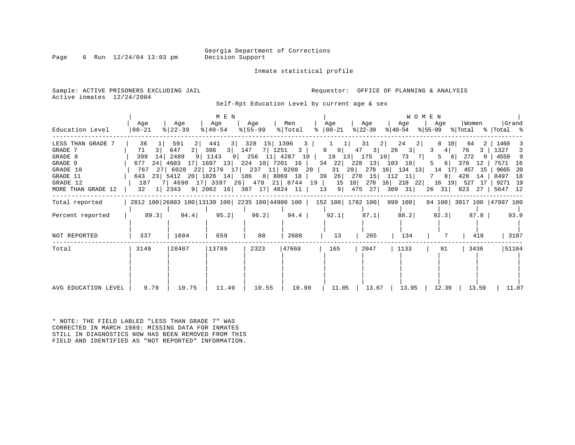Page 6 Run  $12/24/04$  13:03 pm

Inmate statistical profile

Sample: ACTIVE PRISONERS EXCLUDING JAIL **Requestor:** OFFICE OF PLANNING & ANALYSIS Active inmates 12/24/2004

Self-Rpt Education Level by current age & sex

| Education Level                                                                                              | Age<br>$ 00-21 $                                                                  | Age<br>$ 22-39 $                                                      | M E N<br>Age<br>$ 40-54 $                                   | Aqe<br>$8 55-99$ | Men<br>% Total                                                                                                                                                                                                   | Aqe<br>$\frac{1}{6}$   00-21                                                               | Age<br>% 22-39                                    | <b>WOMEN</b><br>Aqe<br>$ 40-54 $<br>%∣55-99                                                              | Women<br>Aqe<br>% Total % Total %                                                                                                                          | Grand                                                                              |
|--------------------------------------------------------------------------------------------------------------|-----------------------------------------------------------------------------------|-----------------------------------------------------------------------|-------------------------------------------------------------|------------------|------------------------------------------------------------------------------------------------------------------------------------------------------------------------------------------------------------------|--------------------------------------------------------------------------------------------|---------------------------------------------------|----------------------------------------------------------------------------------------------------------|------------------------------------------------------------------------------------------------------------------------------------------------------------|------------------------------------------------------------------------------------|
| LESS THAN GRADE 7<br>GRADE 7<br>GRADE 8<br>GRADE 9<br>GRADE 10<br>GRADE 11<br>GRADE 12<br>MORE THAN GRADE 12 | 36<br>3 <sup>1</sup><br>71<br>14 <br>399<br>677<br>187<br>$32 \quad 1 \quad 2343$ | 591<br>647<br>2 <br>2489<br>24   4603 17   1697 13   224 10   7201 16 | 441<br>386<br>3   147<br>9 1143<br>9 2062 16 387 17 4824 11 | $3 $ 328 15 1396 | $\overline{\mathbf{3}}$<br>$7 \mid 1251 \mid 3 \mid$<br>9 256 11 4287 10 19 13 175<br>767 27 6028 22 2176 17 237 11 9208 20<br>643 23 5412 20 1828 14 186 8 8069 18 39<br>7 4690 17 3397 26 470 21 8744 19<br>13 | 1 <br>$0 \qquad 0 \mid$<br>34 22 228 13 103 10<br>31<br>20<br>26 <br>270<br>15<br>$9 \mid$ | 31<br>2<br>47<br>3 <br>278<br>15 112 11<br>475 27 | 24<br>2 <sub>1</sub><br>26<br>3 <br>3<br>10 73<br>$7$  <br>5<br>$16$ 134 13<br>$7^{\circ}$<br>$309$ $31$ | 8<br>10 l<br>64<br>2<br>76<br>4<br>3<br>6 272<br>5<br>-9<br>6 370<br>12<br>14<br>17 457 15<br>8 428<br>14<br>10 278 16 218 22 16 19 527 17<br>26 31 823 27 | 1460<br>1327 3<br>4559 9<br>7571 16<br>9665 20<br>8497<br>18<br>9271 19<br>5647 12 |
| Total reported                                                                                               |                                                                                   |                                                                       |                                                             |                  | 2812 100 26803 100 13130 100   2235 100   44980 100   152 100   1782 100   999 100                                                                                                                               |                                                                                            |                                                   |                                                                                                          | 84 100 3017 100 47997 100                                                                                                                                  |                                                                                    |
| Percent reported                                                                                             | 89.3                                                                              | 94.4                                                                  | 95.2                                                        | 96.2             | 94.4                                                                                                                                                                                                             | 92.1                                                                                       | 87.1                                              | 88.2                                                                                                     | 92.3<br>87.8                                                                                                                                               | 93.9                                                                               |
| NOT REPORTED                                                                                                 | 337                                                                               | 1604                                                                  | 659                                                         | 88               | 2688                                                                                                                                                                                                             | 13                                                                                         | 265                                               | 134                                                                                                      | 419                                                                                                                                                        | 3107                                                                               |
| Total                                                                                                        | 3149                                                                              | 28407                                                                 | 13789                                                       | 2323             | 47668                                                                                                                                                                                                            | 165                                                                                        | 2047                                              | 1133                                                                                                     | 91<br>3436                                                                                                                                                 | 51104                                                                              |
| AVG EDUCATION LEVEL                                                                                          | 9.79                                                                              | 10.75                                                                 | 11.49                                                       | 10.55            | 10.90                                                                                                                                                                                                            | 11.05                                                                                      | 13.67                                             | 13.95                                                                                                    | 12.39<br>13.59                                                                                                                                             | 11.07                                                                              |

\* NOTE: THE FIELD LABLED "LESS THAN GRADE 7" WAS CORRECTED IN MARCH 1989: MISSING DATA FOR INMATES STILL IN DIAGNOSTICS NOW HAS BEEN REMOVED FROM THIS FIELD AND IDENTIFIED AS "NOT REPORTED" INFORMATION.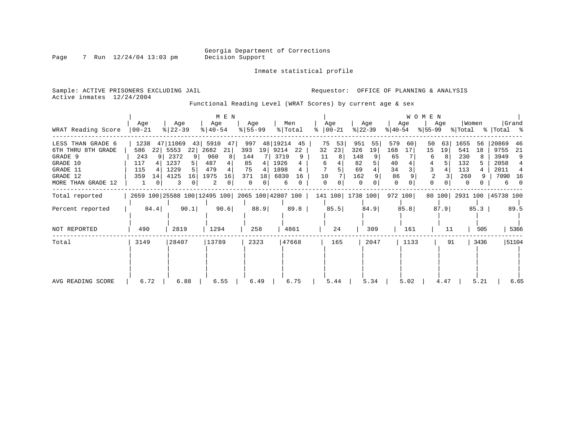Inmate statistical profile

Page 7 Run 12/24/04 13:03 pm

Active inmates 12/24/2004

Sample: ACTIVE PRISONERS EXCLUDING JAIL **Requestor:** OFFICE OF PLANNING & ANALYSIS

Functional Reading Level (WRAT Scores) by current age & sex

| WRAT Reading Score                                                                                           | Age<br>$00 - 21$                                              | Age<br>$ 22-39 $                                                                   | M E N<br>Age<br>$\frac{1}{6}$   40-54                            | Age<br>$8 55-99$                                                  | Men<br>% Total                                                          | Age<br>$ 00-21$<br>ႜ                                   | Age<br>$ 22-39 $                                             | Age<br>$ 40-54 $                                         | <b>WOMEN</b><br>Age<br>$ 55-99 $           | Women<br>% Total                                                | Grand<br>%   Total %                                                           |
|--------------------------------------------------------------------------------------------------------------|---------------------------------------------------------------|------------------------------------------------------------------------------------|------------------------------------------------------------------|-------------------------------------------------------------------|-------------------------------------------------------------------------|--------------------------------------------------------|--------------------------------------------------------------|----------------------------------------------------------|--------------------------------------------|-----------------------------------------------------------------|--------------------------------------------------------------------------------|
| LESS THAN GRADE 6<br>6TH THRU 8TH GRADE<br>GRADE 9<br>GRADE 10<br>GRADE 11<br>GRADE 12<br>MORE THAN GRADE 12 | 1238<br>586<br>22<br>243<br>9<br>117<br>115<br>359<br>14<br>1 | 47 11069<br>43 <br>5553<br>22<br>2372<br>9<br>1237<br>5<br>1229<br>4125<br>16<br>3 | 5910<br>47<br>2682<br>21<br>960<br>487<br>479<br>1975<br>16<br>2 | 997<br>393<br>19<br>144<br>85<br>75<br>371<br>18<br>$\Omega$<br>0 | 48 19214<br>45<br>9214<br>22<br>3719<br>1926<br>1898<br>6830<br>16<br>6 | 75<br>53<br>23<br>32<br>11<br>8<br>6<br>10<br>$\Omega$ | 951<br>55<br>326<br>19<br>148<br>82<br>69<br>162<br>$\Omega$ | 579<br>60<br>168<br>17<br>65<br>40<br>34<br>86<br>0<br>0 | 50<br>63<br>15<br>19<br>6<br>0<br>$\Omega$ | 1655<br>56<br>541<br>18<br>230<br>132<br>113<br>260<br>$\Omega$ | 20869<br>46<br>9755<br>21<br>3949<br>9<br>2058<br>2011<br>4<br>7090<br>16<br>6 |
| Total reported                                                                                               |                                                               | 2659 100 25588 100 12495 100 2065 100 42807 100                                    |                                                                  |                                                                   |                                                                         |                                                        | 141 100 1738 100                                             | 972 100                                                  |                                            | 80 100 2931 100 45738 100                                       |                                                                                |
| Percent reported                                                                                             | 84.4                                                          | 90.1                                                                               | 90.6                                                             | 88.9                                                              | 89.8                                                                    | 85.5                                                   | 84.9                                                         | 85.8                                                     | 87.9                                       | 85.3                                                            | 89.5                                                                           |
| NOT REPORTED                                                                                                 | 490                                                           | 2819                                                                               | 1294                                                             | 258                                                               | 4861                                                                    | 24                                                     | 309                                                          | 161                                                      | 11                                         | 505                                                             | 5366                                                                           |
| Total                                                                                                        | 3149                                                          | 28407                                                                              | 13789                                                            | 2323                                                              | 47668                                                                   | 165                                                    | 2047                                                         | 1133                                                     | 91                                         | 3436                                                            | 51104                                                                          |
| AVG READING SCORE                                                                                            | 6.72                                                          | 6.88                                                                               | 6.55                                                             | 6.49                                                              | 6.75                                                                    | 5.44                                                   | 5.34                                                         | 5.02                                                     | 4.47                                       | 5.21                                                            | 6.65                                                                           |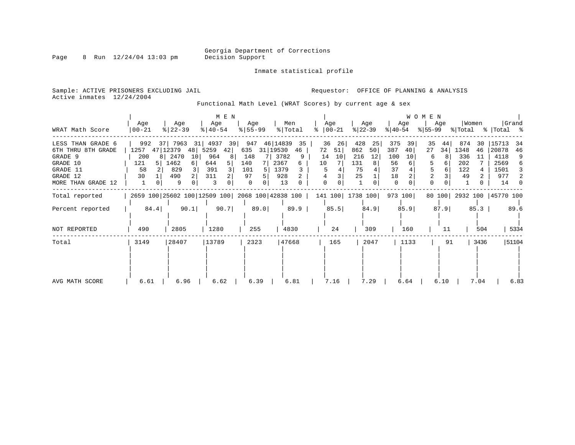Inmate statistical profile

Page 8 Run 12/24/04 13:03 pm

Sample: ACTIVE PRISONERS EXCLUDING JAIL **Requestor:** OFFICE OF PLANNING & ANALYSIS Active inmates 12/24/2004

Functional Math Level (WRAT Scores) by current age & sex

|                    | Age                   | Age                                             | $M$ E $N$<br>Age | Age       | Men            | Age            | Age              | Age                    | <b>WOMEN</b><br>Age | Women                     | Grand       |
|--------------------|-----------------------|-------------------------------------------------|------------------|-----------|----------------|----------------|------------------|------------------------|---------------------|---------------------------|-------------|
| WRAT Math Score    | $ 00-21$              | $ 22-39 $                                       | $8   40 - 54$    | $8 55-99$ | % Total        | ႜ<br>$ 00-21 $ | $ 22-39 $        | $ 40-54 $              | $ 55-99 $           | % Total                   | %   Total % |
| LESS THAN GRADE 6  | 992                   | 7963<br>37 I                                    | 31 4937<br>39    | 947       | 46 14839<br>35 | 36<br>26       | 428<br>25        | 375<br>39              | 35<br>44            | 874<br>30                 | 15713<br>34 |
| 6TH THRU 8TH GRADE | 1257                  | 47 12379<br>48                                  | 5259<br>42       | 635       | 31 19530<br>46 | 72<br>51       | 862<br>50        | 387<br>40              | 27<br>34            | 1348<br>46                | 20878<br>46 |
| GRADE 9            | 200<br>81             | 2470<br>10                                      | 964<br>8         | 148       | 3782<br>9      | 10<br>14       | 216<br>12        | 100<br>10 <sup>1</sup> | 6<br>8              | 336<br>11                 | 4118<br>9   |
| GRADE 10           | 121<br>5 <sup>1</sup> | 1462<br>6 I                                     | 644              | 140       | 2367<br>6      | 10             | 131              | 56<br>6                | 6                   | 202                       | 2569<br>6   |
| GRADE 11           | 58                    | 829                                             | 391              | 101       | 1379           |                | 75               | 37                     | 6                   | 122                       | 1501<br>3   |
| GRADE 12           | 30                    | 490                                             | 311              | 97        | 928            |                | 25               | 18                     | 2                   | 49                        | 977<br>2    |
| MORE THAN GRADE 12 | 1                     | 9                                               | 3                | $\Omega$  | 13             |                |                  | $\Omega$               | 0                   |                           | 14          |
| Total reported     |                       | 2659 100 25602 100 12509 100 2068 100 42838 100 |                  |           |                |                | 141 100 1738 100 | 973 100                |                     | 80 100 2932 100 45770 100 |             |
| Percent reported   | 84.4                  | 90.1                                            | 90.7             | 89.0      | 89.9           | 85.5           | 84.9             | 85.9                   | 87.9                | 85.3                      | 89.6        |
| NOT REPORTED       | 490                   | 2805                                            | 1280             | 255       | 4830           | 24             | 309              | 160                    | 11                  | 504                       | 5334        |
|                    |                       |                                                 |                  |           |                |                |                  |                        |                     |                           |             |
| Total              | 3149                  | 28407                                           | 13789            | 2323      | 47668          | 165            | 2047             | 1133                   | 91                  | 3436                      | 51104       |
|                    |                       |                                                 |                  |           |                |                |                  |                        |                     |                           |             |
|                    |                       |                                                 |                  |           |                |                |                  |                        |                     |                           |             |
|                    |                       |                                                 |                  |           |                |                |                  |                        |                     |                           |             |
|                    |                       |                                                 |                  |           |                |                |                  |                        |                     |                           |             |
| AVG MATH SCORE     | 6.61                  | 6.96                                            | 6.62             | 6.39      | 6.81           | 7.16           | 7.29             | 6.64                   | 6.10                | 7.04                      | 6.83        |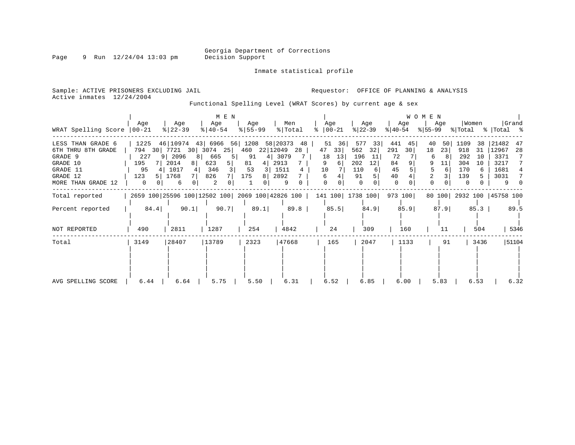Inmate statistical profile

Page 9 Run 12/24/04 13:03 pm

Active inmates 12/24/2004

Sample: ACTIVE PRISONERS EXCLUDING JAIL **Requestor:** OFFICE OF PLANNING & ANALYSIS

Functional Spelling Level (WRAT Scores) by current age & sex

|                                                                                                              |                                                               |                                                                                                           | $M$ E $N$                                  |                                        |                                                                            |                                                                   |                                                                            |                                                            | W O M E N                                                |                                                                             |                                                                                |
|--------------------------------------------------------------------------------------------------------------|---------------------------------------------------------------|-----------------------------------------------------------------------------------------------------------|--------------------------------------------|----------------------------------------|----------------------------------------------------------------------------|-------------------------------------------------------------------|----------------------------------------------------------------------------|------------------------------------------------------------|----------------------------------------------------------|-----------------------------------------------------------------------------|--------------------------------------------------------------------------------|
| WRAT Spelling Score                                                                                          | Aqe<br>$00 - 21$                                              | Age<br>$8   22 - 39$                                                                                      | Age<br>$8   40 - 54$                       | Age<br>$8 55-99$                       | Men<br>% Total                                                             | Aqe<br>$ 00-21 $                                                  | Age<br>$ 22-39 $                                                           | Age<br>$ 40-54 $                                           | Age<br>$ 55-99 $                                         | Women<br>% Total                                                            | Grand<br>% Total %                                                             |
| LESS THAN GRADE 6<br>6TH THRU 8TH GRADE<br>GRADE 9<br>GRADE 10<br>GRADE 11<br>GRADE 12<br>MORE THAN GRADE 12 | 1225<br>794<br>30<br>227<br>195<br>7 I<br>95<br>4<br>123<br>0 | 46 10974 43 6966 56 1208<br>7721<br>30 3074<br>9 2096<br>8<br>2014<br>8 <sup>1</sup><br>1017<br>1768<br>6 | 25<br>665<br>623<br>5  <br>346<br>826<br>2 | 460<br>91<br>81<br>4<br>53<br>175<br>8 | 58 20373<br>48<br>22 12049<br>28<br>3079<br>2913<br>1511<br>4<br>2892<br>9 | 51<br>36<br>47<br>33<br>18<br>13<br>9<br>6<br>10<br>6<br>$\Omega$ | 577<br>33<br>562<br>32<br>196<br>-11<br>202<br>12<br>110<br>91<br>$\Omega$ | 441<br>45<br>291<br>30<br>72<br>84<br>45<br>40<br>$\Omega$ | 50<br>40<br>18<br>23<br>6<br>9<br>11<br>6<br>2<br>0<br>0 | 1109<br>38<br>918<br>31<br>292<br>10<br>304<br>10<br>170<br>139<br>$\Omega$ | 21482<br>47<br>12967<br>28<br>3371<br>7<br>3217<br>7<br>1681<br>3031<br>7<br>9 |
| Total reported                                                                                               |                                                               |                                                                                                           |                                            |                                        | 2659 100 25596 100 12502 100 2069 100 42826 100                            |                                                                   | 141 100 1738 100                                                           | 973 100                                                    | 80 100                                                   | 2932 100   45758 100                                                        |                                                                                |
| Percent reported                                                                                             | 84.4                                                          | 90.1                                                                                                      | 90.7                                       | 89.1                                   | 89.8                                                                       | 85.5                                                              | 84.9                                                                       | 85.9                                                       | 87.9                                                     | 85.3                                                                        | 89.5                                                                           |
| NOT REPORTED                                                                                                 | 490                                                           | 2811                                                                                                      | 1287                                       | 254                                    | 4842                                                                       | 24                                                                | 309                                                                        | 160                                                        | 11                                                       | 504                                                                         | 5346                                                                           |
| Total                                                                                                        | 3149                                                          | 28407                                                                                                     | 13789                                      | 2323                                   | 47668                                                                      | 165                                                               | 2047                                                                       | 1133                                                       | 91                                                       | 3436                                                                        | 51104                                                                          |
| AVG SPELLING SCORE                                                                                           | 6.44                                                          | 6.64                                                                                                      | 5.75                                       | 5.50                                   | 6.31                                                                       | 6.52                                                              | 6.85                                                                       | 6.00                                                       | 5.83                                                     | 6.53                                                                        | 6.32                                                                           |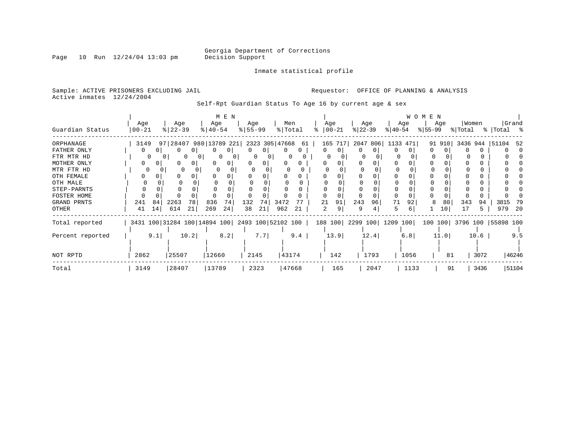Inmate statistical profile

Page  $10$  Run  $12/24/04$   $13:03$  pm

Sample: ACTIVE PRISONERS EXCLUDING JAIL **Requestor:** OFFICE OF PLANNING & ANALYSIS Active inmates 12/24/2004

Self-Rpt Guardian Status To Age 16 by current age & sex

|                  |                                                 |     |                  |                        |                    | M E N |                  |                   |      |                |                      |         |           |          |                           |          | W O M E N |      |                 |       |                            |       |
|------------------|-------------------------------------------------|-----|------------------|------------------------|--------------------|-------|------------------|-------------------|------|----------------|----------------------|---------|-----------|----------|---------------------------|----------|-----------|------|-----------------|-------|----------------------------|-------|
| Guardian Status  | Age<br>$00 - 21$                                |     | Age<br>$ 22-39 $ |                        | Age<br>$8140 - 54$ |       | Age<br>$8 55-99$ |                   |      | Men<br>% Total | Age<br>$8   00 - 21$ |         | $ 22-39 $ | Age      | $ 40-54 $                 | Age      | % 55−99   | Age  | % Total         | Women | %   Total %                | Grand |
| ORPHANAGE        | 3149                                            |     |                  | 97 28407 980 13789 221 |                    |       |                  | 2323 305 47668 61 |      |                |                      | 165 717 |           | 2047 806 |                           | 1133 471 |           |      | 91 910 3436 944 |       | 51104                      | -52   |
| FATHER ONLY      | 0                                               |     |                  |                        |                    | 0     | 0                | $\Omega$          | 0    | 0              | 0                    | 0       | 0         | $\Omega$ | O.                        |          | O.        |      |                 |       |                            |       |
| FTR MTR HD       |                                                 |     |                  |                        | $\Omega$           |       |                  | n                 |      |                |                      |         |           |          |                           |          | $\Omega$  |      |                 |       |                            |       |
| MOTHER ONLY      | 0                                               |     |                  |                        |                    | 0     |                  |                   |      |                |                      |         |           |          |                           |          |           |      |                 |       |                            |       |
| MTR FTR HD       |                                                 |     | $\Omega$         |                        | 0                  |       |                  |                   |      |                |                      |         |           |          |                           |          |           |      |                 |       |                            |       |
| OTH FEMALE       |                                                 |     |                  |                        |                    |       |                  |                   |      |                |                      |         |           |          |                           |          |           |      |                 |       |                            |       |
| OTH MALE         |                                                 |     |                  |                        |                    |       |                  |                   |      |                |                      |         |           |          |                           |          |           |      |                 |       |                            |       |
| STEP-PARNTS      |                                                 |     |                  |                        |                    |       |                  |                   |      |                |                      |         |           |          |                           |          |           |      |                 |       |                            |       |
| FOSTER HOME      |                                                 |     |                  |                        |                    |       |                  |                   |      |                |                      |         |           |          |                           |          |           |      |                 |       |                            |       |
| GRAND PRNTS      | 241                                             | 84  | 2263             | 78                     | 836                | 74    | 132              | 74                | 3472 |                | 21                   | 91      | 243       | 96       | 71                        | 92       | 8         | 80   | 343             | 94    | 3815                       | 79    |
| OTHER            | 41                                              | 14  | 614              | 21                     | 269                | 24    | 38               | 21                | 962  | 21             | 2                    | 9       | 9         |          | 5                         | 6        |           | 10   | 17              | 5.    | 979                        | -20   |
| Total reported   | 3431 100 31284 100 14894 100 2493 100 52102 100 |     |                  |                        |                    |       |                  |                   |      |                |                      |         |           |          | 188 100 2299 100 1209 100 |          |           |      |                 |       | 100 100 3796 100 55898 100 |       |
| Percent reported |                                                 | 9.1 |                  | 10.2                   |                    | 8.2   |                  | 7.7               |      | 9.4            |                      | 13.9    |           | 12.4     |                           | 6.8      |           | 11.0 |                 | 10.6  |                            | 9.5   |
|                  |                                                 |     |                  |                        |                    |       |                  |                   |      |                |                      |         |           |          |                           |          |           |      |                 |       |                            |       |
| NOT RPTD         | 2862                                            |     | 25507            |                        | 12660              |       |                  | 2145              |      | 43174          |                      | 142     |           | 1793     |                           | 1056     |           | 81   |                 | 3072  |                            | 46246 |
| Total            | 3149                                            |     | 28407            |                        | 13789              |       |                  | 2323              |      | 47668          |                      | 165     |           | 2047     |                           | 1133     |           | 91   |                 | 3436  |                            | 51104 |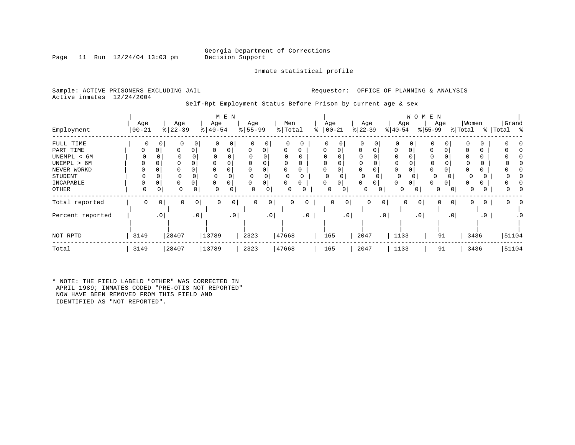Inmate statistical profile

Page 11 Run  $12/24/04$  13:03 pm

Sample: ACTIVE PRISONERS EXCLUDING JAIL **Requestor:** OFFICE OF PLANNING & ANALYSIS Active inmates 12/24/2004

Self-Rpt Employment Status Before Prison by current age & sex

| Employment       | Age<br>$00 - 21$ |                 | Age<br>$8   22 - 39$ |           | M E N<br>Age<br>$\frac{1}{6}$   40-54 | Age<br>$\frac{8}{5}$   55-99 |           | Men<br>%   Total | ి         | Age<br>$ 00 - 21$ |             | Age<br>$ 22-39 $ |              | Age<br>$ 40-54$ | W<br>O M       | E N<br>Age<br>$ 55-99$ |                 | Women<br>% Total |              | %   Total | Grand<br>ိ |
|------------------|------------------|-----------------|----------------------|-----------|---------------------------------------|------------------------------|-----------|------------------|-----------|-------------------|-------------|------------------|--------------|-----------------|----------------|------------------------|-----------------|------------------|--------------|-----------|------------|
| FULL TIME        | 0                | 0               | 0                    | 0         | 0 <sup>1</sup><br>0                   | $\mathbf 0$                  | 0         | $\Omega$         | 0         | 0                 | 0           | 0                | $\mathbf{0}$ | $\mathbf 0$     | 0              | 0                      | 0               |                  | 0            |           |            |
| PART TIME        | 0                |                 | 0                    | 0         | 0<br>0                                | $\Omega$                     | 0         | 0                | 0         | 0                 | 0           | $\Omega$         | 0            | 0               | 0              | 0                      |                 |                  | 0            |           |            |
| UNEMPL < 6M      |                  |                 | 0                    |           |                                       |                              |           |                  |           |                   |             |                  |              |                 |                | 0                      |                 |                  |              |           |            |
| UNEMPL > 6M      |                  |                 |                      |           |                                       |                              |           |                  | 0         |                   |             |                  |              | $\Omega$        |                | $\Omega$               |                 |                  | 0            |           |            |
| NEVER WORKD      |                  |                 | 0                    |           |                                       |                              |           | 0                | 0         | 0                 |             | $\Omega$         | 0            | 0               |                | 0                      |                 |                  | υ            |           |            |
| STUDENT          |                  |                 | $\mathbf 0$          | 0         |                                       |                              |           |                  |           | 0                 |             | O                | 0            | $\Omega$        |                | 0                      |                 |                  |              |           |            |
| INCAPABLE        |                  |                 | 0                    |           | 0                                     |                              | 0         | 0                |           | 0                 | 0           |                  | 0            | 0               |                | $\Omega$               | 0 <sup>1</sup>  |                  |              |           |            |
| <b>OTHER</b>     | 0                |                 | $\Omega$             | O         | $\Omega$<br>0                         |                              | 0         |                  |           | 0                 | 0           | 0                | 0            | 0               | 0              | 0                      | $\overline{0}$  |                  |              |           |            |
| Total reported   | 0                | 0               | 0                    | 0         | 0<br>$\overline{0}$                   | 0                            | 0         | 0                | 0         | 0                 | $\mathbf 0$ | 0                | 0            | 0               | $\overline{0}$ | 0                      | 0               | 0                | $\mathbf{0}$ | 0         |            |
| Percent reported |                  | .0 <sub>1</sub> |                      | $\cdot$ 0 | $\cdot$ 0                             |                              | $\cdot$ 0 |                  | $\cdot$ 0 |                   | $\cdot$ 0   |                  | .0           |                 | .0             |                        | .0 <sub>1</sub> |                  | $\cdot$ 0    |           |            |
|                  |                  |                 |                      |           |                                       |                              |           |                  |           |                   |             |                  |              |                 |                |                        |                 |                  |              |           |            |
| NOT RPTD         | 3149             |                 | 28407                | 13789     |                                       | 2323                         |           | 47668            |           | 165               |             | 2047             |              | 1133            |                | 91                     |                 | 3436             |              |           | 51104      |
| Total            | 3149             |                 | 28407                | 13789     |                                       | 2323                         |           | 47668            |           | 165               |             | 2047             |              | 1133            |                | 91                     |                 | 3436             |              |           | 51104      |

\* NOTE: THE FIELD LABELD "OTHER" WAS CORRECTED IN APRIL 1989; INMATES CODED "PRE-OTIS NOT REPORTED" NOW HAVE BEEN REMOVED FROM THIS FIELD AND IDENTIFIED AS "NOT REPORTED".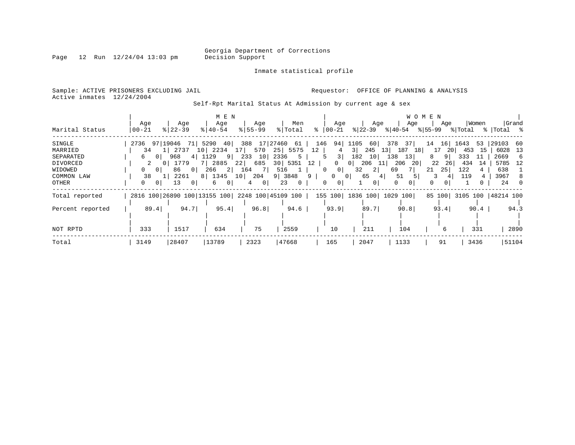Page  $12$  Run  $12/24/04$   $13:03$  pm

Inmate statistical profile

Sample: ACTIVE PRISONERS EXCLUDING JAIL **Requestor:** OFFICE OF PLANNING & ANALYSIS Active inmates 12/24/2004

Self-Rpt Marital Status At Admission by current age & sex

|                  |                                                 |                                                           | M E N               |                     |                      |                                |                          |                                                       | W O M E N |            |                           |
|------------------|-------------------------------------------------|-----------------------------------------------------------|---------------------|---------------------|----------------------|--------------------------------|--------------------------|-------------------------------------------------------|-----------|------------|---------------------------|
|                  | Age                                             | Age                                                       | Age                 | Age                 | Men                  | Age                            | Age                      | Age                                                   | Age       | Women      | Grand                     |
| Marital Status   | $00 - 21$                                       | $8122 - 39$                                               | $8140 - 54$         | $8155 - 99$         | % Total              | $\approx$ $ 00-21$             |                          | $ 22-39 $ $ 40-54 $ $ 55-99 $ $ Total$ $ Total$ $ 8 $ |           |            |                           |
| SINGLE           | 2736 97 19046 71 5290 40                        |                                                           |                     |                     | 388 17 27460 61      | 146                            | 94 1105                  | 60 378 37                                             | 14        | 16 1643    | 53 29103 60               |
| MARRIED          | 34                                              | 2737                                                      | 10 2234             | 17 <sup>1</sup>     | 570 25 5575          | 12<br>4                        | 245<br>$3 \mid$          | 13<br>187 18                                          | 17<br>-20 | 453<br>-15 | 6028<br>13                |
| SEPARATED        | 0 <sup>1</sup><br>6                             | 968                                                       | 4 1129<br>$9$       | 10<br>233           | 2336 5               | 3                              | 182<br>10                | 138<br>13                                             | 8.<br>91  | 333<br>-11 | 2669<br>-6                |
| DIVORCED         | 2                                               | 1779                                                      | 7 2885              | 22                  | 685 30 5351 12       | $\overline{0}$                 | 206 11<br>0 <sup>1</sup> | 206<br>20 <sub>1</sub>                                | 22<br>26  | 434<br>14  | 5785 12                   |
| WIDOWED          | $\circ$                                         | 86<br>$\begin{array}{c} \circ \\ \circ \circ \end{array}$ | 266<br>$2 \mid$     | 7 L<br>164          | 516<br>$\mathbf{1}$  | $0$  <br>$\Omega$              | 32<br>2                  | 69<br>7 I                                             | 21<br>25  | 122        | 638                       |
| COMMON LAW       | 38                                              | 2261                                                      | 8 1345 10 204       |                     | 9 3848               | 9<br>$\overline{0}$            | 65<br>0 <sup>1</sup>     | 51<br>41<br>5                                         |           | 119        | 3967<br>8                 |
| OTHER            | 0 <sup>1</sup><br>$\Omega$                      | 13<br>0 <sup>1</sup>                                      | 6<br>0 <sup>1</sup> | 0 <sup>1</sup><br>4 | 23<br>$\overline{0}$ | $\mathbf{0}$<br>0 <sup>1</sup> | 0 <sup>1</sup>           | $\mathbf{0}$<br>$\Omega$                              | 0         |            | 24 0                      |
| Total reported   | 2816 100 26890 100 13155 100 2248 100 45109 100 |                                                           |                     |                     |                      |                                |                          | 155 100  1836 100  1029 100                           |           |            | 85 100 3105 100 48214 100 |
| Percent reported | 89.4                                            | 94.7                                                      | 95.4                | 96.8                | 94.6                 | 93.9                           | 89.7                     | 90.8                                                  | 93.4      | 90.4       | 94.3                      |
|                  |                                                 |                                                           |                     |                     |                      |                                |                          |                                                       |           |            |                           |
| NOT RPTD         | 333                                             | 1517                                                      | 634                 | 75                  | 2559                 | 10                             | 211                      | 104                                                   | 6         | 331        | 2890                      |
| Total            | 3149                                            | 28407                                                     | 13789               | 2323                | 47668                | 165                            | 2047                     | 1133                                                  | 91        | 3436       | 51104                     |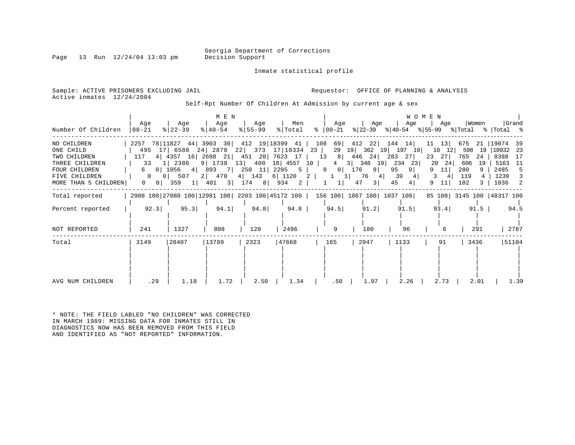Inmate statistical profile

Page 13 Run  $12/24/04$  13:03 pm

Sample: ACTIVE PRISONERS EXCLUDING JAIL **Requestor:** OFFICE OF PLANNING & ANALYSIS Active inmates 12/24/2004

Self-Rpt Number Of Children At Admission by current age & sex

|                                       |                                                   |                                                                                 | M E N            |                    |                               |                                            |                       |                                                                                 | WOMEN                     |                           |                                 |
|---------------------------------------|---------------------------------------------------|---------------------------------------------------------------------------------|------------------|--------------------|-------------------------------|--------------------------------------------|-----------------------|---------------------------------------------------------------------------------|---------------------------|---------------------------|---------------------------------|
| Number Of Children                    | Aqe<br>$ 00 - 21 $                                | Aqe<br>$ 22-39 $                                                                | Age<br>$ 40-54 $ | Age<br>$ 55 - 99 $ | Men<br>% Total                | Age<br>%   00−21                           | Age                   | Age<br>$ 22-39 $ $ 40-54 $ $ 55-99 $ $ Total$ $ Total$ $ 8 $                    | Aqe                       | Women                     | Grand                           |
| NO CHILDREN<br>ONE CHILD              |                                                   | 2257 78 11827 44 3903 30 412 19 18399 41<br>495 17 6588 24 2878 22 373 17 10334 |                  |                    |                               | 108 69<br>23  <br>29                       | 19                    | 412 22 144 14<br>362 19 197 19                                                  | $11 \quad 13$<br>10<br>12 | 675<br>598<br>19          | 21   19074<br>39<br>10932<br>23 |
| TWO CHILDREN<br>THREE CHILDREN        | 117<br>33                                         | 4 4357 16 2698 21 451 20 7623 17<br>1 2386                                      |                  |                    | 9 1738 13 400 18 4557 10      | 8<br>13<br>$\overline{4}$                  | 446 24<br>3 34819 234 | 283 27<br>23                                                                    | 23<br>271<br>20<br>24     | 765<br>24<br>606<br>19    | 8388<br>17<br>5163<br>- 11      |
| <b>FOUR CHILDREN</b><br>FIVE CHILDREN | 0 <sup>1</sup><br>6<br>$\Omega$<br>0 <sup>1</sup> | 1056 4<br>507                                                                   | 2 470            | 4 143              | 893 7 250 11 2205 5<br>6 1120 | 0<br>$\overline{0}$<br>2  <br>$\mathbf{1}$ | 176<br>9 <br>76       | 9 <sup>1</sup><br>95<br>39<br>4                                                 | 9<br>11<br>3<br>41        | 280<br>9.<br>119          | 2485<br>5<br>1239<br>3          |
| MORE THAN 5 CHILDREN                  | $\overline{0}$<br>0                               | 359<br>$1 \mid$                                                                 | 401              |                    | 3   174 8   934 2             | 1                                          | 47<br>3               | 45<br>4                                                                         | 9<br>11                   | 102                       | 1036<br>$\overline{2}$          |
| Total reported                        |                                                   |                                                                                 |                  |                    |                               |                                            |                       | 2908 100 27080 100 12981 100 2203 100 45172 100   156 100   1867 100   1037 100 |                           | 85 100 3145 100 48317 100 |                                 |
| Percent reported                      | 92.3                                              | 95.3                                                                            | 94.1             | 94.8               | 94.8                          | 94.5                                       | 91.2                  | 91.5                                                                            | 93.4                      | 91.5                      | 94.5                            |
| NOT REPORTED                          | 241                                               | 1327                                                                            | 808              | 120                | 2496                          | 9                                          | 180                   | 96                                                                              |                           | 291                       | 2787                            |
| Total                                 | 3149                                              | 28407                                                                           | 13789            | 2323               | 47668                         | 165                                        | 2047                  | 1133                                                                            | 91                        | 3436                      | 51104                           |
| AVG NUM CHILDREN                      | .29                                               | 1.18                                                                            | 1.72             | 2.50               | 1.34                          | .50                                        | 1.97                  | 2.26                                                                            | 2.73                      | 2.01                      | 1.39                            |

\* NOTE: THE FIELD LABLED "NO CHILDREN" WAS CORRECTED IN MARCH 1989: MISSING DATA FOR INMATES STILL IN DIAGNOSTICS NOW HAS BEEN REMOVED FROM THIS FIELD AND IDENTIFIED AS "NOT REPORTED" INFORMATION.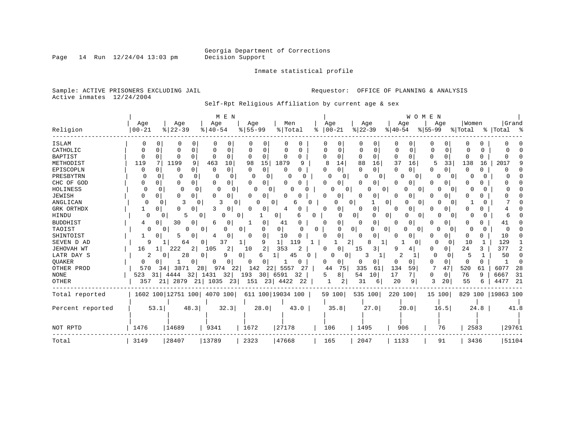Inmate statistical profile

Sample: ACTIVE PRISONERS EXCLUDING JAIL **Requestor:** OFFICE OF PLANNING & ANALYSIS Active inmates 12/24/2004

Self-Rpt Religious Affiliation by current age & sex

|                  |                        |                    | M E N                   |                      |                          |          |               |                   |                          | WOMEN                    |                          |                     |
|------------------|------------------------|--------------------|-------------------------|----------------------|--------------------------|----------|---------------|-------------------|--------------------------|--------------------------|--------------------------|---------------------|
|                  | Age                    | Age                | Age                     | Age                  | Men                      |          | Age           | Age               | Age                      | Aqe                      | Women                    | Grand               |
| Religion         | $00 - 21$              | $8   22 - 39$      | $8   40 - 54$           | $8 55-99$            | % Total                  | ႜ        | $ 00 - 21$    | $ 22-39$          | $ 40-54$                 | $ 55-99 $                | % Total                  | %   Total<br>ွ န    |
| ISLAM            | $\Omega$               | O                  | 0<br>0                  |                      | 0                        |          | 0             |                   | O<br>n                   | O                        |                          |                     |
| CATHOLIC         | O                      | O                  | $\Omega$<br>0<br>n      | 0                    | U<br>O                   |          | $\Omega$<br>C | ∩<br><sup>0</sup> | 0<br>O                   | $\Omega$<br>O            | <sup>0</sup>             |                     |
| <b>BAPTIST</b>   | $\Omega$<br>$\Omega$   | O                  | 0<br>$\Omega$<br>$\cap$ | $\Omega$<br>$\Omega$ | <sup>0</sup><br>$\Omega$ |          | $\Omega$<br>0 | 0<br>0            | $\Omega$<br>$\Omega$     | O<br>0                   | O<br>0                   |                     |
| METHODIST        | 119                    | 1199               | 463<br>9<br>10          | 98<br>15             | 1879<br>9                |          | 8<br>14       | 88<br>16          | 37<br>16                 | 5<br>33                  | 138<br>16                | 2017                |
| EPISCOPLN        | $\Omega$               | N                  | 0<br>$\Omega$<br>0      | 0<br>$\Omega$        | $\Omega$<br>0            |          | 0<br>O        | 0<br>0            | <sup>0</sup><br>$\Omega$ | 0                        | $\Omega$                 |                     |
| PRESBYTRN        |                        |                    | 0<br>n<br>O             | $\Omega$<br>n        | O                        |          | U<br>- 0      | 0                 | 0                        | O<br>$\Omega$            | U                        |                     |
| CHC OF GOD       |                        | U                  | 0<br>U<br>$\Omega$      | 0<br>U               | O<br>U                   |          | $\Omega$<br>n | 0                 | U                        | 0                        | ∩                        |                     |
| HOLINESS         | $\Omega$               | $\Omega$<br>n      |                         | 0<br>0               | 0                        |          | 0             |                   | 0<br>0                   | $\Omega$                 |                          |                     |
| <b>JEWISH</b>    |                        |                    | 0<br>O.                 | 0                    |                          |          | O             | 0                 | 0                        | 0                        |                          |                     |
| ANGLICAN         | 0                      | 3<br>0             | 3<br>0                  | 0<br>0               | 0<br>6                   |          |               | 0                 | 0<br>0<br>0              | 0<br>$\Omega$            |                          |                     |
| GRK ORTHDX       |                        |                    | 0                       | O<br>0               | 4<br>0                   |          | $\Omega$<br>0 | 0<br>$\Omega$     | 01<br>U                  | 0                        |                          |                     |
| HINDU            | 0                      | 5<br>0             | $\Omega$<br>0           | 0                    | 0<br>6                   | 0        | O             | 0<br>0            | 0<br>0<br>0              | 0<br>0                   |                          |                     |
| <b>BUDDHIST</b>  | 0<br>4                 | 30                 | 0<br>0<br>6             | 0                    | 41<br>0                  |          | 0             | 0<br>$\Omega$     | 01<br>O                  | 0                        | O                        | 41                  |
| TAOIST           | $\Omega$               |                    | 0<br>O                  | $\Omega$<br>U        | $\overline{0}$<br>U      | $\Omega$ | U             | 0<br>0            | 0<br>0                   | <sup>0</sup><br>$\Omega$ | O<br>n                   | $\cap$              |
| SHINTOIST        |                        | 5                  | 0<br>$\overline{4}$     | 0<br>$\Omega$        | 10<br>$\Omega$           |          | ∩             | 0<br>$\Omega$     |                          | O                        | $\Omega$                 | 10                  |
| SEVEN D AD       | 9                      | 64                 | 0<br>37                 | 9                    | 1 <sup>1</sup><br>119    |          | 2             |                   | 0                        | O<br>$\Omega$            | 10<br>-1                 | 129                 |
| JEHOVAH WT       | 16                     | 222                | 105<br>2                | 2<br>10              | 353                      |          | 0             | 15<br>3           |                          | 0<br>0                   | 24<br>3.                 | 377<br>2            |
| LATR DAY S       | 2                      | 28                 | q<br>0                  | б<br>0               | 45                       | 0        | U<br>0        |                   | 2                        | $\Omega$<br>O            | 5<br>-1                  | 50<br>n             |
| <b>OUAKER</b>    | $\Omega$<br>$\Omega$   |                    | $\Omega$<br>O           | 0<br>0               | 0                        |          | 0<br>O        | 0<br>O            | 0<br>0                   | 0<br>O                   | $\Omega$<br><sup>n</sup> | $\Omega$            |
| OTHER PROD       | 570                    | 3871<br>34 I       | 974<br>28               | 142<br>22            | 22 <br>5557              | 27       | 44<br>75      | 335<br>61         | 134<br>59                | 47                       | 520<br>61                | 28<br>6077          |
| <b>NONE</b>      | 523<br>31 <sup>1</sup> | 32<br>4444         | 32 <br>1431             | 193<br>30            | 6591<br>32               |          | 8<br>5        | 54<br>10          | 17<br>7                  | 0<br>0                   | 76<br>9                  | 31<br>6667          |
| OTHER            | 357                    | 2879<br>21         | 1035<br>21              | 151<br>23            | 23<br>4422<br>22         |          | 2             | 31<br>6           | 20<br>9                  | 3<br>20                  | 55<br>6                  | 21<br>4477          |
| Total reported   |                        | 1602 100 12751 100 | 4070 100                |                      | 611 100 19034 100        |          | 59 100        | 535 100           | 220 100                  | 15 100                   |                          | 829 100   19863 100 |
| Percent reported | 53.1                   |                    | 32.3<br>48.3            | 28.0                 | 43.0                     |          | 35.8          | 27.0              | 20.0                     | 16.5                     | 24.8                     | 41.8                |
|                  |                        |                    |                         |                      |                          |          |               |                   |                          |                          |                          |                     |
|                  |                        |                    |                         |                      |                          |          |               |                   |                          |                          |                          |                     |
| NOT RPTD         | 1476                   | 14689              | 9341                    | 1672                 | 27178                    |          | 106           | 1495              | 906                      | 76                       | 2583                     | 29761               |
| Total            | 3149                   | 28407              | 13789                   | 2323                 | 47668                    |          | 165           | 2047              | 1133                     | 91                       | 3436                     | 51104               |

Page  $14$  Run  $12/24/04$   $13:03$  pm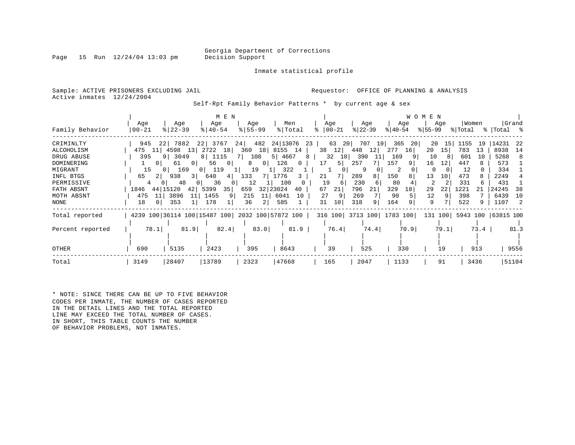Page 15 Run  $12/24/04$  13:03 pm

Inmate statistical profile

Sample: ACTIVE PRISONERS EXCLUDING JAIL **Requestor:** OFFICE OF PLANNING & ANALYSIS Active inmates 12/24/2004

Self-Rpt Family Behavior Patterns \* by current age & sex

|                  |                      |                       | M E N                 |                     |                                                 |                   |           |                           | WOMEN       |            |                            |
|------------------|----------------------|-----------------------|-----------------------|---------------------|-------------------------------------------------|-------------------|-----------|---------------------------|-------------|------------|----------------------------|
|                  | Age                  | Age                   | Age                   | Age                 | Men                                             | Age               | Age       | Age                       | Age         | Women      | Grand                      |
| Family Behavior  | $00 - 21$            | $ 22-39 $             | $ 40-54 $             | $8 55-99$           | % Total                                         | $8   00 - 21$     | $ 22-39 $ | $ 40-54 $                 | $8155 - 99$ | % Total    | %   Total %                |
| CRIMINLTY        | 945                  | 22 7882               | 3767<br>22            | 482<br>24           | 24 13076                                        | 63<br>-20  <br>23 | 707<br>19 | 365<br>-20                | 20<br>15    | 1155<br>19 | 14231<br>-22               |
| ALCOHOLISM       | 475<br>11            | 4598<br>13            | 2722<br>18            | 360                 | 18 8155 14                                      | 38<br>12          | 448<br>12 | 277<br>16                 | 20<br>15    | 783<br>13  | 8938<br>14                 |
| DRUG ABUSE       | 395                  | 9   3049              | 1115<br>8             | 108<br>7 I          | 5   4667<br>8                                   | 32<br>10          | 390<br>11 | 169                       | 10<br>8     | 601<br>10  | 5268<br>8                  |
| DOMINERING       | 0 <sup>1</sup>       | 61<br>0 I             | 56<br>$\circ$         | 8<br>0 <sup>1</sup> | 126<br>$\mathbf{0}$                             | 5.                | 257       | 157<br>9                  | 16<br>12    | 447        | 573                        |
| MIGRANT          | 15                   | 169<br>0 <sup>1</sup> | 119<br>0 <sup>1</sup> | 19                  | 322                                             |                   | 9         | 2                         | 0           | 12         | 334                        |
| INFL BTGS        | 65<br>2 <sub>1</sub> | 938<br>3 I            | 640<br>4              | 133                 | 1776<br>3                                       | 21                | 289<br>8  | 150                       | 13<br>10    | 473        | 2249                       |
| PERMISSIVE       | 0 <sup>1</sup><br>4  | 48                    | 36                    | 12                  | 100                                             | 19                | 230<br>6  | 80                        |             | 331<br>6   | 431                        |
| FATH ABSNT       | 1846                 | 44 15120<br>421       | 35<br>5399            | 659                 | 32 23024<br>40                                  | 67<br>21          | 796<br>21 | 329<br>18                 | 29<br>22    | 1221<br>21 | 24245<br>38                |
| MOTH ABSNT       | 475<br>11            | 3896<br>11            | 1455<br>9             | 215<br>11           | 6041<br>10                                      | 27                | 269       | 90                        | 12          | 398        | 6439<br>10                 |
| NONE             | 18                   | 353                   | 178                   | 36<br>2             | 585                                             | 10<br>31          | 318<br>9  | 164                       | 9           | 522<br>9.  | 1107<br>-2.                |
| Total reported   |                      |                       |                       |                     | 4239 100 36114 100 15487 100 2032 100 57872 100 |                   |           | 316 100 3713 100 1783 100 |             |            | 131 100 5943 100 63815 100 |
|                  |                      |                       |                       |                     |                                                 |                   |           |                           |             |            |                            |
| Percent reported | 78.1                 | 81.9                  | 82.4                  | $83.0$              | 81.9                                            | 76.4              | 74.4      | 70.9                      | 79.1        | 73.4       | 81.3                       |
|                  |                      |                       |                       |                     |                                                 |                   |           |                           |             |            |                            |
| <b>OTHER</b>     | 690                  | 5135                  | 2423                  | 395                 | 8643                                            | 39                | 525       | 330                       | 19          | 913        | 9556                       |
| Total            | 3149                 | 28407                 | 13789                 | 2323                | 47668                                           | 165               | 2047      | 1133                      | 91          | 3436       | 51104                      |

\* NOTE: SINCE THERE CAN BE UP TO FIVE BEHAVIOR CODES PER INMATE, THE NUMBER OF CASES REPORTED IN THE DETAIL LINES AND THE TOTAL REPORTED LINE MAY EXCEED THE TOTAL NUMBER OF CASES. IN SHORT, THIS TABLE COUNTS THE NUMBER OF BEHAVIOR PROBLEMS, NOT INMATES.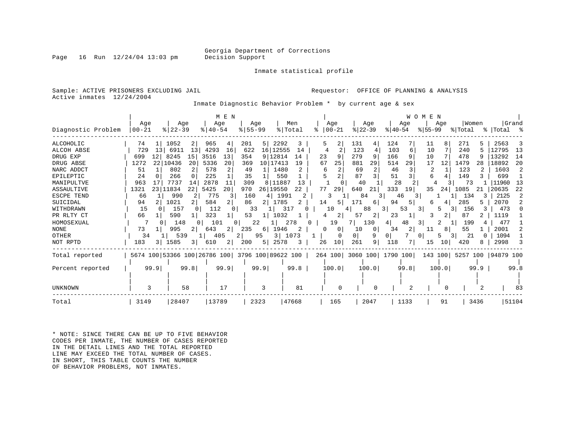Page 16 Run  $12/24/04$  13:03 pm

Inmate statistical profile

Sample: ACTIVE PRISONERS EXCLUDING JAIL **Requestor:** OFFICE OF PLANNING & ANALYSIS Active inmates 12/24/2004

Inmate Diagnostic Behavior Problem \* by current age & sex

| Diagnostic Problem | Age<br>$ 00-21$        | Age<br>$8$   22-39 | M E N<br>Age<br>$8140 - 54$                     | Age<br>$8155 - 99$ | Men<br>% Total | Age<br>$ 00-21$ | Aqe<br>$ 22-39 $     | Age<br>$ 40-54$   | <b>WOMEN</b><br>Aqe<br>$ 55-99 $ | Women<br>% Total           | Grand<br>% Total % |
|--------------------|------------------------|--------------------|-------------------------------------------------|--------------------|----------------|-----------------|----------------------|-------------------|----------------------------------|----------------------------|--------------------|
| <b>ALCOHOLIC</b>   | 74                     | 1052<br>2          | 965<br>4                                        | 201<br>5           | 2292<br>3      | 2<br>5          | 131<br>4             | 124               | 11<br>8                          | 271                        | 2563               |
| ALCOH ABSE         | 729<br>13 <sup>1</sup> | 6911<br>13         | 4293<br>16                                      | 622<br>16 12555    | 14             | 4               | 123<br>4             | 103<br>6          | 10                               | 240                        | 12795<br>13        |
| DRUG EXP           | 699<br>12              | 8245<br>15         | 3516<br>13                                      | 9 12814<br>354     | 14             | 23<br>9         | 279<br>9             | 166               | 10                               | 478                        | 13292<br>14        |
| DRUG ABSE          | 1272                   | 22 10436<br>20     | 5336<br>20                                      | 10 17413<br>369    | 19             | 67<br>25        | 881<br>29            | 514<br>29         | 17<br>12                         | 1479<br>28                 | 20<br>18892        |
| NARC ADDCT         | 51                     | 802                | 2<br>578                                        | 49                 | 1480           | 2<br>6          | $\mathfrak{D}$<br>69 | 46                | 2                                | 123                        | 1603               |
| EPILEPTIC          | 24                     | 266<br>$\Omega$    | 225                                             | 35                 | 550            |                 | 87                   | 51                | 6                                | 149                        | 699                |
| MANIPULTVE         | 963                    | 7737<br>14         | 2878<br>11                                      | 309<br>8           | 11887<br>13    |                 | 40                   | 28                |                                  | 73                         | 11960<br>13        |
| <b>ASSAULTIVE</b>  | 1321<br>231            | 11834<br>22        | 5425<br>20                                      | 970<br>26 19550    | 22             | 77<br>29        | 640                  | 333<br>19         | 35<br>24                         | 1085<br>21                 | 20635<br>22        |
| ESCPE TEND         | 66                     | 990                | 775<br>3                                        | 160<br>4           | 1991           | 3               | 84                   | 46<br>3           | 3                                | 134<br>3                   | 2125<br>2          |
| SUICIDAL           | 94                     | 1021               | 584<br>2                                        | 86<br>21           | 1785           | 14<br>5.        | 171<br>6             | 94<br>5           | h                                | 285<br>5.                  | 2070               |
| WITHDRAWN          | 15                     | 157                | 112<br>$\Omega$                                 | 33                 | 31             | 10              | 88                   | 53<br>3.          | 3 I<br>5                         | 156                        | 473                |
| PR RLTY CT         | 66                     | 590                | 323                                             | 53                 | 1032           | 2               | 57<br>2              | 23                | 3<br>2                           | 87                         | 1119               |
| HOMOSEXUAL         |                        | 148<br>- 0         | 101<br>$\Omega$                                 | 22                 | 278            | 19              | 130                  | 48<br>4           | 3 I                              | 199                        | 477                |
| <b>NONE</b>        | 73                     | 995                | 643<br>$\overline{2}$                           | 235<br>6           | 1946<br>2      | 0               | 10<br>0              | 34<br>2           | 8<br>11                          | 55                         | 2001               |
| OTHER              | 34                     | 539                | 405<br>2 <sup>1</sup>                           | $3 \mid$<br>95     | 1073           | $\Omega$        | 0 <sup>1</sup><br>9  | 0                 | 0 I<br>5.                        | 21                         | 1094               |
| NOT RPTD           | 183<br>3 I             | 1585<br>3          | 610<br>2                                        | 200<br>5           | 2578<br>3      | 10<br>26        | 261<br>9             | 118               | 15<br>10                         | 420<br>8.                  | 2998               |
| Total reported     |                        |                    | 5674 100 53366 100 26786 100 3796 100 89622 100 |                    |                | 264 100         |                      | 3060 100 1790 100 |                                  | 143 100 5257 100 94879 100 |                    |
| Percent reported   | 99.9                   | 99.8               | 99.9                                            | 99.9               | 99.8           | 100.0           | 100.0                | 99.8              | 100.0                            | $99.9$                     | 99.8               |
| <b>UNKNOWN</b>     | 3                      | 58                 | 17                                              | 3                  | 81             | $\Omega$        | $\Omega$             |                   |                                  |                            | 83                 |
| Total              | 3149                   | 28407              | 13789                                           | 2323               | 47668          | 165             | 2047                 | 1133              | 91                               | 3436                       | 51104              |

\* NOTE: SINCE THERE CAN BE UP TO FIVE BEHAVIOR CODES PER INMATE, THE NUMBER OF CASES REPORTED IN THE DETAIL LINES AND THE TOTAL REPORTED LINE MAY EXCEED THE TOTAL NUMBER OF CASES. IN SHORT, THIS TABLE COUNTS THE NUMBER OF BEHAVIOR PROBLEMS, NOT INMATES.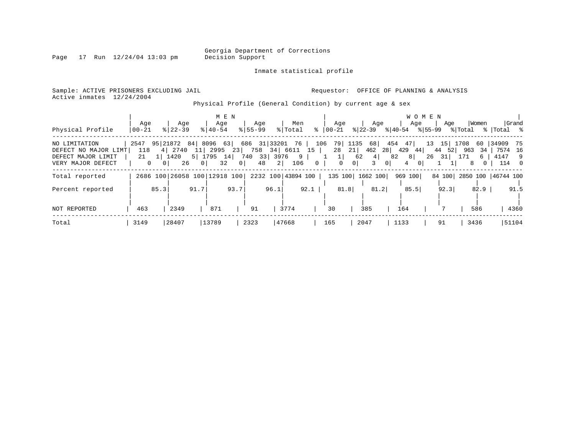Page  $17$  Run  $12/24/04$  13:03 pm

#### Inmate statistical profile

Sample: ACTIVE PRISONERS EXCLUDING JAIL **Requestor:** OFFICE OF PLANNING & ANALYSIS Active inmates 12/24/2004

Physical Profile (General Condition) by current age & sex

|                                            |           |          |                              |                |           | M E N    |                                                 |                    |         |      |           |          |                |                  |          |                | W O M E N |                        |            |               |                    |       |
|--------------------------------------------|-----------|----------|------------------------------|----------------|-----------|----------|-------------------------------------------------|--------------------|---------|------|-----------|----------|----------------|------------------|----------|----------------|-----------|------------------------|------------|---------------|--------------------|-------|
|                                            | Age       |          | Age                          |                | Age       |          | Age                                             |                    | Men     |      |           | Age      |                | Age              |          | Age            |           | Age                    |            | Women         |                    | Grand |
| Physical Profile                           | 00-21     |          | $8122 - 39$                  |                | $8 40-54$ |          | $8155 - 99$                                     |                    | % Total |      | %   00-21 |          | $ 22-39 $      |                  | % 40-54  |                | % 55-99   |                        | % Total    |               | %  Total %         |       |
| NO LIMITATION                              | 2547      |          | 4 2740                       |                |           |          | 95 21872 84 8096 63 686 31 33201 76 106 79 1135 | 758 34 6611 15     |         |      |           |          |                | 68 454 47<br>462 |          |                |           |                        | 13 15 1708 | 60 I          | 34909 75           |       |
| DEFECT NO MAJOR LIMT<br>DEFECT MAJOR LIMIT | 118<br>21 |          | 1420                         | 5 1795         | 11 2995   | 23<br>14 | 740 33                                          |                    | 3976 9  |      |           | 28<br>1  | 21<br>62       | 4                | 82       | 28 429 44<br>8 |           | 44 52<br>$26 \quad 31$ | 963<br>171 | 34<br>6       | 7574 16<br>4147 9  |       |
| VERY MAJOR DEFECT                          | $\Omega$  | $\Omega$ | 26                           | 0 <sup>1</sup> |           | 32       | 48<br>0 <sup>1</sup>                            | 2                  | 106     |      | $\Omega$  | $\Omega$ | 0 <sup>1</sup> |                  | $\Omega$ | 4              | $\Omega$  |                        |            | 8<br>$\Omega$ |                    | 114 0 |
|                                            |           |          |                              |                |           |          |                                                 |                    |         |      |           |          |                |                  |          |                |           |                        |            |               |                    |       |
| Total reported                             |           |          | 2686 100 26058 100 12918 100 |                |           |          |                                                 | 2232 100 43894 100 |         |      |           |          |                | 135 100 1662 100 |          | 969 100        |           | 84 100                 |            |               | 2850 100 46744 100 |       |
| Percent reported                           |           | 85.3     |                              | 91.7           |           | 93.7     |                                                 | 96.1               |         | 92.1 |           | 81.8     |                | 81.2             |          | 85.5           |           | 92.3                   |            | 82.9          |                    | 91.5  |
|                                            |           |          |                              |                |           |          |                                                 |                    |         |      |           |          |                |                  |          |                |           |                        |            |               |                    |       |
| <b>NOT REPORTED</b>                        | 463       |          | 2349                         |                | 871       |          | 91                                              |                    | 3774    |      | 30        |          | 385            |                  |          | 164            |           |                        |            | 586           |                    | 4360  |
| Total                                      | 3149      |          | 28407                        |                | 13789     |          | 2323                                            |                    | 47668   |      | 165       |          | 2047           |                  |          | 1133           |           | 91                     |            | 3436          |                    | 51104 |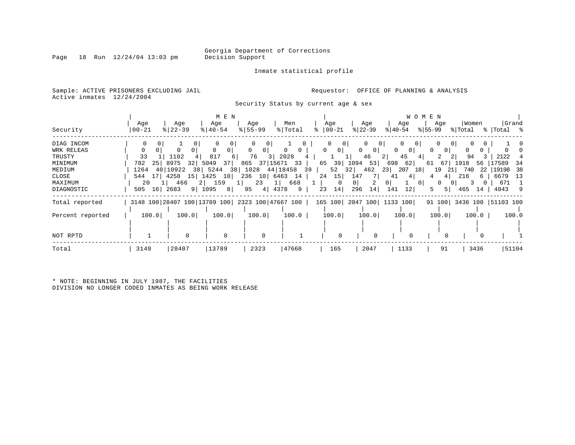Inmate statistical profile

Sample: ACTIVE PRISONERS EXCLUDING JAIL **Requestor:** OFFICE OF PLANNING & ANALYSIS Active inmates 12/24/2004

Security Status by current age & sex

| Security         | Age<br>  00-21 | Age<br>$8$   22-39      | M E N<br>Age<br>$8140 - 54$                     | Age<br>$8155 - 99$   | Men<br>% Total | Age<br>$ 00-21 $<br>፠ | Age<br>$ 22-39 $             | <b>WOMEN</b><br>Age<br>$ 40-54 $ | Age<br>$ 55-99 $ | Women<br>% Total | Grand<br>%   Total %      |
|------------------|----------------|-------------------------|-------------------------------------------------|----------------------|----------------|-----------------------|------------------------------|----------------------------------|------------------|------------------|---------------------------|
| DIAG INCOM       |                |                         |                                                 |                      |                |                       | 0 <sup>1</sup>               |                                  | 0 <sup>1</sup>   |                  |                           |
| WRK RELEAS       |                |                         |                                                 | 0                    |                | 0 <sup>1</sup><br>0   | $\mathbf{0}$<br>$\mathbf{0}$ | $\Omega$<br>0                    | 0                |                  |                           |
| TRUSTY           | 33             | 1102                    | 817<br>6                                        | 76<br>3              | 2028           |                       | 46                           | 2 <br>45<br>4                    | 2                | 94               | 2122                      |
| MINIMUM          | 25<br>782      | 8975<br>32 <sub>1</sub> | 5049<br>37 I                                    | 37   15671 33<br>865 |                | 65<br>39              | 1094<br>53                   | 698<br>62                        | 67<br>61         | 1918<br>56       | 17589<br>34               |
| MEDIUM           | 1264           | 40   10922              | 38 5244<br>38                                   | 1028 44 18458 39     |                | 52                    | 32<br>462                    | 23 <sub>1</sub><br>207<br>18     | 19<br>21         | 740              | -38<br>22   19198         |
| CLOSE            | 171<br>544     | 4258<br>15              | 1425<br>10 <sub>1</sub>                         | 10 6463<br>236       | 14             | 15<br>24              | 147<br>7                     | 4<br>41                          |                  | 216              | -13<br>6679               |
| MAXIMUM          | 20             | 466                     | 2 159                                           | 23<br>$1 \mid$       | 668            | $\Omega$              | $\overline{0}$<br>2          | 01<br>0 <sup>1</sup>             | $\Omega$         |                  | 671                       |
| DIAGNOSTIC       | 505 16 2683    | 9 1095                  | 8                                               | 4 4378<br>95         | 9              | 14 <br>23             | 14<br>296                    | 141<br>12                        | $5 \mid$<br>5.   | 465<br>14        | 4843 9                    |
| Total reported   |                |                         | 3148 100 28407 100 13789 100 2323 100 47667 100 |                      |                | 165 100               | 2047 100  1133 100           |                                  |                  |                  | 91 100 3436 100 51103 100 |
| Percent reported | 100.0          | 100.0                   | 100.0                                           | 100.0                | 100.0          | 100.0                 | 100.0                        | 100.0                            | 100.0            | 100.0            | 100.0                     |
|                  |                |                         |                                                 |                      |                |                       |                              |                                  |                  |                  |                           |
| NOT RPTD         |                | $\Omega$                | $\Omega$                                        | $\Omega$             |                | $\Omega$              | $\Omega$                     | $\Omega$                         | 0                | $\Omega$         |                           |
| Total            | 3149           | 28407                   | 13789                                           | 2323                 | 47668          | 165                   | 2047                         | 1133                             | 91               | 3436             | 51104                     |

\* NOTE: BEGINNING IN JULY 1987, THE FACILITIES DIVISION NO LONGER CODED INMATES AS BEING WORK RELEASE

Page 18 Run  $12/24/04$  13:03 pm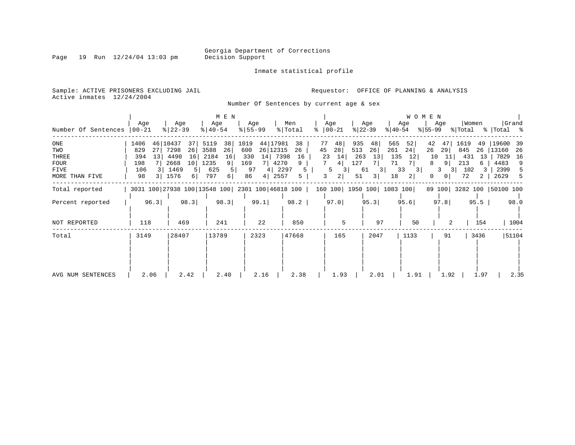Inmate statistical profile

Sample: ACTIVE PRISONERS EXCLUDING JAIL **Requestor:** OFFICE OF PLANNING & ANALYSIS

Active inmates 12/24/2004

Number Of Sentences by current age & sex

|                                                              |                                                          |                                                                                                 | M E N                                                                  |                                                                                                                    |                                                                                 |                                                                                  |                                                                                     | <b>WOMEN</b>                                                                                     |                                                                            |                                                                        |
|--------------------------------------------------------------|----------------------------------------------------------|-------------------------------------------------------------------------------------------------|------------------------------------------------------------------------|--------------------------------------------------------------------------------------------------------------------|---------------------------------------------------------------------------------|----------------------------------------------------------------------------------|-------------------------------------------------------------------------------------|--------------------------------------------------------------------------------------------------|----------------------------------------------------------------------------|------------------------------------------------------------------------|
| Number Of Sentences                                          | Age<br>$ 00 - 21$                                        | Age<br>$8   22 - 39$                                                                            | Age<br>$8   40 - 54$                                                   | Age<br>$ 55 - 99 $                                                                                                 | Men<br>% Total<br>$\approx$                                                     | Age<br>$ 00-21$                                                                  | Age<br>$ 22-39 $<br>୫∣40-54                                                         | Age<br>Age<br>%∣55-99                                                                            | Women<br>% Total                                                           | Grand<br>%   Total %                                                   |
| ONE<br>TWO<br>THREE<br>FOUR<br><b>FIVE</b><br>MORE THAN FIVE | 1406<br>46<br>829<br>27<br>394<br>13<br>198<br>106<br>98 | 10437<br>37<br>7298<br>26<br>16<br>4490<br>2668<br>10 <sup>1</sup><br>1469<br>5 I<br>1576<br>61 | 5119<br>38<br>26<br>3588<br>2184<br>16<br>1235<br>9<br>625<br>797<br>6 | 44 17981<br>1019<br>26 12315<br>600<br>7398<br>14<br>330<br>4270<br>169<br>7 I<br>97<br>4   2297<br>86<br>4   2557 | 77<br>38<br>45<br>26<br>16<br>9<br>5<br>5                                       | 935<br>48<br>28<br>513<br>14<br>23<br>263<br>127<br>4<br>3<br>5<br>2 <br>3<br>51 | 565<br>48<br>26<br>261<br>13<br>135<br>71<br>7  <br>$3 \mid$<br>33<br>61<br>18<br>3 | 52<br>42<br>47<br>24<br>26<br>29<br>10<br>12<br>7 I<br>8<br>9 <sup>1</sup><br>3<br>31<br>2 <br>0 | 1619<br>49<br>845<br>26<br>11<br>431<br>-13<br>213<br>6<br>102<br>31<br>72 | 19600<br>-39<br>13160<br>26<br>7829<br>16<br>4483<br>9<br>2399<br>2629 |
| Total reported                                               |                                                          |                                                                                                 |                                                                        |                                                                                                                    | 3031 100 27938 100 13548 100 2301 100 46818 100   160 100   1950 100   1083 100 |                                                                                  |                                                                                     |                                                                                                  | 89 100 3282 100 50100 100                                                  |                                                                        |
| Percent reported                                             | 96.3                                                     | 98.3                                                                                            | 98.3                                                                   | 99.1                                                                                                               | 98.2                                                                            | 97.0                                                                             | 95.3                                                                                | 95.6<br>97.8                                                                                     | 95.5                                                                       | 98.0                                                                   |
| NOT REPORTED                                                 | 118                                                      | 469                                                                                             | 241                                                                    | 22                                                                                                                 | 850                                                                             | 5                                                                                | 97                                                                                  | 50                                                                                               | 154                                                                        | 1004                                                                   |
| Total                                                        | 3149                                                     | 28407                                                                                           | 13789                                                                  | 2323                                                                                                               | 47668                                                                           | 165                                                                              | 2047                                                                                | 1133<br>91                                                                                       | 3436                                                                       | 51104                                                                  |
| AVG NUM SENTENCES                                            | 2.06                                                     | 2.42                                                                                            | 2.40                                                                   | 2.16                                                                                                               | 2.38                                                                            | 1.93                                                                             | 2.01                                                                                | 1.91<br>1.92                                                                                     | 1.97                                                                       | 2.35                                                                   |

Page 19 Run 12/24/04 13:03 pm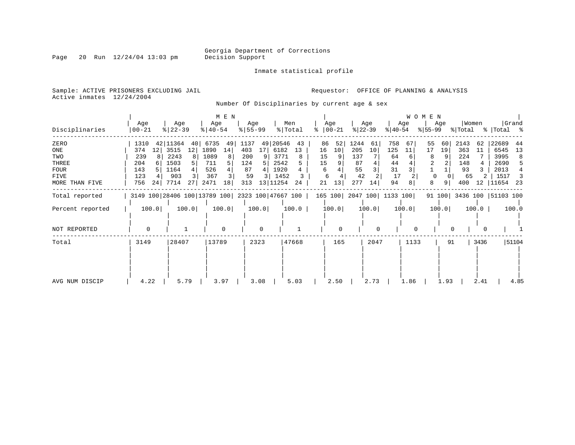Inmate statistical profile

Page 20 Run  $12/24/04$  13:03 pm

Sample: ACTIVE PRISONERS EXCLUDING JAIL **Requestor:** OFFICE OF PLANNING & ANALYSIS Active inmates 12/24/2004

Number Of Disciplinaries by current age & sex

| Disciplinaries                                                       | Age<br>$ 00-21$                                            | Age<br>$8 22-39$                                                                    | M E N<br>Age<br>$\frac{1}{6}$   40-54                                    | Age<br>$8 55-99$                                   | Men<br>% Total                                                                      | Age<br>$8   00 - 21$                                   | Age<br>$ 22-39 $                                              | Age<br>$ 40-54 $                                          | WOMEN<br>Age<br>$ 55-99 $                               | Women<br>% Total                                               | Grand<br>%   Total %                                                                 |
|----------------------------------------------------------------------|------------------------------------------------------------|-------------------------------------------------------------------------------------|--------------------------------------------------------------------------|----------------------------------------------------|-------------------------------------------------------------------------------------|--------------------------------------------------------|---------------------------------------------------------------|-----------------------------------------------------------|---------------------------------------------------------|----------------------------------------------------------------|--------------------------------------------------------------------------------------|
| ZERO<br>ONE<br>TWO<br>THREE<br><b>FOUR</b><br>FIVE<br>MORE THAN FIVE | 1310<br>12<br>374<br>239<br>204<br>143<br>123<br>756<br>24 | 42 11364<br>40<br>3515<br>12<br>2243<br>8<br>1503<br>5<br>1164<br>903<br>7714<br>27 | 6735<br>49<br>1890<br>14<br>1089<br>8<br>711<br>526<br>367<br>2471<br>18 | 1137<br>403<br>17<br>200<br>124<br>87<br>59<br>313 | 49 20546<br>43<br>6182<br>13<br>3771<br>8<br>2542<br>1920<br>1452<br>13 11254<br>24 | 86<br>52<br>10<br>16<br>15<br>15<br>6<br>6<br>21<br>13 | 1244<br>61<br>205<br>10<br>137<br>87<br>55<br>42<br>277<br>14 | 758<br>67<br>125<br>11<br>64<br>44<br>31<br>17<br>94<br>8 | 55<br>60<br>17<br>19<br>$\Omega$<br>8<br>9 <sup>1</sup> | 2143<br>62<br>363<br>11<br>224<br>148<br>93<br>65<br>400<br>12 | 22689<br>44<br>6545<br>13<br>3995<br>2690<br>5<br>2013<br>1517<br>्र<br>11654<br>-23 |
| Total reported                                                       |                                                            |                                                                                     |                                                                          |                                                    | 3149 100 28406 100 13789 100 2323 100 47667 100                                     |                                                        | 165 100 2047 100 1133 100                                     |                                                           |                                                         | 91 100 3436 100 51103 100                                      |                                                                                      |
| Percent reported                                                     | 100.0                                                      | 100.0                                                                               | 100.0                                                                    | 100.0                                              | 100.0                                                                               | 100.0                                                  | 100.0                                                         | 100.0                                                     | 100.0                                                   | 100.0                                                          | 100.0                                                                                |
| NOT REPORTED                                                         | $\Omega$                                                   |                                                                                     | $\Omega$                                                                 | $\Omega$                                           |                                                                                     | 0                                                      | $\Omega$                                                      | $\Omega$                                                  |                                                         |                                                                |                                                                                      |
| Total                                                                | 3149                                                       | 28407                                                                               | 13789                                                                    | 2323                                               | 47668                                                                               | 165                                                    | 2047                                                          | 1133                                                      | 91                                                      | 3436                                                           | 51104                                                                                |
| AVG NUM DISCIP                                                       | 4.22                                                       | 5.79                                                                                | 3.97                                                                     | 3.08                                               | 5.03                                                                                | 2.50                                                   | 2.73                                                          | 1.86                                                      | 1.93                                                    | 2.41                                                           | 4.85                                                                                 |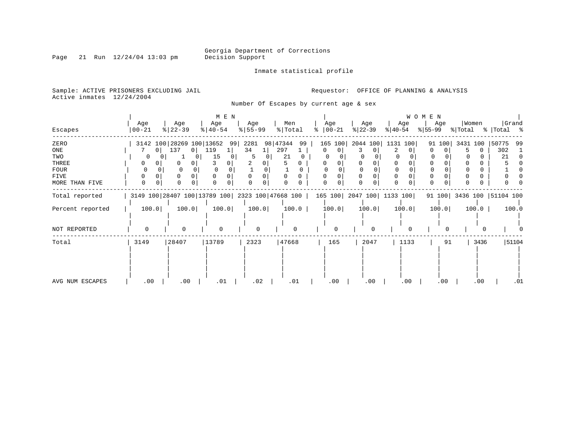Inmate statistical profile

Sample: ACTIVE PRISONERS EXCLUDING JAIL **Requestor:** OFFICE OF PLANNING & ANALYSIS Active inmates 12/24/2004

Page 21 Run  $12/24/04$  13:03 pm

Number Of Escapes by current age & sex

|                  |                  |                          | M E N                                           |                  |                |                              |                               |                  | W O M E N        |                           |                      |
|------------------|------------------|--------------------------|-------------------------------------------------|------------------|----------------|------------------------------|-------------------------------|------------------|------------------|---------------------------|----------------------|
| Escapes          | Age<br>$00 - 21$ | Age<br>$ 22-39 $         | Age<br>$ 40-54 $                                | Age<br>$8 55-99$ | Men<br>% Total | Age<br>$\frac{1}{6}$   00-21 | Age<br>$ 22-39 $              | Age<br>$ 40-54 $ | Age<br>$ 55-99 $ | Women<br>% Total          | Grand<br>%   Total % |
| ZERO             |                  | 3142 100 28269 100 13652 | 99                                              | 2281             | 98 47344<br>99 | 165 100                      | 2044 100                      | 1131 100         | 91 100           | 3431 100                  | 50775<br>99          |
| ONE              | 0                | 137<br>0 <sup>1</sup>    | 119                                             | 34               | 297            | $\mathbf{0}$<br>0            | 3                             | 2<br>0.          | 0                | $\Omega$                  | 302                  |
| TWO              |                  |                          | 15                                              | 5                | 21             |                              |                               |                  |                  |                           | 21                   |
| THREE            | 0                | 0<br>$\Omega$            |                                                 |                  |                | 0                            |                               | $\Omega$         |                  |                           |                      |
| <b>FOUR</b>      |                  | $\Omega$                 |                                                 |                  |                |                              |                               |                  |                  |                           |                      |
| FIVE             | 0                |                          |                                                 |                  |                |                              |                               | $\Omega$         |                  |                           |                      |
| MORE THAN FIVE   | 0<br>0           | $\Omega$<br>0            |                                                 |                  |                | O                            | $\Omega$                      | $\Omega$<br>0    | 0                | O<br>0                    |                      |
| Total reported   |                  |                          | 3149 100 28407 100 13789 100 2323 100 47668 100 |                  |                |                              | 165 100   2047 100   1133 100 |                  |                  | 91 100 3436 100 51104 100 |                      |
| Percent reported | 100.0            | 100.0                    | 100.0                                           | 100.0            | 100.0          | 100.0                        | 100.0                         | 100.0            | 100.0            | 100.0                     | 100.0                |
|                  |                  |                          |                                                 |                  |                |                              |                               |                  |                  |                           |                      |
| NOT REPORTED     | 0                | $\Omega$                 | $\Omega$                                        | 0                | $\Omega$       |                              | $\Omega$                      | $\Omega$         | $\Omega$         |                           |                      |
| Total            | 3149             | 28407                    | 13789                                           | 2323             | 47668          | 165                          | 2047                          | 1133             | 91               | 3436                      | 51104                |
|                  |                  |                          |                                                 |                  |                |                              |                               |                  |                  |                           |                      |
|                  |                  |                          |                                                 |                  |                |                              |                               |                  |                  |                           |                      |
|                  |                  |                          |                                                 |                  |                |                              |                               |                  |                  |                           |                      |
| AVG NUM ESCAPES  | .00              | .00                      | .01                                             | .02              | .01            | .00                          | .00                           | .00              | .00              | .00                       | .01                  |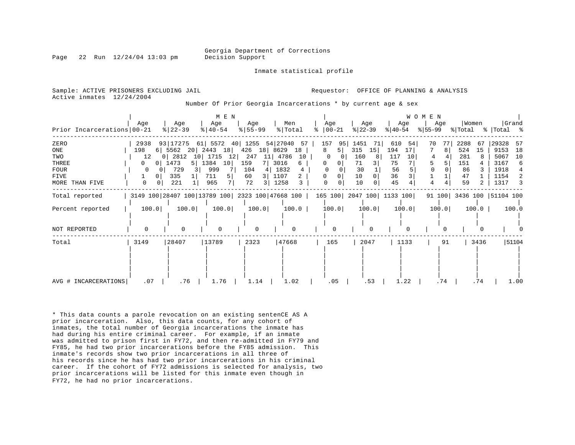Georgia Department of Corrections

Inmate statistical profile

Page 22 Run 12/24/04 13:03 pm Decision Support

Sample: ACTIVE PRISONERS EXCLUDING JAIL **Analysis** Requestor: OFFICE OF PLANNING & ANALYSIS Active inmates 12/24/2004

Number Of Prior Georgia Incarcerations \* by current age & sex

|                              |                              |                        | M E N                        |                                                 |                  |                         |                  |                           | <b>WOMEN</b>     |                           |                      |
|------------------------------|------------------------------|------------------------|------------------------------|-------------------------------------------------|------------------|-------------------------|------------------|---------------------------|------------------|---------------------------|----------------------|
| Prior Incarcerations   00-21 | Age                          | Age<br>$8   22 - 39$   | Age<br>$\frac{1}{6}$   40-54 | Age<br>$8 55-99$                                | Men<br>%   Total | Age<br>$ 00 - 21$<br>ွေ | Age<br>$ 22-39 $ | Age<br>$ 40-54 $          | Age<br>$ 55-99 $ | Women<br>% Total          | Grand<br>%   Total % |
| ZERO                         | 2938                         | 93 17275               |                              | 61   5572 40   1255 54   27040                  | 57               | 157<br>95               | 1451<br>71       | 610<br>54                 | 77<br>70         | 2288<br>67                | 29328<br>-57         |
| ONE                          | 198                          | 6 5562<br>20           | 2443<br>18                   | 426<br>18                                       | 8629<br>18       | 8<br>51                 | 315<br>15        | 194<br>17                 | 8                | 524<br>15                 | 18<br>9153           |
| TWO                          | 12                           | 2812<br>0 <sup>1</sup> | 10 1715<br>12                | 11 4786<br>247                                  | 10               | $\Omega$                | 160              | 117<br>10                 |                  | 281                       | 10<br>5067           |
| THREE                        | 01                           | 5 <sup>1</sup><br>1473 | 1384<br>10                   | 159<br>7                                        | 3016<br>6        | 0<br>0                  | 71               | 75                        |                  | 151                       | 3167<br>6            |
| <b>FOUR</b>                  | $\left( \right)$<br>$\Omega$ | 729                    | 999                          | 104<br>4                                        | 1832<br>4        |                         | 30               | 56                        |                  | 86                        | 1918<br>4            |
| FIVE                         | 0 <sup>1</sup>               | 335                    | 711<br>5                     | 60<br>3                                         | 1107<br>2        | $\Omega$                | 10               | 36                        |                  | 47                        | 1154<br>2            |
| MORE THAN FIVE               | 0<br>0                       | 221                    | 965<br>7                     | 72<br>3                                         | 1258             | $\Omega$                | 10<br>0          | 45                        | 4                | 59                        | 1317<br>3            |
| Total reported               |                              |                        |                              | 3149 100 28407 100 13789 100 2323 100 47668 100 |                  |                         |                  | 165 100 2047 100 1133 100 |                  | 91 100 3436 100 51104 100 |                      |
| Percent reported             | 100.0                        | 100.0                  | 100.0                        | 100.0                                           | 100.0            | 100.0                   | 100.0            | 100.0                     | 100.0            | 100.0                     | 100.0                |
| NOT REPORTED                 | $\Omega$                     | $\Omega$               | $\Omega$                     | $\Omega$                                        |                  | $\Omega$                | $\Omega$         |                           | U                |                           |                      |
| Total                        | 3149                         | 28407                  | 13789                        | 2323                                            | 47668            | 165                     | 2047             | 1133                      | 91               | 3436                      | 51104                |
| AVG # INCARCERATIONS         | .07                          | .76                    | 1.76                         | 1.14                                            | 1.02             | .05                     | .53              | 1.22                      | .74              | .74                       | 1.00                 |
|                              |                              |                        |                              |                                                 |                  |                         |                  |                           |                  |                           |                      |

\* This data counts a parole revocation on an existing sentenCE AS A prior incarceration. Also, this data counts, for any cohort of inmates, the total number of Georgia incarcerations the inmate has had during his entire criminal career. For example, if an inmate was admitted to prison first in FY72, and then re-admitted in FY79 and FY85, he had two prior incarcerations before the FY85 admission. This inmate's records show two prior incarcerations in all three of his records since he has had two prior incarcerations in his criminal career. If the cohort of FY72 admissions is selected for analysis, two prior incarcerations will be listed for this inmate even though in FY72, he had no prior incarcerations.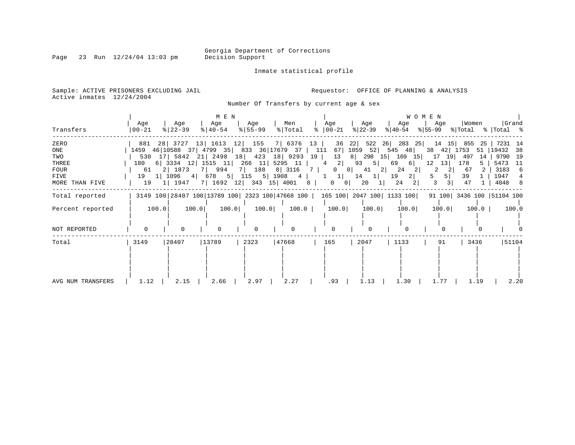Page 23 Run  $12/24/04$  13:03 pm

Inmate statistical profile

Sample: ACTIVE PRISONERS EXCLUDING JAIL **Requestor:** OFFICE OF PLANNING & ANALYSIS Active inmates 12/24/2004

Number Of Transfers by current age & sex

|                   | Age      | Age           | M E N<br>Age               | Age         | Men                                | Age                                                                             | Age                  | Age                        | <b>WOMEN</b><br>Age   | Women       | Grand                                                                                                 |
|-------------------|----------|---------------|----------------------------|-------------|------------------------------------|---------------------------------------------------------------------------------|----------------------|----------------------------|-----------------------|-------------|-------------------------------------------------------------------------------------------------------|
| Transfers         | $ 00-21$ | $ 22-39 $     | $ 40-54 $                  | $ 55 - 99 $ | % Total                            | $\approx$ 00-21                                                                 | $ 22-39 $            | % 40-54                    |                       |             | $ \$ 55-99 \$ \total \total \total \total \total \total \total \total \total \total \total \total \to |
| ZERO              |          |               | 881 28 3727 13 1613 12 155 |             | 7 6376 13                          | 36                                                                              | 22                   | 522 26 283 25              | 14<br>15              | 855<br>-25  | 7231 14                                                                                               |
| ONE               |          |               |                            |             |                                    | 1459 46   10588 37   4799 35   833 36   17679 37   111 67   1059 52   545 48    |                      |                            | 38<br>42              | 1753<br>51  | 38<br>19432                                                                                           |
| TWO               |          |               |                            |             | 530 17 5842 21 2498 18 423 18 9293 | 13<br>19                                                                        |                      | 8 298 15 169 15            | 19<br>17              | -497<br>-14 | 9790 19                                                                                               |
| THREE             | 180      |               |                            |             | 6 3334 12 1515 11 266 11 5295 11   | $2 \mid$<br>$4\overline{4}$                                                     | 93<br>5              | 69<br>6                    | 12<br>13 <sup>1</sup> | 178         | 5473<br>- 11                                                                                          |
| FOUR              | 61       | 2   1873      | 7   994                    | 7 188       | 8 3116                             | $\Omega$<br>7                                                                   | $\overline{0}$<br>41 | 2 <br>24<br>2 <sub>1</sub> |                       | 67          | 3183<br>- 6                                                                                           |
| FIVE              |          | 19 1   1096 4 |                            |             | 678 5 115 5 1908 4                 | $1 \vert$<br>$\mathbf{1}$                                                       | 14<br>-11            | 2 <br>19                   | 5 <sup>1</sup><br>5.  | 39          | 1947                                                                                                  |
| MORE THAN FIVE    | 19       | 1 1947        |                            |             | 7   1692 12   343 15   4001        | 8<br>$0 \quad 0$                                                                | 20                   | 24                         | 3 <br>3               | 47          | 4048<br>8 <sup>8</sup>                                                                                |
| Total reported    |          |               |                            |             |                                    | 3149 100 28407 100 13789 100 2323 100 47668 100   165 100   2047 100   1133 100 |                      |                            |                       |             | 91 100 3436 100 51104 100                                                                             |
| Percent reported  | 100.0    |               | 100.0<br>100.0             | 100.0       | 100.0                              | 100.0                                                                           | 100.0                | 100.0                      | 100.0                 | 100.0       | 100.0                                                                                                 |
|                   |          |               |                            |             |                                    |                                                                                 |                      |                            |                       |             |                                                                                                       |
| NOT REPORTED      |          | O             |                            |             |                                    | $\Omega$                                                                        |                      |                            |                       |             |                                                                                                       |
| Total             | 3149     | 28407         | 13789                      | 2323        | 47668                              | 165                                                                             | 2047                 | 1133                       | 91                    | 3436        | 51104                                                                                                 |
|                   |          |               |                            |             |                                    |                                                                                 |                      |                            |                       |             |                                                                                                       |
|                   |          |               |                            |             |                                    |                                                                                 |                      |                            |                       |             |                                                                                                       |
|                   |          |               |                            |             |                                    |                                                                                 |                      |                            |                       |             |                                                                                                       |
|                   |          |               |                            |             |                                    |                                                                                 |                      |                            |                       |             |                                                                                                       |
|                   |          |               |                            |             |                                    |                                                                                 |                      |                            |                       |             |                                                                                                       |
| AVG NUM TRANSFERS | 1.12     | 2.15          | 2.66                       | 2.97        | 2.27                               | .93                                                                             | 1.13                 | 1.30                       |                       | 1.19        | 2.20                                                                                                  |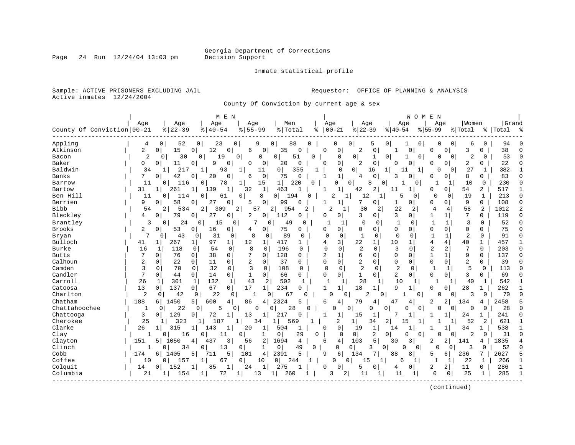Page  $24$  Run  $12/24/04$  13:03 pm

#### Inmate statistical profile

Sample: ACTIVE PRISONERS EXCLUDING JAIL **Requestor:** OFFICE OF PLANNING & ANALYSIS Active inmates 12/24/2004

County Of Conviction by current age & sex

|                            |                |                       | M E N                                 |                          |                                 |              |                                |                |                      |                      | WOMEN                   |                       |                |              |           |              |
|----------------------------|----------------|-----------------------|---------------------------------------|--------------------------|---------------------------------|--------------|--------------------------------|----------------|----------------------|----------------------|-------------------------|-----------------------|----------------|--------------|-----------|--------------|
|                            | Age            | Age                   | Age                                   | Age                      | Men                             |              | Age                            | Age            |                      | Age                  | Age                     |                       | Women          |              | Grand     |              |
| County Of Conviction 00-21 |                | $8   22 - 39$         | $8140 - 54$                           | $8155 - 99$              | % Total                         | ႜ            | $ 00-21$                       | $ 22-39$       |                      | $ 40-54$             | $8 55-99$               | % Total               |                |              | %   Total | ౣ            |
| Appling                    | 4              | 52<br>0               | 0<br>23                               | 0<br>9                   | 0<br>88                         | O            | O                              | 0              | 5<br>0               |                      | 0<br>0                  | 0                     | 6              | $\Omega$     | 94        |              |
| Atkinson                   | 2              | 15<br>$\circ$         | 12<br>0<br>0                          | 6                        | 0<br>35<br>0                    |              | $\Omega$<br>0                  | $\overline{2}$ | 0                    | 0                    | 0                       | 0                     | 3              | 0            | 38        | <sup>0</sup> |
| Bacon                      | $\overline{2}$ | 30<br>0               | 19<br>0                               | $\Omega$<br>$\mathbf{0}$ | 51<br>$\Omega$                  | $\Omega$     | $\Omega$                       | 0              | $\mathbf{1}$<br>0    | 1                    | $\Omega$<br>$\Omega$    | $\Omega$              | $\overline{2}$ | $\Omega$     | 53        | $\Omega$     |
| Baker                      | 0              | 11<br>0 <sup>1</sup>  | 9<br>$\mathbf 0$<br>$\Omega$          | 0                        | $\mathbf 0$<br>0<br>20          |              | 0<br>$\Omega$                  | $\overline{2}$ | 0                    | $\mathbf 0$<br>U     | O                       | 0                     | 2              | 0            | 22        | $\Omega$     |
| Baldwin                    | 34             | 217<br>$\mathbf{1}$   | $\mathbf{1}$<br>93                    | 1<br>11                  | $\overline{0}$<br>355           |              | 0                              | $\overline{0}$ | 16<br>$\mathbf{1}$   | 11                   | $\Omega$<br>1           | $\Omega$              | 27             |              | 382       |              |
| Banks                      | 7              | 42<br>01              | 20<br>$\Omega$                        | 6                        | $\mathbf{0}$<br>75<br>$\Omega$  |              | $\mathbf{1}$<br>1              | $\overline{4}$ | 0                    | $\Omega$<br>3        | 0                       | 0                     | 8              | 0            | 83        | 0            |
| Barrow                     | 11             | 116<br>0              | 78<br>0                               | 15                       | 1 <br>220                       | $\Omega$     | 0                              | 0              | 8<br>$\Omega$        | 0                    | 1                       |                       | 10             | 0            | 230       | $\Omega$     |
| Bartow                     | 31             | 261<br>$1\vert$       | 1 <sup>1</sup><br>139<br>$\mathbf{1}$ | 32                       | $\mathbf{1}$<br>463<br>-1       |              | 1<br>1                         | 42             | 2<br>11              | 1                    | O                       | 0                     | 54             | 2            | 517       | $\mathbf{1}$ |
| Ben Hill                   | 11             | 114<br>$\overline{0}$ | 0<br>61                               | 8<br>0                   | 194<br>0                        | $\Omega$     | 2                              | 12<br>1        | 1                    | 5<br>$\Omega$        | 0                       | 0                     | 19             | 1            | 213       | $\Omega$     |
| Berrien                    | 9              | 58<br>$\Omega$        | 27<br>$\overline{0}$<br>0             | 5                        | 0<br>99<br>O                    |              | 1                              |                | 0                    | 0<br>1               | O                       | 0                     | 9              | $\Omega$     | 108       | $\Omega$     |
| <b>Bibb</b>                | 54             | 2<br>534              | $\overline{2}$<br>309                 | 2 <br>57                 | 954<br>2                        | 2            | 2                              | 30             | 2                    | 22<br>2              | $\overline{4}$          | 4                     | 58             | 2            | 1012      | 2            |
| Bleckley                   | 4              | 79<br>0               | 0<br>27<br>0                          | 2                        | 112<br>0 <sup>1</sup><br>0      |              | $\Omega$<br>0                  | 3              | 0                    | 3<br>0               | 1                       | 1                     | 7              | $\Omega$     | 119       | 0            |
| Brantley                   | 3              | 0<br>24               | 15<br>$\Omega$                        | $\Omega$                 | 49<br>$\Omega$                  | $\Omega$     | 1<br>1                         | $\Omega$       | 0                    | $\mathbf 0$<br>1     | $\mathbf{1}$            | $\mathbf{1}$          | 3              | $\Omega$     | 52        | $\Omega$     |
| <b>Brooks</b>              | 2              | 53<br>0               | 16<br>$\circ$<br>$\overline{0}$       | 4                        | 0<br>75<br>$\Omega$             |              | $\Omega$<br>$\Omega$           | $\mathbf 0$    | 0                    | $\Omega$<br>0        | $\Omega$                | $\mathbf 0$           | $\Omega$       | 0            | 75        | $\Omega$     |
| Bryan                      | 7              | 43<br>0               | 31<br>0                               | 8<br>$\mathbf 0$         | 89<br>0                         | 0            | $\Omega$<br>$\Omega$           | $\mathbf{1}$   | $\Omega$             | $\Omega$<br>$\Omega$ | $\mathbf{1}$            | $\mathbf{1}$          | $\overline{2}$ | $\Omega$     | 91        | $\Omega$     |
| Bulloch                    | 41             | 267<br>1              | 97<br>$\mathbf{1}$<br>$\mathbf{1}$    | 12                       | 417<br>$\mathbf{1}$             |              | 4<br>3                         | 22             | 10<br>1              | 1                    | 4                       | 4                     | 40             | 1            | 457       | 1            |
| Burke                      | 16             | 118<br>1              | 54<br>$\Omega$<br>0                   | 8                        | 196<br>$\Omega$                 | <sup>0</sup> | $\Omega$<br>$\Omega$           | $\overline{2}$ | $\Omega$             | 3<br>$\Omega$        | 2                       | $\overline{a}$        | 7              | $\Omega$     | 203       | $\Omega$     |
| <b>Butts</b>               | 7              | $\Omega$<br>76        | 38<br>$\circ$<br>$\Omega$             | 7                        | 128<br>0                        | $\Omega$     | $\overline{a}$<br>$\mathbf{1}$ | 6              | 0                    | $\Omega$<br>$\Omega$ | $\mathbf{1}$            | $\mathbf{1}$          | 9              | $\Omega$     | 137       | $\Omega$     |
| Calhoun                    | $\overline{2}$ | $\mathbf 0$<br>22     | 0<br>11<br>0                          | $\overline{2}$           | 0<br>37                         | $\Omega$     | $\Omega$<br>$\Omega$           | 2              | 0                    | $\mathbf 0$<br>0     | $\mathbf 0$             | $\mathbf 0$           | $\overline{2}$ | 0            | 39        | 0            |
| Camden                     | 3              | $\Omega$<br>70        | 32<br>$\mathbf 0$<br>$\mathbf 0$      | 3                        | 108<br>$\Omega$                 | $\Omega$     | $\Omega$<br>$\Omega$           | $\overline{a}$ | $\Omega$             | $\overline{2}$<br>0  | $\mathbf{1}$            | 1                     | 5              | $\mathbf 0$  | 113       | $\Omega$     |
| Candler                    | 7              | 0<br>44               | 14<br>0<br>0                          | 1                        | 0<br>66                         | 0            | $\Omega$<br>$\Omega$           | $\mathbf 1$    | 0                    | 2<br>$\mathbf 0$     | $\Omega$                | 0                     | 3              | $\Omega$     | 69        | $\Omega$     |
| Carroll                    | 26             | 301<br>1              | $\mathbf{1}$<br>132<br>$\mathbf{1}$   | 43                       | 2<br>502                        | $\mathbf{1}$ | $\mathbf{1}$<br>1              | 28             |                      | 10                   | $\mathbf{1}$            | 1                     | 40             | $\mathbf{1}$ | 542       | $\mathbf{1}$ |
| Catoosa                    | 13             | 137<br>$\Omega$       | 67<br>0 <sup>1</sup><br>0             | 17                       | 234<br>1 <br>∩                  |              | 1<br>1                         | 18             | 1                    | 9<br>1               | 0                       | 0                     | 28             | $\mathbf{1}$ | 262       |              |
| Charlton                   | $\overline{2}$ | 42<br>0               | 22<br>0                               | $\mathbf 0$              | 67<br>$\Omega$                  | U            | $\Omega$                       | $\Omega$<br>2  | $\Omega$             |                      | $\Omega$<br>$\Omega$    | 0                     | 3              | $\Omega$     | 70        | $\Omega$     |
| Chatham                    | 188            | 1450<br>6             | 5 <sup>1</sup><br>600<br>4            | 86                       | 4<br>2324<br>5                  |              | 6<br>4                         | 79             | 4<br>47              | 4                    | 2                       | 2<br>134              |                | 4            | 2458      |              |
| Chattahoochee              | 1              | 22<br>0               | $\mathbf 0$<br>5                      | 0<br>$\Omega$            | 28<br>$\Omega$                  | O            | $\Omega$                       | 0              | 0<br>$\Omega$        | $\Omega$             | $\mathbf 0$<br>$\Omega$ | 0                     | $\Omega$       | 0            | 28        | $\Omega$     |
| Chattooga                  | 3              | 129<br>$\circ$        | 72<br>0<br>1                          | 13                       | 217<br>$\mathbf{1}$<br>$\Omega$ |              | $\mathbf{1}$<br>1              | 15             | 1                    | 1                    |                         | 1                     | 24             | 1            | 241       | 0            |
| Cherokee                   | 25             | 323                   | 187                                   | 34                       | 569                             |              | 2                              | 1              | $\overline{2}$<br>34 | 15                   | 1                       |                       | 52             | 2            | 621       | -1           |
| Clarke                     | 26             | 315<br>1 <sup>1</sup> | 143<br>1 <sup>1</sup>                 | 20                       | 1<br>504                        |              | $\Omega$<br><sup>0</sup>       | 19             | $\mathbf{1}$<br>14   | $\mathbf{1}$         |                         |                       | 34             | 1            | 538       |              |
| Clay                       |                | 16<br>0               | $\cap$<br>11                          | $\Omega$<br>1            | $\mathbf 0$<br>29               | $\Omega$     | $\Omega$                       | 0              | 2<br>$\mathbf 0$     | 0                    | $\Omega$<br>$\Omega$    | $\Omega$              | 2              | $\Omega$     | 31        | $\Omega$     |
| Clayton                    | 151            | 1050<br>5             | 3<br>437<br>4                         | 56                       | 2<br>1694<br>4                  |              | 4<br>6                         | 103            | 5<br>30              | 3                    | 2                       | $\overline{2}$<br>141 |                | 4            | 1835      |              |
| Clinch                     | 1              | 34<br>0               | $\Omega$<br>13                        | $\Omega$<br>1            | 0 <sup>1</sup><br>49            | $\Omega$     | $\Omega$                       | 0 <sup>1</sup> | 3<br>$\overline{0}$  | $\Omega$<br>$\Omega$ | $\Omega$                | 0                     | 3              | $\Omega$     | 52        | $\Omega$     |
| Cobb                       | 174            | 1405<br>61            | 5<br>5<br>711                         | 101                      | 5<br>4<br>2391                  |              | 9<br>6                         | 134            | 7<br>88              | 8                    | 5                       | 6                     | 236            | 7            | 2627      | 5            |
| Coffee                     | 10             | 15'<br>0              | $\mathbf{1}$<br>67                    | $\Omega$<br>10           | $\overline{0}$<br>244           | $\mathbf{1}$ | $\Omega$                       | $\Omega$<br>15 | $\mathbf{1}$         | 6<br>1               | $\mathbf{1}$            | 1                     | 22             | 1            | 266       | $\mathbf{1}$ |
| Colquit                    | 14             | 152<br>0 <sup>1</sup> | 85<br>1                               | 24                       | $\mathbf{1}$<br>275             |              | $\Omega$<br>O                  | 5              | 0                    | 0<br>4               | 2                       | $\overline{a}$        | 11             | $\Omega$     | 286       |              |
| Columbia                   | 21             | $\mathbf{1}$<br>154   | 72<br>1                               | 1<br>13                  | 1<br>260                        |              | 3                              | 11<br>2        |                      | 11<br>1              | $\mathbf 0$             | 0                     | 25             | 1            | 285       | $\mathbf{1}$ |
|                            |                |                       |                                       |                          |                                 |              |                                |                |                      |                      |                         |                       |                |              |           |              |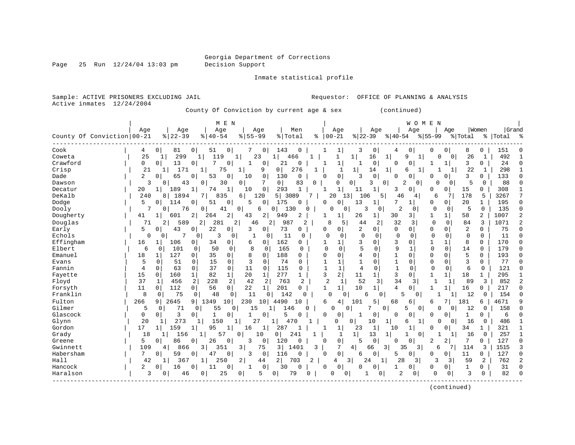Page 25 Run  $12/24/04$  13:03 pm

Inmate statistical profile

Sample: ACTIVE PRISONERS EXCLUDING JAIL **Requestor:** OFFICE OF PLANNING & ANALYSIS Active inmates  $12/24/2004$ 

County Of Conviction by current age & sex (continued)

| Grand<br>Age<br>Men<br>Age<br>Women<br>Age<br>Age<br>Age<br>Age<br>Age<br>Age<br>County Of Conviction 00-21<br>$8   22 - 39$<br>$00 - 21$<br>$8   40 - 54$<br>$8155 - 99$<br>% Total<br>$ 22-39 $<br>$ 40-54$<br>$8155 - 99$<br>る<br>% Total<br>%   Total<br>ౣ<br>Cook<br>0<br>0<br>$\mathbf 0$<br>8<br>$\circ$<br>81<br>51<br>7<br>0<br>143<br>1<br>3<br>0<br>0<br>151<br>4<br>4<br>0<br>0<br>0<br>25<br>299<br>492<br>Coweta<br>119<br>16<br>$\mathbf 1$<br>$\Omega$<br>26<br>$\mathbf{1}$<br>1<br>23<br>$\mathbf{1}$<br>466<br>1<br>9<br>0<br>1<br>$\mathbf{1}$<br>1<br>-1<br>Crawford<br>0<br>21<br>0<br>3<br>24<br>13<br>0<br>7<br>$\mathbf{1}$<br>0<br>$\mathbf{1}$<br>$\mathbf{1}$<br>$\Omega$<br>$\mathbf{1}$<br>$\Omega$<br>$\Omega$<br>0<br>0<br>0<br>0<br>21<br>276<br>22<br>171<br>75<br>$\mathbf{1}$<br>298<br>$\mathbf{1}$<br>Crisp<br>9<br>0<br>$\mathbf{1}$<br>$\mathbf{1}$<br>14<br>1<br>6<br>1<br>1<br>1 <sup>1</sup><br>1<br>1<br>1<br>$\mathbf 0$<br>$\overline{a}$<br>65<br>53<br>$\mathbf 0$<br>130<br>3<br>$\mathbf 0$<br>3<br>133<br>Dade<br>0<br>0<br>10<br>0<br>$\Omega$<br>0<br><sup>0</sup><br>0<br>$\Omega$<br>0<br>O<br>O<br>7<br>0 <sup>1</sup><br>ζ<br>43<br>30<br>83<br>0<br>$\overline{2}$<br>5<br>88<br>Dawson<br>0<br>0<br>0<br>0<br>0<br>3<br>$\mathbf 0$<br>U<br>0<br>$\cap$<br>0<br>0<br>$\overline{1}$<br>$\mathbf 1$<br>Decatur<br>189<br>$\mathbf{1}$<br>$\mathbf 0$<br>293<br>1<br>$\Omega$<br>15<br>308<br>20<br>74<br>10<br>$\mathbf{1}$<br>11<br>3<br>$\Omega$<br>0<br>0<br>$\mathbf{1}$<br>DeKalb<br>1894<br>120<br>5 <sup>1</sup><br>178<br>5<br>3267<br>7<br>240<br>7  <br>835<br>6<br>3089<br>7<br>20<br>13<br>106<br>5.<br>6<br>81<br>46<br>4<br>5.<br>0<br>$\mathbf 0$<br>7<br>20<br>195<br>Dodge<br>114<br>$\Omega$<br>51<br>5<br>175<br>0<br>13<br>1<br>0<br>0<br>$\mathbf{1}$<br>$\Omega$<br>O<br>0<br>1<br><sup>0</sup><br>$\overline{2}$<br>3<br>$\mathbf 0$<br>5<br>$\mathbf 0$<br>135<br>$\Omega$<br>Dooly<br>76<br>0<br>41<br>0<br>0<br>130<br>0<br>$\mathbf{0}$<br>0<br>6<br>0<br>O<br>0<br>$\circ$<br>$\overline{c}$<br>Dougherty<br>2<br>2<br>26<br>30<br>3 <br>1<br>58<br>2<br>1007<br>41<br>601<br>2<br>264<br>43<br>949<br>2<br>1<br>$\mathbf{1}$<br>$1\vert$<br>1<br>32<br>$\overline{2}$<br>Douglas<br>71<br>589<br>281<br>2<br>987<br>8<br>2<br>3<br>$\Omega$<br>$\Omega$<br>84<br>3<br>1071<br>2<br>2 <br>46<br>2<br>2<br>5<br>44<br>5<br>73<br>$\overline{2}$<br>$\overline{2}$<br>75<br>$\mathbf 0$<br>Early<br>43<br>22<br>$\mathbf 0$<br>0<br>0<br>$\Omega$<br>0<br>0<br>0<br>3<br>0<br>0<br>0<br>0<br>0<br>0<br>Echols<br>7<br>3<br>11<br>$\Omega$<br>$\mathbf 0$<br>$\mathbf 0$<br>11<br>$\Omega$<br>$\Omega$<br>$\overline{0}$<br>$\mathbf 0$<br>1<br>$\Omega$<br>0<br>$\circ$<br>0<br>$\Omega$<br>0<br>0<br>0<br>0<br>0<br>Effingham<br>162<br>3<br>170<br>16<br>3<br>$\Omega$<br>$\mathbf{1}$<br>8<br>$\Omega$<br>106<br>0<br>34<br>0<br>0<br>$\mathbf{1}$<br>0<br>1<br>$\Omega$<br>6<br>0<br>1<br>9<br>Elbert<br>8<br>5<br>$\Omega$<br>$\Omega$<br>179<br>6<br>101<br>50<br>165<br>$\Omega$<br>$\Omega$<br>$\Omega$<br>1<br>14<br>$\Omega$<br>$\Omega$<br>$\Omega$<br>$\Omega$<br>$\Omega$<br>$\Omega$<br>$\Omega$<br>35<br>5<br>18<br>127<br>8<br>188<br>4<br>$\Omega$<br>$\mathbf{1}$<br>$\Omega$<br>193<br>Emanuel<br>0<br>$\Omega$<br>$\Omega$<br>$\Omega$<br>$\Omega$<br>$\Omega$<br>$\Omega$<br>$\Omega$<br>1<br>$\Omega$<br>0<br>3<br>74<br>0<br>3<br>5<br>15<br>0<br>$\mathbf 0$<br>1<br>0<br>$\mathbf 0$<br>77<br>Evans<br>0<br>51<br>0<br>$\Omega$<br>1<br>$\Omega$<br>0<br>$\Omega$<br>37<br>$\mathsf{O}\xspace$<br>$\mathbf{1}$<br>$\mathbf{1}$<br>121<br>Fannin<br>4<br>0<br>63<br>0<br>11<br>$\mathbf{0}$<br>115<br>$\mathbf 0$<br>$\overline{4}$<br>$\mathbf 0$<br>$\mathbf{1}$<br>$\Omega$<br>$\mathbf 0$<br>6<br>$\mathbf 0$<br>$\Omega$<br>0<br>3<br>2<br>15<br>82<br>$\mathbf{1}$<br>20<br>277<br>11<br>$\mathbf{1}$<br>3<br>$\mathbf 1$<br>18<br>295<br>Fayette<br>$\mathbf{1}$<br>$\mathbf 1$<br>1 <sup>1</sup><br>$\mathbf{1}$<br>$\mathbf{1}$<br>$\mathbf 0$<br>160<br>1<br>$\Omega$<br>34<br>37<br>456<br>2<br>228<br>2<br>42<br>2<br>763<br>2<br>52<br>852<br>2<br>Floyd<br>2<br>1<br>$\overline{3}$<br>31<br>$\mathbf{1}$<br>89<br>3<br>1<br>1<br>0<br>22<br>201<br>10<br>4<br>Forsyth<br>11<br>112<br>$\Omega$<br>56<br>$\mathbf{1}$<br>1<br>$\Omega$<br>16<br>217<br>$\Omega$<br>0<br>$1\vert$<br>0<br>1<br>$\mathbf{1}$<br>$\mathbf{1}$<br>0<br>Franklin<br>8<br>48<br>11<br>142<br>5<br>0<br>75<br>0<br>$\Omega$<br>$\Omega$<br>6<br>0<br>$\Omega$<br>12<br>154<br>0<br>0<br>U<br>0<br>$\cap$<br>Fulton<br>266<br>230<br>5<br>68<br>4671<br>2645<br>9  <br>1349<br>10<br>10 <sup>1</sup><br>4490<br>6<br>4<br>101<br>181<br>9<br>10<br>6<br>б<br>6<br>9<br>Gilmer<br>71<br>$\Omega$<br>12<br>5<br>55<br>15<br>146<br>U<br>7<br>5.<br>$\Omega$<br>0<br>158<br>$\cap$<br>$\Omega$<br>$\Omega$<br>0<br>1<br>0<br>0<br>5<br>Glascock<br>3<br>0<br>0<br>0<br>0<br>0<br>$\Omega$<br>0<br>0<br>0<br>0<br>0<br>0<br>1<br>0<br>6<br>1<br>O<br>-1<br>20<br>273<br>150<br>27<br>486<br>Glynn<br>1<br>470<br>0<br>0<br>10<br>1<br>16<br>0<br>$\mathbf{1}$<br>6<br>1<br>O<br>$\Omega$<br>1<br>17<br>Gordon<br>159<br>95<br>16<br>287<br>1<br>23<br>$\mathbf{1}$<br>10<br>34<br>321<br>$1\vert$<br>1<br>1<br>1<br>0<br>0<br>1<br>241<br>1 <br>156<br>13<br>257<br>Grady<br>18<br>57<br>10<br>$\mathbf{1}$<br>16<br>$\mathbf{1}$<br>$\Omega$<br>0<br>1<br>1<br>$\overline{0}$<br>-1<br>0<br>1 <sup>1</sup><br>1<br>1.<br>$\mathbf{1}$<br>86<br>0<br>0<br>$\overline{2}$<br>7<br>127<br>5<br>26<br>0<br>3<br>0<br>120<br>5<br>0<br>2<br>$\Omega$<br>Greene<br>$\Omega$<br>0<br>0<br>$\Omega$<br>O<br>0<br>Gwinnett<br>109<br>866<br>3 <br>$\overline{3}$<br>3  <br>1401<br>3<br>7<br>$\overline{3}$<br>$\overline{3}$<br>114<br>1515<br>4<br>351<br>75<br>4<br>66<br>35<br>6<br>3<br>3<br>$\mathbf{0}$<br>Habersham<br>7<br>59<br>$\mathbf 0$<br>116<br>$\Omega$<br>0<br>11<br>127<br>47<br>0<br>3<br>$\Omega$<br>6<br>0<br>$\Omega$<br>0<br>$\mathbf{0}$<br>$\Omega$<br>0<br>0<br>5<br>2 <br>Hall<br>3<br>28<br>2<br>762<br>367<br>250<br>$\overline{2}$<br>703<br>2<br>24<br>$1\vert$<br>3 <sup>1</sup><br>3<br>59<br>$\mathfrak{D}$<br>42<br>44<br>3<br>1<br>4<br>1<br>0<br>Hancock<br>2<br>16<br>0<br>0<br>$\Omega$<br>0<br>31<br>$\Omega$<br>11<br>30<br>0<br>0<br>0<br>0<br>0<br>1<br>0<br>$\Omega$<br>0<br>Haralson<br>25<br>2<br>3<br>82<br>3<br>46<br>5<br>79<br>$\cap$<br>1<br>$\Omega$<br>0<br>$\cap$<br>$0 \cdot$<br>$\Omega$<br>0<br>0<br>0<br>0<br>0<br>0<br>$\Omega$ |  | M E N |  |  |  | WOMEN |  |  |  |
|-----------------------------------------------------------------------------------------------------------------------------------------------------------------------------------------------------------------------------------------------------------------------------------------------------------------------------------------------------------------------------------------------------------------------------------------------------------------------------------------------------------------------------------------------------------------------------------------------------------------------------------------------------------------------------------------------------------------------------------------------------------------------------------------------------------------------------------------------------------------------------------------------------------------------------------------------------------------------------------------------------------------------------------------------------------------------------------------------------------------------------------------------------------------------------------------------------------------------------------------------------------------------------------------------------------------------------------------------------------------------------------------------------------------------------------------------------------------------------------------------------------------------------------------------------------------------------------------------------------------------------------------------------------------------------------------------------------------------------------------------------------------------------------------------------------------------------------------------------------------------------------------------------------------------------------------------------------------------------------------------------------------------------------------------------------------------------------------------------------------------------------------------------------------------------------------------------------------------------------------------------------------------------------------------------------------------------------------------------------------------------------------------------------------------------------------------------------------------------------------------------------------------------------------------------------------------------------------------------------------------------------------------------------------------------------------------------------------------------------------------------------------------------------------------------------------------------------------------------------------------------------------------------------------------------------------------------------------------------------------------------------------------------------------------------------------------------------------------------------------------------------------------------------------------------------------------------------------------------------------------------------------------------------------------------------------------------------------------------------------------------------------------------------------------------------------------------------------------------------------------------------------------------------------------------------------------------------------------------------------------------------------------------------------------------------------------------------------------------------------------------------------------------------------------------------------------------------------------------------------------------------------------------------------------------------------------------------------------------------------------------------------------------------------------------------------------------------------------------------------------------------------------------------------------------------------------------------------------------------------------------------------------------------------------------------------------------------------------------------------------------------------------------------------------------------------------------------------------------------------------------------------------------------------------------------------------------------------------------------------------------------------------------------------------------------------------------------------------------------------------------------------------------------------------------------------------------------------------------------------------------------------------------------------------------------------------------------------------------------------------------------------------------------------------------------------------------------------------------------------------------------------------------------------------------------------------------------------------------------------------------------------------------------------------------------------------------------------------------------------------------------------------------------------------------------------------------------------------------------------------------------------------------------------------------------------------------------------------------------------------------------------------------------------------------------------------------------------------------------------------------------------------------------------------------------------------------------------------------------------------------------------------------------------------------------------------------------------------------------------------------------------------------------------------------------------------------------------------------------------------------------------------------------------------------------------------------------------------------------------------------------------------------------------------------------------------------------------------------------------------------------------------------------------------------------------------------------------------------------------------------------------------------------------------------------------------------------|--|-------|--|--|--|-------|--|--|--|
|                                                                                                                                                                                                                                                                                                                                                                                                                                                                                                                                                                                                                                                                                                                                                                                                                                                                                                                                                                                                                                                                                                                                                                                                                                                                                                                                                                                                                                                                                                                                                                                                                                                                                                                                                                                                                                                                                                                                                                                                                                                                                                                                                                                                                                                                                                                                                                                                                                                                                                                                                                                                                                                                                                                                                                                                                                                                                                                                                                                                                                                                                                                                                                                                                                                                                                                                                                                                                                                                                                                                                                                                                                                                                                                                                                                                                                                                                                                                                                                                                                                                                                                                                                                                                                                                                                                                                                                                                                                                                                                                                                                                                                                                                                                                                                                                                                                                                                                                                                                                                                                                                                                                                                                                                                                                                                                                                                                                                                                                                                                                                                                                                                                                                                                                                                                                                                                                                                                                                                                                                                                                                                                                                                                                                                                                                                                                                                                                                                                                                                                                                                                   |  |       |  |  |  |       |  |  |  |
|                                                                                                                                                                                                                                                                                                                                                                                                                                                                                                                                                                                                                                                                                                                                                                                                                                                                                                                                                                                                                                                                                                                                                                                                                                                                                                                                                                                                                                                                                                                                                                                                                                                                                                                                                                                                                                                                                                                                                                                                                                                                                                                                                                                                                                                                                                                                                                                                                                                                                                                                                                                                                                                                                                                                                                                                                                                                                                                                                                                                                                                                                                                                                                                                                                                                                                                                                                                                                                                                                                                                                                                                                                                                                                                                                                                                                                                                                                                                                                                                                                                                                                                                                                                                                                                                                                                                                                                                                                                                                                                                                                                                                                                                                                                                                                                                                                                                                                                                                                                                                                                                                                                                                                                                                                                                                                                                                                                                                                                                                                                                                                                                                                                                                                                                                                                                                                                                                                                                                                                                                                                                                                                                                                                                                                                                                                                                                                                                                                                                                                                                                                                   |  |       |  |  |  |       |  |  |  |
|                                                                                                                                                                                                                                                                                                                                                                                                                                                                                                                                                                                                                                                                                                                                                                                                                                                                                                                                                                                                                                                                                                                                                                                                                                                                                                                                                                                                                                                                                                                                                                                                                                                                                                                                                                                                                                                                                                                                                                                                                                                                                                                                                                                                                                                                                                                                                                                                                                                                                                                                                                                                                                                                                                                                                                                                                                                                                                                                                                                                                                                                                                                                                                                                                                                                                                                                                                                                                                                                                                                                                                                                                                                                                                                                                                                                                                                                                                                                                                                                                                                                                                                                                                                                                                                                                                                                                                                                                                                                                                                                                                                                                                                                                                                                                                                                                                                                                                                                                                                                                                                                                                                                                                                                                                                                                                                                                                                                                                                                                                                                                                                                                                                                                                                                                                                                                                                                                                                                                                                                                                                                                                                                                                                                                                                                                                                                                                                                                                                                                                                                                                                   |  |       |  |  |  |       |  |  |  |
|                                                                                                                                                                                                                                                                                                                                                                                                                                                                                                                                                                                                                                                                                                                                                                                                                                                                                                                                                                                                                                                                                                                                                                                                                                                                                                                                                                                                                                                                                                                                                                                                                                                                                                                                                                                                                                                                                                                                                                                                                                                                                                                                                                                                                                                                                                                                                                                                                                                                                                                                                                                                                                                                                                                                                                                                                                                                                                                                                                                                                                                                                                                                                                                                                                                                                                                                                                                                                                                                                                                                                                                                                                                                                                                                                                                                                                                                                                                                                                                                                                                                                                                                                                                                                                                                                                                                                                                                                                                                                                                                                                                                                                                                                                                                                                                                                                                                                                                                                                                                                                                                                                                                                                                                                                                                                                                                                                                                                                                                                                                                                                                                                                                                                                                                                                                                                                                                                                                                                                                                                                                                                                                                                                                                                                                                                                                                                                                                                                                                                                                                                                                   |  |       |  |  |  |       |  |  |  |
|                                                                                                                                                                                                                                                                                                                                                                                                                                                                                                                                                                                                                                                                                                                                                                                                                                                                                                                                                                                                                                                                                                                                                                                                                                                                                                                                                                                                                                                                                                                                                                                                                                                                                                                                                                                                                                                                                                                                                                                                                                                                                                                                                                                                                                                                                                                                                                                                                                                                                                                                                                                                                                                                                                                                                                                                                                                                                                                                                                                                                                                                                                                                                                                                                                                                                                                                                                                                                                                                                                                                                                                                                                                                                                                                                                                                                                                                                                                                                                                                                                                                                                                                                                                                                                                                                                                                                                                                                                                                                                                                                                                                                                                                                                                                                                                                                                                                                                                                                                                                                                                                                                                                                                                                                                                                                                                                                                                                                                                                                                                                                                                                                                                                                                                                                                                                                                                                                                                                                                                                                                                                                                                                                                                                                                                                                                                                                                                                                                                                                                                                                                                   |  |       |  |  |  |       |  |  |  |
|                                                                                                                                                                                                                                                                                                                                                                                                                                                                                                                                                                                                                                                                                                                                                                                                                                                                                                                                                                                                                                                                                                                                                                                                                                                                                                                                                                                                                                                                                                                                                                                                                                                                                                                                                                                                                                                                                                                                                                                                                                                                                                                                                                                                                                                                                                                                                                                                                                                                                                                                                                                                                                                                                                                                                                                                                                                                                                                                                                                                                                                                                                                                                                                                                                                                                                                                                                                                                                                                                                                                                                                                                                                                                                                                                                                                                                                                                                                                                                                                                                                                                                                                                                                                                                                                                                                                                                                                                                                                                                                                                                                                                                                                                                                                                                                                                                                                                                                                                                                                                                                                                                                                                                                                                                                                                                                                                                                                                                                                                                                                                                                                                                                                                                                                                                                                                                                                                                                                                                                                                                                                                                                                                                                                                                                                                                                                                                                                                                                                                                                                                                                   |  |       |  |  |  |       |  |  |  |
|                                                                                                                                                                                                                                                                                                                                                                                                                                                                                                                                                                                                                                                                                                                                                                                                                                                                                                                                                                                                                                                                                                                                                                                                                                                                                                                                                                                                                                                                                                                                                                                                                                                                                                                                                                                                                                                                                                                                                                                                                                                                                                                                                                                                                                                                                                                                                                                                                                                                                                                                                                                                                                                                                                                                                                                                                                                                                                                                                                                                                                                                                                                                                                                                                                                                                                                                                                                                                                                                                                                                                                                                                                                                                                                                                                                                                                                                                                                                                                                                                                                                                                                                                                                                                                                                                                                                                                                                                                                                                                                                                                                                                                                                                                                                                                                                                                                                                                                                                                                                                                                                                                                                                                                                                                                                                                                                                                                                                                                                                                                                                                                                                                                                                                                                                                                                                                                                                                                                                                                                                                                                                                                                                                                                                                                                                                                                                                                                                                                                                                                                                                                   |  |       |  |  |  |       |  |  |  |
|                                                                                                                                                                                                                                                                                                                                                                                                                                                                                                                                                                                                                                                                                                                                                                                                                                                                                                                                                                                                                                                                                                                                                                                                                                                                                                                                                                                                                                                                                                                                                                                                                                                                                                                                                                                                                                                                                                                                                                                                                                                                                                                                                                                                                                                                                                                                                                                                                                                                                                                                                                                                                                                                                                                                                                                                                                                                                                                                                                                                                                                                                                                                                                                                                                                                                                                                                                                                                                                                                                                                                                                                                                                                                                                                                                                                                                                                                                                                                                                                                                                                                                                                                                                                                                                                                                                                                                                                                                                                                                                                                                                                                                                                                                                                                                                                                                                                                                                                                                                                                                                                                                                                                                                                                                                                                                                                                                                                                                                                                                                                                                                                                                                                                                                                                                                                                                                                                                                                                                                                                                                                                                                                                                                                                                                                                                                                                                                                                                                                                                                                                                                   |  |       |  |  |  |       |  |  |  |
|                                                                                                                                                                                                                                                                                                                                                                                                                                                                                                                                                                                                                                                                                                                                                                                                                                                                                                                                                                                                                                                                                                                                                                                                                                                                                                                                                                                                                                                                                                                                                                                                                                                                                                                                                                                                                                                                                                                                                                                                                                                                                                                                                                                                                                                                                                                                                                                                                                                                                                                                                                                                                                                                                                                                                                                                                                                                                                                                                                                                                                                                                                                                                                                                                                                                                                                                                                                                                                                                                                                                                                                                                                                                                                                                                                                                                                                                                                                                                                                                                                                                                                                                                                                                                                                                                                                                                                                                                                                                                                                                                                                                                                                                                                                                                                                                                                                                                                                                                                                                                                                                                                                                                                                                                                                                                                                                                                                                                                                                                                                                                                                                                                                                                                                                                                                                                                                                                                                                                                                                                                                                                                                                                                                                                                                                                                                                                                                                                                                                                                                                                                                   |  |       |  |  |  |       |  |  |  |
|                                                                                                                                                                                                                                                                                                                                                                                                                                                                                                                                                                                                                                                                                                                                                                                                                                                                                                                                                                                                                                                                                                                                                                                                                                                                                                                                                                                                                                                                                                                                                                                                                                                                                                                                                                                                                                                                                                                                                                                                                                                                                                                                                                                                                                                                                                                                                                                                                                                                                                                                                                                                                                                                                                                                                                                                                                                                                                                                                                                                                                                                                                                                                                                                                                                                                                                                                                                                                                                                                                                                                                                                                                                                                                                                                                                                                                                                                                                                                                                                                                                                                                                                                                                                                                                                                                                                                                                                                                                                                                                                                                                                                                                                                                                                                                                                                                                                                                                                                                                                                                                                                                                                                                                                                                                                                                                                                                                                                                                                                                                                                                                                                                                                                                                                                                                                                                                                                                                                                                                                                                                                                                                                                                                                                                                                                                                                                                                                                                                                                                                                                                                   |  |       |  |  |  |       |  |  |  |
|                                                                                                                                                                                                                                                                                                                                                                                                                                                                                                                                                                                                                                                                                                                                                                                                                                                                                                                                                                                                                                                                                                                                                                                                                                                                                                                                                                                                                                                                                                                                                                                                                                                                                                                                                                                                                                                                                                                                                                                                                                                                                                                                                                                                                                                                                                                                                                                                                                                                                                                                                                                                                                                                                                                                                                                                                                                                                                                                                                                                                                                                                                                                                                                                                                                                                                                                                                                                                                                                                                                                                                                                                                                                                                                                                                                                                                                                                                                                                                                                                                                                                                                                                                                                                                                                                                                                                                                                                                                                                                                                                                                                                                                                                                                                                                                                                                                                                                                                                                                                                                                                                                                                                                                                                                                                                                                                                                                                                                                                                                                                                                                                                                                                                                                                                                                                                                                                                                                                                                                                                                                                                                                                                                                                                                                                                                                                                                                                                                                                                                                                                                                   |  |       |  |  |  |       |  |  |  |
|                                                                                                                                                                                                                                                                                                                                                                                                                                                                                                                                                                                                                                                                                                                                                                                                                                                                                                                                                                                                                                                                                                                                                                                                                                                                                                                                                                                                                                                                                                                                                                                                                                                                                                                                                                                                                                                                                                                                                                                                                                                                                                                                                                                                                                                                                                                                                                                                                                                                                                                                                                                                                                                                                                                                                                                                                                                                                                                                                                                                                                                                                                                                                                                                                                                                                                                                                                                                                                                                                                                                                                                                                                                                                                                                                                                                                                                                                                                                                                                                                                                                                                                                                                                                                                                                                                                                                                                                                                                                                                                                                                                                                                                                                                                                                                                                                                                                                                                                                                                                                                                                                                                                                                                                                                                                                                                                                                                                                                                                                                                                                                                                                                                                                                                                                                                                                                                                                                                                                                                                                                                                                                                                                                                                                                                                                                                                                                                                                                                                                                                                                                                   |  |       |  |  |  |       |  |  |  |
|                                                                                                                                                                                                                                                                                                                                                                                                                                                                                                                                                                                                                                                                                                                                                                                                                                                                                                                                                                                                                                                                                                                                                                                                                                                                                                                                                                                                                                                                                                                                                                                                                                                                                                                                                                                                                                                                                                                                                                                                                                                                                                                                                                                                                                                                                                                                                                                                                                                                                                                                                                                                                                                                                                                                                                                                                                                                                                                                                                                                                                                                                                                                                                                                                                                                                                                                                                                                                                                                                                                                                                                                                                                                                                                                                                                                                                                                                                                                                                                                                                                                                                                                                                                                                                                                                                                                                                                                                                                                                                                                                                                                                                                                                                                                                                                                                                                                                                                                                                                                                                                                                                                                                                                                                                                                                                                                                                                                                                                                                                                                                                                                                                                                                                                                                                                                                                                                                                                                                                                                                                                                                                                                                                                                                                                                                                                                                                                                                                                                                                                                                                                   |  |       |  |  |  |       |  |  |  |
|                                                                                                                                                                                                                                                                                                                                                                                                                                                                                                                                                                                                                                                                                                                                                                                                                                                                                                                                                                                                                                                                                                                                                                                                                                                                                                                                                                                                                                                                                                                                                                                                                                                                                                                                                                                                                                                                                                                                                                                                                                                                                                                                                                                                                                                                                                                                                                                                                                                                                                                                                                                                                                                                                                                                                                                                                                                                                                                                                                                                                                                                                                                                                                                                                                                                                                                                                                                                                                                                                                                                                                                                                                                                                                                                                                                                                                                                                                                                                                                                                                                                                                                                                                                                                                                                                                                                                                                                                                                                                                                                                                                                                                                                                                                                                                                                                                                                                                                                                                                                                                                                                                                                                                                                                                                                                                                                                                                                                                                                                                                                                                                                                                                                                                                                                                                                                                                                                                                                                                                                                                                                                                                                                                                                                                                                                                                                                                                                                                                                                                                                                                                   |  |       |  |  |  |       |  |  |  |
|                                                                                                                                                                                                                                                                                                                                                                                                                                                                                                                                                                                                                                                                                                                                                                                                                                                                                                                                                                                                                                                                                                                                                                                                                                                                                                                                                                                                                                                                                                                                                                                                                                                                                                                                                                                                                                                                                                                                                                                                                                                                                                                                                                                                                                                                                                                                                                                                                                                                                                                                                                                                                                                                                                                                                                                                                                                                                                                                                                                                                                                                                                                                                                                                                                                                                                                                                                                                                                                                                                                                                                                                                                                                                                                                                                                                                                                                                                                                                                                                                                                                                                                                                                                                                                                                                                                                                                                                                                                                                                                                                                                                                                                                                                                                                                                                                                                                                                                                                                                                                                                                                                                                                                                                                                                                                                                                                                                                                                                                                                                                                                                                                                                                                                                                                                                                                                                                                                                                                                                                                                                                                                                                                                                                                                                                                                                                                                                                                                                                                                                                                                                   |  |       |  |  |  |       |  |  |  |
|                                                                                                                                                                                                                                                                                                                                                                                                                                                                                                                                                                                                                                                                                                                                                                                                                                                                                                                                                                                                                                                                                                                                                                                                                                                                                                                                                                                                                                                                                                                                                                                                                                                                                                                                                                                                                                                                                                                                                                                                                                                                                                                                                                                                                                                                                                                                                                                                                                                                                                                                                                                                                                                                                                                                                                                                                                                                                                                                                                                                                                                                                                                                                                                                                                                                                                                                                                                                                                                                                                                                                                                                                                                                                                                                                                                                                                                                                                                                                                                                                                                                                                                                                                                                                                                                                                                                                                                                                                                                                                                                                                                                                                                                                                                                                                                                                                                                                                                                                                                                                                                                                                                                                                                                                                                                                                                                                                                                                                                                                                                                                                                                                                                                                                                                                                                                                                                                                                                                                                                                                                                                                                                                                                                                                                                                                                                                                                                                                                                                                                                                                                                   |  |       |  |  |  |       |  |  |  |
|                                                                                                                                                                                                                                                                                                                                                                                                                                                                                                                                                                                                                                                                                                                                                                                                                                                                                                                                                                                                                                                                                                                                                                                                                                                                                                                                                                                                                                                                                                                                                                                                                                                                                                                                                                                                                                                                                                                                                                                                                                                                                                                                                                                                                                                                                                                                                                                                                                                                                                                                                                                                                                                                                                                                                                                                                                                                                                                                                                                                                                                                                                                                                                                                                                                                                                                                                                                                                                                                                                                                                                                                                                                                                                                                                                                                                                                                                                                                                                                                                                                                                                                                                                                                                                                                                                                                                                                                                                                                                                                                                                                                                                                                                                                                                                                                                                                                                                                                                                                                                                                                                                                                                                                                                                                                                                                                                                                                                                                                                                                                                                                                                                                                                                                                                                                                                                                                                                                                                                                                                                                                                                                                                                                                                                                                                                                                                                                                                                                                                                                                                                                   |  |       |  |  |  |       |  |  |  |
|                                                                                                                                                                                                                                                                                                                                                                                                                                                                                                                                                                                                                                                                                                                                                                                                                                                                                                                                                                                                                                                                                                                                                                                                                                                                                                                                                                                                                                                                                                                                                                                                                                                                                                                                                                                                                                                                                                                                                                                                                                                                                                                                                                                                                                                                                                                                                                                                                                                                                                                                                                                                                                                                                                                                                                                                                                                                                                                                                                                                                                                                                                                                                                                                                                                                                                                                                                                                                                                                                                                                                                                                                                                                                                                                                                                                                                                                                                                                                                                                                                                                                                                                                                                                                                                                                                                                                                                                                                                                                                                                                                                                                                                                                                                                                                                                                                                                                                                                                                                                                                                                                                                                                                                                                                                                                                                                                                                                                                                                                                                                                                                                                                                                                                                                                                                                                                                                                                                                                                                                                                                                                                                                                                                                                                                                                                                                                                                                                                                                                                                                                                                   |  |       |  |  |  |       |  |  |  |
|                                                                                                                                                                                                                                                                                                                                                                                                                                                                                                                                                                                                                                                                                                                                                                                                                                                                                                                                                                                                                                                                                                                                                                                                                                                                                                                                                                                                                                                                                                                                                                                                                                                                                                                                                                                                                                                                                                                                                                                                                                                                                                                                                                                                                                                                                                                                                                                                                                                                                                                                                                                                                                                                                                                                                                                                                                                                                                                                                                                                                                                                                                                                                                                                                                                                                                                                                                                                                                                                                                                                                                                                                                                                                                                                                                                                                                                                                                                                                                                                                                                                                                                                                                                                                                                                                                                                                                                                                                                                                                                                                                                                                                                                                                                                                                                                                                                                                                                                                                                                                                                                                                                                                                                                                                                                                                                                                                                                                                                                                                                                                                                                                                                                                                                                                                                                                                                                                                                                                                                                                                                                                                                                                                                                                                                                                                                                                                                                                                                                                                                                                                                   |  |       |  |  |  |       |  |  |  |
|                                                                                                                                                                                                                                                                                                                                                                                                                                                                                                                                                                                                                                                                                                                                                                                                                                                                                                                                                                                                                                                                                                                                                                                                                                                                                                                                                                                                                                                                                                                                                                                                                                                                                                                                                                                                                                                                                                                                                                                                                                                                                                                                                                                                                                                                                                                                                                                                                                                                                                                                                                                                                                                                                                                                                                                                                                                                                                                                                                                                                                                                                                                                                                                                                                                                                                                                                                                                                                                                                                                                                                                                                                                                                                                                                                                                                                                                                                                                                                                                                                                                                                                                                                                                                                                                                                                                                                                                                                                                                                                                                                                                                                                                                                                                                                                                                                                                                                                                                                                                                                                                                                                                                                                                                                                                                                                                                                                                                                                                                                                                                                                                                                                                                                                                                                                                                                                                                                                                                                                                                                                                                                                                                                                                                                                                                                                                                                                                                                                                                                                                                                                   |  |       |  |  |  |       |  |  |  |
|                                                                                                                                                                                                                                                                                                                                                                                                                                                                                                                                                                                                                                                                                                                                                                                                                                                                                                                                                                                                                                                                                                                                                                                                                                                                                                                                                                                                                                                                                                                                                                                                                                                                                                                                                                                                                                                                                                                                                                                                                                                                                                                                                                                                                                                                                                                                                                                                                                                                                                                                                                                                                                                                                                                                                                                                                                                                                                                                                                                                                                                                                                                                                                                                                                                                                                                                                                                                                                                                                                                                                                                                                                                                                                                                                                                                                                                                                                                                                                                                                                                                                                                                                                                                                                                                                                                                                                                                                                                                                                                                                                                                                                                                                                                                                                                                                                                                                                                                                                                                                                                                                                                                                                                                                                                                                                                                                                                                                                                                                                                                                                                                                                                                                                                                                                                                                                                                                                                                                                                                                                                                                                                                                                                                                                                                                                                                                                                                                                                                                                                                                                                   |  |       |  |  |  |       |  |  |  |
|                                                                                                                                                                                                                                                                                                                                                                                                                                                                                                                                                                                                                                                                                                                                                                                                                                                                                                                                                                                                                                                                                                                                                                                                                                                                                                                                                                                                                                                                                                                                                                                                                                                                                                                                                                                                                                                                                                                                                                                                                                                                                                                                                                                                                                                                                                                                                                                                                                                                                                                                                                                                                                                                                                                                                                                                                                                                                                                                                                                                                                                                                                                                                                                                                                                                                                                                                                                                                                                                                                                                                                                                                                                                                                                                                                                                                                                                                                                                                                                                                                                                                                                                                                                                                                                                                                                                                                                                                                                                                                                                                                                                                                                                                                                                                                                                                                                                                                                                                                                                                                                                                                                                                                                                                                                                                                                                                                                                                                                                                                                                                                                                                                                                                                                                                                                                                                                                                                                                                                                                                                                                                                                                                                                                                                                                                                                                                                                                                                                                                                                                                                                   |  |       |  |  |  |       |  |  |  |
|                                                                                                                                                                                                                                                                                                                                                                                                                                                                                                                                                                                                                                                                                                                                                                                                                                                                                                                                                                                                                                                                                                                                                                                                                                                                                                                                                                                                                                                                                                                                                                                                                                                                                                                                                                                                                                                                                                                                                                                                                                                                                                                                                                                                                                                                                                                                                                                                                                                                                                                                                                                                                                                                                                                                                                                                                                                                                                                                                                                                                                                                                                                                                                                                                                                                                                                                                                                                                                                                                                                                                                                                                                                                                                                                                                                                                                                                                                                                                                                                                                                                                                                                                                                                                                                                                                                                                                                                                                                                                                                                                                                                                                                                                                                                                                                                                                                                                                                                                                                                                                                                                                                                                                                                                                                                                                                                                                                                                                                                                                                                                                                                                                                                                                                                                                                                                                                                                                                                                                                                                                                                                                                                                                                                                                                                                                                                                                                                                                                                                                                                                                                   |  |       |  |  |  |       |  |  |  |
|                                                                                                                                                                                                                                                                                                                                                                                                                                                                                                                                                                                                                                                                                                                                                                                                                                                                                                                                                                                                                                                                                                                                                                                                                                                                                                                                                                                                                                                                                                                                                                                                                                                                                                                                                                                                                                                                                                                                                                                                                                                                                                                                                                                                                                                                                                                                                                                                                                                                                                                                                                                                                                                                                                                                                                                                                                                                                                                                                                                                                                                                                                                                                                                                                                                                                                                                                                                                                                                                                                                                                                                                                                                                                                                                                                                                                                                                                                                                                                                                                                                                                                                                                                                                                                                                                                                                                                                                                                                                                                                                                                                                                                                                                                                                                                                                                                                                                                                                                                                                                                                                                                                                                                                                                                                                                                                                                                                                                                                                                                                                                                                                                                                                                                                                                                                                                                                                                                                                                                                                                                                                                                                                                                                                                                                                                                                                                                                                                                                                                                                                                                                   |  |       |  |  |  |       |  |  |  |
|                                                                                                                                                                                                                                                                                                                                                                                                                                                                                                                                                                                                                                                                                                                                                                                                                                                                                                                                                                                                                                                                                                                                                                                                                                                                                                                                                                                                                                                                                                                                                                                                                                                                                                                                                                                                                                                                                                                                                                                                                                                                                                                                                                                                                                                                                                                                                                                                                                                                                                                                                                                                                                                                                                                                                                                                                                                                                                                                                                                                                                                                                                                                                                                                                                                                                                                                                                                                                                                                                                                                                                                                                                                                                                                                                                                                                                                                                                                                                                                                                                                                                                                                                                                                                                                                                                                                                                                                                                                                                                                                                                                                                                                                                                                                                                                                                                                                                                                                                                                                                                                                                                                                                                                                                                                                                                                                                                                                                                                                                                                                                                                                                                                                                                                                                                                                                                                                                                                                                                                                                                                                                                                                                                                                                                                                                                                                                                                                                                                                                                                                                                                   |  |       |  |  |  |       |  |  |  |
|                                                                                                                                                                                                                                                                                                                                                                                                                                                                                                                                                                                                                                                                                                                                                                                                                                                                                                                                                                                                                                                                                                                                                                                                                                                                                                                                                                                                                                                                                                                                                                                                                                                                                                                                                                                                                                                                                                                                                                                                                                                                                                                                                                                                                                                                                                                                                                                                                                                                                                                                                                                                                                                                                                                                                                                                                                                                                                                                                                                                                                                                                                                                                                                                                                                                                                                                                                                                                                                                                                                                                                                                                                                                                                                                                                                                                                                                                                                                                                                                                                                                                                                                                                                                                                                                                                                                                                                                                                                                                                                                                                                                                                                                                                                                                                                                                                                                                                                                                                                                                                                                                                                                                                                                                                                                                                                                                                                                                                                                                                                                                                                                                                                                                                                                                                                                                                                                                                                                                                                                                                                                                                                                                                                                                                                                                                                                                                                                                                                                                                                                                                                   |  |       |  |  |  |       |  |  |  |
|                                                                                                                                                                                                                                                                                                                                                                                                                                                                                                                                                                                                                                                                                                                                                                                                                                                                                                                                                                                                                                                                                                                                                                                                                                                                                                                                                                                                                                                                                                                                                                                                                                                                                                                                                                                                                                                                                                                                                                                                                                                                                                                                                                                                                                                                                                                                                                                                                                                                                                                                                                                                                                                                                                                                                                                                                                                                                                                                                                                                                                                                                                                                                                                                                                                                                                                                                                                                                                                                                                                                                                                                                                                                                                                                                                                                                                                                                                                                                                                                                                                                                                                                                                                                                                                                                                                                                                                                                                                                                                                                                                                                                                                                                                                                                                                                                                                                                                                                                                                                                                                                                                                                                                                                                                                                                                                                                                                                                                                                                                                                                                                                                                                                                                                                                                                                                                                                                                                                                                                                                                                                                                                                                                                                                                                                                                                                                                                                                                                                                                                                                                                   |  |       |  |  |  |       |  |  |  |
|                                                                                                                                                                                                                                                                                                                                                                                                                                                                                                                                                                                                                                                                                                                                                                                                                                                                                                                                                                                                                                                                                                                                                                                                                                                                                                                                                                                                                                                                                                                                                                                                                                                                                                                                                                                                                                                                                                                                                                                                                                                                                                                                                                                                                                                                                                                                                                                                                                                                                                                                                                                                                                                                                                                                                                                                                                                                                                                                                                                                                                                                                                                                                                                                                                                                                                                                                                                                                                                                                                                                                                                                                                                                                                                                                                                                                                                                                                                                                                                                                                                                                                                                                                                                                                                                                                                                                                                                                                                                                                                                                                                                                                                                                                                                                                                                                                                                                                                                                                                                                                                                                                                                                                                                                                                                                                                                                                                                                                                                                                                                                                                                                                                                                                                                                                                                                                                                                                                                                                                                                                                                                                                                                                                                                                                                                                                                                                                                                                                                                                                                                                                   |  |       |  |  |  |       |  |  |  |
|                                                                                                                                                                                                                                                                                                                                                                                                                                                                                                                                                                                                                                                                                                                                                                                                                                                                                                                                                                                                                                                                                                                                                                                                                                                                                                                                                                                                                                                                                                                                                                                                                                                                                                                                                                                                                                                                                                                                                                                                                                                                                                                                                                                                                                                                                                                                                                                                                                                                                                                                                                                                                                                                                                                                                                                                                                                                                                                                                                                                                                                                                                                                                                                                                                                                                                                                                                                                                                                                                                                                                                                                                                                                                                                                                                                                                                                                                                                                                                                                                                                                                                                                                                                                                                                                                                                                                                                                                                                                                                                                                                                                                                                                                                                                                                                                                                                                                                                                                                                                                                                                                                                                                                                                                                                                                                                                                                                                                                                                                                                                                                                                                                                                                                                                                                                                                                                                                                                                                                                                                                                                                                                                                                                                                                                                                                                                                                                                                                                                                                                                                                                   |  |       |  |  |  |       |  |  |  |
|                                                                                                                                                                                                                                                                                                                                                                                                                                                                                                                                                                                                                                                                                                                                                                                                                                                                                                                                                                                                                                                                                                                                                                                                                                                                                                                                                                                                                                                                                                                                                                                                                                                                                                                                                                                                                                                                                                                                                                                                                                                                                                                                                                                                                                                                                                                                                                                                                                                                                                                                                                                                                                                                                                                                                                                                                                                                                                                                                                                                                                                                                                                                                                                                                                                                                                                                                                                                                                                                                                                                                                                                                                                                                                                                                                                                                                                                                                                                                                                                                                                                                                                                                                                                                                                                                                                                                                                                                                                                                                                                                                                                                                                                                                                                                                                                                                                                                                                                                                                                                                                                                                                                                                                                                                                                                                                                                                                                                                                                                                                                                                                                                                                                                                                                                                                                                                                                                                                                                                                                                                                                                                                                                                                                                                                                                                                                                                                                                                                                                                                                                                                   |  |       |  |  |  |       |  |  |  |
|                                                                                                                                                                                                                                                                                                                                                                                                                                                                                                                                                                                                                                                                                                                                                                                                                                                                                                                                                                                                                                                                                                                                                                                                                                                                                                                                                                                                                                                                                                                                                                                                                                                                                                                                                                                                                                                                                                                                                                                                                                                                                                                                                                                                                                                                                                                                                                                                                                                                                                                                                                                                                                                                                                                                                                                                                                                                                                                                                                                                                                                                                                                                                                                                                                                                                                                                                                                                                                                                                                                                                                                                                                                                                                                                                                                                                                                                                                                                                                                                                                                                                                                                                                                                                                                                                                                                                                                                                                                                                                                                                                                                                                                                                                                                                                                                                                                                                                                                                                                                                                                                                                                                                                                                                                                                                                                                                                                                                                                                                                                                                                                                                                                                                                                                                                                                                                                                                                                                                                                                                                                                                                                                                                                                                                                                                                                                                                                                                                                                                                                                                                                   |  |       |  |  |  |       |  |  |  |
|                                                                                                                                                                                                                                                                                                                                                                                                                                                                                                                                                                                                                                                                                                                                                                                                                                                                                                                                                                                                                                                                                                                                                                                                                                                                                                                                                                                                                                                                                                                                                                                                                                                                                                                                                                                                                                                                                                                                                                                                                                                                                                                                                                                                                                                                                                                                                                                                                                                                                                                                                                                                                                                                                                                                                                                                                                                                                                                                                                                                                                                                                                                                                                                                                                                                                                                                                                                                                                                                                                                                                                                                                                                                                                                                                                                                                                                                                                                                                                                                                                                                                                                                                                                                                                                                                                                                                                                                                                                                                                                                                                                                                                                                                                                                                                                                                                                                                                                                                                                                                                                                                                                                                                                                                                                                                                                                                                                                                                                                                                                                                                                                                                                                                                                                                                                                                                                                                                                                                                                                                                                                                                                                                                                                                                                                                                                                                                                                                                                                                                                                                                                   |  |       |  |  |  |       |  |  |  |
|                                                                                                                                                                                                                                                                                                                                                                                                                                                                                                                                                                                                                                                                                                                                                                                                                                                                                                                                                                                                                                                                                                                                                                                                                                                                                                                                                                                                                                                                                                                                                                                                                                                                                                                                                                                                                                                                                                                                                                                                                                                                                                                                                                                                                                                                                                                                                                                                                                                                                                                                                                                                                                                                                                                                                                                                                                                                                                                                                                                                                                                                                                                                                                                                                                                                                                                                                                                                                                                                                                                                                                                                                                                                                                                                                                                                                                                                                                                                                                                                                                                                                                                                                                                                                                                                                                                                                                                                                                                                                                                                                                                                                                                                                                                                                                                                                                                                                                                                                                                                                                                                                                                                                                                                                                                                                                                                                                                                                                                                                                                                                                                                                                                                                                                                                                                                                                                                                                                                                                                                                                                                                                                                                                                                                                                                                                                                                                                                                                                                                                                                                                                   |  |       |  |  |  |       |  |  |  |
|                                                                                                                                                                                                                                                                                                                                                                                                                                                                                                                                                                                                                                                                                                                                                                                                                                                                                                                                                                                                                                                                                                                                                                                                                                                                                                                                                                                                                                                                                                                                                                                                                                                                                                                                                                                                                                                                                                                                                                                                                                                                                                                                                                                                                                                                                                                                                                                                                                                                                                                                                                                                                                                                                                                                                                                                                                                                                                                                                                                                                                                                                                                                                                                                                                                                                                                                                                                                                                                                                                                                                                                                                                                                                                                                                                                                                                                                                                                                                                                                                                                                                                                                                                                                                                                                                                                                                                                                                                                                                                                                                                                                                                                                                                                                                                                                                                                                                                                                                                                                                                                                                                                                                                                                                                                                                                                                                                                                                                                                                                                                                                                                                                                                                                                                                                                                                                                                                                                                                                                                                                                                                                                                                                                                                                                                                                                                                                                                                                                                                                                                                                                   |  |       |  |  |  |       |  |  |  |
|                                                                                                                                                                                                                                                                                                                                                                                                                                                                                                                                                                                                                                                                                                                                                                                                                                                                                                                                                                                                                                                                                                                                                                                                                                                                                                                                                                                                                                                                                                                                                                                                                                                                                                                                                                                                                                                                                                                                                                                                                                                                                                                                                                                                                                                                                                                                                                                                                                                                                                                                                                                                                                                                                                                                                                                                                                                                                                                                                                                                                                                                                                                                                                                                                                                                                                                                                                                                                                                                                                                                                                                                                                                                                                                                                                                                                                                                                                                                                                                                                                                                                                                                                                                                                                                                                                                                                                                                                                                                                                                                                                                                                                                                                                                                                                                                                                                                                                                                                                                                                                                                                                                                                                                                                                                                                                                                                                                                                                                                                                                                                                                                                                                                                                                                                                                                                                                                                                                                                                                                                                                                                                                                                                                                                                                                                                                                                                                                                                                                                                                                                                                   |  |       |  |  |  |       |  |  |  |
|                                                                                                                                                                                                                                                                                                                                                                                                                                                                                                                                                                                                                                                                                                                                                                                                                                                                                                                                                                                                                                                                                                                                                                                                                                                                                                                                                                                                                                                                                                                                                                                                                                                                                                                                                                                                                                                                                                                                                                                                                                                                                                                                                                                                                                                                                                                                                                                                                                                                                                                                                                                                                                                                                                                                                                                                                                                                                                                                                                                                                                                                                                                                                                                                                                                                                                                                                                                                                                                                                                                                                                                                                                                                                                                                                                                                                                                                                                                                                                                                                                                                                                                                                                                                                                                                                                                                                                                                                                                                                                                                                                                                                                                                                                                                                                                                                                                                                                                                                                                                                                                                                                                                                                                                                                                                                                                                                                                                                                                                                                                                                                                                                                                                                                                                                                                                                                                                                                                                                                                                                                                                                                                                                                                                                                                                                                                                                                                                                                                                                                                                                                                   |  |       |  |  |  |       |  |  |  |
|                                                                                                                                                                                                                                                                                                                                                                                                                                                                                                                                                                                                                                                                                                                                                                                                                                                                                                                                                                                                                                                                                                                                                                                                                                                                                                                                                                                                                                                                                                                                                                                                                                                                                                                                                                                                                                                                                                                                                                                                                                                                                                                                                                                                                                                                                                                                                                                                                                                                                                                                                                                                                                                                                                                                                                                                                                                                                                                                                                                                                                                                                                                                                                                                                                                                                                                                                                                                                                                                                                                                                                                                                                                                                                                                                                                                                                                                                                                                                                                                                                                                                                                                                                                                                                                                                                                                                                                                                                                                                                                                                                                                                                                                                                                                                                                                                                                                                                                                                                                                                                                                                                                                                                                                                                                                                                                                                                                                                                                                                                                                                                                                                                                                                                                                                                                                                                                                                                                                                                                                                                                                                                                                                                                                                                                                                                                                                                                                                                                                                                                                                                                   |  |       |  |  |  |       |  |  |  |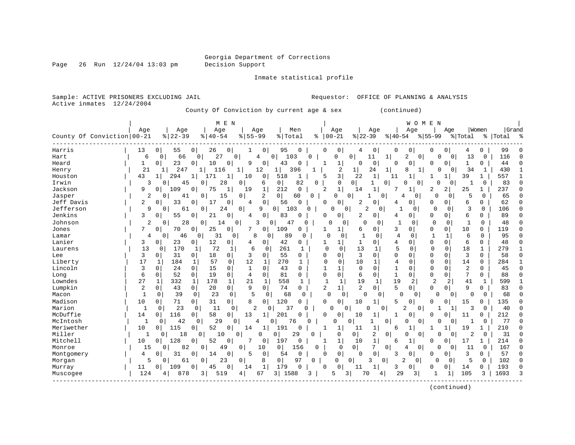Page 26 Run  $12/24/04$  13:03 pm

Inmate statistical profile

Sample: ACTIVE PRISONERS EXCLUDING JAIL **Requestor:** OFFICE OF PLANNING & ANALYSIS Active inmates  $12/24/2004$ 

County Of Conviction by current age & sex (continued)

| Grand<br>Age<br>Age<br>Men<br>Age<br>Age<br>Women<br>Age<br>Age<br>Age<br>Age<br>County Of Conviction 00-21<br>$\frac{8}{6}$   22-39<br>$8   40 - 54$<br>$00 - 21$<br>$8155 - 99$<br>% Total<br>$ 22-39 $<br>$ 40-54$<br>$ 55-99$<br>% Total<br>ႜ<br>%   Total<br>ౣ<br>Harris<br>26<br>$\overline{0}$<br>95<br>0<br>13<br>0<br>55<br>$\circ$<br>0<br>0<br>$\Omega$<br>0<br>0<br>0<br>0<br>99<br>1<br>4<br>0<br>0<br>4<br>0<br>6<br>$\overline{0}$<br>27<br>$\mathbf 0$<br>4<br>0<br>0<br>11<br>$\mathbf 1$<br>$\Omega$<br>116<br>Hart<br>$\Omega$<br>66<br>103<br>U<br>2<br>0<br>0<br>13<br>$\mathbf 0$<br>$\Omega$<br>0<br>44<br>Heard<br>23<br>10<br>9<br>0<br>43<br>0<br>$\Omega$<br>0<br>$\Omega$<br>1<br>0<br>0<br>0<br>0<br>1<br>0<br>0<br>1<br>0<br>$\overline{2}$<br>21<br>247<br>12<br>24<br>34<br>430<br>$\mathbf{1}$<br>116<br>1<br>1<br>396<br>8<br>$\Omega$<br>Henry<br>1<br>1<br>1<br>1<br>$\Omega$<br>1<br>1<br>3<br>43<br>294<br>518<br>22<br>$\mathbf{1}$<br>39<br>557<br>$\mathbf{1}$<br>10<br>0<br>5<br>$\mathbf 1$<br>Houston<br>1<br>171<br>1<br>11<br>1<br>1<br>1<br>$\overline{0}$<br>83<br>Irwin<br>0<br>82<br>0<br>3<br>45<br>28<br>0<br>6<br>0<br>$\Omega$<br>$\cap$<br>0<br>$\Omega$<br>1<br>0<br>0<br>$\overline{0}$<br>0<br>$\overline{c}$<br>$\mathbf{1}$<br>Jackson<br>9<br>109<br>75<br>19<br>1<br>212<br>$\Omega$<br>$\mathbf{1}$<br>7<br>2<br>$\overline{2}$<br>25<br>237<br>0<br>0<br>1<br>14<br>$\Omega$<br>$\Omega$<br>2<br>Jasper<br>2<br>$\Omega$<br>$\Omega$<br>0<br>$\Omega$<br>5<br>65<br>$\Omega$<br>41<br>15<br>$\overline{0}$<br>60<br>$\Omega$<br>$\Omega$<br>4<br>$\Omega$<br>$\Omega$<br>$\Omega$<br>-1<br>$\mathbf 0$<br>Jeff Davis<br>0<br>56<br>6<br>62<br>2<br>0<br>33<br>$\Omega$<br>17<br>$\Omega$<br>0<br>2<br>0<br>$\overline{0}$<br>0<br>0<br>0<br>4<br>0<br>n<br>4<br>Jefferson<br>24<br>9<br>$\overline{0}$<br>2<br>3<br>106<br>9<br>61<br>0<br>$\mathbf{0}$<br>103<br>0<br>0<br>0<br>0<br>0<br>0<br>0<br>0<br>1<br>0<br>∩<br>Jenkins<br>3<br>21<br>0<br>0<br>83<br>0<br>2<br>0<br>0<br>6<br>89<br>0<br>55<br>0<br>0 <sup>1</sup><br>0<br>0<br>$\Omega$<br>4<br>0<br>4<br>O<br>2<br>28<br>14<br>3<br>0<br>$\Omega$<br>48<br>Johnson<br>$\overline{0}$<br>0<br>47<br>0<br>0<br>0<br>0<br>$\Omega$<br>1<br>$\Omega$<br>0<br>0<br>Ω<br>7<br>70<br>25<br>0<br>109<br>3<br>$\Omega$<br>10<br>$\Omega$<br>119<br>Jones<br>0<br>7<br>0<br>0<br>0<br>0<br>$\Omega$<br>0<br>0<br>1<br>1<br>6<br>31<br>8<br>89<br>$\overline{4}$<br>0<br>95<br>4<br>46<br>0<br>0<br>$\mathbf 0$<br>0<br>0<br>-1<br>1<br>6<br>$\Omega$<br>Lamar<br>0<br>0<br>0<br>$\Omega$<br>Lanier<br>12<br>42<br>4<br>$\mathbf 0$<br>$\Omega$<br>6<br>$\Omega$<br>48<br>3<br>0<br>23<br>0<br>0<br>1<br>0<br>$\Omega$<br>$\Omega$<br>0<br>4<br>0<br>1<br>$\overline{5}$<br>13<br>170<br>72<br>13<br>6<br>261<br>1<br>$\Omega$<br>$\Omega$<br>18<br>1<br>279<br>1<br>Laurens<br>$\Omega$<br>1<br>$\Omega$<br>1<br>$\Omega$<br>$\Omega$<br>$\Omega$<br>3<br>3<br>18<br>55<br>0<br>$\Omega$<br>3<br>58<br>0<br>31<br>$\overline{0}$<br>3<br>0<br>$\Omega$<br>$\Omega$<br>O<br>$\Omega$<br>$\Omega$<br>$\Omega$<br>Lee<br>0<br>$\Omega$<br>$\Omega$<br>17<br>57<br>12<br>270<br>10<br>$\overline{4}$<br>Liberty<br>$\mathbf 0$<br>0<br>$\mathbf{1}$<br>$\mathbf 0$<br>$\Omega$<br>14<br>284<br>184<br>1<br>0<br>$\Omega$<br>0<br>1<br>1<br>$\mathbf 0$<br>$\mathbf 0$<br>$1\,$<br>$\overline{2}$<br>Lincoln<br>3<br>$\mathbf 0$<br>24<br>0<br>15<br>0<br>$\mathbf{1}$<br>$\mathbf 0$<br>43<br>1<br>$\mathbf 0$<br>$\Omega$<br>45<br>$\Omega$<br>1<br>0<br>0<br>$\cap$<br>$7\phantom{.0}$<br>6<br>52<br>$\mathbf 0$<br>19<br>0<br>0<br>81<br>$\Omega$<br>0<br>0<br>$\mathbf{1}$<br>0<br>88<br>$\mathbf 0$<br>$\overline{4}$<br>6<br>$\mathbf 0$<br>$\Omega$<br>Long<br>0<br>0<br>$\Omega$<br>Lowndes<br>27<br>178<br>21<br>558<br>19<br>19<br>2<br>41<br>1<br>332<br>1<br>1<br>1<br>2<br>2<br>599<br>$\mathbf{1}$<br>$\mathbf{1}$<br>1<br>$\mathbf{1}$<br>1<br>1<br>$\overline{2}$<br>5<br>Lumpkin<br>2<br>20<br>0 <sup>1</sup><br>9<br>0<br>74<br>$\overline{2}$<br>1<br>$\Omega$<br>9<br>0<br>43<br>$\overline{0}$<br>$\Omega$<br>0<br>0<br>83<br>0<br>$\Omega$<br>$\Omega$<br>$\mathbf{1}$<br>23<br>$\circ$<br>5<br>$\Omega$<br>Macon<br>0<br>39<br>$\mathbf 0$<br>$\mathbf 0$<br>68<br>$\Omega$<br>$\Omega$<br>0<br>$\Omega$<br>$\Omega$<br>68<br>$\cap$<br>$\Omega$<br>0<br>0<br>$\Omega$<br>0<br>Madison<br>31<br>0<br>120<br>$\overline{0}$<br>15<br>10<br>71<br>$\overline{0}$<br>8<br>$\Omega$<br>10<br>$\mathbf{1}$<br>5<br>0<br>O<br>0<br>135<br>0<br>0<br>$\Omega$<br>0<br>Marion<br>$\mathbf{1}$<br>23<br>11<br>$\overline{2}$<br>$\overline{a}$<br>3<br>40<br>$\Omega$<br>$\Omega$<br>$\Omega$<br>$\Omega$<br>37<br>$\cap$<br>O<br>$\Omega$<br>$\Omega$<br>$\Omega$<br>O<br>$\Omega$<br>1<br>$\mathbf{1}$<br>McDuffie<br>116<br>58<br>$\mathbf{0}$<br>212<br>14<br>0<br>0  <br>13<br>$\mathbf{1}$<br>201<br>$\Omega$<br>10<br>1<br>0<br>11<br>$\mathbf{0}$<br>0<br>0<br>0<br>0<br>77<br>McIntosh<br>42<br>29<br>0<br>$\mathbf{0}$<br>76<br>$\Omega$<br>$\Omega$<br>0<br>0<br>0<br>1<br>0<br>4<br><sup>0</sup><br>0<br>0<br>0<br>0<br>52<br>Meriwether<br>10<br>115<br>0<br>14<br>191<br>11<br>$\mathbf{1}$<br>$\mathbf 1$<br>19<br>210<br>0<br>0<br>1<br>1<br>1<br>C<br>6<br>1<br>Miller<br>18<br>29<br>2<br>$\overline{a}$<br>31<br>10<br>$\Omega$<br>0<br>0<br>$\mathbf{1}$<br>0<br>0<br>$\Omega$<br>$\Omega$<br>0<br>0<br>$\cap$<br>0<br>0<br>O<br>0<br>0<br>Mitchell<br>128<br>1<br>10<br>52<br>0<br>7<br>0<br>197<br>1<br>10<br>17<br>214<br>$\mathbf{0}$<br>0<br>0<br>1<br>O<br>0<br>$\Omega$<br>6<br>0 <sup>1</sup><br>82<br>$\overline{0}$<br>0<br>$\mathbf{0}$<br>167<br>Monroe<br>15<br>0<br>49<br>10<br>156<br>0<br>$\mathbf 0$<br>7<br>0<br>11<br>0<br>0<br>0<br>0<br>∩<br>4<br>$\mathbf 0$<br>0<br>$\mathbf 0$<br>54<br>3<br>57<br>Montgomery<br>31<br>14<br>0<br>5<br>0<br>$\Omega$<br>$\Omega$<br>3<br>0<br>0<br>4<br>0<br>$\Omega$<br>O<br>$\Omega$<br>n<br>5<br>102<br>5<br>23<br>8<br>0<br>97<br>$\mathbf 0$<br>$\overline{0}$<br>0 <sup>1</sup><br>$\overline{2}$<br>$\circ$<br>$\Omega$<br>0<br>$\Omega$<br>61<br>0 <sup>1</sup><br>$\mathbf{0}$<br>0<br>0<br>Morgan<br>3<br>179<br>193<br>109<br>0<br>$\mathbf 1$<br>0<br>$\mathbf{1}$<br>0<br>45<br>14<br>0<br>0<br>11<br>3<br>0<br>0<br>0<br>14<br>0<br>Murray<br>11<br>0<br>124<br>105<br>1693<br>3<br>878<br>3 <br>519<br>67<br>3<br>1588<br>5<br>31<br>70<br>29<br>3<br>3<br>$\mathbf{1}$<br>1<br>Muscogee<br>4<br>4<br>4 |  | M E N |  |  |  | WOMEN |  |  |  |
|--------------------------------------------------------------------------------------------------------------------------------------------------------------------------------------------------------------------------------------------------------------------------------------------------------------------------------------------------------------------------------------------------------------------------------------------------------------------------------------------------------------------------------------------------------------------------------------------------------------------------------------------------------------------------------------------------------------------------------------------------------------------------------------------------------------------------------------------------------------------------------------------------------------------------------------------------------------------------------------------------------------------------------------------------------------------------------------------------------------------------------------------------------------------------------------------------------------------------------------------------------------------------------------------------------------------------------------------------------------------------------------------------------------------------------------------------------------------------------------------------------------------------------------------------------------------------------------------------------------------------------------------------------------------------------------------------------------------------------------------------------------------------------------------------------------------------------------------------------------------------------------------------------------------------------------------------------------------------------------------------------------------------------------------------------------------------------------------------------------------------------------------------------------------------------------------------------------------------------------------------------------------------------------------------------------------------------------------------------------------------------------------------------------------------------------------------------------------------------------------------------------------------------------------------------------------------------------------------------------------------------------------------------------------------------------------------------------------------------------------------------------------------------------------------------------------------------------------------------------------------------------------------------------------------------------------------------------------------------------------------------------------------------------------------------------------------------------------------------------------------------------------------------------------------------------------------------------------------------------------------------------------------------------------------------------------------------------------------------------------------------------------------------------------------------------------------------------------------------------------------------------------------------------------------------------------------------------------------------------------------------------------------------------------------------------------------------------------------------------------------------------------------------------------------------------------------------------------------------------------------------------------------------------------------------------------------------------------------------------------------------------------------------------------------------------------------------------------------------------------------------------------------------------------------------------------------------------------------------------------------------------------------------------------------------------------------------------------------------------------------------------------------------------------------------------------------------------------------------------------------------------------------------------------------------------------------------------------------------------------------------------------------------------------------------------------------------------------------------------------------------------------------------------------------------------------------------------------------------------------------------------------------------------------------------------------------------------------------------------------------------------------------------------------------------------------------------------------------------------------------------------------------------------------------------------------------------------------------------------------------------------------------------------------------------------------------------------------------------------------------------------------------------------------------------------------------------------------------------------------------------------------------------------------------------------------------------------------------------------------------------------------------------------------------------------------------------------------------------------------------------------------------------------------------------------------------------------------------------------------------------------------------------------------------------------------------------------------------------------------------------------------------------------------------------------------------------------------------------------------------------------------------------------------------------------------------------------------------------------------------------------------------------------------------------------------------------------------------------------------------------------------------------------------------------------------------------------------------------------------------------------------------------|--|-------|--|--|--|-------|--|--|--|
|                                                                                                                                                                                                                                                                                                                                                                                                                                                                                                                                                                                                                                                                                                                                                                                                                                                                                                                                                                                                                                                                                                                                                                                                                                                                                                                                                                                                                                                                                                                                                                                                                                                                                                                                                                                                                                                                                                                                                                                                                                                                                                                                                                                                                                                                                                                                                                                                                                                                                                                                                                                                                                                                                                                                                                                                                                                                                                                                                                                                                                                                                                                                                                                                                                                                                                                                                                                                                                                                                                                                                                                                                                                                                                                                                                                                                                                                                                                                                                                                                                                                                                                                                                                                                                                                                                                                                                                                                                                                                                                                                                                                                                                                                                                                                                                                                                                                                                                                                                                                                                                                                                                                                                                                                                                                                                                                                                                                                                                                                                                                                                                                                                                                                                                                                                                                                                                                                                                                                                                                                                                                                                                                                                                                                                                                                                                                                                                                                                                                                                                                |  |       |  |  |  |       |  |  |  |
|                                                                                                                                                                                                                                                                                                                                                                                                                                                                                                                                                                                                                                                                                                                                                                                                                                                                                                                                                                                                                                                                                                                                                                                                                                                                                                                                                                                                                                                                                                                                                                                                                                                                                                                                                                                                                                                                                                                                                                                                                                                                                                                                                                                                                                                                                                                                                                                                                                                                                                                                                                                                                                                                                                                                                                                                                                                                                                                                                                                                                                                                                                                                                                                                                                                                                                                                                                                                                                                                                                                                                                                                                                                                                                                                                                                                                                                                                                                                                                                                                                                                                                                                                                                                                                                                                                                                                                                                                                                                                                                                                                                                                                                                                                                                                                                                                                                                                                                                                                                                                                                                                                                                                                                                                                                                                                                                                                                                                                                                                                                                                                                                                                                                                                                                                                                                                                                                                                                                                                                                                                                                                                                                                                                                                                                                                                                                                                                                                                                                                                                                |  |       |  |  |  |       |  |  |  |
|                                                                                                                                                                                                                                                                                                                                                                                                                                                                                                                                                                                                                                                                                                                                                                                                                                                                                                                                                                                                                                                                                                                                                                                                                                                                                                                                                                                                                                                                                                                                                                                                                                                                                                                                                                                                                                                                                                                                                                                                                                                                                                                                                                                                                                                                                                                                                                                                                                                                                                                                                                                                                                                                                                                                                                                                                                                                                                                                                                                                                                                                                                                                                                                                                                                                                                                                                                                                                                                                                                                                                                                                                                                                                                                                                                                                                                                                                                                                                                                                                                                                                                                                                                                                                                                                                                                                                                                                                                                                                                                                                                                                                                                                                                                                                                                                                                                                                                                                                                                                                                                                                                                                                                                                                                                                                                                                                                                                                                                                                                                                                                                                                                                                                                                                                                                                                                                                                                                                                                                                                                                                                                                                                                                                                                                                                                                                                                                                                                                                                                                                |  |       |  |  |  |       |  |  |  |
|                                                                                                                                                                                                                                                                                                                                                                                                                                                                                                                                                                                                                                                                                                                                                                                                                                                                                                                                                                                                                                                                                                                                                                                                                                                                                                                                                                                                                                                                                                                                                                                                                                                                                                                                                                                                                                                                                                                                                                                                                                                                                                                                                                                                                                                                                                                                                                                                                                                                                                                                                                                                                                                                                                                                                                                                                                                                                                                                                                                                                                                                                                                                                                                                                                                                                                                                                                                                                                                                                                                                                                                                                                                                                                                                                                                                                                                                                                                                                                                                                                                                                                                                                                                                                                                                                                                                                                                                                                                                                                                                                                                                                                                                                                                                                                                                                                                                                                                                                                                                                                                                                                                                                                                                                                                                                                                                                                                                                                                                                                                                                                                                                                                                                                                                                                                                                                                                                                                                                                                                                                                                                                                                                                                                                                                                                                                                                                                                                                                                                                                                |  |       |  |  |  |       |  |  |  |
|                                                                                                                                                                                                                                                                                                                                                                                                                                                                                                                                                                                                                                                                                                                                                                                                                                                                                                                                                                                                                                                                                                                                                                                                                                                                                                                                                                                                                                                                                                                                                                                                                                                                                                                                                                                                                                                                                                                                                                                                                                                                                                                                                                                                                                                                                                                                                                                                                                                                                                                                                                                                                                                                                                                                                                                                                                                                                                                                                                                                                                                                                                                                                                                                                                                                                                                                                                                                                                                                                                                                                                                                                                                                                                                                                                                                                                                                                                                                                                                                                                                                                                                                                                                                                                                                                                                                                                                                                                                                                                                                                                                                                                                                                                                                                                                                                                                                                                                                                                                                                                                                                                                                                                                                                                                                                                                                                                                                                                                                                                                                                                                                                                                                                                                                                                                                                                                                                                                                                                                                                                                                                                                                                                                                                                                                                                                                                                                                                                                                                                                                |  |       |  |  |  |       |  |  |  |
|                                                                                                                                                                                                                                                                                                                                                                                                                                                                                                                                                                                                                                                                                                                                                                                                                                                                                                                                                                                                                                                                                                                                                                                                                                                                                                                                                                                                                                                                                                                                                                                                                                                                                                                                                                                                                                                                                                                                                                                                                                                                                                                                                                                                                                                                                                                                                                                                                                                                                                                                                                                                                                                                                                                                                                                                                                                                                                                                                                                                                                                                                                                                                                                                                                                                                                                                                                                                                                                                                                                                                                                                                                                                                                                                                                                                                                                                                                                                                                                                                                                                                                                                                                                                                                                                                                                                                                                                                                                                                                                                                                                                                                                                                                                                                                                                                                                                                                                                                                                                                                                                                                                                                                                                                                                                                                                                                                                                                                                                                                                                                                                                                                                                                                                                                                                                                                                                                                                                                                                                                                                                                                                                                                                                                                                                                                                                                                                                                                                                                                                                |  |       |  |  |  |       |  |  |  |
|                                                                                                                                                                                                                                                                                                                                                                                                                                                                                                                                                                                                                                                                                                                                                                                                                                                                                                                                                                                                                                                                                                                                                                                                                                                                                                                                                                                                                                                                                                                                                                                                                                                                                                                                                                                                                                                                                                                                                                                                                                                                                                                                                                                                                                                                                                                                                                                                                                                                                                                                                                                                                                                                                                                                                                                                                                                                                                                                                                                                                                                                                                                                                                                                                                                                                                                                                                                                                                                                                                                                                                                                                                                                                                                                                                                                                                                                                                                                                                                                                                                                                                                                                                                                                                                                                                                                                                                                                                                                                                                                                                                                                                                                                                                                                                                                                                                                                                                                                                                                                                                                                                                                                                                                                                                                                                                                                                                                                                                                                                                                                                                                                                                                                                                                                                                                                                                                                                                                                                                                                                                                                                                                                                                                                                                                                                                                                                                                                                                                                                                                |  |       |  |  |  |       |  |  |  |
|                                                                                                                                                                                                                                                                                                                                                                                                                                                                                                                                                                                                                                                                                                                                                                                                                                                                                                                                                                                                                                                                                                                                                                                                                                                                                                                                                                                                                                                                                                                                                                                                                                                                                                                                                                                                                                                                                                                                                                                                                                                                                                                                                                                                                                                                                                                                                                                                                                                                                                                                                                                                                                                                                                                                                                                                                                                                                                                                                                                                                                                                                                                                                                                                                                                                                                                                                                                                                                                                                                                                                                                                                                                                                                                                                                                                                                                                                                                                                                                                                                                                                                                                                                                                                                                                                                                                                                                                                                                                                                                                                                                                                                                                                                                                                                                                                                                                                                                                                                                                                                                                                                                                                                                                                                                                                                                                                                                                                                                                                                                                                                                                                                                                                                                                                                                                                                                                                                                                                                                                                                                                                                                                                                                                                                                                                                                                                                                                                                                                                                                                |  |       |  |  |  |       |  |  |  |
|                                                                                                                                                                                                                                                                                                                                                                                                                                                                                                                                                                                                                                                                                                                                                                                                                                                                                                                                                                                                                                                                                                                                                                                                                                                                                                                                                                                                                                                                                                                                                                                                                                                                                                                                                                                                                                                                                                                                                                                                                                                                                                                                                                                                                                                                                                                                                                                                                                                                                                                                                                                                                                                                                                                                                                                                                                                                                                                                                                                                                                                                                                                                                                                                                                                                                                                                                                                                                                                                                                                                                                                                                                                                                                                                                                                                                                                                                                                                                                                                                                                                                                                                                                                                                                                                                                                                                                                                                                                                                                                                                                                                                                                                                                                                                                                                                                                                                                                                                                                                                                                                                                                                                                                                                                                                                                                                                                                                                                                                                                                                                                                                                                                                                                                                                                                                                                                                                                                                                                                                                                                                                                                                                                                                                                                                                                                                                                                                                                                                                                                                |  |       |  |  |  |       |  |  |  |
|                                                                                                                                                                                                                                                                                                                                                                                                                                                                                                                                                                                                                                                                                                                                                                                                                                                                                                                                                                                                                                                                                                                                                                                                                                                                                                                                                                                                                                                                                                                                                                                                                                                                                                                                                                                                                                                                                                                                                                                                                                                                                                                                                                                                                                                                                                                                                                                                                                                                                                                                                                                                                                                                                                                                                                                                                                                                                                                                                                                                                                                                                                                                                                                                                                                                                                                                                                                                                                                                                                                                                                                                                                                                                                                                                                                                                                                                                                                                                                                                                                                                                                                                                                                                                                                                                                                                                                                                                                                                                                                                                                                                                                                                                                                                                                                                                                                                                                                                                                                                                                                                                                                                                                                                                                                                                                                                                                                                                                                                                                                                                                                                                                                                                                                                                                                                                                                                                                                                                                                                                                                                                                                                                                                                                                                                                                                                                                                                                                                                                                                                |  |       |  |  |  |       |  |  |  |
|                                                                                                                                                                                                                                                                                                                                                                                                                                                                                                                                                                                                                                                                                                                                                                                                                                                                                                                                                                                                                                                                                                                                                                                                                                                                                                                                                                                                                                                                                                                                                                                                                                                                                                                                                                                                                                                                                                                                                                                                                                                                                                                                                                                                                                                                                                                                                                                                                                                                                                                                                                                                                                                                                                                                                                                                                                                                                                                                                                                                                                                                                                                                                                                                                                                                                                                                                                                                                                                                                                                                                                                                                                                                                                                                                                                                                                                                                                                                                                                                                                                                                                                                                                                                                                                                                                                                                                                                                                                                                                                                                                                                                                                                                                                                                                                                                                                                                                                                                                                                                                                                                                                                                                                                                                                                                                                                                                                                                                                                                                                                                                                                                                                                                                                                                                                                                                                                                                                                                                                                                                                                                                                                                                                                                                                                                                                                                                                                                                                                                                                                |  |       |  |  |  |       |  |  |  |
|                                                                                                                                                                                                                                                                                                                                                                                                                                                                                                                                                                                                                                                                                                                                                                                                                                                                                                                                                                                                                                                                                                                                                                                                                                                                                                                                                                                                                                                                                                                                                                                                                                                                                                                                                                                                                                                                                                                                                                                                                                                                                                                                                                                                                                                                                                                                                                                                                                                                                                                                                                                                                                                                                                                                                                                                                                                                                                                                                                                                                                                                                                                                                                                                                                                                                                                                                                                                                                                                                                                                                                                                                                                                                                                                                                                                                                                                                                                                                                                                                                                                                                                                                                                                                                                                                                                                                                                                                                                                                                                                                                                                                                                                                                                                                                                                                                                                                                                                                                                                                                                                                                                                                                                                                                                                                                                                                                                                                                                                                                                                                                                                                                                                                                                                                                                                                                                                                                                                                                                                                                                                                                                                                                                                                                                                                                                                                                                                                                                                                                                                |  |       |  |  |  |       |  |  |  |
|                                                                                                                                                                                                                                                                                                                                                                                                                                                                                                                                                                                                                                                                                                                                                                                                                                                                                                                                                                                                                                                                                                                                                                                                                                                                                                                                                                                                                                                                                                                                                                                                                                                                                                                                                                                                                                                                                                                                                                                                                                                                                                                                                                                                                                                                                                                                                                                                                                                                                                                                                                                                                                                                                                                                                                                                                                                                                                                                                                                                                                                                                                                                                                                                                                                                                                                                                                                                                                                                                                                                                                                                                                                                                                                                                                                                                                                                                                                                                                                                                                                                                                                                                                                                                                                                                                                                                                                                                                                                                                                                                                                                                                                                                                                                                                                                                                                                                                                                                                                                                                                                                                                                                                                                                                                                                                                                                                                                                                                                                                                                                                                                                                                                                                                                                                                                                                                                                                                                                                                                                                                                                                                                                                                                                                                                                                                                                                                                                                                                                                                                |  |       |  |  |  |       |  |  |  |
|                                                                                                                                                                                                                                                                                                                                                                                                                                                                                                                                                                                                                                                                                                                                                                                                                                                                                                                                                                                                                                                                                                                                                                                                                                                                                                                                                                                                                                                                                                                                                                                                                                                                                                                                                                                                                                                                                                                                                                                                                                                                                                                                                                                                                                                                                                                                                                                                                                                                                                                                                                                                                                                                                                                                                                                                                                                                                                                                                                                                                                                                                                                                                                                                                                                                                                                                                                                                                                                                                                                                                                                                                                                                                                                                                                                                                                                                                                                                                                                                                                                                                                                                                                                                                                                                                                                                                                                                                                                                                                                                                                                                                                                                                                                                                                                                                                                                                                                                                                                                                                                                                                                                                                                                                                                                                                                                                                                                                                                                                                                                                                                                                                                                                                                                                                                                                                                                                                                                                                                                                                                                                                                                                                                                                                                                                                                                                                                                                                                                                                                                |  |       |  |  |  |       |  |  |  |
|                                                                                                                                                                                                                                                                                                                                                                                                                                                                                                                                                                                                                                                                                                                                                                                                                                                                                                                                                                                                                                                                                                                                                                                                                                                                                                                                                                                                                                                                                                                                                                                                                                                                                                                                                                                                                                                                                                                                                                                                                                                                                                                                                                                                                                                                                                                                                                                                                                                                                                                                                                                                                                                                                                                                                                                                                                                                                                                                                                                                                                                                                                                                                                                                                                                                                                                                                                                                                                                                                                                                                                                                                                                                                                                                                                                                                                                                                                                                                                                                                                                                                                                                                                                                                                                                                                                                                                                                                                                                                                                                                                                                                                                                                                                                                                                                                                                                                                                                                                                                                                                                                                                                                                                                                                                                                                                                                                                                                                                                                                                                                                                                                                                                                                                                                                                                                                                                                                                                                                                                                                                                                                                                                                                                                                                                                                                                                                                                                                                                                                                                |  |       |  |  |  |       |  |  |  |
|                                                                                                                                                                                                                                                                                                                                                                                                                                                                                                                                                                                                                                                                                                                                                                                                                                                                                                                                                                                                                                                                                                                                                                                                                                                                                                                                                                                                                                                                                                                                                                                                                                                                                                                                                                                                                                                                                                                                                                                                                                                                                                                                                                                                                                                                                                                                                                                                                                                                                                                                                                                                                                                                                                                                                                                                                                                                                                                                                                                                                                                                                                                                                                                                                                                                                                                                                                                                                                                                                                                                                                                                                                                                                                                                                                                                                                                                                                                                                                                                                                                                                                                                                                                                                                                                                                                                                                                                                                                                                                                                                                                                                                                                                                                                                                                                                                                                                                                                                                                                                                                                                                                                                                                                                                                                                                                                                                                                                                                                                                                                                                                                                                                                                                                                                                                                                                                                                                                                                                                                                                                                                                                                                                                                                                                                                                                                                                                                                                                                                                                                |  |       |  |  |  |       |  |  |  |
|                                                                                                                                                                                                                                                                                                                                                                                                                                                                                                                                                                                                                                                                                                                                                                                                                                                                                                                                                                                                                                                                                                                                                                                                                                                                                                                                                                                                                                                                                                                                                                                                                                                                                                                                                                                                                                                                                                                                                                                                                                                                                                                                                                                                                                                                                                                                                                                                                                                                                                                                                                                                                                                                                                                                                                                                                                                                                                                                                                                                                                                                                                                                                                                                                                                                                                                                                                                                                                                                                                                                                                                                                                                                                                                                                                                                                                                                                                                                                                                                                                                                                                                                                                                                                                                                                                                                                                                                                                                                                                                                                                                                                                                                                                                                                                                                                                                                                                                                                                                                                                                                                                                                                                                                                                                                                                                                                                                                                                                                                                                                                                                                                                                                                                                                                                                                                                                                                                                                                                                                                                                                                                                                                                                                                                                                                                                                                                                                                                                                                                                                |  |       |  |  |  |       |  |  |  |
|                                                                                                                                                                                                                                                                                                                                                                                                                                                                                                                                                                                                                                                                                                                                                                                                                                                                                                                                                                                                                                                                                                                                                                                                                                                                                                                                                                                                                                                                                                                                                                                                                                                                                                                                                                                                                                                                                                                                                                                                                                                                                                                                                                                                                                                                                                                                                                                                                                                                                                                                                                                                                                                                                                                                                                                                                                                                                                                                                                                                                                                                                                                                                                                                                                                                                                                                                                                                                                                                                                                                                                                                                                                                                                                                                                                                                                                                                                                                                                                                                                                                                                                                                                                                                                                                                                                                                                                                                                                                                                                                                                                                                                                                                                                                                                                                                                                                                                                                                                                                                                                                                                                                                                                                                                                                                                                                                                                                                                                                                                                                                                                                                                                                                                                                                                                                                                                                                                                                                                                                                                                                                                                                                                                                                                                                                                                                                                                                                                                                                                                                |  |       |  |  |  |       |  |  |  |
|                                                                                                                                                                                                                                                                                                                                                                                                                                                                                                                                                                                                                                                                                                                                                                                                                                                                                                                                                                                                                                                                                                                                                                                                                                                                                                                                                                                                                                                                                                                                                                                                                                                                                                                                                                                                                                                                                                                                                                                                                                                                                                                                                                                                                                                                                                                                                                                                                                                                                                                                                                                                                                                                                                                                                                                                                                                                                                                                                                                                                                                                                                                                                                                                                                                                                                                                                                                                                                                                                                                                                                                                                                                                                                                                                                                                                                                                                                                                                                                                                                                                                                                                                                                                                                                                                                                                                                                                                                                                                                                                                                                                                                                                                                                                                                                                                                                                                                                                                                                                                                                                                                                                                                                                                                                                                                                                                                                                                                                                                                                                                                                                                                                                                                                                                                                                                                                                                                                                                                                                                                                                                                                                                                                                                                                                                                                                                                                                                                                                                                                                |  |       |  |  |  |       |  |  |  |
|                                                                                                                                                                                                                                                                                                                                                                                                                                                                                                                                                                                                                                                                                                                                                                                                                                                                                                                                                                                                                                                                                                                                                                                                                                                                                                                                                                                                                                                                                                                                                                                                                                                                                                                                                                                                                                                                                                                                                                                                                                                                                                                                                                                                                                                                                                                                                                                                                                                                                                                                                                                                                                                                                                                                                                                                                                                                                                                                                                                                                                                                                                                                                                                                                                                                                                                                                                                                                                                                                                                                                                                                                                                                                                                                                                                                                                                                                                                                                                                                                                                                                                                                                                                                                                                                                                                                                                                                                                                                                                                                                                                                                                                                                                                                                                                                                                                                                                                                                                                                                                                                                                                                                                                                                                                                                                                                                                                                                                                                                                                                                                                                                                                                                                                                                                                                                                                                                                                                                                                                                                                                                                                                                                                                                                                                                                                                                                                                                                                                                                                                |  |       |  |  |  |       |  |  |  |
|                                                                                                                                                                                                                                                                                                                                                                                                                                                                                                                                                                                                                                                                                                                                                                                                                                                                                                                                                                                                                                                                                                                                                                                                                                                                                                                                                                                                                                                                                                                                                                                                                                                                                                                                                                                                                                                                                                                                                                                                                                                                                                                                                                                                                                                                                                                                                                                                                                                                                                                                                                                                                                                                                                                                                                                                                                                                                                                                                                                                                                                                                                                                                                                                                                                                                                                                                                                                                                                                                                                                                                                                                                                                                                                                                                                                                                                                                                                                                                                                                                                                                                                                                                                                                                                                                                                                                                                                                                                                                                                                                                                                                                                                                                                                                                                                                                                                                                                                                                                                                                                                                                                                                                                                                                                                                                                                                                                                                                                                                                                                                                                                                                                                                                                                                                                                                                                                                                                                                                                                                                                                                                                                                                                                                                                                                                                                                                                                                                                                                                                                |  |       |  |  |  |       |  |  |  |
|                                                                                                                                                                                                                                                                                                                                                                                                                                                                                                                                                                                                                                                                                                                                                                                                                                                                                                                                                                                                                                                                                                                                                                                                                                                                                                                                                                                                                                                                                                                                                                                                                                                                                                                                                                                                                                                                                                                                                                                                                                                                                                                                                                                                                                                                                                                                                                                                                                                                                                                                                                                                                                                                                                                                                                                                                                                                                                                                                                                                                                                                                                                                                                                                                                                                                                                                                                                                                                                                                                                                                                                                                                                                                                                                                                                                                                                                                                                                                                                                                                                                                                                                                                                                                                                                                                                                                                                                                                                                                                                                                                                                                                                                                                                                                                                                                                                                                                                                                                                                                                                                                                                                                                                                                                                                                                                                                                                                                                                                                                                                                                                                                                                                                                                                                                                                                                                                                                                                                                                                                                                                                                                                                                                                                                                                                                                                                                                                                                                                                                                                |  |       |  |  |  |       |  |  |  |
|                                                                                                                                                                                                                                                                                                                                                                                                                                                                                                                                                                                                                                                                                                                                                                                                                                                                                                                                                                                                                                                                                                                                                                                                                                                                                                                                                                                                                                                                                                                                                                                                                                                                                                                                                                                                                                                                                                                                                                                                                                                                                                                                                                                                                                                                                                                                                                                                                                                                                                                                                                                                                                                                                                                                                                                                                                                                                                                                                                                                                                                                                                                                                                                                                                                                                                                                                                                                                                                                                                                                                                                                                                                                                                                                                                                                                                                                                                                                                                                                                                                                                                                                                                                                                                                                                                                                                                                                                                                                                                                                                                                                                                                                                                                                                                                                                                                                                                                                                                                                                                                                                                                                                                                                                                                                                                                                                                                                                                                                                                                                                                                                                                                                                                                                                                                                                                                                                                                                                                                                                                                                                                                                                                                                                                                                                                                                                                                                                                                                                                                                |  |       |  |  |  |       |  |  |  |
|                                                                                                                                                                                                                                                                                                                                                                                                                                                                                                                                                                                                                                                                                                                                                                                                                                                                                                                                                                                                                                                                                                                                                                                                                                                                                                                                                                                                                                                                                                                                                                                                                                                                                                                                                                                                                                                                                                                                                                                                                                                                                                                                                                                                                                                                                                                                                                                                                                                                                                                                                                                                                                                                                                                                                                                                                                                                                                                                                                                                                                                                                                                                                                                                                                                                                                                                                                                                                                                                                                                                                                                                                                                                                                                                                                                                                                                                                                                                                                                                                                                                                                                                                                                                                                                                                                                                                                                                                                                                                                                                                                                                                                                                                                                                                                                                                                                                                                                                                                                                                                                                                                                                                                                                                                                                                                                                                                                                                                                                                                                                                                                                                                                                                                                                                                                                                                                                                                                                                                                                                                                                                                                                                                                                                                                                                                                                                                                                                                                                                                                                |  |       |  |  |  |       |  |  |  |
|                                                                                                                                                                                                                                                                                                                                                                                                                                                                                                                                                                                                                                                                                                                                                                                                                                                                                                                                                                                                                                                                                                                                                                                                                                                                                                                                                                                                                                                                                                                                                                                                                                                                                                                                                                                                                                                                                                                                                                                                                                                                                                                                                                                                                                                                                                                                                                                                                                                                                                                                                                                                                                                                                                                                                                                                                                                                                                                                                                                                                                                                                                                                                                                                                                                                                                                                                                                                                                                                                                                                                                                                                                                                                                                                                                                                                                                                                                                                                                                                                                                                                                                                                                                                                                                                                                                                                                                                                                                                                                                                                                                                                                                                                                                                                                                                                                                                                                                                                                                                                                                                                                                                                                                                                                                                                                                                                                                                                                                                                                                                                                                                                                                                                                                                                                                                                                                                                                                                                                                                                                                                                                                                                                                                                                                                                                                                                                                                                                                                                                                                |  |       |  |  |  |       |  |  |  |
|                                                                                                                                                                                                                                                                                                                                                                                                                                                                                                                                                                                                                                                                                                                                                                                                                                                                                                                                                                                                                                                                                                                                                                                                                                                                                                                                                                                                                                                                                                                                                                                                                                                                                                                                                                                                                                                                                                                                                                                                                                                                                                                                                                                                                                                                                                                                                                                                                                                                                                                                                                                                                                                                                                                                                                                                                                                                                                                                                                                                                                                                                                                                                                                                                                                                                                                                                                                                                                                                                                                                                                                                                                                                                                                                                                                                                                                                                                                                                                                                                                                                                                                                                                                                                                                                                                                                                                                                                                                                                                                                                                                                                                                                                                                                                                                                                                                                                                                                                                                                                                                                                                                                                                                                                                                                                                                                                                                                                                                                                                                                                                                                                                                                                                                                                                                                                                                                                                                                                                                                                                                                                                                                                                                                                                                                                                                                                                                                                                                                                                                                |  |       |  |  |  |       |  |  |  |
|                                                                                                                                                                                                                                                                                                                                                                                                                                                                                                                                                                                                                                                                                                                                                                                                                                                                                                                                                                                                                                                                                                                                                                                                                                                                                                                                                                                                                                                                                                                                                                                                                                                                                                                                                                                                                                                                                                                                                                                                                                                                                                                                                                                                                                                                                                                                                                                                                                                                                                                                                                                                                                                                                                                                                                                                                                                                                                                                                                                                                                                                                                                                                                                                                                                                                                                                                                                                                                                                                                                                                                                                                                                                                                                                                                                                                                                                                                                                                                                                                                                                                                                                                                                                                                                                                                                                                                                                                                                                                                                                                                                                                                                                                                                                                                                                                                                                                                                                                                                                                                                                                                                                                                                                                                                                                                                                                                                                                                                                                                                                                                                                                                                                                                                                                                                                                                                                                                                                                                                                                                                                                                                                                                                                                                                                                                                                                                                                                                                                                                                                |  |       |  |  |  |       |  |  |  |
|                                                                                                                                                                                                                                                                                                                                                                                                                                                                                                                                                                                                                                                                                                                                                                                                                                                                                                                                                                                                                                                                                                                                                                                                                                                                                                                                                                                                                                                                                                                                                                                                                                                                                                                                                                                                                                                                                                                                                                                                                                                                                                                                                                                                                                                                                                                                                                                                                                                                                                                                                                                                                                                                                                                                                                                                                                                                                                                                                                                                                                                                                                                                                                                                                                                                                                                                                                                                                                                                                                                                                                                                                                                                                                                                                                                                                                                                                                                                                                                                                                                                                                                                                                                                                                                                                                                                                                                                                                                                                                                                                                                                                                                                                                                                                                                                                                                                                                                                                                                                                                                                                                                                                                                                                                                                                                                                                                                                                                                                                                                                                                                                                                                                                                                                                                                                                                                                                                                                                                                                                                                                                                                                                                                                                                                                                                                                                                                                                                                                                                                                |  |       |  |  |  |       |  |  |  |
|                                                                                                                                                                                                                                                                                                                                                                                                                                                                                                                                                                                                                                                                                                                                                                                                                                                                                                                                                                                                                                                                                                                                                                                                                                                                                                                                                                                                                                                                                                                                                                                                                                                                                                                                                                                                                                                                                                                                                                                                                                                                                                                                                                                                                                                                                                                                                                                                                                                                                                                                                                                                                                                                                                                                                                                                                                                                                                                                                                                                                                                                                                                                                                                                                                                                                                                                                                                                                                                                                                                                                                                                                                                                                                                                                                                                                                                                                                                                                                                                                                                                                                                                                                                                                                                                                                                                                                                                                                                                                                                                                                                                                                                                                                                                                                                                                                                                                                                                                                                                                                                                                                                                                                                                                                                                                                                                                                                                                                                                                                                                                                                                                                                                                                                                                                                                                                                                                                                                                                                                                                                                                                                                                                                                                                                                                                                                                                                                                                                                                                                                |  |       |  |  |  |       |  |  |  |
|                                                                                                                                                                                                                                                                                                                                                                                                                                                                                                                                                                                                                                                                                                                                                                                                                                                                                                                                                                                                                                                                                                                                                                                                                                                                                                                                                                                                                                                                                                                                                                                                                                                                                                                                                                                                                                                                                                                                                                                                                                                                                                                                                                                                                                                                                                                                                                                                                                                                                                                                                                                                                                                                                                                                                                                                                                                                                                                                                                                                                                                                                                                                                                                                                                                                                                                                                                                                                                                                                                                                                                                                                                                                                                                                                                                                                                                                                                                                                                                                                                                                                                                                                                                                                                                                                                                                                                                                                                                                                                                                                                                                                                                                                                                                                                                                                                                                                                                                                                                                                                                                                                                                                                                                                                                                                                                                                                                                                                                                                                                                                                                                                                                                                                                                                                                                                                                                                                                                                                                                                                                                                                                                                                                                                                                                                                                                                                                                                                                                                                                                |  |       |  |  |  |       |  |  |  |
|                                                                                                                                                                                                                                                                                                                                                                                                                                                                                                                                                                                                                                                                                                                                                                                                                                                                                                                                                                                                                                                                                                                                                                                                                                                                                                                                                                                                                                                                                                                                                                                                                                                                                                                                                                                                                                                                                                                                                                                                                                                                                                                                                                                                                                                                                                                                                                                                                                                                                                                                                                                                                                                                                                                                                                                                                                                                                                                                                                                                                                                                                                                                                                                                                                                                                                                                                                                                                                                                                                                                                                                                                                                                                                                                                                                                                                                                                                                                                                                                                                                                                                                                                                                                                                                                                                                                                                                                                                                                                                                                                                                                                                                                                                                                                                                                                                                                                                                                                                                                                                                                                                                                                                                                                                                                                                                                                                                                                                                                                                                                                                                                                                                                                                                                                                                                                                                                                                                                                                                                                                                                                                                                                                                                                                                                                                                                                                                                                                                                                                                                |  |       |  |  |  |       |  |  |  |
|                                                                                                                                                                                                                                                                                                                                                                                                                                                                                                                                                                                                                                                                                                                                                                                                                                                                                                                                                                                                                                                                                                                                                                                                                                                                                                                                                                                                                                                                                                                                                                                                                                                                                                                                                                                                                                                                                                                                                                                                                                                                                                                                                                                                                                                                                                                                                                                                                                                                                                                                                                                                                                                                                                                                                                                                                                                                                                                                                                                                                                                                                                                                                                                                                                                                                                                                                                                                                                                                                                                                                                                                                                                                                                                                                                                                                                                                                                                                                                                                                                                                                                                                                                                                                                                                                                                                                                                                                                                                                                                                                                                                                                                                                                                                                                                                                                                                                                                                                                                                                                                                                                                                                                                                                                                                                                                                                                                                                                                                                                                                                                                                                                                                                                                                                                                                                                                                                                                                                                                                                                                                                                                                                                                                                                                                                                                                                                                                                                                                                                                                |  |       |  |  |  |       |  |  |  |
|                                                                                                                                                                                                                                                                                                                                                                                                                                                                                                                                                                                                                                                                                                                                                                                                                                                                                                                                                                                                                                                                                                                                                                                                                                                                                                                                                                                                                                                                                                                                                                                                                                                                                                                                                                                                                                                                                                                                                                                                                                                                                                                                                                                                                                                                                                                                                                                                                                                                                                                                                                                                                                                                                                                                                                                                                                                                                                                                                                                                                                                                                                                                                                                                                                                                                                                                                                                                                                                                                                                                                                                                                                                                                                                                                                                                                                                                                                                                                                                                                                                                                                                                                                                                                                                                                                                                                                                                                                                                                                                                                                                                                                                                                                                                                                                                                                                                                                                                                                                                                                                                                                                                                                                                                                                                                                                                                                                                                                                                                                                                                                                                                                                                                                                                                                                                                                                                                                                                                                                                                                                                                                                                                                                                                                                                                                                                                                                                                                                                                                                                |  |       |  |  |  |       |  |  |  |
|                                                                                                                                                                                                                                                                                                                                                                                                                                                                                                                                                                                                                                                                                                                                                                                                                                                                                                                                                                                                                                                                                                                                                                                                                                                                                                                                                                                                                                                                                                                                                                                                                                                                                                                                                                                                                                                                                                                                                                                                                                                                                                                                                                                                                                                                                                                                                                                                                                                                                                                                                                                                                                                                                                                                                                                                                                                                                                                                                                                                                                                                                                                                                                                                                                                                                                                                                                                                                                                                                                                                                                                                                                                                                                                                                                                                                                                                                                                                                                                                                                                                                                                                                                                                                                                                                                                                                                                                                                                                                                                                                                                                                                                                                                                                                                                                                                                                                                                                                                                                                                                                                                                                                                                                                                                                                                                                                                                                                                                                                                                                                                                                                                                                                                                                                                                                                                                                                                                                                                                                                                                                                                                                                                                                                                                                                                                                                                                                                                                                                                                                |  |       |  |  |  |       |  |  |  |
|                                                                                                                                                                                                                                                                                                                                                                                                                                                                                                                                                                                                                                                                                                                                                                                                                                                                                                                                                                                                                                                                                                                                                                                                                                                                                                                                                                                                                                                                                                                                                                                                                                                                                                                                                                                                                                                                                                                                                                                                                                                                                                                                                                                                                                                                                                                                                                                                                                                                                                                                                                                                                                                                                                                                                                                                                                                                                                                                                                                                                                                                                                                                                                                                                                                                                                                                                                                                                                                                                                                                                                                                                                                                                                                                                                                                                                                                                                                                                                                                                                                                                                                                                                                                                                                                                                                                                                                                                                                                                                                                                                                                                                                                                                                                                                                                                                                                                                                                                                                                                                                                                                                                                                                                                                                                                                                                                                                                                                                                                                                                                                                                                                                                                                                                                                                                                                                                                                                                                                                                                                                                                                                                                                                                                                                                                                                                                                                                                                                                                                                                |  |       |  |  |  |       |  |  |  |
|                                                                                                                                                                                                                                                                                                                                                                                                                                                                                                                                                                                                                                                                                                                                                                                                                                                                                                                                                                                                                                                                                                                                                                                                                                                                                                                                                                                                                                                                                                                                                                                                                                                                                                                                                                                                                                                                                                                                                                                                                                                                                                                                                                                                                                                                                                                                                                                                                                                                                                                                                                                                                                                                                                                                                                                                                                                                                                                                                                                                                                                                                                                                                                                                                                                                                                                                                                                                                                                                                                                                                                                                                                                                                                                                                                                                                                                                                                                                                                                                                                                                                                                                                                                                                                                                                                                                                                                                                                                                                                                                                                                                                                                                                                                                                                                                                                                                                                                                                                                                                                                                                                                                                                                                                                                                                                                                                                                                                                                                                                                                                                                                                                                                                                                                                                                                                                                                                                                                                                                                                                                                                                                                                                                                                                                                                                                                                                                                                                                                                                                                |  |       |  |  |  |       |  |  |  |
|                                                                                                                                                                                                                                                                                                                                                                                                                                                                                                                                                                                                                                                                                                                                                                                                                                                                                                                                                                                                                                                                                                                                                                                                                                                                                                                                                                                                                                                                                                                                                                                                                                                                                                                                                                                                                                                                                                                                                                                                                                                                                                                                                                                                                                                                                                                                                                                                                                                                                                                                                                                                                                                                                                                                                                                                                                                                                                                                                                                                                                                                                                                                                                                                                                                                                                                                                                                                                                                                                                                                                                                                                                                                                                                                                                                                                                                                                                                                                                                                                                                                                                                                                                                                                                                                                                                                                                                                                                                                                                                                                                                                                                                                                                                                                                                                                                                                                                                                                                                                                                                                                                                                                                                                                                                                                                                                                                                                                                                                                                                                                                                                                                                                                                                                                                                                                                                                                                                                                                                                                                                                                                                                                                                                                                                                                                                                                                                                                                                                                                                                |  |       |  |  |  |       |  |  |  |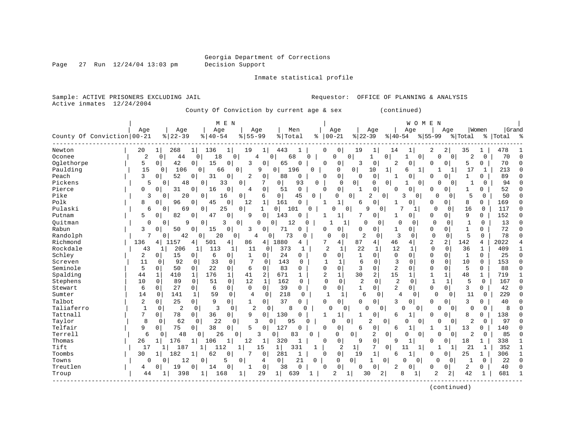Page  $27$  Run  $12/24/04$  13:03 pm

Inmate statistical profile

Sample: ACTIVE PRISONERS EXCLUDING JAIL Requestor: OFFICE OF PLANNING & ANALYSIS Active inmates 12/24/2004

County Of Conviction by current age & sex (continued)

|                            |                |                               | M E N                         |                         |                       |              |                            |                            |                      | WOMEN             |                                  |                |             |            |        |
|----------------------------|----------------|-------------------------------|-------------------------------|-------------------------|-----------------------|--------------|----------------------------|----------------------------|----------------------|-------------------|----------------------------------|----------------|-------------|------------|--------|
|                            | Age            | Age                           | Age                           | Age                     | Men                   |              | Age                        | Age                        |                      | Age               | Age                              |                | Women       | Grand      |        |
| County Of Conviction 00-21 |                | $8 22-39$                     | $8   40 - 54$                 | $8155 - 99$             | % Total               |              | $8   00 - 21$              | $ 22-39$                   | $ 40-54 $            |                   | $8155 - 99$                      | % Total        |             | %  Total % |        |
|                            |                |                               |                               |                         |                       |              |                            |                            |                      |                   |                                  |                |             |            |        |
| Newton                     | 20             | 268                           | 136<br>1                      | 19<br>1                 | 443                   | 0            | 0                          | 19<br>1                    | 14                   |                   | 2<br>2                           | 35             |             | 478        |        |
| Oconee                     | $\overline{2}$ | 44<br>0                       | 18<br>0 <sup>1</sup>          | 0<br>4                  | 68<br>O               | 0            | O                          | 0<br>1                     | 0                    | 0                 | U<br>0                           | 2              | 0           | 70         |        |
| Oglethorpe                 | 5              | 42<br>0                       | $\mathbf 0$<br>15<br>0        | 3<br>$\Omega$           | 65<br>0               | C            | 0                          | 3<br>$\Omega$              | 2                    | $\Omega$          | $\Omega$<br>$\Omega$             | 5              | 0           | 70         | C      |
| Paulding                   | 1.5            | 106<br>0                      | 0<br>66                       | 9<br>$\Omega$           | 196<br>$\Omega$       | $\Omega$     | O                          | $\overline{0}$<br>10       | 1                    | 6<br>1            |                                  | 17             | 1           | 213        |        |
| Peach                      | 3              | 52<br>0                       | 31<br>0<br>0                  | 2<br>0                  | 88<br>0               | 0            | 0                          | $\mathbf 0$<br>$\Omega$    |                      | 0                 | 0<br>O                           |                | 0           | 89         |        |
| Pickens                    | 5              | 48<br>$\Omega$                | 33<br>0                       | 7<br>0                  | $\mathbf 0$<br>93     | 0            | $\Omega$                   | $\overline{0}$<br>$\Omega$ | $\Omega$             | $\Omega$          | $\Omega$<br>$\Omega$             | -1             | $\Omega$    | 94         |        |
| Pierce                     | 0              | 31<br>0                       | 16<br>0<br>0                  | $\mathbf 0$<br>4        | $\mathbf 0$<br>51     | ∩            | $\mathbf 0$                | 0                          | <sup>0</sup>         | 0                 | ∩<br>0                           |                | 0           | 52         |        |
| Pike                       | 3              | 20<br>$\Omega$                | 16<br>0                       | 0<br>6                  | $\overline{0}$<br>45  | 0            | $\Omega$                   | 2<br>$\Omega$              | 0                    | 3<br>0            | O<br>$\Omega$                    | 5              | $\mathbf 0$ | 50         | n      |
| Polk                       | 8              | $\Omega$<br>96                | 45<br>0<br>0                  | 12<br>1                 | 161<br>$\Omega$       | -1           | 1                          | 0<br>6                     |                      | 0                 | 0<br>0                           | 8              | 0           | 169        | ∩      |
| Pulaski                    | 6              | $\Omega$<br>69                | 25<br>0                       | 0<br>$\mathbf{1}$       | $\overline{0}$<br>101 | <sup>n</sup> | $\Omega$                   | 9<br>$\Omega$              | $\Omega$             | 1                 | <sup>0</sup><br>$\Omega$         | 16             | $\Omega$    | 117        | n      |
| Putnam                     | 5.             | 82<br>$\Omega$                | $\Omega$<br>47<br>0           | $\mathbf 0$<br>9        | 143<br>$\cap$         |              | 1                          | 0                          |                      | 0                 | $\Omega$<br>$\Omega$             | 9              | 0           | 152        | ∩      |
| Ouitman                    | 0              | 9<br>$\Omega$                 | $\mathbf 0$<br>3              | 0<br>$\Omega$           | $\Omega$<br>12        |              | 1                          | $\Omega$                   | $\Omega$<br>$\Omega$ | $\Omega$          | $\Omega$<br>$\Omega$             | $\mathbf{1}$   | $\Omega$    | 13         | n      |
| Rabun                      | 3              | 50<br>0                       | $\mathbf 0$<br>0<br>15        | 3<br>0                  | 71<br>0               | 0            | 0                          | 0<br>0                     | 1                    | 0                 | 0<br>0                           | 1              | 0           | 72         | $\cap$ |
| Randolph                   | 7              | 42<br>0                       | 20<br>0                       | 0<br>4                  | 73<br>0               | 0            | $\Omega$<br>0              | 2<br>0                     | 3                    | 0                 | $\mathbf 0$<br>$\mathbf 0$       | 5              | $\Omega$    | 78         |        |
| Richmond                   | 136            | 1157<br>4                     | 501<br>4<br>4                 | 86<br>4 <sup>1</sup>    | 1880<br>4             | 7            | 4                          | 87<br>4                    | 46                   | 4                 | $\overline{2}$<br>$\overline{a}$ | 142            | 4           | 2022       |        |
| Rockdale                   | 43             | 206<br>1                      | 113<br>1<br>1                 | 11<br>0                 | 373                   | -1           | $\overline{2}$             | 22<br>1                    | 12                   | 1                 | $\mathbf 0$<br>0                 | 36             | 1           | 409        |        |
| Schley                     | 2              | 15<br>0                       | 6<br>0<br>0                   | 0                       | 24<br>U               | $\Omega$     | 0                          | $\Omega$<br>1              | 0                    | 0                 | $\Omega$<br>$\Omega$             | $\mathbf{1}$   | $\Omega$    | 25         | C      |
| Screven                    | 11             | 0<br>92                       | 33<br>0<br>$\Omega$           | 7<br>$\Omega$           | 143                   | 0            | $\mathbf{1}$               | 6<br>$\Omega$              | 3                    | <sup>0</sup>      | $\Omega$<br>$\Omega$             | 10             | $\Omega$    | 153        |        |
| Seminole                   | 5              | 50<br>$\Omega$                | 22<br>$\mathbf 0$<br>$\Omega$ | 6<br>$\Omega$           | 83<br>$\Omega$        | $\Omega$     | 0                          | 3<br>$\Omega$              | 2                    | $\Omega$          | 0<br>$\Omega$                    | 5              | 0           | 88         |        |
| Spalding                   | 44             | 1<br>410                      | 176<br>$\mathbf{1}$<br>1      | 2<br>41                 | 671<br>$\mathbf{1}$   |              | 2<br>1                     | $\overline{a}$<br>30       | 15                   |                   | $\mathbf 1$                      | 48             | 1           | 719        |        |
| Stephens                   | 10             | 89<br>0                       | $\Omega$<br>$\mathbf 0$<br>51 | 12<br>$\mathbf{1}$      | 162<br>0              |              | $\mathbf 0$<br>$\mathbf 0$ | $\overline{2}$<br>$\Omega$ | $\overline{2}$       | $\Omega$          | $\mathbf{1}$<br>1                | 5              | $\mathbf 0$ | 167        |        |
| Stewart                    | 6              | $\mathbf 0$<br>27             | 6<br>0<br>0                   | $\Omega$<br>$\mathbf 0$ | 39<br>0               | $\Omega$     | 0                          | $\mathbf{1}$<br>$\Omega$   | 2                    | 0                 | $\Omega$<br>0                    | 3              | 0           | 42         | $\cap$ |
| Sumter                     | 14             | 0<br>141                      | 59<br>0<br>1                  | 4<br>0                  | 218                   | $\Omega$     | 1<br>1                     | 6<br>0                     | 4                    | 0                 | $\Omega$<br>$\Omega$             | 11             | 0           | 229        |        |
| Talbot                     | 2              | 0<br>25                       | 9<br>0<br>0                   | 0                       | 37<br>0               | 0            | 0                          | $\Omega$<br>0              | 3                    | 0                 | $\Omega$<br>0                    | 3              | 0           | 40         | C      |
| Taliaferro                 | $\overline{1}$ | $\mathbf 0$<br>$\overline{2}$ | 3<br>$\mathbf 0$<br>$\Omega$  | $\overline{2}$<br>0     | 8                     | $\Omega$     | $\cap$<br>0                | U                          | $\Omega$             | $\cap$<br>0       | $\Omega$<br>∩                    | 0              | $\mathbf 0$ | 8          |        |
| Tattnall                   | 7              | $\overline{0}$<br>78          | 36<br>0<br>$\Omega$           | 9<br>$\Omega$           | 130<br>O              | -1           | 1                          | 0                          | 6                    |                   | O                                | 8              | 0           | 138        |        |
| Taylor                     | 8              | 62<br>0                       | 22<br>0                       | 3<br>0                  | $\Omega$<br>95        | U            | $\Omega$                   | 0<br>2                     | 0                    | 0<br>0            | O<br>0                           | 2              | 0           | 97         |        |
| Telfair                    | 9              | 75<br>$\overline{0}$          | 38<br>0<br>0                  | 5<br>0                  | 127                   | 0            | 0                          | 0<br>6                     | 6                    | 1                 |                                  | 13             | 0           | 140        |        |
| Terrell                    | 6              | 48<br>0                       | 26<br>$\Omega$                | 3<br>0                  | 83<br><sup>0</sup>    | O            | $\Omega$                   | 2<br>0                     | 0                    | 0<br>0            | 0<br>0                           | $\overline{a}$ | 0           | 85         |        |
| Thomas                     | 26             | 176<br>1                      | 106<br>1<br>1                 | 12<br>1                 | 320<br>1              | O            | 0                          | $\mathsf 0$<br>9           | q                    | 1                 | 0<br>n                           | 18             |             | 338        |        |
| Tift                       | 17             | 187                           | 112                           | 15                      | 1 <br>331             |              | 2                          | 7<br>1                     | $\Omega$             | 11<br>1           |                                  | 21             | 1           | 352        |        |
| Toombs                     | 30             | 182                           | 62<br>0                       | 7<br>0                  | 281<br>$\mathbf{1}$   | $\Omega$     | $\mathbf 0$                | 19<br>1                    | 6                    |                   | $\Omega$<br>O                    | 25             |             | 306        |        |
| Towns                      | 0              | $\Omega$<br>12                | 5<br>0                        | $\overline{0}$<br>4     | 0 <sup>1</sup><br>21  | 0            | $\Omega$                   | 0 <sup>1</sup><br>1        | $\circ$              | $\mathbf{0}$<br>∩ | $\Omega$<br>$\Omega$             | 1              | 0           | 22         |        |
| Treutlen                   | 4              | 19<br>O                       | 0<br>0<br>14                  | $\mathbf 0$             | 38<br>0               | 0            | 0                          | $\mathbf 0$<br>0           | 2                    | 0                 | 0<br>0                           | 2              | 0           | 40         |        |
| Troup                      | 44             | 398                           | 1<br>168                      | 29                      | 1<br>639              |              | 2                          | 30<br>1                    | 2                    | 8                 | $\overline{2}$<br>2              | 42             | 1           | 681        |        |
|                            |                |                               |                               | 1                       |                       |              |                            |                            |                      |                   |                                  |                |             |            |        |
|                            |                |                               |                               |                         |                       |              |                            |                            |                      |                   |                                  |                |             |            |        |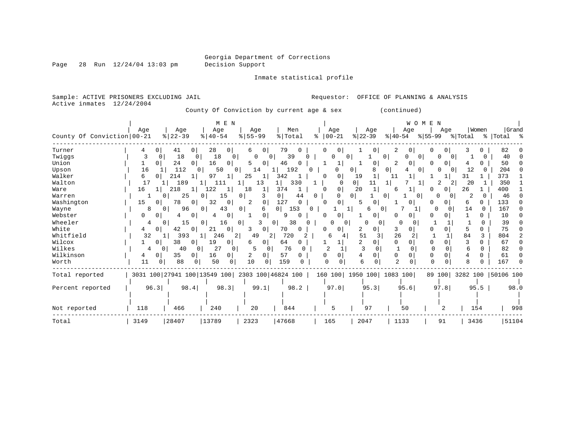Page 28 Run  $12/24/04$  13:03 pm

Inmate statistical profile

Sample: ACTIVE PRISONERS EXCLUDING JAIL Requestor: OFFICE OF PLANNING & ANALYSIS Active inmates 12/24/2004

County Of Conviction by current age & sex (continued)

|                            |         |                                                 | M E N                 |                  |                       |                      |                      | WOMEN                    |                      |                    |                    |
|----------------------------|---------|-------------------------------------------------|-----------------------|------------------|-----------------------|----------------------|----------------------|--------------------------|----------------------|--------------------|--------------------|
|                            | Age     | Age                                             | Age                   | Age              | Men                   | Age                  | Age                  | Age                      | Age                  | Women              | Grand              |
| County Of Conviction 00-21 |         | $8   22 - 39$                                   | $\frac{1}{6}$   40-54 | $8 55-99$        | % Total               | $ 00-21$<br>နွ       | $ 22-39 $            | $ 40-54$<br>$8155 - 99$  |                      | % Total            | %   Total %        |
| Turner                     |         | 41<br>01                                        | 28<br>$\overline{0}$  | 0<br>6           | 79                    | $\Omega$<br>U        |                      | 0                        | 0                    |                    | 82                 |
| Twiggs                     | 0       | 18<br>0                                         | 18<br>0               | $\Omega$<br>0    | 39                    | U<br>0               | 0                    | O.<br>$\Omega$           | O<br>$\left($        |                    | 40<br><sup>0</sup> |
| Union                      | 0       | 24<br>$\overline{0}$                            | 16<br>01              | $\Omega$<br>5    | 46<br>$\Omega$        |                      | 0                    | 2<br>0                   | 0                    |                    | 50                 |
| Upson                      | 16      | 112                                             | 50<br>$\Omega$        | 14               | 192                   | Ω                    | 0<br>0               | $\overline{0}$           | $\Omega$             | 12                 | 204<br>U           |
| Walker                     | 6       | 214                                             | 97<br>1               | 25               | 342                   | 0<br>O               | 19<br>1              | 11                       |                      | 31                 | 373                |
| Walton                     | 17      | 189                                             | 111                   | 13               | 330                   | n                    | 0 <sup>1</sup><br>11 |                          | 2<br>2               | 20                 | 350                |
| Ware                       | 16      | 218                                             | 122                   | 18               | 374                   | 0                    | 20<br>1              | 6                        | 0                    | 26                 | 400                |
| Warren                     |         | 25                                              | 15                    | 3<br>0           | $\overline{0}$<br>44  | 0                    | $\Omega$<br>0        | $\Omega$                 | 0<br>0               | 2                  | 46                 |
| Washington                 | 15<br>0 | 78<br>0                                         | 32<br>0               | $\mathbf 0$<br>2 | 127<br>$\Omega$       | 0<br>∩               | 5<br>O               |                          | 0                    | 6                  | 133                |
| Wayne                      | 8       | 96                                              | 43<br>0               | 0                | 153<br>0 <sup>1</sup> | 0                    | 6<br>0               |                          | 0<br>$\Omega$        | 14<br><sup>0</sup> | 167                |
| Webster                    | 0       | 0                                               | 0                     | 0                | n                     | 0<br>U               | 0                    | 0<br>O.                  | 0                    |                    | 10                 |
| Wheeler                    |         | 15<br>$\Omega$                                  | 16<br>$\Omega$        | $\mathbf{0}$     | 38<br>0               | O                    | O<br><sup>0</sup>    | <sup>0</sup><br>C        |                      |                    | 39                 |
| White                      | 4       | 42<br>$\overline{0}$                            | $\overline{0}$<br>21  | 01<br>3          | 70<br>$\Omega$        | $\Omega$<br>O        | 0<br>2               | 3<br>0                   | $\Omega$             |                    | 75                 |
| Whitfield                  | 32      | 393                                             | 246<br>2              | 49<br>2          | 720                   | 4                    | 51<br>3              | 26<br>2                  |                      | 84<br>3            | 804<br>2           |
| Wilcox                     | 01      | 38<br>0                                         | 19<br>01              | 0<br>6           | 64<br>0               |                      | 2<br>0               | 0<br>0                   | 0                    |                    | 67                 |
| Wilkes                     | 4       | 40<br>$\Omega$<br>0                             | 27<br>$\Omega$        | 5<br>$\Omega$    | 76                    | $\mathcal{D}$        | 3                    | $\Omega$                 | $\Omega$<br>$\Omega$ | 6                  | 82<br>0            |
| Wilkinson                  | 4<br>0  | 35<br>0                                         | 16<br>0               | 2<br>0           | 57                    | $\Omega$<br>$\Omega$ | 4<br>0               | <sup>0</sup><br>$\Omega$ | $\Omega$             |                    | 61<br>0            |
| Worth                      | 11<br>0 | 88                                              | 50<br>0               | 10<br>$\Omega$   | 159                   | $\cap$               | 6<br>$\Omega$        | $\overline{2}$           | <sup>0</sup>         |                    | 167                |
| Total reported             |         | 3031 100 27941 100 13549 100 2303 100 46824 100 |                       |                  |                       | 160 100              | 1950 100  1083 100   |                          | 89 100               |                    | 3282 100 50106 100 |
|                            |         |                                                 |                       |                  |                       |                      |                      |                          |                      |                    |                    |
| Percent reported           | 96.3    | 98.4                                            | 98.3                  | 99.1             | 98.2                  | 97.0                 | 95.3                 | 95.6                     | 97.8                 | 95.5               | 98.0               |
|                            |         |                                                 |                       |                  |                       |                      |                      |                          |                      |                    |                    |
| Not reported               | 118     | 466                                             | 240                   | 20               | 844                   | 5                    | 97                   | 50                       | 2                    | 154                | 998                |
| Total                      | 3149    | 28407                                           | 13789                 | 2323             | 47668                 | 165                  | 2047                 | 1133                     | 91                   | 3436               | 51104              |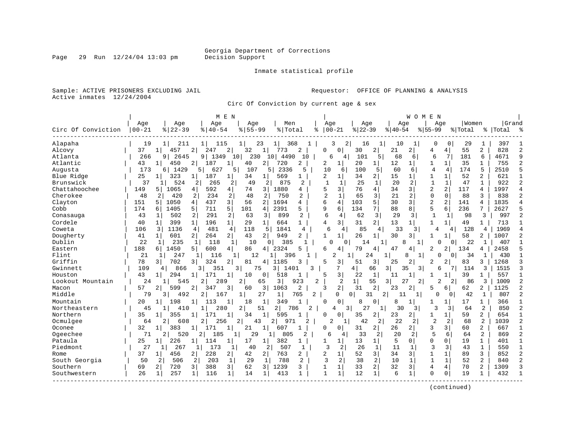Inmate statistical profile

Sample: ACTIVE PRISONERS EXCLUDING JAIL **Requestor:** OFFICE OF PLANNING & ANALYSIS Active inmates 12/24/2004

Circ Of Conviction by current age & sex

|                    |            |                       |                       | M E N          |                      |                |                |                |                   |                |                     |          | W O M          | E N            |                |         |                |           |               |
|--------------------|------------|-----------------------|-----------------------|----------------|----------------------|----------------|----------------|----------------|-------------------|----------------|---------------------|----------|----------------|----------------|----------------|---------|----------------|-----------|---------------|
|                    | Age        | Age                   | Age                   |                | Age                  | Men            |                | Age            |                   | Age            |                     | Age      |                | Aqe            |                | Women   |                | Grand     |               |
| Circ Of Conviction | $ 00 - 21$ | $8 22-39$             | $8   40 - 54$         |                | $8155 - 99$          | % Total        |                | ႜ              | $00 - 21$         | $ 22-39$       |                     | $ 40-54$ |                | $8155 - 99$    |                | % Total |                | %   Total |               |
| Alapaha            | 19         | 211<br>1              | 11<br>115             | $\mathbf{1}$   | 23                   |                | 368            |                | 3<br>2            | 16             | 1                   | 10       | 1              | 0              | $\Omega$       | 29      | 1              | 397       |               |
| Alcovy             | 37         | 457                   | 2<br>247              | 2              | 32<br>1              | 773            | 2              | 0              | 0                 | 30             | 2                   | 21       | 2              | 4              | 4              | 55      | 2              | 828       |               |
| Atlanta            | 266        | 2645<br>9             | 9<br>1349             | 10             | 230                  | 10<br>4490     | 10             | б              | 4                 | 101            | 5                   | 68       | 6              | 6              | 7              | 181     | 6              | 4671      | Q             |
| Atlantic           | 43         | 450<br>-14            | 187<br>2              | 1              | 40<br>2              | 720            | 2              | 2              | $\mathbf{1}$      | 20             | 11                  | 12       | $\mathbf{1}$   | 1              | $\mathbf{1}$   | 35      | 1              | 755       |               |
| Augusta            | 173        | 1429<br>6             | 627<br>5              | 5              | 107                  | 2336<br>5      | 5              | 10             | 6                 | 100            | 5                   | 60       | 6              | $\overline{4}$ | 4              | 174     | 5              | 2510      | 5             |
| Blue Ridge         | 25         | 323                   | 187<br>1              | 1              | 34<br>11             | 569            | 1              | 2              | 1                 | 34             | 2                   | 15       |                |                |                | 52      | 2              | 621       |               |
| Brunswick          | 37         | 524                   | 2<br>265              | 2              | 49<br>$\overline{2}$ | 875            | 2              | 1              | $\mathbf{1}$      | 25             | $\mathbf{1}$        | 20       | $\overline{2}$ | $\mathbf{1}$   | $\mathbf{1}$   | 47      | $\mathbf{1}$   | 922       |               |
| Chattahoochee      | 149        | 1065<br>5.            | 4<br>592              | 4              | 3<br>74              | 1880           | 4              | 5              | 3                 | 76             | $\overline{4}$      | 34       | 3              | $\overline{2}$ | 2              | 117     | 4              | 1997      |               |
| Cherokee           | 48         | 2<br>420              | 234<br>2              | 2 <sup>1</sup> | 48<br>2              | 750            | $\overline{a}$ | $\overline{a}$ | $\mathbf{1}$      | 65             | 3                   | 21       | 2              | $\Omega$       | $\Omega$       | 88      | 3              | 838       | $\mathcal{D}$ |
| Clayton            | 151        | 1050<br>5             | 4 <sup>1</sup><br>437 | $\overline{3}$ | 56<br>2              | 1694           | 4              | 6              | 4                 | 103            | 5                   | 30       | 3              | $\overline{2}$ | $\overline{a}$ | 141     | 4              | 1835      |               |
| Cobb               | 174        | 1405<br>6             | 711<br>5              | 5              | 101<br>4             | 2391           | 5.             | q              | б.                | 134            | 7                   | 88       | 8              | 5              | 6              | 236     | 7              | 2627      |               |
| Conasauga          | 43         | 502                   | 2<br>291              | 2              | 63<br>3              | 899            | $\overline{2}$ | 6              | 4                 | 62             | 3                   | 29       | 3              | $\mathbf{1}$   | $\mathbf{1}$   | 98      | 3              | 997       |               |
| Cordele            | 40         | 399<br>$\mathbf{1}$   | $\mathbf{1}$<br>196   | 1 <sup>1</sup> | 29<br>1 <sup>1</sup> | 664            | $\mathbf{1}$   | 4              | $\overline{3}$    | 31             | $\overline{2}$      | 13       | 1 <sup>1</sup> |                |                | 49      | $\mathbf 1$    | 713       |               |
| Coweta             | 106        | 1136<br>3             | 481<br>4              | $\overline{4}$ | 118<br>5             | 1841           | 4              | 6              | 4                 | 85             | 4                   | 33       | 3              | 4              | 4              | 128     | 4              | 1969      |               |
| Dougherty          | 41         | 601<br>1 <sup>1</sup> | 2 <sup>1</sup><br>264 | 2 <sup>1</sup> | 43<br>2 <sup>1</sup> | 949            | 2              | $\mathbf{1}$   | $\mathbf{1}$      | 26             | 1                   | 30       | 3              | 1              |                | 58      | 2              | 1007      |               |
| Dublin             | 22         | 235<br>1              | 118<br>1              | 1              | 10                   | 385<br>0       |                | C              | 0                 | 14             | -1                  |          | 1              |                | 0              | 22      | 1              | 407       |               |
| Eastern            | 188        | 1450<br>б.            | 600<br>5              | 4              | 86<br>4 <sup>1</sup> | 2324           | 5              | 6              | 4                 | 79             | 4                   | 47       | 4              | 2              | 2              | 134     | 4              | 2458      |               |
| Flint              | 21         | 247<br>-1             | 116<br>1              | 1              | 12                   | 396<br>1       |                |                | 2<br>$\mathbf{1}$ | 24             |                     | 8        | 1 <sup>1</sup> | 0              | $\Omega$       | 34      | 1              | 430       |               |
| Griffin            | 78         | 702<br>3              | 324<br>3              | 2              | 81<br>4              | 1185           |                | 5              | 3                 | 51             | 3                   | 25       | 2              | 2              | 2              | 83      | 3              | 1268      |               |
| Gwinnett           | 109        | 866<br>4              | 351<br>3              | 3 <sup>1</sup> | 75                   | 3 I<br>1401    |                |                |                   | 4              | 66<br>$\frac{3}{2}$ | 35       | $\overline{3}$ | 6              | 7              | 114     | 3              | 1515      |               |
| Houston            | 43         | 294<br>1              | 171                   | $\mathbf{1}$   | 10<br>0 <sup>1</sup> | 518            | 1              | 5              | 3                 | 22             | 1                   | 11       | 1              |                |                | 39      | 1              | 557       |               |
| Lookout Mountain   | 24         | 545<br>1              | $\overline{2}$<br>289 | 2              | 65                   | 3              | 923            | 2              | 2                 | $1\vert$       | 55<br>31            | 27       | $\overline{2}$ | 2              | 2              | 86      | 3              | 1009      |               |
| Macon              | 57         | 2<br>599              | 2<br>347              | 3              | 3<br>60              | 1063           | $\overline{a}$ | 3              | 2                 | 31             | $\overline{2}$      | 23       | 2              | 5              | 6              | 62      | 2              | 1125      |               |
| Middle             | 79         | 492<br>3              | $\overline{2}$<br>167 | 1              | 27                   | $1\vert$       | 765<br>2       |                | 0                 | $\Omega$<br>31 | 2                   | 11       |                | 0              | $\overline{0}$ | 42      | 1              | 807       |               |
| Mountain           | 20         | 198                   |                       | 1              | 18<br>1              | 349            |                | O              | 0                 | 8              | 0                   | 8        |                |                |                | 17      | 1              | 366       |               |
| Northeastern       | 45         | 410<br>1              | 280<br>1              | 2              | 51                   | $\overline{a}$ | 786<br>2       |                | 4<br>3            | 27             |                     | 30       | 3              | 3              | 3              | 64      | $\overline{2}$ | 850       |               |
| Northern           | 35         | 355<br>$\mathbf{1}$   | 171                   | 1              | 34<br>1              | 595            | -1             | O              | 0                 | 35             | 2                   | 23       | 2              |                | 1              | 59      | $\overline{a}$ | 654       | -1            |
| Ocmulgee           | 64         | 2<br>608              | 2<br>256              | 2              | 43                   | 2<br>971       | 2              | $\overline{2}$ |                   | 42             | 2                   | 22       | 2              | $\overline{c}$ | 2              | 68      | $\overline{2}$ | 1039      | 2             |
| Oconee             | 32         | 383<br>1 <sup>1</sup> | 171                   | 1              | 21<br>11             | 607            | 1              | U              | 0                 | 31             | 2                   | 26       | 21             | 3              | $\overline{3}$ | 60      | $\overline{2}$ | 667       |               |
| Ogeechee           | 71         | 2<br>520              | 185<br>2              | 1              | 29                   | 805            | 2              | 6              | 4                 | 33             | 2                   | 20       | $\overline{2}$ | 5              | 6              | 64      | $\overline{a}$ | 869       | 2             |
| Pataula            | 25         | 226                   | $\mathbf{1}$<br>114   | $1\vert$       | 17<br>$\mathbf{1}$   | 382            | 1              | 1              | $\mathbf{1}$      | 13             | $\mathbf{1}$        | 5        | 0              | $\Omega$       | 0              | 19      | $\mathbf{1}$   | 401       |               |
| Piedmont           | 27         | 267<br>11             | 173<br>11             | 1              | 40<br>2              | 507            | 1              | $\mathbf{3}$   | 2                 | 26             | $\mathbf{1}$        | 11       | 1              | $\mathbf{3}$   | 3              | 43      | $\mathbf{1}$   | 550       | $\mathbf{1}$  |
| Rome               | 37         | 456                   | 228<br>$\overline{2}$ | 2              | 42<br>2              | 763            | 2              | 2              | 1                 | 52             | 3                   | 34       | 3              |                |                | 89      | 3              | 852       |               |
| South Georgia      | 50         | 2<br>506              | 2<br>203              | $\mathbf{1}$   | 29<br>1              | 788            | 2              | $\mathbf{3}$   | 2                 | 38             | $\overline{a}$      | 10       | 1              | $\mathbf{1}$   | $\mathbf{1}$   | 52      | $\overline{a}$ | 840       |               |
| Southern           | 69         | 720<br>2              | $\overline{3}$<br>388 | $\overline{3}$ | 62<br>$\overline{3}$ | 1239           | 3              | $\mathbf{1}$   | 1                 | 33             | 2                   | 32       | 3              | $\overline{4}$ | $\overline{4}$ | 70      | $\overline{a}$ | 1309      |               |
| Southwestern       | 26         | 257                   | 116<br>$\mathbf{1}$   | $\mathbf{1}$   | 14<br>$\mathbf{1}$   | 413            |                | $\mathbf{1}$   | $\mathbf{1}$      | 12             | $\mathbf{1}$        | 6        | 1              | $\Omega$       | $\mathbf 0$    | 19      | $\mathbf{1}$   | 432       |               |
|                    |            |                       |                       |                |                      |                |                |                |                   |                |                     |          |                |                |                |         |                |           |               |

(continued)

Page 29 Run 12/24/04 13:03 pm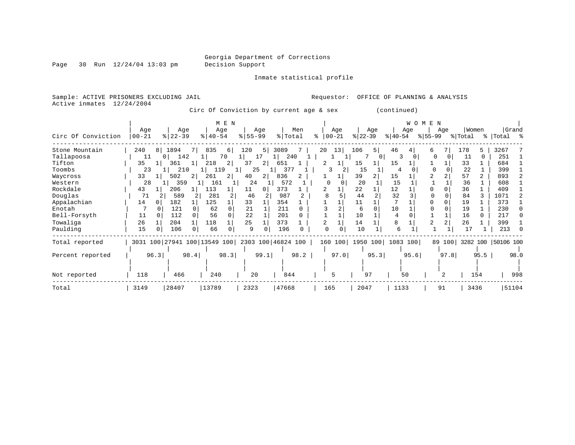Page 30 Run  $12/24/04$  13:03 pm

Inmate statistical profile

Sample: ACTIVE PRISONERS EXCLUDING JAIL Requestor: OFFICE OF PLANNING & ANALYSIS Active inmates 12/24/2004

Circ Of Conviction by current age & sex (continued)

|                    | Age       | Age                   | M E N<br>Age                 | Aqe         | Men                | Aqe           | Age                           | WOMEN<br>Age           | Women<br>Age               | Grand              |
|--------------------|-----------|-----------------------|------------------------------|-------------|--------------------|---------------|-------------------------------|------------------------|----------------------------|--------------------|
| Circ Of Conviction | $00 - 21$ | $ 22-39 $             | $ 40-54 $                    | $ 55 - 99 $ | % Total            | $8   00 - 21$ | $ 22 - 39 $                   | $ 40-54 $<br>$ 55-99 $ | % Total<br>- န ၂           | Total %            |
| Stone Mountain     | 240<br>8  | 1894<br>7 I           | 835<br>6                     | 120<br>5    | 3089               | 13<br>20      | 106<br>5                      | 46<br>6                | 178<br>5                   | 3267               |
| Tallapoosa         | 11        | 142<br>0 <sup>1</sup> | 70                           | 17          | 240                |               | 0                             | κ                      | $\Omega$<br>$\Omega$<br>11 | 251                |
| Tifton             | 35        | 361                   | 2<br>218                     | 37<br>2     | 651                | 2             | 15                            | 15                     | 33                         | 684                |
| Toombs             | 23        | 210                   | 119                          | 25          | 377                | 3             | 15                            | 4                      | 22                         | 399                |
| Waycross           | 33        | 502                   | 2<br>261                     | 40<br>2 I   | 836                |               | 39                            | 15                     | 57<br>$\overline{2}$       | 893                |
| Western            | 28        | 359                   | 161                          | 24          | 572                | 0             | 20                            | 15                     | 36                         | 608                |
| Rockdale           | 43        | 206                   | 113                          | 11          | 373                |               | 22                            | 12                     | 36                         | 409                |
| Douglas            | 71        | 589                   | 281<br>2                     | 46          | 987                | 8             | 44                            | 32                     | 84                         | 1071               |
| Appalachian        | 14        | 182                   | 125                          | 33          | 354                |               | 11                            |                        | 19                         | 373                |
| Enotah             |           | 121                   | 62<br>$\Omega$               | 21          | 211                |               | $\cap$<br>6                   | 10                     | 19                         | 230                |
| Bell-Forsyth       | 11        | 112                   | 56                           | 2.2         | 201                |               | 10                            | 4                      | 16<br>0                    | 217                |
| Towaliga           | 26        | 204                   | 118                          | 25          | 373                |               | 14                            | 8                      | 26                         | 399                |
| Paulding           | 15        | 106                   | 66<br>0                      | 9           | 196                |               | 10                            | 6                      | 17                         | 213                |
| Total reported     |           |                       | 3031 100 27941 100 13549 100 |             | 2303 100 46824 100 |               | 160 100   1950 100   1083 100 |                        | 89 100                     | 3282 100 50106 100 |
| Percent reported   | 96.3      | 98.4                  | 98.3                         | 99.1        | 98.2               | 97.0          | 95.3                          | 95.6                   | 97.8<br>95.5               | 98.0               |
|                    |           |                       |                              |             |                    |               |                               |                        |                            |                    |
| Not reported       | 118       | 466                   | 240                          | 20          | 844                | 5             | 97                            | 50                     | 154<br>2                   | 998                |
| Total              | 3149      | 28407                 | 13789                        | 2323        | 47668              | 165           | 2047                          | 1133                   | 91<br>3436                 | 51104              |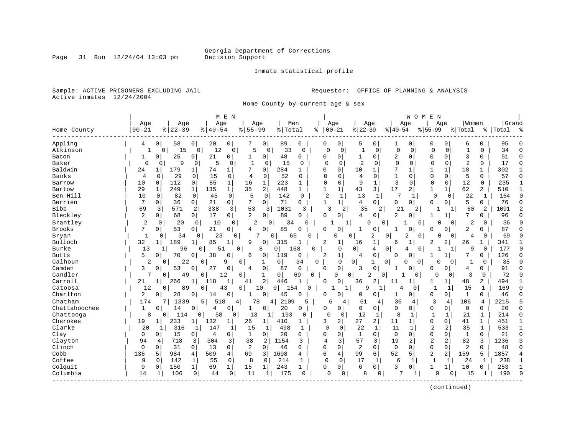Inmate statistical profile

Sample: ACTIVE PRISONERS EXCLUDING JAIL **Requestor:** OFFICE OF PLANNING & ANALYSIS Active inmates 12/24/2004

Home County by current age & sex

|               |              |                      |                | M E N                |                            |                     |                |               |                |                  |                |                |              | WOMEN                      |                |              |              |                |           |              |
|---------------|--------------|----------------------|----------------|----------------------|----------------------------|---------------------|----------------|---------------|----------------|------------------|----------------|----------------|--------------|----------------------------|----------------|--------------|--------------|----------------|-----------|--------------|
|               | Age          |                      | Age            | Age                  |                            | Age                 |                | Men           |                | Age              | Age            |                |              | Age                        | Age            |              | Women        |                | Grand     |              |
| Home County   | $00 - 21$    | $8$   22-39          |                | $8   40 - 54$        | $8155 - 99$                |                     | % Total        | ႜ             |                | $00 - 21$        | $ 22-39$       |                | $ 40-54$     |                            | $8155 - 99$    |              | % Total      |                | %   Total | ہ<br>ج       |
| Appling       | 4            | 58<br>0              | 0              | 20<br>0              |                            | 0                   | 89             | 0             | 0              | 0                | 5              | 0              | 1            | 0                          | 0              | 0            | 6            | 0              | 95        |              |
| Atkinson      |              | 15<br>0 <sup>1</sup> | 0              | 12                   | 5<br>0                     | 0                   | 33             | $\Omega$      | $\mathbf 0$    | 0                | $\mathbf{1}$   | $\mathbf 0$    | $\mathbf 0$  | $\mathbf 0$                | $\Omega$       | $\mathbf 0$  |              | $\Omega$       | 34        |              |
| Bacon         | 1            | 25<br>0              | 0              | 21<br>0              | 1                          | 0                   | 48             | 0             | $\Omega$       | 0                | $\mathbf{1}$   | 0              | 2            | $\Omega$                   | $\Omega$       | $\Omega$     | 3            | U              | 51        | $\cap$       |
| Baker         | 0            | 9<br>0               | 0              | 5<br>0               | $\mathbf 1$                | 0                   | 15             | 0             | O              | $\Omega$         | $\overline{2}$ | $\Omega$       | $\Omega$     | 0                          | $\Omega$       | 0            | 2            | 0              | 17        | $\Omega$     |
| Baldwin       | 24           | 179                  | 1              | 74<br>1              |                            | $\mathbf 0$         | 284            |               | $\cap$         | 0                | 10             | 1              | 7            | 1                          | $\mathbf{1}$   | $\mathbf{1}$ | 18           | 1              | 302       | -1           |
| Banks         | 4            | 29<br>$\Omega$       | 0              | 15<br>$\Omega$       | 4                          | $\Omega$            | 52             | 0             | $\cap$         | $\Omega$         | $\overline{4}$ | $\Omega$       | $\mathbf{1}$ | $\Omega$                   | $\Omega$       | $\Omega$     | 5            | 0              | 57        | ∩            |
| Barrow        | 10           | 112<br>0             | 0              | 85<br>$\mathbf{1}$   | 16                         | $\mathbf 1$         | 223            | $\mathbf{1}$  | 0              | $\Omega$         | 9              | $\mathbf{1}$   | 3            | $\Omega$                   | $\mathbf 0$    | $\mathbf 0$  | 12           | $\mathbf 0$    | 235       |              |
| Bartow        | 29           | $\mathbf{1}$<br>249  | $\mathbf{1}$   | 135<br>$\mathbf{1}$  | 35                         | 2                   | 448            | $\mathbf{1}$  | $\mathbf{1}$   | 1                | 43             | 3              | 17           | 2                          | $\mathbf{1}$   | $\mathbf{1}$ | 62           | $\overline{2}$ | 510       |              |
| Ben Hill      | 10           | 82<br>0              | 0              | 45<br>0              | 5                          | $\mathbf 0$         | 142            | 0             | $\overline{2}$ | 1                | 13             | $\mathbf{1}$   | 7            | 1                          | $\mathbf 0$    | $\mathbf 0$  | 22           | 1              | 164       | $\cap$       |
| Berrien       | 7            | 36<br>0              | $\mathbf{0}$   | 21<br>0 <sup>1</sup> | 7                          | 0                   | 71             | 0             | 1              | 1                | 4              | 0              | 0            | 0                          | $\Omega$       | 0            | 5            | 0              | 76        |              |
| <b>Bibb</b>   | 69           | 571<br>3             | 2              | 338<br>3             | 53                         | 3                   | 1031           | 3             | 3              | 2                | 35             | 2              | 21           | 2                          | -1             |              | 60           | 2              | 1091      |              |
| Bleckley      | 2            | 68<br>0              | 0              | 17<br>0 <sup>1</sup> | $\overline{a}$             | 0                   | 89             | 0             | 0              | 0                | 4              | 0              | 2            | $\Omega$                   | 1              | 1            | 7            | 0              | 96        |              |
| Brantley      | 2            | $\Omega$<br>20       | $\mathbf 0$    | 10                   | $\Omega$<br>$\overline{c}$ | 0                   | 34             | U             |                | $\mathbf{1}$     | O              | 0              |              | $\Omega$                   | O              | $\Omega$     | 2            | 0              | 36        |              |
| <b>Brooks</b> | 7            | 53<br>0 <sub>1</sub> | $\mathbf{0}$   | 21<br>0              | 4                          | $\mathbf 0$         | 85             | 0             | $\Omega$       | 0                | $\mathbf{1}$   | 0              | 1            | $\Omega$                   | 0              | 0            | 2            | 0              | 87        |              |
| Bryan         | 1            | 34<br>0              | $\mathbf{0}$   | 23                   | 0                          | $\overline{7}$<br>0 | 65             | U             |                | <sup>0</sup>     | 0              | $\overline{2}$ | 0            | $\overline{2}$<br>$\Omega$ | O              | $\Omega$     | 4            | $\Omega$       | 69        | C            |
| Bulloch       | 32           | 189<br>1             | 1              | 85<br>1              | 9                          | $\mathbf 0$         | 315            |               | $\overline{c}$ | 1                | 16             | 1              | 6            | 1                          | $\overline{2}$ | 2            | 26           |                | 341       |              |
| Burke         | 13           | 1                    | 96<br>$\Omega$ | 51                   | 0                          | 8                   | $\overline{0}$ | .68<br>U      |                | $\Omega$         | $\Omega$       | 4              | 0            | $\Omega$<br>4              |                |              | 9            | $\Omega$       | 177       | $\sqrt{ }$   |
| <b>Butts</b>  | 5.           | 70<br>$\circ$        | 0              | 38<br>$\Omega$       | 6                          | 0                   | 119            | $\Omega$      | $\overline{c}$ | $\mathbf{1}$     | 4              | 0              | 0            | $\mathbf 0$                | 1              |              | 7            | 0              | 126       |              |
| Calhoun       | 2            | $\Omega$             | 22<br>0        | 9                    | $\mathbf 0$                | 1                   | 0 <sup>1</sup> | 0<br>34       |                | $\mathbf 0$      | $\overline{0}$ | 1              | 0            | O<br>0                     | $\Omega$       | 0            |              | 0              | 35        |              |
| Camden        | 3            | 53<br>0 <sup>1</sup> | $\Omega$       | $\mathbf 0$<br>27    | 4                          | $\mathbf 0$         | 87             | $\mathbf 0$   | $\Omega$       | $\mathbf 0$      | 3              | 0              | 1            | $\Omega$                   | O              | 0            | 4            | 0              | 91        | $\cap$       |
| Candler       | 7            | $\Omega$             | 49<br>0        | 12                   | $\mathbf 0$                | 1                   | $\overline{0}$ | 69<br>0       |                | $\mathbf 0$<br>0 |                | 2<br>0         |              | 0 <sup>1</sup>             | O              | 0            | 3            | $\Omega$       | 72        | $\Omega$     |
| Carroll       | 21           | 266<br>$1\vert$      | $\mathbf{1}$   | 118<br>1             | 41                         | 2                   | 446            | $\mathbf{1}$  | $\Omega$       | 0                | 36             | $\overline{2}$ | 11           |                            | 1              | $\mathbf{1}$ | 48           | 2              | 494       |              |
| Catoosa       | 12           | $\Omega$             | 89<br>$\Omega$ | 43                   | $\Omega$                   | 10                  | $\Omega$<br>15 | $\Omega$<br>4 |                | 1                | 9              | 1              |              | 0                          | $\mathbf{1}$   | 1            | 15           | $\mathbf{1}$   | 169       | $\cap$       |
| Charlton      | 2            | 28<br>0              | 0              | 0<br>14              |                            | 0                   | 45             | 0             | 0              | 0                | 0              | 0              | 1            | 0                          | $\mathbf 0$    | 0            | $\mathbf{1}$ | 0              | 46        |              |
| Chatham       | 174          | 1339                 | 5 <sup>1</sup> | 518                  | 78<br>4                    | 4                   | 2109           | 5             | 6              | 4                | 61             | 4              | 36           | 4                          | 3              | 4            | 106          | 4              | 2215      |              |
| Chattahoochee | $\mathbf{1}$ | 14<br>0              | 0              | 0<br>4               | 1                          | $\mathbf 0$         | 20             | 0             | 0              | 0                | 0              | $\mathbf 0$    | 0            | $\Omega$                   | 0              | 0            | $\mathbf 0$  | $\Omega$       | 20        | $\cap$       |
| Chattooga     | 8            | 114<br>0             | 0              | 58                   | 13<br>0                    |                     | 193            | 0             | $\Omega$       | 0                | 12             | $\mathbf{1}$   | 8            | 1                          | 1              | $\mathbf{1}$ | 21           | $\mathbf{1}$   | 214       | $\Omega$     |
| Cherokee      | 19           | 233<br>1             | $\mathbf{1}$   | 132<br>1             | 26                         | $1\vert$            | 410            |               | 3              | $\overline{2}$   | 27             | 2              | 11           | 1                          | $\Omega$       | $\Omega$     | 41           | 1              | 451       |              |
| Clarke        | 20           | 316                  | 1              | 147<br>1             | 15                         | 1                   | 498            | -1            | $\Omega$       | $\Omega$         | 22             | $\mathbf{1}$   | 11           | 1                          | $\overline{2}$ | 2            | 35           | $\mathbf{1}$   | 533       | $\mathbf{1}$ |
| Clay          | $\Omega$     | 15<br>$\mathbf 0$    | $\mathbf{0}$   | 4<br>$\overline{0}$  | $\mathbf{1}$               | 0                   | 20             | 0             | $\Omega$       | $\Omega$         | $\mathbf{1}$   | $\Omega$       | $\mathbf 0$  | $\Omega$                   | $\mathbf 0$    | $\Omega$     | $\mathbf{1}$ | $\Omega$       | 21        | $\cap$       |
| Clayton       | 94           | 718<br>4             | 3              | 3<br>304             | 38                         | 2                   | 1154           | 3             | 4              | 3                | 57             | 3              | 19           | 2                          | $\overline{2}$ | 2            | 82           | 3              | 1236      | 3            |
| Clinch        | $\Omega$     | 31<br>$\Omega$       | $\Omega$       | 13<br>$\Omega$       | 2                          | $\mathbf 0$         | 46             | $\Omega$      | $\Omega$       | 0                | 2              | $\Omega$       | $\Omega$     | $\Omega$                   | $\Omega$       | $\Omega$     | 2            | $\Omega$       | 48        | $\cap$       |
| Cobb          | 136          | 5<br>984             | 4              | 509<br>4             | 69                         | 3                   | 1698           | 4             | 6              | 4                | 99             | 6              | 52           | 5                          | $\overline{2}$ | 2            | 159          | 5              | 1857      |              |
| Coffee        | 9            | 142<br>$\Omega$      | $\mathbf{1}$   | 55<br>$\Omega$       | 8                          | $\Omega$            | 214            | 1             | $\Omega$       | $\Omega$         | 17             | $\mathbf{1}$   | 6            | 1                          | $\mathbf{1}$   | 1            | 24           | $\mathbf{1}$   | 238       | -1           |
| Colquit       | 9            | 150<br>$\mathbf 0$   | 1              | 69<br>$\mathbf{1}$   | 15                         | $\mathbf{1}$        | 243            | 1             | 0              | 0                | 6              | 0              | 3            | 0                          | 1              | 1            | 10           | 0              | 253       |              |
| Columbia      | 14           | 106<br>1             | $\overline{0}$ | 44<br>0              | 11                         | 1                   | 175            | $\Omega$      | $\Omega$       | 0                | 8              | 0              | 7            | 1                          | 0              | 0            | 15           | 1              | 190       | $\Omega$     |
|               |              |                      |                |                      |                            |                     |                |               |                |                  |                |                |              |                            |                |              |              |                |           |              |

(continued)

Page 31 Run  $12/24/04$  13:03 pm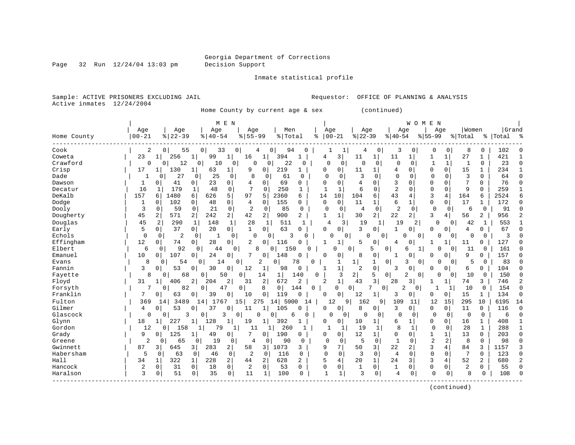Page 32 Run  $12/24/04$  13:03 pm

Inmate statistical profile

Sample: ACTIVE PRISONERS EXCLUDING JAIL Requestor: OFFICE OF PLANNING & ANALYSIS Active inmates 12/24/2004

Home County by current age & sex (continued)

|             |                |                      |                       | M E N                          |                     |                       |              |                |                |                |                    |                            | W O M          | E N            |             |                 |                |           |               |
|-------------|----------------|----------------------|-----------------------|--------------------------------|---------------------|-----------------------|--------------|----------------|----------------|----------------|--------------------|----------------------------|----------------|----------------|-------------|-----------------|----------------|-----------|---------------|
|             | Age            | Age                  | Age                   | Age                            |                     | Men                   |              | Age            |                | Age            |                    | Age                        |                | Age            |             | Women           |                | Grand     |               |
| Home County | $00 - 21$      | $8122 - 39$          | $8   40 - 54$         | $8155 - 99$                    |                     | % Total               | ిక           | $ 00-21$       |                | $ 22-39$       |                    | $ 40-54$                   | $8 55-99$      |                |             | % Total         |                | %   Total |               |
| Cook        | 2              | 55<br>0 <sup>1</sup> | 33<br>0               | 0                              | 0<br>4              | 94                    | 0            |                | 1              | 4              | 0                  | 3                          | 0              | 0              | 0           | 8               | 0              | 102       |               |
| Coweta      | 23             | 256                  | $\mathbf{1}$<br>99    | 1<br>16                        | 1                   | 394<br>1              |              | 4              | 3              | 11             | 1<br>11            | 1 <sup>1</sup>             |                | 1              | 1           | 27              | 1              | 421       |               |
| Crawford    | 0              | 12<br>0              | 0<br>10               | 0                              | $\Omega$<br>0       | 22                    | $\Omega$     | 0              | 0              | $\Omega$       | 0                  | $\Omega$<br>$\Omega$       |                | $\mathbf{1}$   | 1           | $\mathbf{1}$    | $\Omega$       | 23        | $\cap$        |
| Crisp       | 17             | 130                  | 63                    | $\mathbf{1}$<br>9              | $\mathbf 0$         | 219<br>1              |              | 0              | 0              | 11             | 1                  | 4<br>0                     |                | 0              | $\Omega$    | 15              | 1              | 234       |               |
| Dade        |                | 27<br>O              | 25<br>0               | 8<br>0                         | 0                   | 61<br>$\Omega$        |              | $\Omega$       | $\Omega$       | 3              | $\Omega$           | $\mathbf 0$<br>0           |                | $\Omega$       | $\Omega$    | 3               | $\Omega$       | 64        | $\sqrt{ }$    |
| Dawson      | 1              | $\Omega$<br>41       | 23<br>0               | 0<br>4                         | $\mathbf 0$         | 69<br>0               |              | $\cap$         | 0              | $\overline{4}$ | $\Omega$           | 3<br>O                     |                | $\Omega$       | $\Omega$    | 7               | 0              | 76        | $\cap$        |
| Decatur     | 16             | 179<br>1             | 48<br>1               | 7<br>$\mathbf 0$               | $\Omega$            | 250<br>1              |              |                | 1              | 6              | $\Omega$           | $\overline{a}$<br>$\Omega$ |                | $\mathbf 0$    | $\Omega$    | 9               | $\Omega$       | 259       |               |
| DeKalb      | 157            | 1480<br>6            | 626<br>6              | 5<br>97                        | 5                   | 2360<br>6             |              | 14             | 10             | 104            | 6                  | 43<br>4                    |                | 3              | 4           | 164             | 6              | 2524      |               |
| Dodge       | 1              | 102<br>$\Omega$      | 48<br>0               | 0<br>4                         | $\Omega$            | 155<br>$\Omega$       |              | $\mathbf 0$    | $\Omega$       | 11             | 1                  | 6<br>$\mathbf{1}$          |                | $\Omega$       | $\Omega$    | 17              | $\mathbf 1$    | 172       | C             |
| Dooly       | 3              | 59<br>0              | 21<br>$\mathbf 0$     | $\mathbf 0$<br>2               | $\mathbf 0$         | 85<br>0               |              | 0              | $\overline{0}$ | 4              | $\mathbf 0$        | 2<br>$\Omega$              |                | $\mathbf 0$    | $\Omega$    | 6               | $\mathbf 0$    | 91        |               |
| Dougherty   | 45             | 2<br>571             | $\overline{a}$<br>242 | 2 <br>42                       | 2                   | 900<br>2              |              | 1              | $\mathbf{1}$   | 30             | $\overline{2}$     | 22<br>$\overline{2}$       |                | 3              | 4           | 56              | 2              | 956       |               |
| Douglas     | 45             | 2<br>290             | 1<br>148              | $\mathbf 1$<br>28              | 1                   | 511                   |              | 4              | 3              | 19             | 1                  | 19                         | 2              | 0              | $\Omega$    | 42              | 1              | 553       |               |
| Early       | 5              | 0 <sub>1</sub><br>37 | $\overline{0}$<br>20  | $\mathbf{0}$<br>$\mathbf{1}$   | $\Omega$            | 63<br>0               |              | $\Omega$       | $\mathbf 0$    | 3              | 0                  | 1<br>0                     |                | $\Omega$       | 0           | 4               | 0              | 67        | C             |
| Echols      | $\mathbf 0$    | $\overline{2}$<br>0  | $\mathbf 0$<br>-1     | 0                              | $\Omega$<br>0       | 3                     | U            | U              | 0              | $\Omega$       | $\mathbf{0}$       | $\Omega$                   | 0              | O              | 0           | $\Omega$        | 0              | 3         |               |
| Effingham   | 12             | 74<br>0              | 28<br>0               | 2<br>0                         | 0                   | 116                   |              |                | 1              | 5              | 0                  | 4<br>$\Omega$              |                |                |             | 11              | 0              | 127       | U             |
| Elbert      | 6              | 92<br>$\Omega$       | $\Omega$<br>44        | $\Omega$                       | 8<br>$\Omega$       | 150                   | U            | U              | 0              | 5              | 0                  | б                          |                | U              | $\Omega$    | 11              | 0              | 161       |               |
| Emanuel     | 10             | 107<br>0             | 24<br>0               | 7<br>0                         | 0                   | 148                   |              | O              | 0              | 8              | 0                  | 1<br>$\Omega$              |                | 0              | $\Omega$    | 9               | 0              | 157       |               |
| Evans       | 8              | 0<br>54              | 0<br>14               | 0                              | 2<br>0 <sup>1</sup> | 78                    | U            |                | 1              | 1              | 0<br>1             | 3                          | 0              | $\Omega$       | 0           | 5               | 0              | 83        |               |
| Fannin      | 3              | 53<br>0              | 30<br>$\Omega$        | 0<br>12                        | 1                   | 98<br>0               |              |                | 1              | 2              | $\mathbf 0$        | 3<br>0                     |                | 0              | $\mathbf 0$ | 6               | 0              | 104       |               |
| Fayette     | 8              | 68<br>$\Omega$       | 50<br>0               | $\mathbf{0}$                   | 14                  | $\mathbf 1$<br>140    | 0            |                | 3              | 2              | 5<br>0             | 2                          | 0              | 0              | $\Omega$    | 10              | 0              | 150       |               |
| Floyd       | 31             | 406<br>1             | 2<br>204              | 2<br>31                        | 2                   | 672<br>2              |              | $\overline{2}$ | $\mathbf{1}$   | 43             | 3<br>28            | $\overline{3}$             |                | -1             | 1           | 74              | 3              | 746       | $\mathcal{D}$ |
| Forsyth     | 7              | 82<br>0              | 0<br>47               | 0                              | 8                   | $\overline{0}$<br>144 | 0            |                | $\Omega$<br>0  | 7              | 0                  | $\overline{2}$             | $\overline{0}$ |                | 1           | 10              | $\mathbf 0$    | 154       | $\cap$        |
| Franklin    | 7              | 63<br>$\Omega$       | 39<br>$\Omega$        | 0<br>10                        | 0                   | 119<br>0              |              | $\Omega$       | 0              | 12             | 1                  | 3<br>0                     |                | $\Omega$       | 0           | 15              | 1              | 134       | $\Omega$      |
| Fulton      | 369            | 3489<br>14           | 17<br>$4 \,$<br>67    | .5                             | 275                 | 14 5900               | 14           | 12             | 9 <sup>1</sup> | 162            | 9                  | 109                        | 11             | 12             | 15          | 295             | 10             | 6195      | 14            |
| Gilmer      | 4              | 53<br>$\Omega$       | 37                    | 0<br>11                        | $\mathbf{1}$        | 105                   |              | 0              | 0              | 8              | 0                  | 3<br>0                     |                | $\Omega$       | $\Omega$    | 11              | 0              | 116       | $\cap$        |
| Glascock    | 0              | $\Omega$<br>3        | 0                     | 3<br>0                         | U<br>0              | 6                     | $\cap$       | O              | 0              | $\Omega$       | $\Omega$           | $\Omega$                   | 0              | $\mathbf 0$    | $\Omega$    | 0               | $\mathbf{0}$   | 6         |               |
| Glynn       | 18             | 227<br>1             | 128                   | 1<br>19                        |                     | 392                   |              | 0              | 0              | 10             | 1                  | 6<br>$\mathbf{1}$          |                | 0              | 0           | 16              | 1              | 408       |               |
| Gordon      | 12             | 158<br>$\Omega$      | 1<br>79               | 11<br>1                        | 1                   | 260                   | $\mathbf{1}$ |                | 1              | 19             | 1                  | 8<br>1                     |                | $\mathbf 0$    | 0           | 28              | $\mathbf{1}$   | 288       |               |
| Grady       | 9              | 125<br>$\Omega$      | 49<br>1               | 0<br>7                         | $\Omega$            | 190<br>0              |              | 0              | 0              | 12             | 1                  | $\Omega$<br>$\Omega$       |                | $\mathbf 1$    | 1           | 13              | $\Omega$       | 203       | $\cap$        |
| Greene      | $\overline{2}$ | 0<br>65              | 0<br>19               | 0<br>4                         | 0                   | 90                    | 0            | $\Omega$       | $\mathbf 0$    | 5              | $\mathbf 0$        | $\mathbf{1}$<br>0          |                | $\overline{2}$ | 2           | 8               | $\Omega$       | 98        | $\cap$        |
| Gwinnett    | 87             | 645<br>3             | 283<br>3              | 2<br>58                        | 3                   | 1073<br>3             |              | 9              | 7              | 50             | 22<br>3            | 2                          |                | 3              | 4           | 84              | 3              | 1157      |               |
| Habersham   | 5              | $\Omega$<br>63       | 46<br>0               | 0<br>2                         | $\Omega$            | 116<br>0              |              | $\Omega$       | $\Omega$       | 3              | $\Omega$           | 4<br>$\Omega$              |                | $\Omega$       | $\Omega$    | $7\phantom{.0}$ | $\Omega$       | 123       | $\cap$        |
| Hall        | 34             | 322<br>1             | 228<br>$\mathbf{1}$   | $\overline{a}$<br>44           | 2                   | 628<br>2              |              | 5              | 4              | 20             | 24<br>$\mathbf{1}$ | 3                          |                | 3              | 4           | 52              | $\overline{a}$ | 680       |               |
| Hancock     | 2              | $\mathbf 0$<br>31    | $\mathbf 0$<br>18     | $\mathbf{0}$<br>$\overline{2}$ | $\mathbf 0$         | 53<br>0               |              | 0              | 0              |                | 0                  | 1<br>0                     |                | $\mathbf 0$    | $\Omega$    | 2               | 0              | 55        | $\cap$        |
| Haralson    | 3              | 51<br>0              | 35<br>0               | $\mathbf{0}$<br>11             | $\mathbf{1}$        | 100<br>0              |              |                | $\mathbf{1}$   | 3              | 0                  | 4<br>0                     |                | $\Omega$       | 0           | $\mathsf{R}$    | $\Omega$       | 108       |               |
|             |                |                      |                       |                                |                     |                       |              |                |                |                |                    |                            |                |                |             |                 |                |           |               |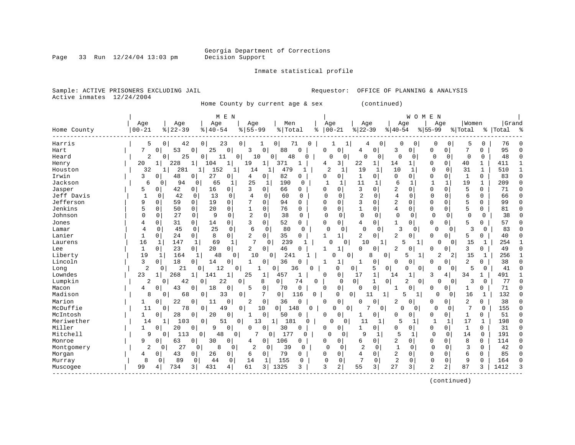Page 33 Run  $12/24/04$  13:03 pm

#### Inmate statistical profile

Sample: ACTIVE PRISONERS EXCLUDING JAIL **Requestor:** OFFICE OF PLANNING & ANALYSIS Active inmates 12/24/2004

Home County by current age & sex (continued)

| Grand<br>Age<br>Age<br>Men<br>Age<br>Women<br>Age<br>Age<br>Age<br>Age<br>Age<br>$00 - 21$<br>$ 22-39$<br>$8122 - 39$<br>$8155 - 99$<br>%   Total<br>$00 - 21$<br>$8   40 - 54$<br>$8 40-54$<br>$8155 - 99$<br>% Total<br>Home County<br>៖<br>%   Total<br>76<br>Harris<br>5<br>0<br>42<br>0 <sup>1</sup><br>23<br>$\overline{0}$<br>0<br>0<br>0<br>5<br>0<br>71<br>1<br>0<br>0<br>0<br>53<br>95<br>7<br>$\mathbf 0$<br>25<br>0<br>$\mathbf 0$<br>88<br>0<br>0<br>7<br>Hart<br>0<br>3<br>0<br>$\Omega$<br>3<br>$\overline{0}$<br>0<br>0<br>0<br>4<br>48<br>0<br>0<br>0<br>$\mathbf 0$<br>Heard<br>2<br>25<br>0<br>0<br>10<br>$\Omega$<br>48<br>$\Omega$<br>0<br>$\Omega$<br>0<br>0<br>$\Omega$<br>0<br>11<br>0<br>3 <br>$\mathbf{1}$<br>228<br>19<br>371<br>22<br>1 <br>14<br>$\Omega$<br>40<br>411<br>Henry<br>20<br>$\mathbf 1$<br>104<br>1<br>1<br>4<br>$1\vert$<br>0<br>1<br>281<br>$\overline{c}$<br>10<br>31<br>510<br>32<br>152<br>479<br>19<br>1<br>0<br>1<br>Houston<br>14<br>1<br>1<br>$\Omega$<br>1<br>1<br>-1<br>1<br>Irwin<br>48<br>27<br>82<br>83<br>3<br>0<br>4<br>0<br>$\Omega$<br>0<br>1<br>0<br>0<br>O<br>0<br>0<br>0<br>0<br>0<br>0<br>$\mathbf{1}$<br>6<br>19<br>Jackson<br>6<br>94<br>25<br>190<br>11<br>209<br>0<br>65<br>1<br>-1<br>$\Omega$<br>1<br>-1<br>1<br>1<br>0<br>3<br>$\overline{2}$<br>5<br>$\Omega$<br>$\Omega$<br>71<br>Jasper<br>5<br>42<br>16<br>0<br>3<br>$\Omega$<br>66<br>$\Omega$<br>0<br>$\Omega$<br>U<br>$\Omega$<br>0<br>0<br>0<br>$\overline{2}$<br>Jeff Davis<br>13<br>60<br>4<br>$\Omega$<br>б<br>66<br>1<br>42<br>$\Omega$<br>$\Omega$<br>4<br>0<br>$\Omega$<br>$\Omega$<br>$\Omega$<br>$\Omega$<br>0<br>O<br>0<br>0<br>3<br>$\overline{2}$<br>Jefferson<br>19<br>0<br>5<br>9<br>$\mathbf 0$<br>59<br>$\Omega$<br>0<br>7<br>0<br>94<br>$\Omega$<br>$\mathbf 0$<br>$\Omega$<br>0<br>0<br>99<br>0<br>$\Omega$<br>Jenkins<br>5<br>76<br>$\mathbf{1}$<br>5<br>0<br>50<br>20<br>0<br>0<br>0<br>0<br>4<br>$\mathbf 0$<br>$\Omega$<br>0<br>0<br>81<br>0<br>0<br>$\Omega$<br>2<br>27<br>9<br>38<br>$\mathbf 0$<br>$\mathbf 0$<br>38<br>Johnson<br>$\Omega$<br>$\mathbf 0$<br>$\Omega$<br>$\mathbf 0$<br>$\Omega$<br>$\Omega$<br>$\mathbf 0$<br>$\Omega$<br>0<br>0<br>$\Omega$<br>$\cap$<br>$\Omega$<br>0<br>52<br>31<br>0<br>0<br>5<br>57<br>0<br>0<br>14<br>3<br>0<br>$\Omega$<br>0<br>0<br>1<br>0<br>0<br>0<br>0<br>Jones<br>4<br>25<br>$\mathbf 0$<br>6<br>$\mathbf 0$<br>80<br>$\Omega$<br>$\Omega$<br>3<br>ς<br>83<br>4<br>0<br>45<br>0<br>0<br>0<br>0<br>$\mathbf{0}$<br>0<br>0<br>Lamar<br>0<br>8<br>2<br>2<br>Lanier<br>0<br>2<br>0<br>35<br>5<br>0<br>24<br>$\circ$<br>0<br>0<br>0<br>O<br>0<br>0<br>40<br>1<br>7<br>239<br>16<br>147<br>69<br>10<br>254<br>Laurens<br>1<br>1<br>1<br>$\Omega$<br>1<br>$\cap$<br>0<br>-1<br>5<br>$\Omega$<br>15<br>1<br>23<br>20<br>46<br>2<br>3<br>1<br>0<br>$\overline{0}$<br>2<br>0 <sup>1</sup><br>$\Omega$<br>0<br>49<br>Lee<br>$\Omega$<br>O<br>1<br>O<br>U<br>0<br>$\Omega$<br>10<br>241<br>256<br>Liberty<br>19<br>164<br>48<br>$\Omega$<br>0<br>8<br>2<br>$\overline{a}$<br>15<br>$\mathbf{1}$<br>$\mathbf{1}$<br>$\Omega$<br>$\Omega$<br>0<br>5<br>1<br>-1<br>2<br>Lincoln<br>3<br>18<br>36<br>38<br>0<br>14<br>0<br>$\mathbf 1$<br>0<br>0<br>$\Omega$<br>0<br>0<br>1<br>1<br>0<br>0<br>0<br>0<br>$\overline{2}$<br>21<br>12<br>5<br>41<br>1<br>36<br>0<br>0<br>0<br>$\Omega$<br>0<br>5<br>Long<br>0<br>0<br><sup>0</sup><br>0<br>0<br>0<br>U<br>U<br>Lowndes<br>23<br>268<br>25<br>0<br>17<br>1<br>491<br>141<br>1<br>$\mathbf{1}$<br>457<br>3<br>34<br>1<br>$\mathbf{1}$<br>∩<br>14<br>1<br>1<br>4<br>Lumpkin<br>$\overline{0}$<br>22<br>$\overline{2}$<br>3<br>77<br>2<br>42<br>8<br>0<br>74<br>0<br>1<br>0<br>0<br>0<br>0<br>0<br>0<br>0<br>0<br>0 | ಿ<br>1<br>$\mathbf{1}$<br>$\Omega$ |
|---------------------------------------------------------------------------------------------------------------------------------------------------------------------------------------------------------------------------------------------------------------------------------------------------------------------------------------------------------------------------------------------------------------------------------------------------------------------------------------------------------------------------------------------------------------------------------------------------------------------------------------------------------------------------------------------------------------------------------------------------------------------------------------------------------------------------------------------------------------------------------------------------------------------------------------------------------------------------------------------------------------------------------------------------------------------------------------------------------------------------------------------------------------------------------------------------------------------------------------------------------------------------------------------------------------------------------------------------------------------------------------------------------------------------------------------------------------------------------------------------------------------------------------------------------------------------------------------------------------------------------------------------------------------------------------------------------------------------------------------------------------------------------------------------------------------------------------------------------------------------------------------------------------------------------------------------------------------------------------------------------------------------------------------------------------------------------------------------------------------------------------------------------------------------------------------------------------------------------------------------------------------------------------------------------------------------------------------------------------------------------------------------------------------------------------------------------------------------------------------------------------------------------------------------------------------------------------------------------------------------------------------------------------------------------------------------------------------------------------------------------------------------------------------------------------------------------------------------------------------------------------------------------------------------------------------------------------------------------------------------------------------------------------------------------------------------------------------------------------------------------------------------------------------------------------------------------------------------------------------------------------------------------------------------------------------------------------------------------------------------------------------------------------------------------------------------------------------------------------------------------------------------------------------------------------------------------------------------------------------------------------------------------------------------------------------------------------------------------------------------|------------------------------------|
|                                                                                                                                                                                                                                                                                                                                                                                                                                                                                                                                                                                                                                                                                                                                                                                                                                                                                                                                                                                                                                                                                                                                                                                                                                                                                                                                                                                                                                                                                                                                                                                                                                                                                                                                                                                                                                                                                                                                                                                                                                                                                                                                                                                                                                                                                                                                                                                                                                                                                                                                                                                                                                                                                                                                                                                                                                                                                                                                                                                                                                                                                                                                                                                                                                                                                                                                                                                                                                                                                                                                                                                                                                                                                                                                                   |                                    |
|                                                                                                                                                                                                                                                                                                                                                                                                                                                                                                                                                                                                                                                                                                                                                                                                                                                                                                                                                                                                                                                                                                                                                                                                                                                                                                                                                                                                                                                                                                                                                                                                                                                                                                                                                                                                                                                                                                                                                                                                                                                                                                                                                                                                                                                                                                                                                                                                                                                                                                                                                                                                                                                                                                                                                                                                                                                                                                                                                                                                                                                                                                                                                                                                                                                                                                                                                                                                                                                                                                                                                                                                                                                                                                                                                   |                                    |
|                                                                                                                                                                                                                                                                                                                                                                                                                                                                                                                                                                                                                                                                                                                                                                                                                                                                                                                                                                                                                                                                                                                                                                                                                                                                                                                                                                                                                                                                                                                                                                                                                                                                                                                                                                                                                                                                                                                                                                                                                                                                                                                                                                                                                                                                                                                                                                                                                                                                                                                                                                                                                                                                                                                                                                                                                                                                                                                                                                                                                                                                                                                                                                                                                                                                                                                                                                                                                                                                                                                                                                                                                                                                                                                                                   |                                    |
|                                                                                                                                                                                                                                                                                                                                                                                                                                                                                                                                                                                                                                                                                                                                                                                                                                                                                                                                                                                                                                                                                                                                                                                                                                                                                                                                                                                                                                                                                                                                                                                                                                                                                                                                                                                                                                                                                                                                                                                                                                                                                                                                                                                                                                                                                                                                                                                                                                                                                                                                                                                                                                                                                                                                                                                                                                                                                                                                                                                                                                                                                                                                                                                                                                                                                                                                                                                                                                                                                                                                                                                                                                                                                                                                                   |                                    |
|                                                                                                                                                                                                                                                                                                                                                                                                                                                                                                                                                                                                                                                                                                                                                                                                                                                                                                                                                                                                                                                                                                                                                                                                                                                                                                                                                                                                                                                                                                                                                                                                                                                                                                                                                                                                                                                                                                                                                                                                                                                                                                                                                                                                                                                                                                                                                                                                                                                                                                                                                                                                                                                                                                                                                                                                                                                                                                                                                                                                                                                                                                                                                                                                                                                                                                                                                                                                                                                                                                                                                                                                                                                                                                                                                   |                                    |
|                                                                                                                                                                                                                                                                                                                                                                                                                                                                                                                                                                                                                                                                                                                                                                                                                                                                                                                                                                                                                                                                                                                                                                                                                                                                                                                                                                                                                                                                                                                                                                                                                                                                                                                                                                                                                                                                                                                                                                                                                                                                                                                                                                                                                                                                                                                                                                                                                                                                                                                                                                                                                                                                                                                                                                                                                                                                                                                                                                                                                                                                                                                                                                                                                                                                                                                                                                                                                                                                                                                                                                                                                                                                                                                                                   |                                    |
|                                                                                                                                                                                                                                                                                                                                                                                                                                                                                                                                                                                                                                                                                                                                                                                                                                                                                                                                                                                                                                                                                                                                                                                                                                                                                                                                                                                                                                                                                                                                                                                                                                                                                                                                                                                                                                                                                                                                                                                                                                                                                                                                                                                                                                                                                                                                                                                                                                                                                                                                                                                                                                                                                                                                                                                                                                                                                                                                                                                                                                                                                                                                                                                                                                                                                                                                                                                                                                                                                                                                                                                                                                                                                                                                                   |                                    |
|                                                                                                                                                                                                                                                                                                                                                                                                                                                                                                                                                                                                                                                                                                                                                                                                                                                                                                                                                                                                                                                                                                                                                                                                                                                                                                                                                                                                                                                                                                                                                                                                                                                                                                                                                                                                                                                                                                                                                                                                                                                                                                                                                                                                                                                                                                                                                                                                                                                                                                                                                                                                                                                                                                                                                                                                                                                                                                                                                                                                                                                                                                                                                                                                                                                                                                                                                                                                                                                                                                                                                                                                                                                                                                                                                   |                                    |
|                                                                                                                                                                                                                                                                                                                                                                                                                                                                                                                                                                                                                                                                                                                                                                                                                                                                                                                                                                                                                                                                                                                                                                                                                                                                                                                                                                                                                                                                                                                                                                                                                                                                                                                                                                                                                                                                                                                                                                                                                                                                                                                                                                                                                                                                                                                                                                                                                                                                                                                                                                                                                                                                                                                                                                                                                                                                                                                                                                                                                                                                                                                                                                                                                                                                                                                                                                                                                                                                                                                                                                                                                                                                                                                                                   | $\Omega$                           |
|                                                                                                                                                                                                                                                                                                                                                                                                                                                                                                                                                                                                                                                                                                                                                                                                                                                                                                                                                                                                                                                                                                                                                                                                                                                                                                                                                                                                                                                                                                                                                                                                                                                                                                                                                                                                                                                                                                                                                                                                                                                                                                                                                                                                                                                                                                                                                                                                                                                                                                                                                                                                                                                                                                                                                                                                                                                                                                                                                                                                                                                                                                                                                                                                                                                                                                                                                                                                                                                                                                                                                                                                                                                                                                                                                   | $\Omega$                           |
|                                                                                                                                                                                                                                                                                                                                                                                                                                                                                                                                                                                                                                                                                                                                                                                                                                                                                                                                                                                                                                                                                                                                                                                                                                                                                                                                                                                                                                                                                                                                                                                                                                                                                                                                                                                                                                                                                                                                                                                                                                                                                                                                                                                                                                                                                                                                                                                                                                                                                                                                                                                                                                                                                                                                                                                                                                                                                                                                                                                                                                                                                                                                                                                                                                                                                                                                                                                                                                                                                                                                                                                                                                                                                                                                                   | $\Omega$                           |
|                                                                                                                                                                                                                                                                                                                                                                                                                                                                                                                                                                                                                                                                                                                                                                                                                                                                                                                                                                                                                                                                                                                                                                                                                                                                                                                                                                                                                                                                                                                                                                                                                                                                                                                                                                                                                                                                                                                                                                                                                                                                                                                                                                                                                                                                                                                                                                                                                                                                                                                                                                                                                                                                                                                                                                                                                                                                                                                                                                                                                                                                                                                                                                                                                                                                                                                                                                                                                                                                                                                                                                                                                                                                                                                                                   | $\Omega$                           |
|                                                                                                                                                                                                                                                                                                                                                                                                                                                                                                                                                                                                                                                                                                                                                                                                                                                                                                                                                                                                                                                                                                                                                                                                                                                                                                                                                                                                                                                                                                                                                                                                                                                                                                                                                                                                                                                                                                                                                                                                                                                                                                                                                                                                                                                                                                                                                                                                                                                                                                                                                                                                                                                                                                                                                                                                                                                                                                                                                                                                                                                                                                                                                                                                                                                                                                                                                                                                                                                                                                                                                                                                                                                                                                                                                   | $\Omega$                           |
|                                                                                                                                                                                                                                                                                                                                                                                                                                                                                                                                                                                                                                                                                                                                                                                                                                                                                                                                                                                                                                                                                                                                                                                                                                                                                                                                                                                                                                                                                                                                                                                                                                                                                                                                                                                                                                                                                                                                                                                                                                                                                                                                                                                                                                                                                                                                                                                                                                                                                                                                                                                                                                                                                                                                                                                                                                                                                                                                                                                                                                                                                                                                                                                                                                                                                                                                                                                                                                                                                                                                                                                                                                                                                                                                                   | $\cap$                             |
|                                                                                                                                                                                                                                                                                                                                                                                                                                                                                                                                                                                                                                                                                                                                                                                                                                                                                                                                                                                                                                                                                                                                                                                                                                                                                                                                                                                                                                                                                                                                                                                                                                                                                                                                                                                                                                                                                                                                                                                                                                                                                                                                                                                                                                                                                                                                                                                                                                                                                                                                                                                                                                                                                                                                                                                                                                                                                                                                                                                                                                                                                                                                                                                                                                                                                                                                                                                                                                                                                                                                                                                                                                                                                                                                                   | $\Omega$                           |
|                                                                                                                                                                                                                                                                                                                                                                                                                                                                                                                                                                                                                                                                                                                                                                                                                                                                                                                                                                                                                                                                                                                                                                                                                                                                                                                                                                                                                                                                                                                                                                                                                                                                                                                                                                                                                                                                                                                                                                                                                                                                                                                                                                                                                                                                                                                                                                                                                                                                                                                                                                                                                                                                                                                                                                                                                                                                                                                                                                                                                                                                                                                                                                                                                                                                                                                                                                                                                                                                                                                                                                                                                                                                                                                                                   | $\Omega$                           |
|                                                                                                                                                                                                                                                                                                                                                                                                                                                                                                                                                                                                                                                                                                                                                                                                                                                                                                                                                                                                                                                                                                                                                                                                                                                                                                                                                                                                                                                                                                                                                                                                                                                                                                                                                                                                                                                                                                                                                                                                                                                                                                                                                                                                                                                                                                                                                                                                                                                                                                                                                                                                                                                                                                                                                                                                                                                                                                                                                                                                                                                                                                                                                                                                                                                                                                                                                                                                                                                                                                                                                                                                                                                                                                                                                   | $\Omega$                           |
|                                                                                                                                                                                                                                                                                                                                                                                                                                                                                                                                                                                                                                                                                                                                                                                                                                                                                                                                                                                                                                                                                                                                                                                                                                                                                                                                                                                                                                                                                                                                                                                                                                                                                                                                                                                                                                                                                                                                                                                                                                                                                                                                                                                                                                                                                                                                                                                                                                                                                                                                                                                                                                                                                                                                                                                                                                                                                                                                                                                                                                                                                                                                                                                                                                                                                                                                                                                                                                                                                                                                                                                                                                                                                                                                                   |                                    |
|                                                                                                                                                                                                                                                                                                                                                                                                                                                                                                                                                                                                                                                                                                                                                                                                                                                                                                                                                                                                                                                                                                                                                                                                                                                                                                                                                                                                                                                                                                                                                                                                                                                                                                                                                                                                                                                                                                                                                                                                                                                                                                                                                                                                                                                                                                                                                                                                                                                                                                                                                                                                                                                                                                                                                                                                                                                                                                                                                                                                                                                                                                                                                                                                                                                                                                                                                                                                                                                                                                                                                                                                                                                                                                                                                   | $\Omega$                           |
|                                                                                                                                                                                                                                                                                                                                                                                                                                                                                                                                                                                                                                                                                                                                                                                                                                                                                                                                                                                                                                                                                                                                                                                                                                                                                                                                                                                                                                                                                                                                                                                                                                                                                                                                                                                                                                                                                                                                                                                                                                                                                                                                                                                                                                                                                                                                                                                                                                                                                                                                                                                                                                                                                                                                                                                                                                                                                                                                                                                                                                                                                                                                                                                                                                                                                                                                                                                                                                                                                                                                                                                                                                                                                                                                                   |                                    |
|                                                                                                                                                                                                                                                                                                                                                                                                                                                                                                                                                                                                                                                                                                                                                                                                                                                                                                                                                                                                                                                                                                                                                                                                                                                                                                                                                                                                                                                                                                                                                                                                                                                                                                                                                                                                                                                                                                                                                                                                                                                                                                                                                                                                                                                                                                                                                                                                                                                                                                                                                                                                                                                                                                                                                                                                                                                                                                                                                                                                                                                                                                                                                                                                                                                                                                                                                                                                                                                                                                                                                                                                                                                                                                                                                   | $\Omega$                           |
|                                                                                                                                                                                                                                                                                                                                                                                                                                                                                                                                                                                                                                                                                                                                                                                                                                                                                                                                                                                                                                                                                                                                                                                                                                                                                                                                                                                                                                                                                                                                                                                                                                                                                                                                                                                                                                                                                                                                                                                                                                                                                                                                                                                                                                                                                                                                                                                                                                                                                                                                                                                                                                                                                                                                                                                                                                                                                                                                                                                                                                                                                                                                                                                                                                                                                                                                                                                                                                                                                                                                                                                                                                                                                                                                                   |                                    |
|                                                                                                                                                                                                                                                                                                                                                                                                                                                                                                                                                                                                                                                                                                                                                                                                                                                                                                                                                                                                                                                                                                                                                                                                                                                                                                                                                                                                                                                                                                                                                                                                                                                                                                                                                                                                                                                                                                                                                                                                                                                                                                                                                                                                                                                                                                                                                                                                                                                                                                                                                                                                                                                                                                                                                                                                                                                                                                                                                                                                                                                                                                                                                                                                                                                                                                                                                                                                                                                                                                                                                                                                                                                                                                                                                   | 1                                  |
|                                                                                                                                                                                                                                                                                                                                                                                                                                                                                                                                                                                                                                                                                                                                                                                                                                                                                                                                                                                                                                                                                                                                                                                                                                                                                                                                                                                                                                                                                                                                                                                                                                                                                                                                                                                                                                                                                                                                                                                                                                                                                                                                                                                                                                                                                                                                                                                                                                                                                                                                                                                                                                                                                                                                                                                                                                                                                                                                                                                                                                                                                                                                                                                                                                                                                                                                                                                                                                                                                                                                                                                                                                                                                                                                                   | $\Omega$                           |
| 0<br>0<br>71<br>43<br>18<br>5<br>0<br>70<br>$\mathbf 0$<br>Macon<br>$\Omega$<br>0<br>0<br>$\Omega$<br>$\Omega$<br>0<br>4<br>0<br>0<br>1<br>Ω                                                                                                                                                                                                                                                                                                                                                                                                                                                                                                                                                                                                                                                                                                                                                                                                                                                                                                                                                                                                                                                                                                                                                                                                                                                                                                                                                                                                                                                                                                                                                                                                                                                                                                                                                                                                                                                                                                                                                                                                                                                                                                                                                                                                                                                                                                                                                                                                                                                                                                                                                                                                                                                                                                                                                                                                                                                                                                                                                                                                                                                                                                                                                                                                                                                                                                                                                                                                                                                                                                                                                                                                      | $\Omega$                           |
| Madison<br>8<br>68<br>0<br>7<br>0 <sup>1</sup><br>0<br>$\mathbf 0$<br>5<br>16<br>132<br>$\Omega$<br>33<br>$\overline{0}$<br>116<br>0 <sup>1</sup><br>11<br>1<br><sup>0</sup><br>$\cap$<br>1                                                                                                                                                                                                                                                                                                                                                                                                                                                                                                                                                                                                                                                                                                                                                                                                                                                                                                                                                                                                                                                                                                                                                                                                                                                                                                                                                                                                                                                                                                                                                                                                                                                                                                                                                                                                                                                                                                                                                                                                                                                                                                                                                                                                                                                                                                                                                                                                                                                                                                                                                                                                                                                                                                                                                                                                                                                                                                                                                                                                                                                                                                                                                                                                                                                                                                                                                                                                                                                                                                                                                       | $\cap$                             |
| Marion<br>22<br>$\overline{2}$<br>$\mathbf 0$<br>36<br>0<br>2<br>38<br>0<br>0<br>11<br>$\Omega$<br>0<br>$\Omega$<br>$\Omega$<br>0<br>2<br>0<br>0<br>1<br>0<br>0                                                                                                                                                                                                                                                                                                                                                                                                                                                                                                                                                                                                                                                                                                                                                                                                                                                                                                                                                                                                                                                                                                                                                                                                                                                                                                                                                                                                                                                                                                                                                                                                                                                                                                                                                                                                                                                                                                                                                                                                                                                                                                                                                                                                                                                                                                                                                                                                                                                                                                                                                                                                                                                                                                                                                                                                                                                                                                                                                                                                                                                                                                                                                                                                                                                                                                                                                                                                                                                                                                                                                                                   | <sup>0</sup>                       |
| McDuffie<br>7<br>7<br>155<br>11<br>78<br>0 <sup>1</sup><br>49<br>10<br>$\mathbf 0$<br>$\Omega$<br>$\mathbf{0}$<br>$\overline{0}$<br>148<br>0<br>0<br>$\Omega$<br>$\circ$<br>U<br>0<br>$\Omega$<br>$\Omega$                                                                                                                                                                                                                                                                                                                                                                                                                                                                                                                                                                                                                                                                                                                                                                                                                                                                                                                                                                                                                                                                                                                                                                                                                                                                                                                                                                                                                                                                                                                                                                                                                                                                                                                                                                                                                                                                                                                                                                                                                                                                                                                                                                                                                                                                                                                                                                                                                                                                                                                                                                                                                                                                                                                                                                                                                                                                                                                                                                                                                                                                                                                                                                                                                                                                                                                                                                                                                                                                                                                                        | $\cap$                             |
| 51<br>McIntosh<br>28<br>$\mathbf 0$<br>20<br>0<br>0<br>50<br>0<br>1<br>0<br>0<br>0<br>0<br>0<br>0<br>0<br>1<br>0<br>0<br>1                                                                                                                                                                                                                                                                                                                                                                                                                                                                                                                                                                                                                                                                                                                                                                                                                                                                                                                                                                                                                                                                                                                                                                                                                                                                                                                                                                                                                                                                                                                                                                                                                                                                                                                                                                                                                                                                                                                                                                                                                                                                                                                                                                                                                                                                                                                                                                                                                                                                                                                                                                                                                                                                                                                                                                                                                                                                                                                                                                                                                                                                                                                                                                                                                                                                                                                                                                                                                                                                                                                                                                                                                        | <sup>0</sup>                       |
| Meriwether<br>17<br>198<br>14<br>13<br>$\mathbf 1$<br>181<br>0<br>5<br>$\mathbf{1}$<br>103<br>0<br>51<br>0<br>11<br>$\mathbf{1}$<br>1<br>1<br>0<br>Ω                                                                                                                                                                                                                                                                                                                                                                                                                                                                                                                                                                                                                                                                                                                                                                                                                                                                                                                                                                                                                                                                                                                                                                                                                                                                                                                                                                                                                                                                                                                                                                                                                                                                                                                                                                                                                                                                                                                                                                                                                                                                                                                                                                                                                                                                                                                                                                                                                                                                                                                                                                                                                                                                                                                                                                                                                                                                                                                                                                                                                                                                                                                                                                                                                                                                                                                                                                                                                                                                                                                                                                                              | $\Omega$                           |
| Miller<br>30<br>31<br>1<br>20<br>0<br>0<br>0<br>1<br>0<br>0<br>0<br>1<br>$\Omega$<br>0<br>0<br>9<br>U<br>$\Omega$<br>0<br>0<br>0                                                                                                                                                                                                                                                                                                                                                                                                                                                                                                                                                                                                                                                                                                                                                                                                                                                                                                                                                                                                                                                                                                                                                                                                                                                                                                                                                                                                                                                                                                                                                                                                                                                                                                                                                                                                                                                                                                                                                                                                                                                                                                                                                                                                                                                                                                                                                                                                                                                                                                                                                                                                                                                                                                                                                                                                                                                                                                                                                                                                                                                                                                                                                                                                                                                                                                                                                                                                                                                                                                                                                                                                                  | $\Omega$                           |
| Mitchell<br>9<br>48<br>5<br>191<br>113<br>7<br>177<br>$\Omega$<br>q<br>$\Omega$<br>0<br>14<br>$\Omega$<br>$\Omega$<br>$\circ$<br>$\Omega$<br>0<br>1<br>1<br>$\Omega$<br>0                                                                                                                                                                                                                                                                                                                                                                                                                                                                                                                                                                                                                                                                                                                                                                                                                                                                                                                                                                                                                                                                                                                                                                                                                                                                                                                                                                                                                                                                                                                                                                                                                                                                                                                                                                                                                                                                                                                                                                                                                                                                                                                                                                                                                                                                                                                                                                                                                                                                                                                                                                                                                                                                                                                                                                                                                                                                                                                                                                                                                                                                                                                                                                                                                                                                                                                                                                                                                                                                                                                                                                         | $\Omega$                           |
| 106<br>2<br>8<br>Monroe<br>9<br>63<br>30<br>0<br>0<br>0<br>0<br>0<br>$\Omega$<br>114<br>0<br>0<br>0<br>$\Omega$<br>0<br>6<br>0<br>4                                                                                                                                                                                                                                                                                                                                                                                                                                                                                                                                                                                                                                                                                                                                                                                                                                                                                                                                                                                                                                                                                                                                                                                                                                                                                                                                                                                                                                                                                                                                                                                                                                                                                                                                                                                                                                                                                                                                                                                                                                                                                                                                                                                                                                                                                                                                                                                                                                                                                                                                                                                                                                                                                                                                                                                                                                                                                                                                                                                                                                                                                                                                                                                                                                                                                                                                                                                                                                                                                                                                                                                                               | $\Omega$                           |
| 2<br>$\mathbf{1}$<br>27<br>8<br>$\overline{2}$<br>3<br>42<br>2<br>0<br>39<br>$\Omega$<br>$\Omega$<br>$\Omega$<br>0<br>$\Omega$<br>$\Omega$<br>Montgomery<br>0<br>0<br>0<br>0<br>$\Omega$                                                                                                                                                                                                                                                                                                                                                                                                                                                                                                                                                                                                                                                                                                                                                                                                                                                                                                                                                                                                                                                                                                                                                                                                                                                                                                                                                                                                                                                                                                                                                                                                                                                                                                                                                                                                                                                                                                                                                                                                                                                                                                                                                                                                                                                                                                                                                                                                                                                                                                                                                                                                                                                                                                                                                                                                                                                                                                                                                                                                                                                                                                                                                                                                                                                                                                                                                                                                                                                                                                                                                          | ∩                                  |
| $\overline{2}$<br>85<br>43<br>26<br>0<br>79<br>$\Omega$<br>0<br>0<br>0<br>U<br>6<br>$\Omega$<br>Morgan<br>0<br>0<br>0<br>0<br>0<br>4<br>4<br>6                                                                                                                                                                                                                                                                                                                                                                                                                                                                                                                                                                                                                                                                                                                                                                                                                                                                                                                                                                                                                                                                                                                                                                                                                                                                                                                                                                                                                                                                                                                                                                                                                                                                                                                                                                                                                                                                                                                                                                                                                                                                                                                                                                                                                                                                                                                                                                                                                                                                                                                                                                                                                                                                                                                                                                                                                                                                                                                                                                                                                                                                                                                                                                                                                                                                                                                                                                                                                                                                                                                                                                                                    | n                                  |
| 8<br>155<br>7<br>$\overline{2}$<br>89<br>$\mathbf 0$<br>$\mathbf 0$<br>$\mathbf 0$<br>$\mathbf 0$<br>$\mathbf 0$<br>9<br>164<br>$\mathbf 0$<br>0<br>44<br>14<br>1<br>0<br>$\Omega$<br>0<br>0<br>Murray                                                                                                                                                                                                                                                                                                                                                                                                                                                                                                                                                                                                                                                                                                                                                                                                                                                                                                                                                                                                                                                                                                                                                                                                                                                                                                                                                                                                                                                                                                                                                                                                                                                                                                                                                                                                                                                                                                                                                                                                                                                                                                                                                                                                                                                                                                                                                                                                                                                                                                                                                                                                                                                                                                                                                                                                                                                                                                                                                                                                                                                                                                                                                                                                                                                                                                                                                                                                                                                                                                                                            | $\Omega$                           |
| $\overline{a}$<br>27<br>1325<br>55<br>3<br>2<br>2<br>87<br>99<br>734<br>431<br>61<br>3 <br>3<br>$\overline{3}$<br>1412<br>3<br>4<br>3<br>3<br>4<br>Muscogee                                                                                                                                                                                                                                                                                                                                                                                                                                                                                                                                                                                                                                                                                                                                                                                                                                                                                                                                                                                                                                                                                                                                                                                                                                                                                                                                                                                                                                                                                                                                                                                                                                                                                                                                                                                                                                                                                                                                                                                                                                                                                                                                                                                                                                                                                                                                                                                                                                                                                                                                                                                                                                                                                                                                                                                                                                                                                                                                                                                                                                                                                                                                                                                                                                                                                                                                                                                                                                                                                                                                                                                       | 3                                  |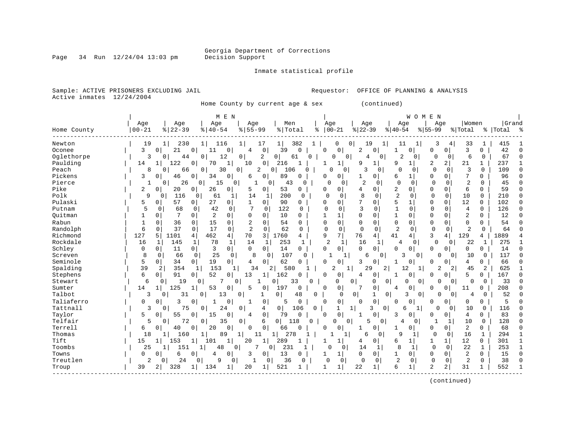Page  $34$  Run  $12/24/04$  13:03 pm

#### Inmate statistical profile

Sample: ACTIVE PRISONERS EXCLUDING JAIL **Requestor:** OFFICE OF PLANNING & ANALYSIS Active inmates 12/24/2004

Home County by current age & sex (continued)

|             |               |                |                            | M E N                          |                    |                       |          |                |                     |                            |                | W O M               | E N            |                |                |                |           |        |
|-------------|---------------|----------------|----------------------------|--------------------------------|--------------------|-----------------------|----------|----------------|---------------------|----------------------------|----------------|---------------------|----------------|----------------|----------------|----------------|-----------|--------|
|             | Age           | Age            | Age                        | Age                            |                    | Men                   |          | Age            |                     | Age                        |                | Age                 | Age            |                | Women          |                | Grand     |        |
| Home County | $00 - 21$     | $ 22-39$       | $8   40 - 54$              | $8 55-99$                      |                    | % Total               | ႜ        | $00 - 21$      |                     | $ 22-39$                   | $8 40-54$      |                     | $8 55-99$      |                | % Total        |                | %   Total |        |
| Newton      | 19            | 230<br>1       | 1 <br>116                  | 1                              | 17                 | 1 <br>382             |          | 0              | 0                   | 19                         | $1\vert$       | 11                  | 3              | 4              | 33             | 1              | 415       |        |
| Oconee      | 3<br>0        | 21             | 0<br>11                    | 0<br>4                         | $\mathbf 0$        | 39<br>$\Omega$        |          | $\Omega$       | 0                   | 2<br>0                     |                | <sup>0</sup>        | $\Omega$       | 0              | 3              | 0              | 42        |        |
| Oglethorpe  | 3             | 44<br>0        | 12<br>0                    | 0                              | 2<br>0             | 61                    | $\Omega$ | <sup>0</sup>   | $\overline{0}$      | 4                          | $\overline{0}$ | $\overline{2}$<br>0 | $\mathbf 0$    | 0              | 6              | 0              | 67        |        |
| Paulding    | 14            | 122            | 0<br>70                    | $\mathbf{1}$<br>10             | $\circ$            | 216<br>1              |          |                | 1                   | 9<br>1                     | 9              | 1                   | 2              | $\overline{2}$ | 21             | 1              | 237       |        |
| Peach       | 8             | 66<br>$\Omega$ | 30<br>0                    | 0                              | 2<br>0             | 106                   | O        |                | 0                   | 3                          | <sup>0</sup>   | $\cap$<br>O         | $\Omega$       | $\Omega$       | 3              | $\Omega$       | 109       | C      |
| Pickens     | 3<br>$\Omega$ | 46             | $\overline{0}$<br>34       | $\Omega$<br>6                  | 0 <sup>1</sup>     | 89<br>$\Omega$        |          | O              | 0                   | $\Omega$                   | 6              | 1                   | $\Omega$       | $\Omega$       | 7              | 0              | 96        | C      |
| Pierce      | 1             | 26<br>0        | 0<br>15                    | 0                              | 0                  | 43                    | $\Omega$ | $\Omega$       | $\Omega$            | $\overline{c}$<br>$\Omega$ | $\Omega$       | $\Omega$            | $\mathbf 0$    | $\Omega$       | 2              | $\Omega$       | 45        | n      |
| Pike        | 2<br>0        | 20             | 26<br>0                    | 0<br>5                         | 0                  | 53<br>0               |          | 0              | 0                   | 0<br>4                     | 2              | O                   | $\mathbf{0}$   | 0              | 6              | 0              | 59        |        |
| Polk        | 9             | 116<br>0       | 61<br>$\Omega$             | 14<br>1                        | $\mathbf{1}$       | 200                   | $\Omega$ | $\Omega$       | $\Omega$            | 8<br>$\Omega$              | $\overline{2}$ | $\Omega$            | $\Omega$       | $\Omega$       | 10             | $\Omega$       | 210       |        |
| Pulaski     | 5<br>0        | 57             | 27<br>0                    | $\overline{0}$<br>$\mathbf{1}$ | $\Omega$           | 90                    | 0        | O              | 0                   | 7<br>0                     | 5              |                     | $\mathbf 0$    | $\Omega$       | 12             | 0              | 102       | C      |
| Putnam      | 5<br>0        | 68             | 42<br>$\Omega$             | 7<br>$\Omega$                  | $\mathbf 0$        | 122                   | 0        | $\Omega$       | $\Omega$            | 3<br>0                     | $\mathbf{1}$   | $\Omega$            | $\Omega$       | $\Omega$       | 4              | $\Omega$       | 126       | $\cap$ |
| Quitman     | $\Omega$      | 7              | $\overline{2}$<br>$\Omega$ | 0<br>$\Omega$                  | $\Omega$           | 10                    | 0        |                | 1                   | $\Omega$<br>$\Omega$       | $\mathbf{1}$   | $\Omega$            | $\Omega$       | $\Omega$       | 2              | 0              | 12        | $\cap$ |
| Rabun       | 1<br>0        | 36             | 15<br>0                    | $\overline{2}$<br>0            | 0                  | 54                    | $\Omega$ | O              | 0                   | $\Omega$<br>$\Omega$       | 0              | $\Omega$            | $\Omega$       | $\Omega$       | 0              | 0              | 54        |        |
| Randolph    | 6<br>$\Omega$ | 37             | $\Omega$<br>17             | $\mathbf 0$<br>$\overline{2}$  | $\Omega$           | 62                    | $\Omega$ | $\Omega$       | $\Omega$            | $\Omega$<br>$\Omega$       | $\overline{2}$ | $\Omega$            | $\Omega$       | $\Omega$       | $\overline{2}$ | $\Omega$       | 64        |        |
| Richmond    | 127<br>5      | 1101           | 462<br>4                   | 4 <br>70                       | 3                  | 1760                  | 4        | 9              | 7                   | 76<br>4                    | 41             | 4                   | 3              | 4              | 129            | 4              | 1889      |        |
| Rockdale    | 16<br>1       | 145            | 78<br>1                    | $\mathbf{1}$<br>14             | 1                  | 253                   | 1        | $\overline{2}$ | 1                   | 16                         | 1              | 4<br>0              | $\Omega$       | 0              | 22             | 1              | 275       |        |
| Schley      | 0<br>0        | 11             | $\overline{0}$<br>3        | $\circ$  <br>$\Omega$          | $\Omega$           | 14<br>0               |          | $\mathbf 0$    | 0                   | $\Omega$<br>$\Omega$       | $\Omega$       | $\Omega$            | $\Omega$       | $\Omega$       | 0              | 0              | 14        |        |
| Screven     | 8<br>$\Omega$ | 66             | 25<br>$\Omega$             | 8<br>$\mathbf 0$               | $\Omega$           | 107                   | $\Omega$ |                | 1                   | 6                          | $\Omega$       | $\Omega$<br>3       | 0              | $\Omega$       | 10             | $\mathbf 0$    | 117       |        |
| Seminole    | 5<br>0        | 34             | 19<br>$\overline{0}$       | 0 <sup>1</sup><br>4            | 0 <sup>1</sup>     | 62<br>$\Omega$        |          | 0              | 0                   | 3<br>0                     |                | $\Omega$            | $\Omega$       | $\Omega$       | 4              | 0              | 66        |        |
| Spalding    | 39            | 354<br>2       | 153<br>1                   | 34<br>1                        | 2                  | 580                   |          | $\overline{2}$ | $\mathbf{1}$        | 29                         | 2              | 12                  | 2              | 2              | 45             | $\overline{a}$ | 625       |        |
| Stephens    | 6<br>0        | 91             | 52<br>0 <sup>1</sup>       | 0<br>13                        | $\mathbf{1}$       | 162<br>0              |          | 0              | 0                   | 0<br>4                     | 1              | 0                   | <sup>0</sup>   | 0              | 5              | 0              | 167       |        |
| Stewart     | 6             | 19<br>0        | 7<br>0                     | 0                              | $\Omega$<br>1      | 33                    | $\Omega$ | $\Omega$       | 0                   | 0                          | 0              | $\Omega$<br>0       | $\Omega$       | $\Omega$       | 0              | 0              | 33        |        |
| Sumter      | 14            | 125            | 53                         | 5<br>0                         | 0                  | 197<br>0              |          | $\Omega$       | 0                   | $\Omega$                   | 4              | $\Omega$            | $\Omega$       | 0              | 11             | 0              | 208       |        |
| Talbot      | 3             | 31<br>O        | 13<br>0                    | 0                              |                    | $\overline{0}$<br>48  | O        |                | $\Omega$<br>$\circ$ | 1                          | $\mathbf 0$    | 3<br>0              | ∩              | $\Omega$       | 4              | $\Omega$       | 52        |        |
| Taliaferro  | $\Omega$<br>0 | 3              | 0<br>$\mathbf{1}$          | 0<br>$\mathbf{1}$              | 0                  | 5<br>0                |          | $\cap$         | 0                   | $\Omega$<br>$\cap$         | 0              | $\Omega$            | $\Omega$       | $\Omega$       | 0              | 0              | 5         |        |
| Tattnall    | 3             | 75<br>$\Omega$ | 24<br>$\overline{0}$       | $\mathbf 0$                    | 4                  | 0 <sup>1</sup><br>106 | 0        |                | $\mathbf{1}$<br>1   | 3                          | $\Omega$       | 1<br>6              | $\Omega$       | $\Omega$       | 10             | $\Omega$       | 116       |        |
| Taylor      | 5<br>0        | 55             | $\Omega$<br>15             | 0<br>4                         | 0 <sup>1</sup>     | 79<br>$\Omega$        |          | $\Omega$       | 0                   | 0<br>1                     | 3              | $\Omega$            | 0              | 0              | 4              | 0              | 83        |        |
| Telfair     | 5             | 72<br>0        | 35<br>0                    | 0                              | 6                  | 0 <sup>1</sup><br>118 | $\Omega$ | 0              | $\overline{0}$      | 5                          | 0              | 4<br>$\Omega$       |                | 1              | 10             | $\Omega$       | 128       |        |
| Terrell     | 6<br>0        | 40             | 20<br>0                    | 0<br>$\Omega$                  | $\mathbf 0$        | 66<br>0               |          | O              | 0                   | 0                          | 1              | 0                   | 0              | 0              | 2              | 0              | 68        |        |
| Thomas      | 18            | 160<br>1       | 89<br>1                    | $1\vert$                       | 11<br>$\mathbf{1}$ | 278                   | 1        |                | $\mathbf{1}$        | 6                          | 0              | $\mathsf{Q}$        | $\Omega$       | 0              | 16             | $\mathbf{1}$   | 294       |        |
| Tift        | 15<br>1       | 153            | 101                        | $\mathbf 1$<br>20              | 1                  | 289<br>1              |          |                | 1                   | 0<br>4                     | 6              | 1                   |                | 1              | 12             | 0              | 301       |        |
| Toombs      | 25            | 151            | 48                         | 0                              | 7<br>0             | 231                   |          | O              | 0                   | 14<br>1                    |                | 8<br>$\mathbf{1}$   | $\Omega$       | $\mathbf 0$    | 22             | $\mathbf{1}$   | 253       |        |
| Towns       | 0<br>O        | 6              | 0<br>4                     | 0<br>3                         | $\Omega$           | 13<br>0               |          |                | 1                   | $\Omega$<br>$\Omega$       | 1              | 0                   | $\Omega$       | $\Omega$       | 2              | 0              | 15        | C      |
| Treutlen    | 2             | 24<br>0        | 0<br>9                     | 0<br>1                         | 0                  | 36                    | $\Omega$ | $\Omega$       | 0                   | $\Omega$<br>$\mathbf 0$    | $\overline{2}$ | 0                   | $\mathbf 0$    | 0              | 2              | $\mathbf 0$    | 38        |        |
| Troup       | 39<br>2       | 328            | 134                        | 1<br>20                        | 1                  | 521<br>$\mathbf{1}$   |          |                | 1                   | 22<br>1                    | 6              |                     | $\overline{2}$ | $\overline{a}$ | 31             | 1              | 552       |        |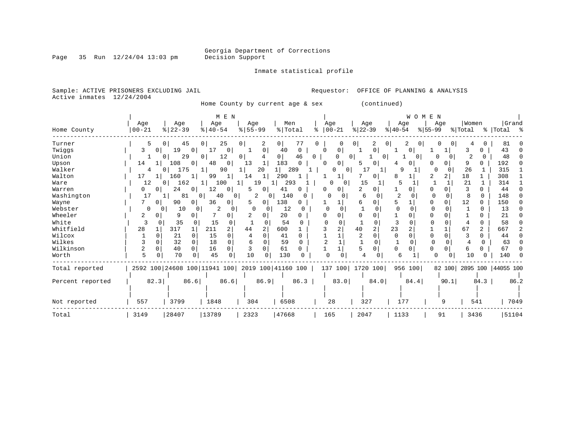Inmate statistical profile

Page 35 Run  $12/24/04$  13:03 pm

Sample: ACTIVE PRISONERS EXCLUDING JAIL **Requestor:** OFFICE OF PLANNING & ANALYSIS Active inmates 12/24/2004

Home County by current age & sex (continued)

|                  |            |              |                       |          |                                                 | M E N    |                       |                |                |              |    |            |                     |                  |                |                | WOMEN               |          |              |                |                |                      |      |
|------------------|------------|--------------|-----------------------|----------|-------------------------------------------------|----------|-----------------------|----------------|----------------|--------------|----|------------|---------------------|------------------|----------------|----------------|---------------------|----------|--------------|----------------|----------------|----------------------|------|
|                  | Age        |              | Age                   |          | Age                                             |          | Age                   |                | Men            |              |    | Age        |                     | Age              |                |                | Age                 |          | Age          | Women          |                | Grand                |      |
| Home County      | $ 00 - 21$ |              | $ 22-39 $             |          | $8   40 - 54$                                   |          | $\frac{8}{5}$ 55 - 99 |                | % Total        |              | ిక | $ 00 - 21$ |                     | $ 22-39$         |                | $8 40-54$      |                     | $ 55-99$ |              | % Total        |                | % Total %            |      |
| Turner           |            | 5            | $\overline{0}$        | 45       | 0                                               | 25       | 0                     | 2              | 0 <sup>1</sup> | 77           | 0  |            |                     |                  | 2              | 0              | 2<br>0 <sup>1</sup> |          | 0<br>0       | 4              | 0              | 81                   |      |
| Twiggs           | 3          | $\Omega$     | 19                    | $\Omega$ |                                                 | 0        |                       | $\Omega$       | 40             | 0            |    | ∩          | 0                   |                  | 0              |                | 0                   |          |              | 3              |                | 43                   |      |
| Union            |            |              | 0                     | 29       | 0                                               | 12       | 0                     |                | 0 <sup>1</sup> | 46           | 0  |            | 0                   | 0                | $\overline{0}$ |                | 0 <sup>1</sup>      | O        | 0            | $\overline{c}$ |                | 48                   |      |
| Upson            | 14         |              | 108                   | 0        | 48                                              | 0        | 13                    |                | 183            | $\Omega$     |    | $\Omega$   | 0                   | 5                | 0              | 4              | $\Omega$            | O        | 0            | 9              |                | 192                  |      |
| Walker           |            | 4            | 175<br>0 <sup>1</sup> |          | 1                                               | 90       |                       | 20             | 11             | 289          |    |            | 0 <sup>1</sup><br>U | 17               | 1              | Q              |                     | $\Omega$ |              | 26             |                | 315                  |      |
| Walton           | 17         |              | 160                   |          | 99                                              | 1        | 14                    | 1              | 290            |              |    |            |                     |                  | 0              | 8              |                     |          | 2            | 18             |                | 308                  |      |
| Ware             | 12         |              | 162<br>$\Omega$       |          | 1                                               | 100      | 1                     | 19             | 293            |              |    | O          | 0                   | 15               |                | 5              |                     |          |              | 21             |                | 314                  |      |
| Warren           | 0          | 0            | 24                    | $\circ$  | 12                                              | 0        | 5.                    | 0              | 41             | 0            |    | U          | 0                   |                  | 0              |                |                     | 0        | 0            | 3              | 0              | 44                   |      |
| Washington       | 17         |              |                       | 81       | 40<br>0                                         | 0        |                       | 2<br>0         | 140            | $\Omega$     |    |            | 0                   | 6                | 0              | $\overline{c}$ | 0                   | O        | O            | 8              | $\Omega$       | 148                  |      |
| Wayne            |            | $\circ$      | 90                    | $\Omega$ | 36                                              | 0        |                       | $\mathbf{0}$   | 138            | 0            |    |            |                     | 6                | 0              |                |                     | O        | 0            | 12             | $\Omega$       | 150                  |      |
| Webster          |            | 0<br>0       | 10                    | 0        | 2                                               | $\circ$  | 0                     | -0             | 12             |              |    |            |                     |                  |                | $\Omega$       |                     |          |              |                | O              | 13                   |      |
| Wheeler          | 2          | 0            | 9                     |          |                                                 | 0        | ∠                     | 0              | 20             |              |    |            |                     |                  | 0              |                |                     |          |              |                |                | 21                   |      |
| White            | 3          | $\Omega$     | 35                    |          | 15                                              | $\Omega$ |                       |                | 54             |              |    |            |                     |                  | O              |                |                     |          |              |                | 0              | 58                   |      |
| Whitfield        | 28         |              | 317                   |          | 211                                             | 2        | 44                    | $\overline{2}$ | 600            |              |    |            | 2                   | 40               | $\overline{2}$ | 23             |                     |          |              | 67             | $\overline{a}$ | 667                  |      |
| Wilcox           |            |              | 21                    | $\Omega$ | 15                                              | $\Omega$ |                       | <sup>0</sup>   | 41             | U            |    |            |                     |                  | $\Omega$       | $\Omega$       | $\cap$              | $\Omega$ | $\Omega$     |                | 0              | 44                   |      |
| Wilkes           |            |              | 32                    | $\Omega$ | 18                                              | 0        | 6                     |                | 59             |              |    |            |                     |                  |                |                |                     |          |              |                | $\Omega$       | 63                   |      |
| Wilkinson        | 2          | <sup>0</sup> | 40                    | $\Omega$ | 16                                              | 0        |                       | $\Omega$       | 61             | 0            |    |            |                     | 5                | O              | $\Omega$       | $\Omega$            | O        | <sup>0</sup> | 6              | 0              | 67                   |      |
| Worth            | 5          |              | 70                    | 0        | 45                                              | $\Omega$ | 10                    | 0              | 130            | <sup>0</sup> |    |            |                     |                  |                | 6              |                     | O        | 0            | 10             |                | 140                  |      |
| Total reported   |            |              |                       |          | 2592 100 24608 100 11941 100 2019 100 41160 100 |          |                       |                |                |              |    |            |                     | 137 100 1720 100 |                |                | 956 100             |          | 82 100       |                |                | 2895 100   44055 100 |      |
| Percent reported |            | 82.3         |                       | 86.6     |                                                 | 86.6     |                       | 86.9           |                | 86.3         |    |            | 83.0                |                  | 84.0           |                | 84.4                |          | 90.1         |                | 84.3           |                      | 86.2 |
| Not reported     | 557        |              | 3799                  |          | 1848                                            |          | 304                   |                | 6508           |              |    | 28         |                     | 327              |                |                | 177                 |          | 9            |                | 541            |                      | 7049 |
| Total            | 3149       |              | 28407                 |          | 13789                                           |          | 2323                  |                | 47668          |              |    | 165        |                     | 2047             |                | 1133           |                     |          | 91           | 3436           |                | 51104                |      |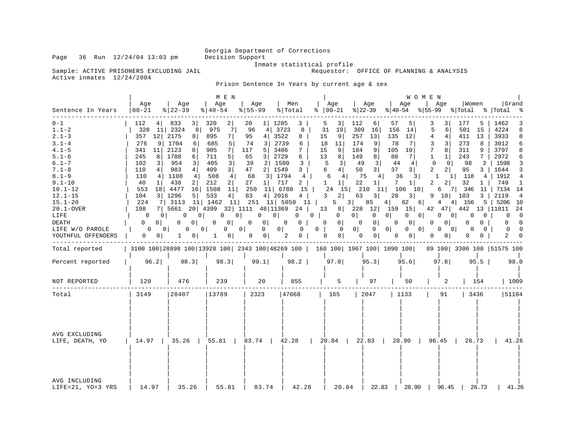Inmate statistical profile<br>Requestor: OFFICE OF PLANNING & ANALYSIS

Sample: ACTIVE PRISONERS EXCLUDING JAIL Active inmates 12/24/2004

Prison Sentence In Years by current age & sex

|                                                                                                                                                                     |                                                                                                                                                                                              |                                                                                                                                                                                                                  | M E N                                                                                                                                                                                                                                |                                                                                                                                                                                                                    |                                                                                                                                                          |                                                                                                                                                                                                                   |                                                                                                                                                                                                         |                                                                                                                                                                                                                                                        | W O M E N                                                                                                                                                                                                        |                                                                                                                                                                               |                                                                                                                                                                                                  |
|---------------------------------------------------------------------------------------------------------------------------------------------------------------------|----------------------------------------------------------------------------------------------------------------------------------------------------------------------------------------------|------------------------------------------------------------------------------------------------------------------------------------------------------------------------------------------------------------------|--------------------------------------------------------------------------------------------------------------------------------------------------------------------------------------------------------------------------------------|--------------------------------------------------------------------------------------------------------------------------------------------------------------------------------------------------------------------|----------------------------------------------------------------------------------------------------------------------------------------------------------|-------------------------------------------------------------------------------------------------------------------------------------------------------------------------------------------------------------------|---------------------------------------------------------------------------------------------------------------------------------------------------------------------------------------------------------|--------------------------------------------------------------------------------------------------------------------------------------------------------------------------------------------------------------------------------------------------------|------------------------------------------------------------------------------------------------------------------------------------------------------------------------------------------------------------------|-------------------------------------------------------------------------------------------------------------------------------------------------------------------------------|--------------------------------------------------------------------------------------------------------------------------------------------------------------------------------------------------|
| Sentence In Years                                                                                                                                                   | Age<br>  00-21                                                                                                                                                                               | Age<br>$ 22-39 $                                                                                                                                                                                                 | Age<br>$8   40 - 54$                                                                                                                                                                                                                 | Age<br>$8 55-99$                                                                                                                                                                                                   | Men<br>%   Total                                                                                                                                         | Age<br>$8   00 - 21$                                                                                                                                                                                              | Age<br>$ 22-39$                                                                                                                                                                                         | Aqe<br>$ 40-54 $                                                                                                                                                                                                                                       | Aqe                                                                                                                                                                                                              | Women<br>$ 55-99 \t Total \t Total \t $                                                                                                                                       | Grand                                                                                                                                                                                            |
| $0 - 1$<br>$1.1 - 2$<br>$2.1 - 3$<br>$3.1 - 4$<br>$4.1 - 5$<br>$5.1 - 6$<br>$6.1 - 7$                                                                               | 112<br>4  <br>328<br>357<br>12 <br>276<br>9<br>341<br>11<br>245<br>8<br>102<br>3                                                                                                             | $\frac{3}{2}$<br>833<br>8<br>11 2324<br>2175<br>8<br>1704<br>6<br>2123<br>8<br>1708<br>6<br>954<br>$\overline{3}$                                                                                                | 2 <br>320<br>7 <br>975<br>895<br>7  <br>685<br>5<br>7 <sup>1</sup><br>905<br>5 <sup>1</sup><br>711<br>405<br>3                                                                                                                       | 1 1285<br>20<br>96<br>4 <br>95<br>4 <br>3 <br>74<br>117<br>5 <sup>1</sup><br>65<br>3 <sup>1</sup><br>39<br>2 <sup>1</sup>                                                                                          | 3<br>3723<br>8<br>3522<br>8<br>2739<br>6<br>3486<br>7<br>2729<br>6<br>1500<br>3                                                                          | 5<br>3<br>31<br>19<br>15<br>9<br>11<br>18<br>9<br>15<br>13<br>8<br>5<br>3                                                                                                                                         | 112<br>6<br>309<br>16<br>257<br>13<br>174<br>9<br>9<br>184<br>8<br>149<br>$\overline{3}$<br>49                                                                                                          | 57<br>5<br>156<br>14<br>135<br>12<br>78<br>7<br>105<br>10<br>80<br>7<br>44<br>4                                                                                                                                                                        | 3<br>3<br>5<br>6<br>4<br>4<br>3<br>3<br>7<br>8 <sup>1</sup><br>1<br>1<br>$\mathbf 0$<br>$\Omega$                                                                                                                 | 177<br>5<br>501<br>15<br>411<br>13<br>273<br>8<br>311<br>9<br>243<br>7<br>98<br>3                                                                                             | 1462<br>3<br>4224<br>8<br>3933<br>8<br>3012<br>6<br>3797<br>8<br>2972<br>6<br>1598<br>3                                                                                                          |
| $7.1 - 8$<br>$8.1 - 9$<br>$9.1 - 10$<br>$10.1 - 12$<br>$12.1 - 15$<br>$15.1 - 20$<br>$20.1 - OVER$<br>LIFE<br><b>DEATH</b><br>LIFE W/O PAROLE<br>YOUTHFUL OFFENDERS | 110<br>4 <br>110<br>4<br>40<br>1<br>553<br>18<br>104<br>3 <br>224<br>7<br>198<br>$\Omega$<br>0 <sup>1</sup><br>$\Omega$<br>$\Omega$<br>0<br>0 <sup>1</sup><br>$\mathbf{0}$<br>0 <sup>1</sup> | 983<br>4 <sup>1</sup><br>1108<br>4<br>438<br>2<br>4477<br>16 <sub>1</sub><br>1296<br>5<br>3113<br>7 5661<br>0<br>0 <sup>1</sup><br>$\Omega$<br>$\Omega$<br>0<br>0 <sup>1</sup><br>0 <sup>1</sup><br>$\mathbf{1}$ | 3 <br>409<br>4 <br>508<br>212<br>2 <br>11<br>1508<br>533<br>4 <br>11 1462<br>20 4399 32 1111 48 11369<br>0<br>0 <sup>1</sup><br>0 <sup>1</sup><br>$\overline{0}$<br>$\mathbf{0}$<br>0 <sup>1</sup><br>0 <sup>1</sup><br>$\mathbf{1}$ | 2 1549<br>47<br>3 1794<br>68<br>27<br>$1 \vert$<br>250<br>11 6788<br>4   2016<br>83<br>11   251 11   5050 11  <br>$\mathbf{0}$<br>$\mathbf{0}$<br>0 <sup>1</sup><br>$\mathbf{0}$<br>0 <sup>1</sup><br>$\mathbf{0}$ | 3<br>$4\overline{ }$<br>717<br>2<br>15<br>$4\overline{ }$<br>24<br>$0$  <br>0<br>$\overline{0}$<br>$0-1$<br>$0$  <br>$\mathbf{0}$<br>2<br>$\overline{0}$ | 6<br>4 <br>6<br>4 <br>$\mathbf{1}$<br>1 <br>24<br>15 <sup>1</sup><br>$\mathbf{3}$<br>2 <br>5<br>$0 \mid$<br>$\mathbf{0}$<br>$\mathbf 0$<br>0 <sup>1</sup><br>0 <sup>1</sup><br>$\mathbf 0$<br>0<br>0 <sup>1</sup> | 3 <br>50<br>75<br>4 <br>22<br>1 <br>210<br>11<br>3 <br>63<br>$3 \mid$<br>85<br>0 <sup>1</sup><br>$\mathbf 0$<br>0 <sup>1</sup><br>$\Omega$<br>$0$  <br>$\overline{0}$<br>0 <sup>1</sup><br>$\mathbf{0}$ | 37<br>3 <br>36<br>3 <br>7<br>1 <br>106<br>10 <sup>1</sup><br>28<br>3 <br>4 <br>62<br>6  <br>13 8 228 12 159 15<br>$\overline{0}$<br>0 <sup>1</sup><br>0 <sup>1</sup><br>0 <sup>1</sup><br>0<br>$0$  <br>$0 \qquad 0$<br>0 <sup>1</sup><br>$\mathbf{0}$ | 2<br>2 <sup>1</sup><br>1<br>$1\vert$<br>$\overline{2}$<br>2 <sup>1</sup><br>6<br>$9$ 10 103<br>$4\degree$<br>42 47 442<br>0<br>0 <sup>1</sup><br>$\Omega$<br>$\overline{0}$<br> 0 <br>$\Omega$<br>0 <sup>1</sup> | 95<br>3 I<br>118<br>4<br>32<br>1 <sup>1</sup><br>7 346<br>11<br>4 156<br>5  <br>0<br>0 <sup>1</sup><br>0<br>$\Omega$<br>$\Omega$<br>0<br>$\Omega$<br>$\mathbf{0}$<br>$\Omega$ | 1644<br>3<br>1912<br>$\overline{4}$<br>749<br>1<br>7134 14<br>3   2119<br>4<br>5206<br>10<br>13   11811<br>- 24<br>$\overline{\phantom{0}}$<br>$\Omega$<br>$\Omega$<br>$\Omega$<br>$\Omega$<br>2 |
| Total reported                                                                                                                                                      |                                                                                                                                                                                              | 3100 100 28898 100 13928 100 2343 100 48269 100   160 100   1967 100   1090 100                                                                                                                                  |                                                                                                                                                                                                                                      |                                                                                                                                                                                                                    |                                                                                                                                                          |                                                                                                                                                                                                                   |                                                                                                                                                                                                         |                                                                                                                                                                                                                                                        |                                                                                                                                                                                                                  | 89 100 3306 100 51575 100                                                                                                                                                     |                                                                                                                                                                                                  |
| Percent reported                                                                                                                                                    | 96.2                                                                                                                                                                                         | 98.3                                                                                                                                                                                                             | 98.3                                                                                                                                                                                                                                 | 99.1                                                                                                                                                                                                               | 98.2                                                                                                                                                     | 97.0                                                                                                                                                                                                              | 95.3                                                                                                                                                                                                    | 95.6                                                                                                                                                                                                                                                   | 97.8                                                                                                                                                                                                             | $95.5$                                                                                                                                                                        | 98.0                                                                                                                                                                                             |
| NOT REPORTED                                                                                                                                                        | 120                                                                                                                                                                                          | 476                                                                                                                                                                                                              | 239                                                                                                                                                                                                                                  | 20                                                                                                                                                                                                                 | 855                                                                                                                                                      | 5                                                                                                                                                                                                                 | 97                                                                                                                                                                                                      | 50                                                                                                                                                                                                                                                     | 2                                                                                                                                                                                                                | 154                                                                                                                                                                           | 1009                                                                                                                                                                                             |
| Total                                                                                                                                                               | 3149                                                                                                                                                                                         | 28407                                                                                                                                                                                                            | 13789                                                                                                                                                                                                                                | 2323                                                                                                                                                                                                               | 47668                                                                                                                                                    | 165                                                                                                                                                                                                               | 2047                                                                                                                                                                                                    | 1133                                                                                                                                                                                                                                                   | 91                                                                                                                                                                                                               | 3436                                                                                                                                                                          | 51104                                                                                                                                                                                            |
| AVG EXCLUDING<br>LIFE, DEATH, YO                                                                                                                                    |                                                                                                                                                                                              | 14.97   35.26   55.81   83.74   42.28   20.84   22.83                                                                                                                                                            |                                                                                                                                                                                                                                      |                                                                                                                                                                                                                    |                                                                                                                                                          |                                                                                                                                                                                                                   |                                                                                                                                                                                                         | 28.90                                                                                                                                                                                                                                                  | $96.45$                                                                                                                                                                                                          | 26.73                                                                                                                                                                         | 41.26                                                                                                                                                                                            |
| AVG INCLUDING<br>LIFE=21, YO=3 YRS                                                                                                                                  | 14.97                                                                                                                                                                                        | 35.26                                                                                                                                                                                                            | 55.81                                                                                                                                                                                                                                | 83.74                                                                                                                                                                                                              | 42.28                                                                                                                                                    | 20.84                                                                                                                                                                                                             | 22.83                                                                                                                                                                                                   | 28.90                                                                                                                                                                                                                                                  | 96.45                                                                                                                                                                                                            | 26.73                                                                                                                                                                         | 41.26                                                                                                                                                                                            |

Page 36 Run  $12/24/04$  13:03 pm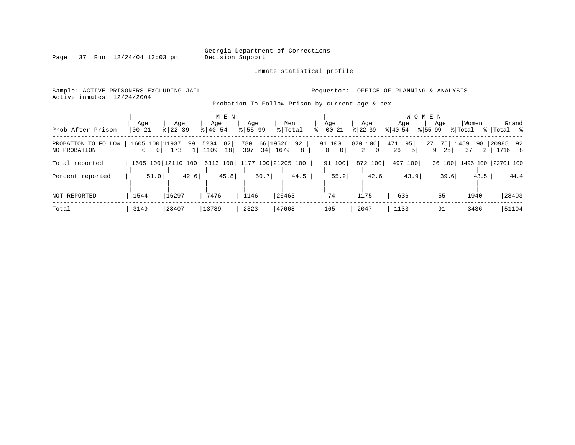Page  $37$  Run  $12/24/04$  13:03 pm

#### Inmate statistical profile

Sample: ACTIVE PRISONERS EXCLUDING JAIL **Requestor:** OFFICE OF PLANNING & ANALYSIS Active inmates 12/24/2004

Probation To Follow Prison by current age & sex

| Prob After Prison                   | Aqe<br>$ 00 - 21$                                | Aqe<br>$8   22 - 39$ | M E N<br>Age<br>$8 40-54$             | Aqe<br>$8155 - 99$           | Men<br>% Total  | Aqe<br>$ 00-21 $<br>⊱ | Age<br>$ 22 - 39 $           | Age<br>$8 40-54$                  | W O M E N<br>Age<br>$8155 - 99$ | Women<br>% Total      | Grand<br>%  Total % |
|-------------------------------------|--------------------------------------------------|----------------------|---------------------------------------|------------------------------|-----------------|-----------------------|------------------------------|-----------------------------------|---------------------------------|-----------------------|---------------------|
| PROBATION TO FOLLOW<br>NO PROBATION | 1605 100 11937<br>$\overline{0}$<br>$\mathbf{0}$ | 99<br>173            | 82<br>5204<br>1109<br>18 <sup>1</sup> | 66 19526<br>780<br>34<br>397 | 92<br>1679<br>8 | 91 100<br>0 I<br>0    | 870 100<br>2<br>$\mathbf{0}$ | 95<br>471<br>26<br>5 <sup>1</sup> | 27<br>75<br>9<br>25             | 1459<br>98<br>37<br>2 | 20985 92<br>1716 8  |
| Total reported                      |                                                  | 1605 100 12110 100   | 6313 100                              | 1177 100 21205 100           |                 | 91 100                | 872 100                      | 497 100                           | 36 100                          |                       | 1496 100 22701 100  |
| Percent reported                    | 51.0                                             | 42.6                 | 45.8                                  | 50.7                         | 44.5            | 55.2                  | 42.6                         | 43.9                              | 39.6                            | 43.5                  | 44.4                |
| NOT REPORTED                        | 1544                                             | 16297                | 7476                                  | 1146                         | 26463           | 74                    | 1175                         | 636                               | 55                              | 1940                  | 28403               |
| Total                               | 3149                                             | 28407                | 13789                                 | 2323                         | 47668           | 165                   | 2047                         | 1133                              | 91                              | 3436                  | 51104               |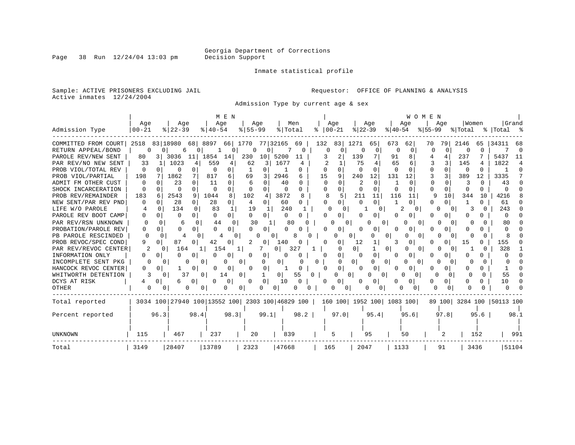Inmate statistical profile

Sample: ACTIVE PRISONERS EXCLUDING JAIL **Requestor:** OFFICE OF PLANNING & ANALYSIS Active inmates 12/24/2004

Admission Type by current age & sex

|                             |             |                   | M E N             |                               |                                                 |               |                               | WOMEN                    |                      |               |                           |
|-----------------------------|-------------|-------------------|-------------------|-------------------------------|-------------------------------------------------|---------------|-------------------------------|--------------------------|----------------------|---------------|---------------------------|
|                             | Age         | Age               | Age               | Age                           | Men                                             | Age           | Age                           | Age                      | Age                  | Women         | Grand                     |
| Admission Type              | $00 - 21$   | $8$   22-39       | $8   40 - 54$     | $8155 - 99$                   | % Total                                         | $ 00-21$<br>ႜ | $ 22 - 39 $                   | $ 40-54 $<br>$8155 - 99$ |                      | % Total       | % Total %                 |
| COMMITTED FROM COURT   2518 |             | 83 18980<br>68    | 8897<br>66        | 1770                          | 77 32165<br>69                                  | 132<br>83     | 1271<br>673<br>65             | 70<br>62                 | 79                   | 2146<br>65    | 34311<br>68               |
| RETURN APPEAL/BOND          |             |                   |                   |                               |                                                 | $\Omega$      | 0                             | $\Omega$<br>O            | 0                    | O             | - 0                       |
| PAROLE REV/NEW SENT         | 80          | 3036              | 1854<br>11<br>14  | 230<br>10                     | 5200<br>11                                      |               | 139                           | 91                       | 4                    | 237           | 5437<br>11                |
| PAR REV/NO NEW SENT         | 33          | 1023              | 559               | 62<br>3                       | 1677<br>4                                       |               | 75                            | 65                       |                      | 145           | 1822<br>$\overline{4}$    |
| PROB VIOL/TOTAL REV         | 0           | $\Omega$<br>O     | 0                 | 0<br>0                        |                                                 | $\Omega$<br>O | $\Omega$<br>$\cap$            | $\Omega$                 | $\Omega$<br>$\Omega$ | $\Omega$      | $\cap$                    |
| PROB VIOL/PARTIAL           | 198         | 1862              | 817               | 6<br>69<br>3                  | 2946<br>6                                       | 15<br>9       | 240<br>12<br>131              | 12                       | 3<br>3               | 389<br>12     | 3335                      |
| ADMIT FM OTHER CUST         | 0           | 23                | 11                | 0<br>$\Omega$<br>6            | 40<br>0                                         | 0<br>0        | 2<br>$\Omega$                 | 1<br>0                   | $\Omega$<br>$\Omega$ | 0             | 43<br>n                   |
| SHOCK INCARCERATION         | O           | n<br><sup>0</sup> | 0<br><sup>0</sup> | 0<br>$\Omega$<br><sup>0</sup> | 0<br>0.                                         | 0<br>$\Omega$ | $\Omega$<br>0                 | 0<br>O                   | <sup>0</sup><br>0    | $\Omega$<br>O |                           |
| PROB REV/REMAINDER          | 183         | 2543              | 9<br>1044         | 8<br>102<br>4                 | 3872<br>8                                       | 8             | 211<br>11                     | 116<br>11                | 9<br>10              | 344<br>10     | 4216                      |
| NEW SENT/PAR REV PND        | 0           | 28<br>0           | 28<br>0           | 01<br>$\Omega$<br>4           | 60<br>0                                         | 0             | O<br>0                        | 1<br>0                   | U<br><sup>0</sup>    | U             | 61                        |
| LIFE W/O PAROLE             | 4           | 134<br>$\Omega$   | 83<br>$\Omega$    | 19<br>1                       | 240                                             | 0             | 0                             | 0                        | $\Omega$             |               | 243                       |
| PAROLE REV BOOT CAMP        | 0           | $\Omega$<br>O     | 0<br>$\Omega$     | 0<br>0<br>0                   | 0<br>N                                          | 0             | 0                             | 0<br>0                   |                      |               |                           |
| PAR REV/RSN UNKNOWN         |             | n<br>6            | U<br>44           | 30<br>$\Omega$                | 80                                              | n             | 0                             | $\Omega$                 |                      | U             | 80                        |
| PROBATION/PAROLE REV        | 0           | U                 | 0                 | 0<br>U                        |                                                 | O             |                               | O                        | n                    |               |                           |
| PB PAROLE RESCINDED         | 0           |                   |                   | 0<br>U                        | 8                                               |               | 0<br>O                        | $\Omega$                 |                      | U             |                           |
| PROB REVOC/SPEC COND        | 9           | 87                | 42<br>0           |                               | 140                                             | O             | 12                            |                          |                      | 15            | 155                       |
| PAR REV/REVOC CENTER        | 2           | 164<br>0          | 154               | ı                             | 327<br>0                                        |               | 0<br>0.                       | 0                        |                      |               | 328                       |
| INFORMATION ONLY            | 0           | $\Omega$          | O<br>0            | O<br>0                        | O                                               | 0<br>$\Omega$ | 0                             | 0                        |                      |               |                           |
| INCOMPLETE SENT PKG         | O           | 0                 |                   | 0<br>U                        | 0                                               | 0<br>O        | 0<br>0                        | 0<br>Ω                   | O                    | 0             |                           |
| HANCOCK REVOC CENTER        | O.          | 0                 | 0                 | 0<br>$\Omega$<br>$\mathbf{0}$ |                                                 | 0<br>∩        | 0                             | Ω<br>0                   | 0                    | 0             |                           |
| WHITWORTH DETENTION         |             | 37<br>0           | 0<br>14           | 0                             | 55<br>$\Omega$                                  | 0             | 0<br>0                        | O<br>$\Omega$            | 0                    | U             | 55                        |
| DCYS AT RISK                |             | 0<br>6            | 0<br>0            | 0<br>0                        | 10<br>$\Omega$                                  | 0             | 0                             | 0                        | 0                    | U             | 10                        |
| OTHER                       | $\mathbf 0$ | 0                 | 0                 | O                             | 0                                               | U<br>0        | 0<br>0                        | 0<br>0                   | O                    |               |                           |
| Total reported              |             |                   |                   |                               | 3034 100 27940 100 13552 100 2303 100 46829 100 |               | 160 100   1952 100   1083 100 |                          |                      |               | 89 100 3284 100 50113 100 |
|                             |             |                   |                   |                               |                                                 |               |                               |                          |                      |               |                           |
| Percent reported            |             | 96.3              | 98.4              | 98.3<br>99.1                  | 98.2                                            | 97.0          | 95.4                          | 95.6                     | 97.8                 | 95.6          | 98.1                      |
|                             |             |                   |                   |                               |                                                 |               |                               |                          |                      |               |                           |
| <b>UNKNOWN</b>              | 115         | 467               | 237               | 20                            | 839                                             | 5             | 95                            | 50                       | 2                    | 152           | 991                       |
| Total                       | 3149        | 28407             | 13789             | 2323                          | 47668                                           | 165           | 2047                          | 1133                     | 91                   | 3436          | 51104                     |

Page 38 Run  $12/24/04$  13:03 pm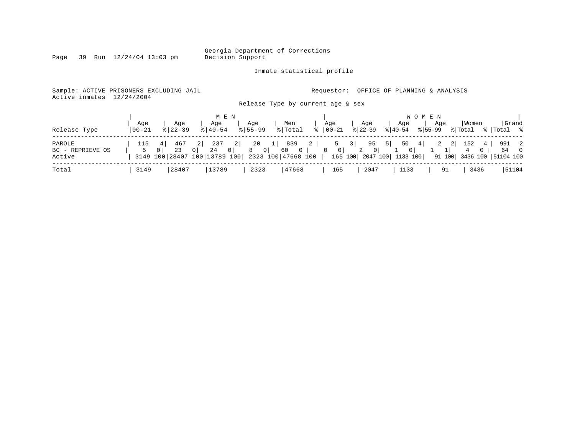Inmate statistical profile

Page 39 Run  $12/24/04$  13:03 pm

Sample: ACTIVE PRISONERS EXCLUDING JAIL **Requestor:** OFFICE OF PLANNING & ANALYSIS

Active inmates 12/24/2004

Release Type by current age & sex

|                  |                |                      | M E N                                  |                               |                      |                            |                          |                     |                           | W O M E N          |                           |                      |
|------------------|----------------|----------------------|----------------------------------------|-------------------------------|----------------------|----------------------------|--------------------------|---------------------|---------------------------|--------------------|---------------------------|----------------------|
| Release Type     | Aqe<br>  00-21 | Aqe<br>$8122 - 39$   | Aqe<br>$8140 - 54$                     | Aqe<br>$8155 - 99$            | Men<br>% Total       |                            | Aqe<br>$ 00-21 $         | Aqe<br>$ 22-39 $    | Aqe<br>$ 40-54 $          | Aqe<br>$8155 - 99$ | Women<br>% Total          | Grand<br>%   Total % |
|                  |                |                      |                                        |                               |                      |                            |                          |                     |                           |                    |                           |                      |
| PAROLE           | 115            | 467                  | 237<br>-2 I                            | 20                            | 839<br>1             | $\overline{\phantom{0}}$ 2 | 5                        | 95 5<br>3           | $50 \t 4$                 | 2                  | 152<br>2 <br>4            | 991 2                |
| BC - REPRIEVE OS |                | 23<br>0 <sup>1</sup> | 24<br>0 <sup>1</sup><br>$\overline{0}$ | $\overline{\phantom{0}}$<br>8 | $\overline{0}$<br>60 | $\overline{0}$             | $\overline{\phantom{0}}$ | 0 <sup>1</sup><br>2 | 0 <sup>1</sup>            |                    | 4 0                       | 64 0                 |
| Active           |                |                      | 3149 100 28407 100 13789 100           |                               | 2323 100 47668 100   |                            |                          |                     | 165 100 2047 100 1133 100 |                    | 91 100 3436 100 51104 100 |                      |
| Total            | 3149           | 28407                | 13789                                  | 2323                          | 47668                |                            | 165                      | 2047                | 1133                      | 91                 | 3436                      | 51104                |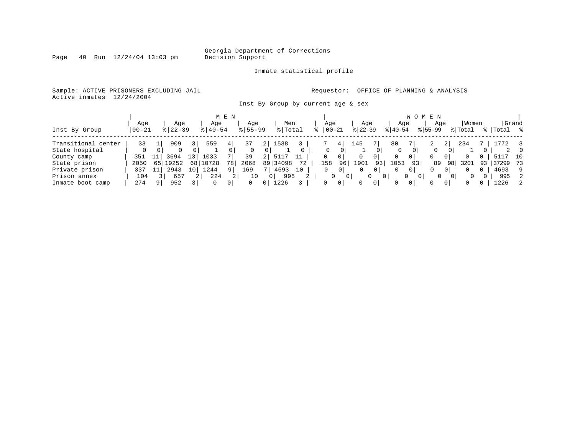Inmate statistical profile

Sample: ACTIVE PRISONERS EXCLUDING JAIL **Requestor:** OFFICE OF PLANNING & ANALYSIS Active inmates 12/24/2004

Inst By Group by current age & sex

|                     |           |               |     |             | M E N    |             |            |          |    |               |                |           |                |          | W O            | E N          |                |         |    |           |       |
|---------------------|-----------|---------------|-----|-------------|----------|-------------|------------|----------|----|---------------|----------------|-----------|----------------|----------|----------------|--------------|----------------|---------|----|-----------|-------|
|                     | Age       | Aqe           |     | Age         |          | Age         |            | Men      |    | Age           |                | Age       |                | Age      |                | Age          |                | Women   |    |           | Grand |
| Inst By Group       | $00 - 21$ | $8$   22 – 39 |     | $8140 - 54$ |          | $8155 - 99$ |            | % Total  |    | $8   00 - 21$ |                | $ 22-39 $ |                | $ 40-54$ |                | $8155 - 99$  |                | % Total |    | %   Total | °≈    |
| Transitional center | 33        | 909           |     | 559         | 4        | 37          |            | 1538     |    |               | 41             | 145       |                | 80       |                | ∠            | 21             | 234     |    |           |       |
| State hospital      |           |               |     |             |          | $\Omega$    | $\Omega$   |          |    | 0             | 0              |           |                | $\Omega$ | Ü              | 0            | 0              |         |    |           | - 0   |
| County camp         | 351       | 3694          | 13' | 1033        |          | 39          | $\epsilon$ | 511      | 11 | 0             | 0              | 0         | 0              | 0        | 01             |              | 0              |         | 0  | 511       | 10    |
| State prison        | 2050      | 65 19252      | 68  | 10728       | 78       | 2068        |            | 89 34098 | 72 | 158           | 96             | 1901      | 93             | ⊥053     | 93             | 89           | 98             | 3201    | 93 | 37299 73  |       |
| Private prison      | 337       | 2943          | 10  | L244        | $Q \mid$ | 169         |            | 4693     | 10 |               | 0              | 0         | 0 <sup>1</sup> |          | 0 <sup>1</sup> | $\mathbf{0}$ | 0              | 0       | 0  | 4693      | 9     |
| Prison annex        | 104       | 657           |     | 224         |          | 10          |            | 995      |    |               | 0              | 0         | 0 <sup>1</sup> |          | $\Omega$<br>0  | $\Omega$     | 0 <sup>1</sup> | 0       |    | 995       | 2     |
| Inmate boot camp    | 274       | 952           |     | 0           | 0        | $\Omega$    |            | .226     |    | 0             | 0 <sup>1</sup> |           | $\Omega$       |          | 0 I            | 0            | 0              | 0       |    | 1226      | 2     |

Page  $40$  Run  $12/24/04$  13:03 pm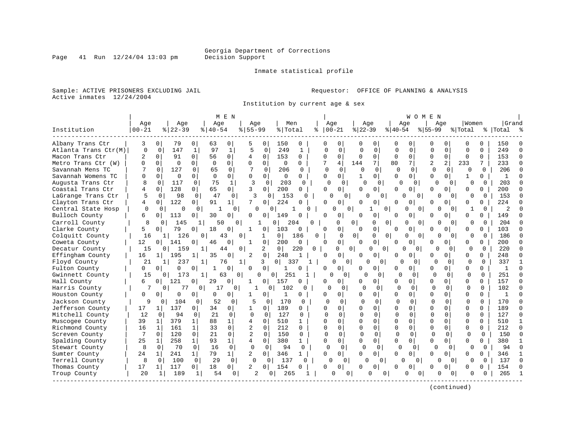Page 41 Run  $12/24/04$  13:03 pm

#### Inmate statistical profile

Sample: ACTIVE PRISONERS EXCLUDING JAIL **Requestor:** OFFICE OF PLANNING & ANALYSIS Active inmates 12/24/2004

Institution by current age & sex

|                      |                |                       |                      |                      | M E N                |                |                            |                       |                     |              |                |              |                |              | WOMEN                |                |                |              |          |               |              |
|----------------------|----------------|-----------------------|----------------------|----------------------|----------------------|----------------|----------------------------|-----------------------|---------------------|--------------|----------------|--------------|----------------|--------------|----------------------|----------------|----------------|--------------|----------|---------------|--------------|
|                      | Age            |                       | Age                  | Age                  |                      | Aqe            |                            | Men                   |                     |              | Age            | Age          |                |              | Aqe                  |                | Aqe            | Women        |          | Grand         |              |
| Institution          | $00 - 21$      | $8   22 - 39$         |                      | $8   40 - 54$        |                      | $8155 - 99$    |                            | % Total               | る                   |              | $00 - 21$      | $8 22-39$    |                | $ 40-54$     |                      | $ 55-99$       |                | % Total      |          | %   Total     |              |
|                      |                |                       |                      |                      |                      |                |                            |                       |                     |              |                |              |                |              |                      |                |                |              |          |               |              |
| Albany Trans Ctr     | 3              | 0                     | 79<br>0              | 63                   | 0                    | 5              | 0                          | 150                   | 0                   |              | 0              | 0            | 0              |              | O                    | O              | U              | $\Omega$     | 0        | 150           |              |
| Atlanta Trans Ctr(M) | $\mathbf 0$    | $\mathbf 0$           | 147<br>$\mathbf{1}$  | 97                   | $\mathbf 1$          | 5              | 0                          | 249                   | $\mathbf{1}$        | $\Omega$     | $\Omega$       | $\mathbf 0$  | $\mathbf 0$    | $\Omega$     | $\Omega$             | $\Omega$       | $\Omega$       | $\Omega$     | $\Omega$ | 249           | $\cap$       |
| Macon Trans Ctr      | $\overline{2}$ | 0                     | 91<br>$\Omega$       | 56                   | $\Omega$             | 4              | 0                          | 153                   | $\Omega$            | $\Omega$     | $\Omega$       | $\Omega$     | $\Omega$       | $\Omega$     | $\mathbf{0}$         | $\Omega$       | $\Omega$       | $\Omega$     | $\Omega$ | 153           | $\Omega$     |
| Metro Trans Ctr (W)  | $\Omega$       | $\Omega$              | $\Omega$<br>$\Omega$ | $\Omega$             | $\Omega$             | $\Omega$       | $\Omega$                   | $\Omega$              | $\Omega$            | 7            | 4              | 144          | 7              | 80           | 71                   | $\overline{a}$ | $\overline{a}$ | 233          | 7        | 233           | n            |
| Savannah Mens TC     |                | 127<br>$\Omega$       | 0                    | 65                   | $\Omega$             | 7              | $\Omega$                   | 206                   | U                   | $\cap$       | $\Omega$       | U            | 0              | $\Omega$     | $\Omega$             | $\Omega$       | $\Omega$       | $\Omega$     | $\Omega$ | 206           |              |
| Savannah Womens TC   |                | $\Omega$              | $\Omega$<br>0        | $\Omega$             | 0                    | 0              | $\mathbf 0$                | $\mathbf 0$           | 0                   | $\Omega$     | 0              | $\mathbf{1}$ | 0              | $\Omega$     | $\Omega$             | $\Omega$       | $\overline{0}$ | $\mathbf{1}$ | 0        | 1             |              |
| Augusta Trans Ctr    | 8              | 0                     | 117<br>0             | 75                   | $\mathbf{1}$         | 3              | 0                          | 203                   | 0                   | $\Omega$     | 0              | O            | $\Omega$       | $\Omega$     | 0                    | $\Omega$       | $\Omega$       | $\Omega$     | 0        | 203           |              |
| Coastal Trans Ctr    |                | 128<br>$\Omega$       | 0                    | 65                   | $\overline{0}$       | 3              | $\Omega$                   | 200                   | 0                   | $\cap$       | $\overline{0}$ | U            | 0              | $\Omega$     | $\Omega$             | U              | 0              | $\Omega$     | 0        | 200           |              |
| LaGrange Trans Ctr   | 5              | $\Omega$              | 98<br>$\mathbf 0$    | 47                   | $\mathbf 0$          | 3              | $\Omega$                   | 153                   | $\Omega$            |              | ∩<br>$\Omega$  | $\cap$       | $\Omega$       |              | $\cap$<br>0          | U              | $\Omega$       | $\Omega$     | $\Omega$ | 153           | n            |
| Clayton Trans Ctr    | 4              | 122<br>$\Omega$       | 0                    | 91                   | 1                    | 7              | 0                          | 224                   | O                   | $\cap$       | 0              | U            | 0              | $\Omega$     | O                    | U              | U              | $\Omega$     | 0        | 224           |              |
| Central State Hosp   | $\Omega$       | $\Omega$              | 0<br>$\cap$          |                      | $\Omega$             | $\Omega$       | $\Omega$                   |                       | U                   |              | $\Omega$       | 0            | $\Omega$<br>1  |              | $\Omega$<br>$\Omega$ |                | $\Omega$       | 1            | 0        | $\mathcal{D}$ |              |
| Bulloch County       | 6              | 113<br>0 <sup>1</sup> | 0                    | 30                   | 0                    | 0              | 0                          | 149                   | 0                   | $\Omega$     | 0              | $\Omega$     | 0              | $\Omega$     | $\overline{0}$       | <sup>0</sup>   | 0              | $\Omega$     | 0        | 149           |              |
| Carroll County       | 8              | <sup>0</sup>          | 145                  |                      | 50<br>$\Omega$       |                |                            | $\overline{0}$<br>204 | <sup>0</sup>        |              | O              | 0            | O              | 0            | $\Omega$<br>$\Omega$ | O              | $\Omega$       | 0            | $\Omega$ | 204           |              |
| Clarke County        |                | $\overline{0}$        | 79<br>0              | 18                   | $\Omega$             | 1              | 0 <sup>1</sup>             | 103                   | 0                   |              | 0              | <sup>0</sup> | 0              | U            | $\Omega$             | U              | 0              | $\Omega$     | $\Omega$ | 103           |              |
| Colquitt County      | 16             | 1                     | 126                  | 0                    | 43                   | 0              | 1                          | 0 <sup>1</sup>        | 186                 | 0            | $\Omega$       | $\Omega$     | 0              | 0            | 0<br>$\Omega$        |                | $\Omega$       | $\Omega$     | $\Omega$ | 186           | n            |
| Coweta County        | 12             | 141<br>0 <sup>1</sup> | 0                    | 46                   | O                    | -1             | 0                          | 200                   | 0                   | O            | $\Omega$       | <sup>0</sup> | 0              | U            | $\Omega$             | U              | 0              | $\Omega$     | 0        | 200           |              |
| Decatur County       | 15             | $\Omega$              | 159                  |                      | 44                   | 0              | 2                          | 0 <sup>1</sup>        | 220<br>$\Omega$     |              | <sup>0</sup>   | $\Omega$     | 0<br>U         |              | ∩<br>$\Omega$        | Λ              | $\Omega$       | ∩            | $\cap$   | 220           | $\cap$       |
| Effingham County     | 16             | 195<br>$1\vert$       | -1                   | 35                   | 0                    | 2              | 0                          | 248                   |                     | <sup>0</sup> | 0              | $\Omega$     | 0              | O            | <sup>0</sup>         | $\Omega$       | 0              | $\Omega$     | 0        | 248           | ∩            |
| Floyd County         | 21             | 11                    | 237                  | 1                    | 1<br>76              |                | 3                          | 0 <sup>1</sup>        | 337<br>$\mathbf{1}$ |              | $\Omega$<br>0  |              | 0<br>0         | $\cap$       | 0                    | $\Omega$       | $\Omega$       | $\Omega$     | $\Omega$ | 337           | $\mathbf{1}$ |
| Fulton County        | $\Omega$       | 0 <sup>1</sup>        | 0<br>0               | 1                    | 0                    | 0              | 0                          | $\mathbf{1}$          | $\Omega$            | $\cap$       | 0              |              | $\overline{0}$ | U            | $\Omega$             | <sup>0</sup>   | 0              | 0            | 0        | 1             | $\cap$       |
| Gwinnett County      | 15             | 0 <sup>1</sup>        | 173                  | 1 <sup>1</sup>       | 63<br>$\overline{0}$ |                | $\Omega$<br>$\overline{0}$ | 251                   |                     |              | 0              | $\Omega$     | $\Omega$       | U            | $\Omega$             | U              | $\Omega$       | 0            | $\Omega$ | 251           | $\Omega$     |
| Hall County          | 6              | 121<br>0              | 0                    | 29                   | U                    | $\mathbf{1}$   | 0                          | 157                   | $\Omega$            | O            | 0              | U            | 0              | <sup>0</sup> | $\Omega$             | $\Omega$       | 0              | $\Omega$     | $\Omega$ | 157           | $\cap$       |
| Harris County        | 7              | $\Omega$              | 77                   | 0 <sup>1</sup><br>17 | 0                    |                | 0                          | 102                   | $\Omega$            | $\cap$       | $\Omega$       | $\cap$       | $\Omega$       | $\Omega$     | $\Omega$             | $\Omega$       | $\Omega$       | $\Omega$     | $\Omega$ | 102           |              |
| Houston County       | $\Omega$       | 0                     | 0<br>$\Omega$        | 0                    | $\Omega$             |                | 0                          | 1                     | $\Omega$            | 0            | $\Omega$       | U            | 0 I            | $\Omega$     | $\Omega$             | $\Omega$       | 0              | $\Omega$     | $\Omega$ | $\mathbf{1}$  | $\cap$       |
| Jackson County       | 9              | 0                     | 104<br>0             | 52                   | 0                    |                | $\mathbf 0$                | 170                   | $\Omega$            | <sup>0</sup> | $\Omega$       |              | $\Omega$       | $\mathbf 0$  | $\Omega$             |                | $\Omega$       | $\Omega$     | $\Omega$ | 170           |              |
| Jefferson County     | 17             | 137<br>11             | 0                    | 34                   | 0                    | 1              | 0                          | 189                   | 0                   | $\Omega$     | 0              | U            | 0              | $\Omega$     | $\Omega$             | $\cap$         | 0              | $\Omega$     | $\Omega$ | 189           | $\cap$       |
| Mitchell County      | 12             | 0                     | 94<br>0              | 21                   | $\Omega$             | $\Omega$       | $\Omega$                   | 127                   | 0                   | ∩            | $\Omega$       | $\Omega$     | $\Omega$       | $\Omega$     | 0                    | $\cap$         | 0              | O            | 0        | 127           | $\Omega$     |
| Muscogee County      | 39             | 379<br>1              | $\mathbf{1}$         | 88                   | 1                    | 4              | 0                          | 510                   | $\mathbf{1}$        | $\cap$       | 0              | $\Omega$     | 0              | $\Omega$     | 0                    | O              |                | $\Omega$     | O        | 510           | 1            |
| Richmond County      | 16             | 161<br>1              | $\mathbf{1}$         | 33                   | $\Omega$             | $\overline{2}$ | $\Omega$                   | 212                   | 0                   | $\Omega$     | $\Omega$       | $\Omega$     | $\Omega$       | $\Omega$     | $\Omega$             | $\Omega$       | 0              | $\Omega$     | $\Omega$ | 212           | $\Omega$     |
| Screven County       | 7              | $\Omega$<br>120       | 0                    | 21                   | $\Omega$             | 2              | 0                          | 150                   | 0                   | $\Omega$     | $\mathbf 0$    | 0            | $\Omega$       | $\Omega$     | $\Omega$             | U              | $\Omega$       | $\Omega$     | $\Omega$ | 150           | $\cap$       |
| Spalding County      | 25             | 258<br>1              | $\mathbf{1}$         | 93                   | $\mathbf{1}$         | 4              | $\mathbf 0$                | 380                   | 1                   | $\Omega$     | 0              | 0            | $\mathbf 0$    | O            | 0                    | U              | 0              | $\Omega$     | $\Omega$ | 380           | $\mathbf 1$  |
| Stewart County       | 8              | $\Omega$              | $\Omega$<br>70       | 16                   | $\Omega$             | $\Omega$       | $\Omega$                   | 94                    | $\Omega$            | $\Omega$     | $\mathbf 0$    | $\Omega$     | $\Omega$       | $\Omega$     | $\Omega$             | $\Omega$       | $\Omega$       | $\Omega$     | $\Omega$ | 94            | $\cap$       |
| Sumter County        | 24             | 241<br>$1\vert$       | $\mathbf{1}$         | 79                   | 1                    | $\overline{2}$ | $\Omega$                   | 346                   | $\mathbf{1}$        | $\Omega$     | 0 <sup>1</sup> | $\Omega$     | $\Omega$       | $\Omega$     | $\Omega$             | <sup>0</sup>   | 0              | $\Omega$     | 0        | 346           | -1           |
| Terrell County       | 8              | $\Omega$              | 100<br>$\Omega$      | 29                   | $\Omega$             | $\Omega$       | $\Omega$                   | 137                   | 0                   |              | U<br>$\Omega$  | $\Omega$     | $\Omega$       | U            | $\Omega$             |                | $\Omega$       | $\Omega$     | $\Omega$ | 137           | $\cap$       |
| Thomas County        | 17             | 117<br>11             | 0                    | 18                   | 0 <sup>1</sup>       | $\overline{a}$ | 0                          | 154                   | $\Omega$            | $\cap$       | $\Omega$       | 0            | 0              | $\Omega$     | $\Omega$             | 0              | $\Omega$       | $\Omega$     | 0        | 154           |              |
| Troup County         | 20             | 1                     | 189<br>1             | 54                   | 0 I                  | 2              | $\Omega$                   | 265                   |                     |              | U              | $\Omega$     | O<br>0         |              | $\Omega$<br>0        | O              | $\Omega$       | O            | 0        | 265           |              |
|                      |                |                       |                      |                      |                      |                |                            |                       |                     |              |                |              |                |              |                      |                |                |              |          |               |              |
|                      |                |                       |                      |                      |                      |                |                            |                       |                     |              |                |              |                |              |                      |                |                |              |          |               |              |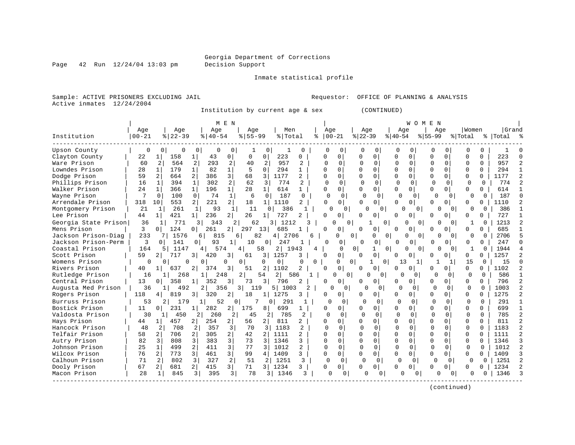Page  $42$  Run  $12/24/04$  13:03 pm

#### Inmate statistical profile

Sample: ACTIVE PRISONERS EXCLUDING JAIL Requestor: OFFICE OF PLANNING & ANALYSIS Active inmates 12/24/2004

Institution by current age & sex (CONTINUED)

|                      |              |                        |                       | M E N          |                      |                        |                |           |               |              |                      |              | WOMEN        |              |                |              |              |           |  |
|----------------------|--------------|------------------------|-----------------------|----------------|----------------------|------------------------|----------------|-----------|---------------|--------------|----------------------|--------------|--------------|--------------|----------------|--------------|--------------|-----------|--|
|                      | Age          | Age                    | Age                   |                | Aqe                  | Men                    |                | Age       |               | Age          |                      | Age          |              | Age          |                | Women        |              | Grand     |  |
| Institution          | $ 00 - 21$   | $8122 - 39$            | $8140 - 54$           |                | $8155 - 99$          | % Total                | ႜ              | $ 00-21 $ |               | $ 22-39$     |                      | $ 40-54 $    |              | $8155 - 99$  |                | % Total      |              | %   Total |  |
| Upson County         | 0            | 0<br>0                 | 0                     | 0              |                      | 0                      |                | $\Omega$  |               | $\Omega$     | $\Omega$             |              |              | $\cap$       | <sup>0</sup>   |              | $\Omega$     |           |  |
| Clayton County       | 22           | 158<br>1               | 43                    | 0              | $\Omega$<br>$\Omega$ | 223                    | U              | U         | 0             | $\Omega$     | 0                    | 0            | 0            | U            | $\Omega$       | U            | $\Omega$     | 223       |  |
| Ware Prison          | 60           | 2<br>564               | 2<br>293              | 2              | 2<br>40              | 957                    | 2              |           | $\Omega$      | O            | $\Omega$             | $\Omega$     | $\Omega$     |              | $\Omega$       | <sup>0</sup> | $\Omega$     | 957       |  |
| Lowndes Prison       | 28           | 179<br>1               | 82                    | $\mathbf{1}$   | 5<br>$\Omega$        | 294                    | 1              | U         | 0             |              | $\Omega$             | U            | 0            | $\Omega$     | $\Omega$       | $\Omega$     | $\Omega$     | 294       |  |
| Dodge Prison         | 59           | 664<br>2               | 386<br>2              | 3              | 68<br>3              | 1177                   | 2              | U         | $\Omega$      | $\Omega$     | $\Omega$             | $\Omega$     | 0            | $\Omega$     | $\Omega$       | $\Omega$     | 0            | 1177      |  |
| Phillips Prison      | 16           | 394<br>1               | 302<br>$\mathbf{1}$   | 2              | 62<br>3              | 774                    | $\overline{a}$ | 0         | $\Omega$      | $\Omega$     | $\Omega$             | $\Omega$     | $\Omega$     | $\Omega$     | $\Omega$       | $\Omega$     | $\Omega$     | 774       |  |
| Walker Prison        | 24           | 366<br>1               | $\mathbf{1}$<br>196   | 1              | 28<br>$1\vert$       | 614                    | $\mathbf{1}$   | O         | 0             |              | $\Omega$             | U            | 0            | U            | $\overline{0}$ | U            | $\Omega$     | 614       |  |
| Wayne Prison         | 7            | 100<br>$\Omega$        | 74<br>$\Omega$        | 1              | 6                    | 187<br>$\Omega$        | $\Omega$       | $\Omega$  | $\Omega$      | $\Omega$     | $\Omega$             | $\Omega$     | $\Omega$     | $\Omega$     | $\Omega$       | O            | <sup>0</sup> | 187       |  |
| Arrendale Prison     | 318          | 553<br>10              | $\overline{a}$<br>221 | 2 <sup>1</sup> | 18<br>1 <sup>1</sup> | 1110                   | 2              | $\cap$    | 0             | U            | $\Omega$             | O            | U            |              | 0 I            | 0            | U            | 1110      |  |
| Montgomery Prison    | 21           | 261<br>1               | 93<br>$\mathbf{1}$    | $\mathbf{1}$   | 11                   | 386<br>$\cap$          |                | $\Omega$  | 0             |              | $\Omega$             | n            | $\Omega$     |              | $\Omega$       | O            | <sup>0</sup> | 386       |  |
| Lee Prison           | 44           | 421<br>1 <sup>1</sup>  | 236<br>1 <sup>1</sup> | 21             | 26                   | 727                    | 2              | U         | 0             | <sup>0</sup> | 0                    | 0<br>U       |              | $\Omega$     |                | 0            |              | 727       |  |
| Georgia State Prison | 36           | 771<br>$\mathbf{1}$    | 343                   | 2              | 62                   | 3 I<br>1212            |                | ∩         | 0             |              | $\Omega$             | U            | $\Omega$     |              | $\Omega$       |              | $\Omega$     | 1213      |  |
| Mens Prison          | 3            | 124<br>$\Omega$        | 261<br>0              | 2              | 297<br>13            | 685                    |                | O         | 0             |              | $\Omega$             | 0            | 0            | <sup>0</sup> | $\Omega$       | U            | U            | 685       |  |
| Jackson Prison-Diag  | 233          | 1576                   | 6                     | 815<br>6       | 82                   | 2706<br>4 <sup>1</sup> |                |           | $\Omega$      |              | $\Omega$<br>$\Omega$ | $\Omega$     | $\Omega$     |              | $\Omega$       | 0            | $\Omega$     | 2706      |  |
| Jackson Prison-Perm  | 3            | 141<br>$\Omega$        | 93<br>0 I             |                | 10                   | 0<br>247               |                | U         | 0             | U            |                      | ∩            | $\Omega$     |              | 0              |              | $\Omega$     | 247       |  |
| Coastal Prison       | 164          | 1147<br>5 <sub>1</sub> | 4                     | 574<br>4       | 58                   | 2 I<br>1943            | 4              |           | <sup>0</sup>  | $\Omega$     | $\Omega$             | $\Omega$     | $\Omega$     | U            | $\Omega$       | 1            | $\Omega$     | 1944      |  |
| Scott Prison         | 59           | 717<br>2 I             | 420<br>31             | 3              | 61<br>3              | 1257                   | 3              |           | 0             |              | $\Omega$             | 0            | 0            |              |                | 0            | 0            | 1257      |  |
| Womens Prison        | <sup>0</sup> | 0                      | U                     | $\Omega$<br>O  | O                    | 0                      | $\Omega$<br>0  |           | 0<br>$\Omega$ | 1.           | $\Omega$             | 13           | 1            |              |                | 15           | 0            | 15        |  |
| Rivers Prison        | 40           | 637                    | 2 <sub>1</sub><br>374 | 3              | 51<br>2              | 1102                   |                |           | 0             |              | $\Omega$             | U            |              | U            | $\Omega$       | $\Omega$     | 0            | 1102      |  |
| Rutledge Prison      | 16           | 268                    |                       | 248<br>2.      | 54                   | 2 <sup>1</sup><br>586  |                |           | $\Omega$      | <sup>0</sup> | <sup>n</sup>         | 0            | 0            | O            | $\Omega$       | $\Omega$     | 0            | 586       |  |
| Central Prison       | 13           | 358<br>$\Omega$        | 352                   | 3              | $\overline{3}$<br>73 | 796                    |                |           | 0             |              | $\Omega$             | 0            | 0            | $\Omega$     | $\Omega$       | $\Omega$     | $\Omega$     | 796       |  |
| Augusta Med Prison   | 36           | 492<br>$\mathbf{1}$    | 2                     | 356<br>3 I     | 119                  | 1003<br>5              | 2              | n         | 0             | U            | $\Omega$             | $\cap$       | 0            | $\cap$       | 0              | $\Omega$     | $\Omega$     | 1003      |  |
| Rogers Prison        | 118          | 819<br>4.              | 320<br>3              | 2              | 18                   | 1275                   | 3              | U         | 0             |              | $\Omega$             | <sup>0</sup> | $\Omega$     | U            | $\Omega$       | $\Omega$     | $\Omega$     | 1275      |  |
| Burruss Prison       | 53           | $\overline{2}$<br>179  |                       | 52<br>$\Omega$ |                      | 291<br>0 <sup>1</sup>  |                | O         | $\Omega$      | U            | $\Omega$             | O            | $\Omega$     | <sup>0</sup> | $\Omega$       | O            | $\Omega$     | 291       |  |
| Bostick Prison       | 11           | 231<br>0 <sup>1</sup>  | 282                   | 2              | 175<br>81            | 699                    |                | O         | 0             |              | $\Omega$             | $\Omega$     | 0            | $\cap$       | $\Omega$       | O            | U            | 699       |  |
| Valdosta Prison      | 30           | $1\vert$<br>450        | 260                   | 2              | 45                   | 2 <br>785              | 2              | $\Omega$  | $\Omega$      |              | $\Omega$             | $\Omega$     | $\Omega$     | $\cap$       | $\Omega$       | $\Omega$     | $\Omega$     | 785       |  |
| Hays Prison          | 44           | 457<br>1 <sup>1</sup>  | 254<br>2              | 2              | 56<br>2              | 811                    | 2              | O         | 0             | $\Omega$     | $\Omega$             | 0            | 0            | $\Omega$     | $\Omega$       | $\Omega$     | $\Omega$     | 811       |  |
| Hancock Prison       | 48           | $\overline{2}$<br>708  | 2<br>357              | $\overline{3}$ | 70                   | 1183<br>3              | 2              | U         | $\Omega$      | $\Omega$     | $\Omega$             | $\Omega$     | <sup>0</sup> | U            | $\Omega$       | $\Omega$     | $\Omega$     | 1183      |  |
| Telfair Prison       | 58           | 706<br>2 <sub>1</sub>  | 305<br>2 <sub>1</sub> | 2              | 42<br>2 <sup>1</sup> | 1111                   | 2              |           | 0             |              | $\Omega$             | U            | 0            | $\Omega$     | $\Omega$       | $\Omega$     | $\Omega$     | 1111      |  |
| Autry Prison         | 82           | 3<br>808               | 383<br>3              | 3              | 73<br>3              | 1346                   | 3              | ∩         | $\Omega$      | $\Omega$     | $\Omega$             | $\Omega$     | $\Omega$     | $\Omega$     | $\Omega$       | $\Omega$     | <sup>0</sup> | 1346      |  |
| Johnson Prison       | 25           | 499<br>1               | 411                   | 3              | 77<br>3              | 1012                   | 2              |           | $\Omega$      | $\Omega$     | $\Omega$             | $\Omega$     | $\Omega$     | $\Omega$     | $\Omega$       | $\Omega$     | $\Omega$     | 1012      |  |
| Wilcox Prison        | 76           | 2<br>773               | $\overline{3}$<br>461 | 3              | 99<br>4              | 1409                   | 3              | U         | 0             | $\Omega$     | $\Omega$             | 0            | 0            | $\Omega$     | $\Omega$       | $\Omega$     | <sup>n</sup> | 1409      |  |
| Calhoun Prison       | 71           | 802<br>2               | 3<br>327              | 2              | 51                   | 1251<br>$\mathbf{2}$   | 3              | $\Omega$  | $\Omega$      | $\Omega$     | $\Omega$             | $\Omega$     | $\Omega$     | $\Omega$     | $\Omega$       | $\Omega$     | $\Omega$     | 1251      |  |
| Dooly Prison         | 67           | 2 <sub>1</sub><br>681  | 415                   | $\overline{3}$ | 71<br>3 I            | 1234                   | 3              | 0         | 0             | 0            | $\Omega$             | 0            | 0            | $\Omega$     | $\Omega$       | <sup>o</sup> | U            | 1234      |  |
| Macon Prison         | 28           | 845<br>1               | 3<br>395              | 3              | 78                   | 1346<br>3 I            | ζ              | U         | 0             |              | 0                    | U            | 0            | U            | $\Omega$       | U            |              | 1346      |  |
|                      |              |                        |                       |                |                      |                        |                |           |               |              |                      |              |              |              |                |              |              |           |  |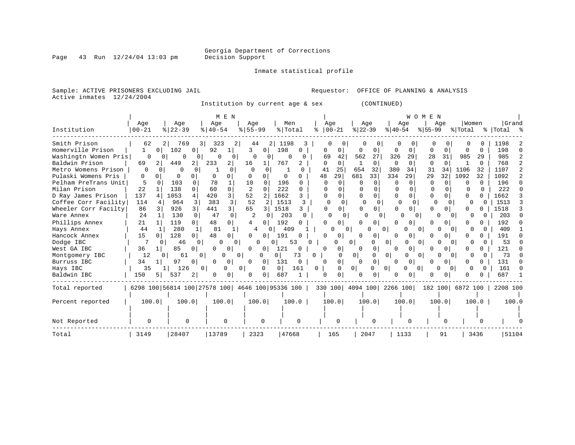Inmate statistical profile

Sample: ACTIVE PRISONERS EXCLUDING JAIL **Requestor:** OFFICE OF PLANNING & ANALYSIS Active inmates 12/24/2004

Institution by current age & sex (CONTINUED)

|                      |                                                 |              |                      |                |                      | M E N                |                  |          |                |              |   |              |                |                |                      |                           |                | WOMEN    |                      |                          |              |                    |                |
|----------------------|-------------------------------------------------|--------------|----------------------|----------------|----------------------|----------------------|------------------|----------|----------------|--------------|---|--------------|----------------|----------------|----------------------|---------------------------|----------------|----------|----------------------|--------------------------|--------------|--------------------|----------------|
| Institution          | Age<br>$00 - 21$                                |              | Age<br>$8   22 - 39$ |                | Age<br>$8   40 - 54$ |                      | Age<br>$8 55-99$ |          | Men<br>% Total |              |   | Age          | $00 - 21$      | $ 22-39 $      | Age                  | $ 40-54 $                 | Age            | $ 55-99$ | Age                  | Women<br>% Total         |              | Grand<br>% Total % |                |
| Smith Prison         | 62                                              | 2            | 769                  | 3              | 323                  | 2                    | 44               | 2        | 1198           |              | 3 |              |                |                | 0                    |                           | 0              |          | 0                    |                          |              | 1198               |                |
| Homerville Prison    | 1                                               | $\Omega$     | 102                  |                | 92                   |                      | 3                | $\Omega$ | 198            |              |   | $\Omega$     | 0              | 0              | 0                    | 0                         | $\Omega$       | O        | $\Omega$             |                          | <sup>o</sup> | 198                | n              |
| Washingtn Women Pris | $\Omega$                                        | 0            | $\Omega$             | 0              | 0                    | 0                    | $\Omega$         |          | $\Omega$       |              |   | 69           | 42             | 562            | 27                   | 326                       | 29             | 28       | 31                   | 985                      | 29           | 985                | 2              |
| Baldwin Prison       | 69                                              | 2            | 449                  | 2              | 233                  | 2                    | 16               |          | 767            |              |   | ∩            | 0              | 1              | $\Omega$             | $\Omega$                  | $\Omega$       | $\Omega$ | $\Omega$             | $\mathbf{1}$             | <sup>0</sup> | 768                | $\overline{2}$ |
| Metro Womens Prison  | - 0                                             | <sup>n</sup> | O                    |                |                      | $\Omega$             | $\Omega$         | U        |                | <sup>n</sup> |   | 41           | 25             | 654            | 32                   | 380                       | 34             | 31       | 34                   | 1106                     | 32           | 1107               | $\mathfrak{D}$ |
| Pulaski Womens Pris  | 0                                               | <sup>0</sup> | O                    |                | $\cap$               | $\Omega$             | $\Omega$         | O        | $\Omega$       | 0            |   | 48           | 29             | 681            | 33                   | 334                       | 29             | 29       | 32                   | 1092                     | 32           | 1092               | 2              |
| Pelham PreTrans Unit | 5                                               |              | 103                  | <sup>o</sup>   | 78                   |                      | 10               |          | 196            |              |   |              | $\Omega$       |                | <sup>0</sup>         | <sup>0</sup>              | $\Omega$       | O        | $\Omega$             | $\Omega$                 | <sup>0</sup> | 196                |                |
| Milan Prison         | 22                                              |              | 138                  | $\Omega$       | 60                   | $\Omega$             | 2                | $\Omega$ | 222            | 0            |   |              | U              |                | $\Omega$             | O                         | <sup>o</sup>   | $\Omega$ | $\Omega$             | $\Omega$                 | <sup>n</sup> | 222                | n              |
| D Ray James Prison   | 137                                             |              | 1053                 | $\overline{4}$ | 420                  | 3                    | 52               | 2        | 1662           | 3            |   | $\Omega$     | 0              |                | $\Omega$             | O                         | $\Omega$       | O        | 0                    | $\Omega$                 |              | 1662               |                |
| Coffee Corr Facility | 114                                             | 4            | 964                  | 3              | 383                  | 3                    | 52               | 2        | 1513           |              |   | $\Omega$     | $\Omega$       |                | $\Omega$             | $\Omega$                  | 0              |          | $\Omega$<br>$\Omega$ | 0                        |              | 1513               |                |
| Wheeler Corr Facilty | 86                                              |              | 926                  | 3              | 441                  | 3                    | 65               | 3        | 1518           | 3            |   | O            | 0              | $\Omega$       | 0                    | 0                         | $\Omega$       | U        | 0                    | <sup>0</sup>             |              | 1518               |                |
| Ware Annex           | 24                                              |              | 130                  | $\Omega$       | 47                   | $\Omega$             |                  |          | 203            | <sup>0</sup> |   | n            | $\Omega$       |                | $\Omega$<br>$\Omega$ |                           | $\Omega$       |          | ∩                    | $\Omega$<br><sup>0</sup> |              | 203                |                |
| Phillips Annex       | 21                                              |              | 119                  | $\Omega$       | 48                   | 0                    |                  | 0        | 192            |              |   |              | 0              |                | 0                    | O                         | 0              |          |                      | 0                        |              | 192                |                |
| Hays Annex           | 44                                              |              | 280                  |                | 81                   |                      | 4                | 0        | 409            |              |   |              | U              | 01             | O                    | 0                         | 0              | $\Omega$ | 0                    | $\Omega$                 |              | 409                |                |
| Hancock Annex        | 15                                              | $\Omega$     | 128                  | 0              | 48                   | 0                    | $\Omega$         | 0        | 191            | 0            |   | 0            | 0              | 0              | 0                    | 0                         | $\overline{0}$ | U        | 0                    | O                        |              | 191                |                |
| Dodge IBC            |                                                 | $\Omega$     | 46                   | $\Omega$       | $\Omega$             | 0                    | 0                | 0        |                | 53           |   |              |                | 0 I            | 0                    | 0                         | 0              | $\circ$  | 0                    | $\Omega$<br>0            |              | 53                 |                |
| West GA IBC          | 36                                              |              | 85                   | $\Omega$       | $\Omega$             | 0                    | $\Omega$         | 0        | 121            | 0            |   | <sup>0</sup> | 0              | $\Omega$       | 0                    | <sup>n</sup>              | $\Omega$       | U        | 0                    | $\Omega$                 |              | 121                |                |
| Montgomery IBC       | 12                                              | 0            | 61                   | $\Omega$       | $\Omega$             | 0                    |                  | 0        | 0              | 73           | 0 |              | $\Omega$       | 0 <sup>1</sup> | 0                    | 0                         | 0              | $\Omega$ | 0                    | $\Omega$<br>O            |              | 73                 |                |
| Burruss IBC          | 34                                              |              | 97                   | 0              | $\Omega$             | 0                    | 0                | 0        | 131            | 0            |   | $\Omega$     | 0 <sup>1</sup> | $\Omega$       | 0                    | $\Omega$                  | 0 <sup>1</sup> | O.       | 0                    | $\Omega$                 |              | 131                |                |
| Hays IBC             | 35                                              |              | 126                  | $\Omega$       |                      | $\Omega$<br>$\Omega$ |                  | $\Omega$ | 0 <sup>1</sup> | 161          |   | $\Omega$     | $\Omega$       | 0              | 0                    | 0 <sup>1</sup>            | 0              | 0        | 0                    | $\Omega$<br>$\Omega$     |              | 161                |                |
| Baldwin IBC          | 150                                             | 5.           | 537                  |                |                      | 0                    | $\Omega$         | 0        | 687            |              |   | ∩            | 0              |                | 0                    |                           |                |          |                      |                          |              | 687                |                |
| Total reported       | 6298 100 56814 100 27578 100 4646 100 95336 100 |              |                      |                |                      |                      |                  |          |                |              |   |              |                |                |                      | 330 100 4094 100 2266 100 |                |          |                      | 182 100 6872 100         |              | 2208 100           |                |
| Percent reported     | 100.0                                           |              | 100.0                |                | 100.0                |                      | 100.0            |          |                | 100.0        |   |              | 100.0          |                | 100.0                |                           | 100.0          |          | 100.0                |                          | 100.0        | 100.0              |                |
| Not Reported         | 0                                               |              | $\Omega$             |                |                      | $\Omega$             |                  | $\Omega$ |                |              |   |              |                |                |                      |                           | O              |          | O                    |                          |              |                    |                |
| Total                | 3149                                            |              | 28407                |                | 13789                |                      | 2323             |          | 47668          |              |   |              | 165            |                | 2047                 |                           | 1133           |          | 91                   |                          | 3436         | 51104              |                |

Page 43 Run  $12/24/04$  13:03 pm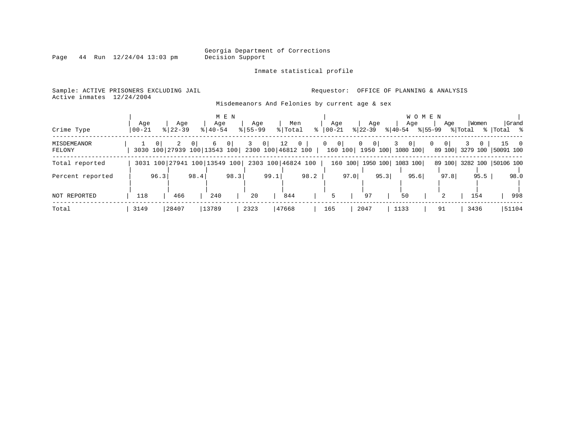Page  $44$  Run  $12/24/04$  13:03 pm

#### Inmate statistical profile

Sample: ACTIVE PRISONERS EXCLUDING JAIL **Requestor:** OFFICE OF PLANNING & ANALYSIS Active inmates 12/24/2004

Misdemeanors And Felonies by current age & sex

| Crime Type            | Aqe<br>$00 - 21$ |          | Age<br>$8122 - 39$                             |          | Age<br>$8140 - 54$ | M E N          | Age<br>$8155 - 99$ |                | Men<br>% Total    | $\approx$ 1                 | Aqe<br>$ 00-21$ |                    | Aqe<br>$ 22-39 $           |      | Aqe<br>$ 40-54 $               | <b>WOMEN</b><br>% 55-99 | Age      | Women<br>% Total                      | % Total % | Grand         |
|-----------------------|------------------|----------|------------------------------------------------|----------|--------------------|----------------|--------------------|----------------|-------------------|-----------------------------|-----------------|--------------------|----------------------------|------|--------------------------------|-------------------------|----------|---------------------------------------|-----------|---------------|
| MISDEMEANOR<br>FELONY |                  | $\Omega$ | $\overline{a}$<br>3030 100 27939 100 13543 100 | $\Omega$ | 6                  | 0 <sup>1</sup> |                    | 0 <sup>1</sup> | $12 \overline{ }$ | $0-1$<br>2300 100 46812 100 | $\overline{0}$  | $\circ$<br>160 100 | $\Omega$<br>0 <sup>1</sup> |      | $\Omega$<br>1950 100  1080 100 | $\Omega$                | $\Omega$ | $\Omega$<br>89 100 3279 100 50091 100 |           | $15 \qquad 0$ |
| Total reported        |                  |          | 3031 100 27941 100 13549 100                   |          |                    |                |                    |                |                   | 2303 100 46824 100          |                 |                    |                            |      | 160 100 1950 100 1083 100      |                         |          | 89 100 3282 100 50106 100             |           |               |
| Percent reported      |                  | 96.3     |                                                | 98.4     |                    | 98.3           |                    | 99.1           |                   | 98.2                        |                 | 97.0               |                            | 95.3 | 95.6                           |                         | 97.8     | 95.5                                  |           | 98.0          |
| NOT REPORTED          | 118              |          | 466                                            |          | 240                |                | 20                 |                | 844               |                             |                 |                    | 97                         |      | 50                             |                         | 2        | 154                                   |           | 998           |
| Total                 | 3149             |          | 28407                                          |          | 13789              |                | 2323               |                | 47668             |                             | 165             |                    | 2047                       |      | 1133                           |                         | 91       | 3436                                  |           | 51104         |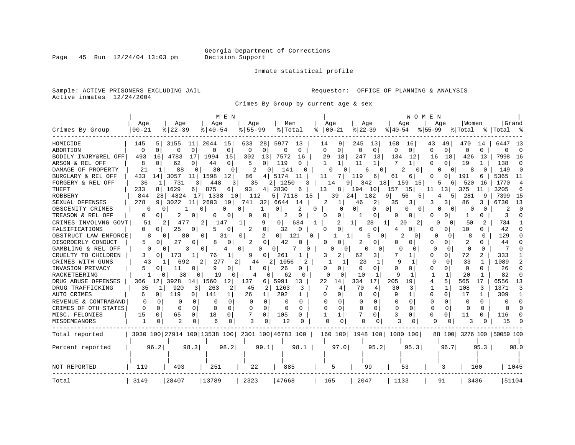Inmate statistical profile

Sample: ACTIVE PRISONERS EXCLUDING JAIL **Requestor:** OFFICE OF PLANNING & ANALYSIS Active inmates 12/24/2004

Crimes By Group by current age & sex

|                      |                              |                |                |             |                       | M E N       |             |                |                    |              |    |              |                     |             |              |              |                               | WOMEN        |                |          |              |                           |                |
|----------------------|------------------------------|----------------|----------------|-------------|-----------------------|-------------|-------------|----------------|--------------------|--------------|----|--------------|---------------------|-------------|--------------|--------------|-------------------------------|--------------|----------------|----------|--------------|---------------------------|----------------|
|                      | Age                          |                | Age            |             | Age                   |             | Age         |                | Men                |              |    | Age          |                     |             | Age          |              | Age                           |              | Age            | Women    |              |                           | Grand          |
| Crimes By Group      | $00 - 21$                    |                | $8   22 - 39$  |             | $8140 - 54$           |             | $8155 - 99$ |                | % Total            |              | ႜ  |              | $ 00-21 $           | $ 22-39$    |              | $8 40-54$    |                               | $8 55-99$    |                | % Total  |              | %  Total                  | ം ക            |
| HOMICIDE             | 145                          | 5              | 3155           | 11          | 2044                  | 15          | 633         | 28             | 5977               | 13           |    | 14           | 9                   | 245         | 13           | 168          | 16                            | 43           | 49             | 470      | 14           | 6447                      | -13            |
| ABORTION             | $\Omega$                     | $\mathbf 0$    | 0              | $\mathbf 0$ | $\Omega$              | $\mathbf 0$ | 0           | 0              | 0                  | $\Omega$     |    | $\Omega$     | $\mathbf 0$         | $\mathbf 0$ | $\mathbf 0$  | $\Omega$     | 0                             | $\Omega$     | 0 <sup>1</sup> | $\Omega$ | $\Omega$     | $\Omega$                  | $\Omega$       |
| BODILY INJRY&REL OFF | 493                          | 16             | 4783           | 17          | 1994                  | 15          | 302         | 13             | 7572               | 16           |    | 29           | 18                  | 247         | 13           | 134          | 12                            | 16           | 18             | 426      | -13          | 7998                      | -16            |
| ARSON & REL OFF      | 8                            | 0              | 62             | 0           | 44                    | 0           | 5           | 0              | 119                | O            |    | $\mathbf{1}$ | $\mathbf{1}$        | 11          | 1            | 7            | $\mathbf{1}$                  | U            | $\Omega$       | 19       | 1            | 138                       | $\Omega$       |
| DAMAGE OF PROPERTY   | 21                           | 1              | 88             |             | 30                    | 0           |             | 0              | 141                | O            |    | U            |                     |             | 0<br>6       |              | 2<br>$\mathbf{0}$             | n            | $\Omega$       | 8        |              | 149                       | $\Omega$       |
| BURGLARY & REL OFF   | 433                          | 14             | 3057           | 11          | 1598                  | 12          | 86          | 4              | 5174               | 11           |    | 11           | 7                   | 119         | 6            | 61           | 6                             | 0            | n              | 191      | 6            | 5365                      | 11             |
| FORGERY & REL OFF    | 36                           |                | 731            | 3           | 448                   | 3           | 35          |                | 2   1250           | 3            |    | 14           | 9                   | 342         |              | 181          | 15<br>159                     | 5            | 61             | 520      | 16           | 1770                      | $\overline{4}$ |
| THEFT                | 233                          | 8              | 1629           | 6           | 875                   | 6           | 93          | 4              | 2830               | 6            |    | 13           | 8                   | 194         | 10           | 157          | 15                            | 11           | 13             | 375      | 11           | 3205                      | 6              |
| <b>ROBBERY</b>       | 844                          | 28             | 4824           | 171         | 1338                  | 10          | 112         |                | 5  <br>7118        |              | 15 |              | 39                  | 24          | 182          |              | 56<br>5                       | 4            | 51             | 281      | 9            | 7399                      | 15             |
| SEXUAL OFFENSES      | 278                          | 9              | 3022           | 11          | 2603                  | 19          | 741         | 32             | 6644               | 14           |    | 2            | 1                   | 46          | 2            | 35           | 3                             | 3            | 3              | 86       | 3            | 6730                      | 13             |
| OBSCENITY CRIMES     |                              |                |                |             | 0                     | 0           | 0           |                | 0                  | 2            | 0  |              | $\Omega$            | $\Omega$    | 0            | 0            | 0<br>0                        | O            | $\Omega$       |          | $\Omega$     | 2                         | $\Omega$       |
| TREASON & REL OFF    | 0                            | 0              |                | 0           |                       | 0           | 0           | 0              | 2                  | $\Omega$     |    | 0            | 0                   |             | 0            | O            | 0                             | O            | $\Omega$       | 1        | 0            | 3                         | O              |
| CRIMES INVOLVNG GOVT | 51                           |                | 477            |             | 2<br>147              |             | 1           | 9              | 0                  | 684          | 1  |              | 2                   |             | 28           | 1            | 20<br>21                      | O            | 0              | 50       |              | 734                       |                |
| FALSIFICATIONS       | $\Omega$                     | $\overline{0}$ | 25             | 0           | 5                     | 0           | 2           | 0              | 32                 | $\Omega$     |    | U            | <sup>0</sup>        | 6           | 0            | 4            | 0                             | $\Omega$     | 0              | 10       | U            | 42                        | U              |
| OBSTRUCT LAW ENFORCE | 8                            | 0              | 80             |             | 0                     | 31          | 0           | 2              | 01                 | 121          | 0  |              | 1 <sup>1</sup><br>1 |             | 5<br>0       |              | 2<br>0                        | $\Omega$     | 0              | 8        | $\Omega$     | 129                       | <sup>0</sup>   |
| DISORDERLY CONDUCT   | 5                            | O              | 27             | 0           | 8                     | 0           | 2           | 0              | 42                 |              |    | 0            |                     | 2           | 0            | <sup>0</sup> | 0                             | N            | $\Omega$       | 2        |              | 44                        |                |
| GAMBLING & REL OFF   | O                            | 0              |                | 3           | $\Omega$              | 4           | 0           | 0              | 0                  |              | U  |              | 0                   | ∩           | 0            | O            | $\Omega$                      | $\Omega$     | $\Omega$       | $\Omega$ | 0            | $\overline{7}$            | ∩              |
| CRUELTY TO CHILDREN  | 3                            | 01             | 173            |             | 76                    | 1           | 9           | 0              | 261                |              |    | 3            | 2                   | 62          | 3            |              | 1                             | 0            | 0              | 72       |              | 333                       |                |
| CRIMES WITH GUNS     | 43                           |                | 692            |             | 277<br>2 <sub>1</sub> | 2           | 44          | $\overline{2}$ | 1056               |              |    |              | 1                   | 23          | $\mathbf{1}$ | 9            | 1                             | $\Omega$     | $\Omega$       | 33       |              | 1089                      | $\mathbf{2}$   |
| INVASION PRIVACY     | 5                            | $\Omega$       | 11             | $\Omega$    | 9                     | 0           | -1          | 0              | 26                 | 0            |    | O            | $\Omega$            | $\Omega$    | 0            | $\Omega$     | 0                             | O            | $\Omega$       | $\Omega$ | <sup>0</sup> | 26                        | $\Omega$       |
| RACKETEERING         |                              | <sup>o</sup>   | 38             | 0           | 19                    | O           | 4           | 0              | 62                 | $\Omega$     |    | O            | O                   | 10          | -1           |              |                               |              |                | 20       |              | 82                        | <sup>0</sup>   |
| DRUG ABUSE OFFENSES  | 366                          | 12             | 3928           | 14          | 1560                  | 12          | 137         | 6              | 5991               | 13           |    | 22           | 14                  | 334         | 17           | 205          | 19                            | 4            | 5              | 565      | 17           | 6556                      | 13             |
| DRUG TRAFFICKING     | 35                           |                | 920            | 3           | 263                   | 2           | 45          | 2              | 1263               | 3            |    |              | 4                   | 70          | 4            | 30           | 3                             | 1            | $\mathbf{1}$   | 108      | 3            | 1371                      | 3              |
| AUTO CRIMES          | 6                            | 0              | 119            | 0           | 141                   |             | 26          | 1              | 292                |              |    | 0            | 0                   | 8           | 0            | 9            | 1                             | 0            | $\mathbf{0}$   | 17       | -1           | 309                       | 1              |
| REVENUE & CONTRABAND | $\Omega$                     | $\Omega$       | 0              | 0           | $\Omega$              | $\Omega$    | $\Omega$    | $\Omega$       | 0                  | O            |    |              | $\Omega$            | 0           | 0            | 0            | $\Omega$                      | 0            | $\Omega$       | $\Omega$ | O            | 0                         | O              |
| CRIMES OF OTH STATES | $\Omega$                     | $\Omega$       | $\Omega$       | $\Omega$    | $\Omega$              | 0           | $\Omega$    | $\Omega$       | $\Omega$           | 0            |    | $\Omega$     | $\Omega$            | $\Omega$    | $\Omega$     | $\Omega$     | $\Omega$                      | <sup>0</sup> | $\Omega$       | $\Omega$ | $\Omega$     | $\Omega$                  | $\Omega$       |
| MISC. FELONIES       | 15                           | $\Omega$       | 65             | 0.          | 18                    | $\Omega$    | 7           | $\Omega$       | 105                | <sup>o</sup> |    |              |                     |             | 0            |              | 0                             | U            | $\Omega$       | 11       | 0            | 116                       | <sup>o</sup>   |
| MISDEMEANORS         | 1                            |                | $\overline{c}$ | 0           | 6                     | 0           | 3           |                | 12                 |              |    | $\Omega$     | $\Omega$            |             |              |              | 0                             | U            |                | 3        |              | 15                        |                |
| Total reported       | 3030 100 27914 100 13538 100 |                |                |             |                       |             |             |                | 2301 100 46783 100 |              |    |              |                     |             |              |              | 160 100   1948 100   1080 100 |              |                |          |              | 88 100 3276 100 50059 100 |                |
| Percent reported     |                              | 96.2           |                | 98.3        |                       | 98.2        |             | 99.1           |                    | 98.1         |    |              | 97.0                |             | 95.2         |              | 95.3                          |              | 96.7           |          | 95.3         |                           | 98.0           |
|                      |                              |                |                |             |                       |             |             |                |                    |              |    |              |                     |             |              |              |                               |              |                |          |              |                           |                |
| NOT REPORTED         | 119                          |                | 493            |             | 251                   |             | 22          |                | 885                |              |    |              | 5                   |             | 99           |              | 53                            |              | 3              |          | 160          |                           | 1045           |
|                      |                              |                |                |             |                       |             |             |                |                    |              |    |              |                     |             |              |              |                               |              |                |          |              |                           |                |
| Total                | 3149                         |                | 28407          |             | 13789                 |             | 2323        |                | 47668              |              |    | 165          |                     | 2047        |              | 1133         |                               |              | 91             | 3436     |              |                           | 51104          |

Page  $45$  Run  $12/24/04$  13:03 pm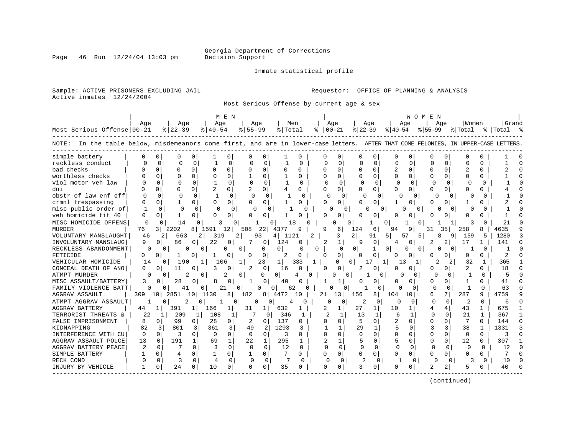Page  $46$  Run  $12/24/04$  13:03 pm

#### Inmate statistical profile

Sample: ACTIVE PRISONERS EXCLUDING JAIL **Requestor:** OFFICE OF PLANNING & ANALYSIS Active inmates 12/24/2004

Most Serious Offense by current age & sex

|                                                                                                                                      |              |                       |                          |                       | M E N              |                      |              |              |                |              |                |              |              |          | W O M E N   |          |              |              |             |        |
|--------------------------------------------------------------------------------------------------------------------------------------|--------------|-----------------------|--------------------------|-----------------------|--------------------|----------------------|--------------|--------------|----------------|--------------|----------------|--------------|--------------|----------|-------------|----------|--------------|--------------|-------------|--------|
|                                                                                                                                      | Age          |                       | Age                      | Age                   |                    | Age                  | Men          |              |                | Age          | Age            |              | Age          |          |             | Aqe      | Women        |              | Grand       |        |
| Most Serious Offense   00-21                                                                                                         |              | $ 22-39 $             |                          | $8140 - 54$           |                    | $8155 - 99$          | % Total      |              | $8   00 - 21$  |              | $ 22-39 $      |              | $ 40-54 $    |          | $8155 - 99$ |          | % Total      |              | %   Total % |        |
| In the table below, misdemeanors come first, and are in lower-case letters. AFTER THAT COME FELONIES, IN UPPER-CASE LETTERS<br>NOTE: |              |                       |                          |                       |                    |                      |              |              |                |              |                |              |              |          |             |          |              |              |             |        |
| simple battery                                                                                                                       | 0            | 0                     | 0<br>O                   |                       | 0                  | 0                    |              | O            |                | 0            |                |              | <sup>0</sup> |          |             |          |              |              |             |        |
| reckless conduct                                                                                                                     |              | $\Omega$              | $\Omega$<br>n            |                       | 0                  | $\cap$<br>∩          |              | U            | $\cap$         | $\Omega$     | U              | $\cap$       | $\cap$       | ∩        | $\cap$      | 0        | ∩            | U            |             |        |
| bad checks                                                                                                                           |              | $\Omega$              | $\Omega$<br>O            | U                     | 0<br>$\Omega$      | $\Omega$             | $\Omega$     | $\Omega$     | $\Omega$       | 0            | $\Omega$       | $\Omega$     | 2            | $\Omega$ | $\Omega$    | $\Omega$ |              | 0            |             |        |
| worthless checks                                                                                                                     |              | $\Omega$              | $\Omega$<br>$\Omega$     | $\Omega$              | $\Omega$           | $\Omega$             | 1            | 0            | O              | $\Omega$     |                | $\Omega$     | 0            | 0        | O           | $\Omega$ | O            | O.           |             |        |
| viol motor yeh law                                                                                                                   |              | $\Omega$              | $\Omega$<br>$\Omega$     |                       | $\Omega$           | $\Omega$<br>$\Omega$ | $\mathbf{1}$ | $\Omega$     | <sup>0</sup>   | $\Omega$     | $\Omega$       | $\Omega$     | $\Omega$     | $\Omega$ | O           | $\Omega$ |              |              |             |        |
| dui                                                                                                                                  | U            | $\Omega$              | U                        | $\overline{a}$        | 0                  | $\Omega$             | 4            | 0            | U              | 0            | n              | 0            | <sup>0</sup> | O        | ∩           | $\Omega$ |              | U            |             |        |
| obstr of law enf off                                                                                                                 | <sup>0</sup> | $\Omega$              | $\Omega$<br><sup>0</sup> |                       | 0                  | $\Omega$<br>$\Omega$ |              | <sup>o</sup> | $\Omega$       | $\Omega$     | U              | 0            | n            | 0        | O           | n        | U            |              |             |        |
| crmnl trespassing                                                                                                                    | <sup>0</sup> | $\Omega$              | 0                        | $\Omega$              | $\Omega$           | 0<br>$\Omega$        |              | O            | N              | 0            |                | O            | 1            |          | $\cap$      |          |              |              |             |        |
| misc public order of                                                                                                                 |              | $\Omega$              | $\cap$<br>$\Omega$       |                       | $\Omega$           | n<br>U               |              | O            | O              | 0            | U              | U            |              | 0        |             |          | U            | U            |             |        |
| veh homicide tit 40                                                                                                                  | O            | <sup>o</sup>          | 1<br>0                   | $\Omega$              | 0                  | U<br>U               |              | U            | O              | 0            |                | O            | 0            |          |             |          | U            |              |             |        |
| MISC HOMICIDE OFFENS                                                                                                                 | 0            | <sup>0</sup>          | 14<br>∩                  |                       | 0                  |                      | 1 R          | n            |                | U            | 0              | U<br>ı       |              | 0        |             |          | ٦            | U            | 21          |        |
| <b>MURDER</b>                                                                                                                        | 76           | 3 l<br>2202           | 8                        | 1591                  | 12<br>508          | 22                   | 4377         | 9            |                | 6            | 124            | 6            | 94           | 9        | 31          | 35       | 258          |              | 4635        |        |
| VOLUNTARY MANSLAUGHT                                                                                                                 | 46           | 2                     | 663                      | 319<br>2              | 2                  | 93                   | 4 1121       |              |                | 3            | $\overline{a}$ | 91<br>5      | 57           | 5        | 8           | 9        | 159          | 5            | 1280        |        |
| INVOLUNTARY MANSLAUG                                                                                                                 | 9            | <sup>0</sup>          | 86<br>0                  | 22                    | 0                  | 7<br>0               | 124          | 0            | 2              | 1            |                | 0            |              | 0        | 2           | 2        | 17           |              | 141         |        |
| RECKLESS ABANDONMENT                                                                                                                 | $\Omega$     | $\Omega$              | 0                        | 0                     | 0<br>0             | O                    | $\Omega$     | O            | 0              | $\Omega$     | $\Omega$       | $\Omega$     | O            | 0        | U           |          |              | O            |             |        |
| FETICIDE                                                                                                                             | 0            | O                     | 0                        |                       | 0                  | $\Omega$             | 2            |              | ∩              | 0            |                | 0            | n            |          |             |          | O            |              | 2           |        |
| VEHICULAR HOMICIDE                                                                                                                   | 14           | $\Omega$              | 190                      | 1 <sup>1</sup><br>106 | 1                  | 23                   | $\mathbf{1}$ | 333          | 1              | O            | O.<br>17       | 1            | 13           |          |             |          | 32           | 1            | 365         |        |
| CONCEAL DEATH OF ANO                                                                                                                 | 0            | 0                     | 11<br>0                  | 3                     | 0                  | $\Omega$<br>2        | 16           | O            |                | 0            | 2              | $\Omega$     | 0            | 0        | O           | $\Omega$ | 2            | 0            | 18          |        |
| ATMPT MURDER                                                                                                                         | O            | 0                     | 2                        | 0                     | 2<br>0             | O                    | 0            | <sup>o</sup> |                | O            |                | $\Omega$     |              | 0        | 0           | $\Omega$ |              | O            | 5           |        |
| MISC ASSAULT/BATTERY                                                                                                                 | 3            | 0                     | 28<br>$\Omega$           |                       | $\Omega$           | -1<br>O              | 40           |              |                | 1            |                | $\Omega$     | O            | 0        | $\cap$      | $\Omega$ | $\mathbf{1}$ | O.           | 41          |        |
| FAMILY VIOLENCE BATT                                                                                                                 | 0            |                       | 41                       | 21<br>0               | O                  | U                    | 62<br>0      | 0            |                | O            |                |              | ∩            | O        | n           | $\Omega$ | -1           | ∩            | 63          |        |
| <b>AGGRAV ASSAULT</b>                                                                                                                | 309          | 10<br>2851            | 10                       | 1130                  | 8<br>182           | 81                   | 4472         | 10           | 21             | 13           | 156            | 8            | 104<br>10    |          | 6           | 7        | 287          | 9            | 4759        |        |
| ATMPT AGGRAV ASSAULT                                                                                                                 |              |                       | 2<br>0                   |                       | 0                  | 0                    |              | $\Omega$     | <sup>0</sup>   |              |                | 0            | n            | $\Omega$ | O           | $\Omega$ | 2            | $\Omega$     | 6           | n      |
| <b>AGGRAV BATTERY</b>                                                                                                                | 44           | 391<br>1 <sup>1</sup> | $\mathbf{1}$             | 166                   | 31<br>1            | 1                    | 632          |              | 2.             |              | 27             |              | 10           |          |             | 4        | 43           | $\mathbf{1}$ | 675         |        |
| TERRORIST THREATS &                                                                                                                  | 22           | 1                     | 209<br>1                 | 108                   | 1                  | 7<br>O               | 346          | 1            | 2              |              | 13             | 1            | 6            |          | $\Omega$    | $\Omega$ | 21           | $\mathbf{1}$ | 367         |        |
| FALSE IMPRISONMENT                                                                                                                   | 8            | $\Omega$              | 99<br>0                  | 28                    | 0                  | 2<br>$\Omega$        | 137          | 0            | U              | $\Omega$     | 5              | $\Omega$     | 2            | 0        | $\Omega$    | $\Omega$ | 7            | 0            | 144         | $\cap$ |
| KIDNAPPING                                                                                                                           | 82           | 3                     | 801<br>3                 | 361                   | 3<br>49            | 2                    | 1293         | 3            |                | $\mathbf{1}$ | 29             | $\mathbf{1}$ | 5            | $\Omega$ | 3           | 3        | 38           | 1            | 1331        |        |
| INTERFERENCE WITH CU                                                                                                                 | $\Omega$     | $\Omega$              | 3<br>$\Omega$            | $\Omega$              | $\Omega$           | $\Omega$<br>$\Omega$ | 3            | $\Omega$     | U              | $\Omega$     | $\Omega$       | $\Omega$     | O            | $\Omega$ | $\cap$      | $\Omega$ | $\Omega$     | $\Omega$     | 3           |        |
| AGGRAV ASSAULT POLCE                                                                                                                 | 13           | 0                     | 191<br>$\mathbf{1}$      | 69                    | $\mathbf{1}$<br>22 | $\mathbf{1}$         | 295          | 1            | $\mathfrak{D}$ | 1            | 5              | $\Omega$     | 5            | 0        | $\cap$      | $\Omega$ | 12           | 0            | 307         |        |
| AGGRAV BATTERY PEACE                                                                                                                 | 2            | $\Omega$              | $\Omega$                 | 3                     | $\Omega$           | $\Omega$<br>$\Omega$ | 12           | $\Omega$     | <sup>0</sup>   | $\Omega$     | $\Omega$       | $\Omega$     | $\Omega$     | 0        |             | $\Omega$ | U            | $\Omega$     | 12          |        |
| SIMPLE BATTERY                                                                                                                       | 1            | 0                     | 4<br>$\Omega$            | $\mathbf{1}$          | 0                  | $\mathbf 0$<br>1     | 7            | 0            | O              | 0            | $\Omega$       | $\Omega$     | $\Omega$     | 0        | $\Omega$    | $\Omega$ | 0            | 0            |             |        |
| RECK COND                                                                                                                            | $\Omega$     | 0                     | 3<br>$\Omega$            | 4                     | $\Omega$           | $\Omega$<br>$\Omega$ | 7            | $\Omega$     | $\Omega$       | $\Omega$     | $\overline{c}$ | $\Omega$     |              | $\Omega$ | O           | $\Omega$ | ς            | $\Omega$     | 10          |        |
| INJURY BY VEHICLE                                                                                                                    | -1           | O                     | 24<br>0                  | 10                    | 0                  | $\Omega$<br>0        | 35           | 0            | O              | 0            |                | $\Omega$     | U            |          | 2           | 2        |              |              | 40          |        |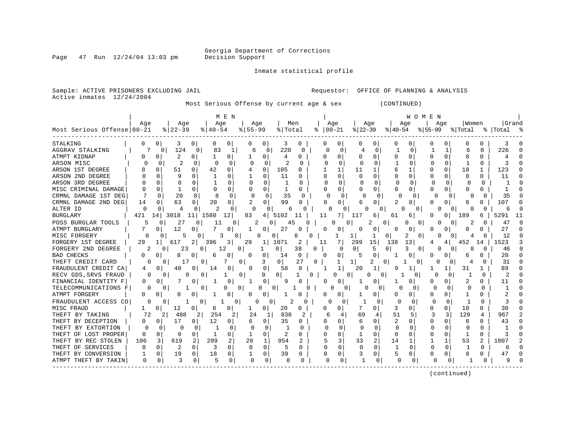Inmate statistical profile

Page  $47$  Run  $12/24/04$  13:03 pm

Active inmates 12/24/2004

Sample: ACTIVE PRISONERS EXCLUDING JAIL **Requestor:** OFFICE OF PLANNING & ANALYSIS

Most Serious Offense by current age & sex (CONTINUED)

|                            |              |              |                |                      | M E N       |           |                |         |              |              |          |               |          |          |           | WOMEN         |              |              |          |                |             |   |
|----------------------------|--------------|--------------|----------------|----------------------|-------------|-----------|----------------|---------|--------------|--------------|----------|---------------|----------|----------|-----------|---------------|--------------|--------------|----------|----------------|-------------|---|
|                            | Aqe          |              | Age            | Age                  |             | Age       |                |         | Men          |              | Age      |               | Age      |          |           | Aqe           |              | Aqe          | Women    |                | Grand       |   |
| Most Serious Offense 00-21 |              |              | $ 22-39$       | $8   40 - 54$        |             | $8 55-99$ |                | % Total |              | ႜ            | $ 00-21$ |               | $ 22-39$ |          | $ 40-54 $ |               | $ 55-99$     |              | % Total  |                | %   Total   |   |
| STALKING                   | 0            | 0            | 3              | 0<br>O               | 0           |           | U              | 3       | 0            |              |          | 0             |          | 0        | 0         | O             | $\Omega$     | 0            | $\left($ | 0              | 3           |   |
| AGGRAV STALKING            |              | 0            | 124            | 83<br>0              | 1           | 6         | 0              | 220     | 0            |              | 0        | $\Omega$      | 4        | 0        | 1         | 0             |              | 1            | 6        | $\Omega$       | 226         |   |
| ATMPT KIDNAP               | 0            | 0            | $\overline{2}$ | 0<br>-1              | 0           |           | 0              | 4       | 0            |              | 0        | 0             |          | 0        | 0         | 0             | <sup>0</sup> | $\Omega$     | 0        | 0              | 4           |   |
| ARSON MISC                 |              | $\Omega$     | $\overline{2}$ | $\Omega$<br>$\Omega$ | $\Omega$    | $\Omega$  | 0              | 2       | <sup>0</sup> |              | $\cap$   | $\Omega$      | $\Omega$ | U        |           |               |              | $\Omega$     | 1        | $\cap$         | ζ           | n |
| ARSON 1ST DEGREE           |              | 0            | 51             | 42<br>0              | 0           |           | $\Omega$       | 105     | O            |              |          | 1             | 11       |          | 6         |               | O            | $\Omega$     | 18       | 1              | 123         | £ |
| ARSON 2ND DEGREE           |              | 0            | 9              | O                    | 0           |           | $\Omega$       | 11      | 0            |              | N        | 0             | O        | O        | U         | O             | O            | 0            | U        | 0              | 11          | ∩ |
| ARSON 3RD DEGREE           |              | <sup>0</sup> | C              | N                    | $\Omega$    | O         | U              |         | U            |              |          | 0             | C        | O        | $\Omega$  | U             |              | <sup>0</sup> | Ω        | 0              |             |   |
| MISC CRIMINAL DAMAGE       | O            |              |                | 0                    | $\Omega$    | 0         | 0              |         | 0            |              | 0        | 0             |          | $\Omega$ | 0         |               | O            | 0            | 0        | 0              |             |   |
| CRMNL DAMAGE 1ST DEG       |              | O            | 20             | 8<br>$\cap$          | 0           | $\Omega$  | O              | 35      | <sup>0</sup> |              | O        | $\Omega$      | U        | $\Omega$ | ∩         | <sup>0</sup>  | $\Omega$     | <sup>0</sup> | U        | O              | 35          |   |
| CRMNL DAMAGE 2ND DEG       | 14           | <sup>0</sup> | 63             | 20<br>0              | $\Omega$    | 2         | 0              | 99      | $\Omega$     |              | U        | 0             | 6        | 0        | 2         | 0             | $\Omega$     | $\Omega$     | 8        | Ω              | 107         |   |
| ALTER ID                   | $\Omega$     | O            | 4              | O<br>2               | 0           | 0         | O              | 6       | O            |              | O        |               |          | $\Omega$ | O         | $\Omega$      | O            | 0            | O        | O              | 6           |   |
| <b>BURGLARY</b>            | 421          | 14           | 3018<br>11     | 1580                 | 12          | 83        | 4              | 5102    |              |              | 11       | 7.            | 11       | 6        | 61        | 6             | 0            | 0            | 189      | 6              | 529         |   |
| POSS BURGLAR TOOLS         | 5            | 0            | 27             | $\Omega$<br>11       | $\Omega$    | 2         | 0              | 45      | U            |              | O        | 0             |          | 2        | 0         | 0<br>$\Omega$ |              | 0            | 2        | 0              | $4^{\cdot}$ |   |
| ATMPT BURGLARY             |              | 0            | 12             | 0                    | 0           |           | 0              | 27      |              |              |          | 0             |          | 0        | 0         | 0             |              |              | 0        | U              | 27          |   |
| MISC FORGERY               | ∩            | 0            | 5              |                      | 3<br>O      |           |                | 0       |              | U            |          |               | 1        |          | 0         | 2<br>0        |              |              | 4        | U              | 12          |   |
| FORGERY 1ST DEGREE         | 29           | $\mathbf{1}$ | 617            | 2<br>396             | 3           | 29        |                | 1071    | 2            |              | 11       | 7             | 299      | 15       | 138       | 13            |              | 4            | 452      | 14             | 1523        |   |
| FORGERY 2ND DEGREE         |              | 0            | 23             | 0                    | 12          | 0         | 1              | 0       | 38           | <sup>0</sup> |          | $\Omega$      | 0        | 5        | 0         | κ<br>0        | U            |              | 8        | O              | 46          |   |
| <b>BAD CHECKS</b>          | 0            | 0            | 8              | 0<br>6               | 0           |           | 0              | 14      | 0            |              | 0        | 0             | 5        | $\Omega$ |           | 0             | O            |              | 6        | Ω              | 20          |   |
| THEFT CREDIT CARD          | O            | $\Omega$     | 17             | 0                    | 7           | 0         | 3              | 0       | 27           | 0            |          | 1             | $1\vert$ | 2        | O         | O             |              | ſ            |          | O              | 31          |   |
| FRAUDULENT CREDIT CA       | 4            | <sup>0</sup> | 40             | 0<br>14              | $\Omega$    | O         | 0              | 58      | $\Omega$     |              |          | 1             | 20       |          | 9         |               |              |              | 31       |                | 89          |   |
| RECV GDS, SRVS FRAUD       | 0            | $\Omega$     | 0              | 0                    | 1           | 0         | 0              | 0       |              | 0            |          | $\Omega$<br>n | 0        | 0        |           | $\Omega$      | n            | 0            |          | 0              | 2           |   |
| FINANCIAL IDENTITY F       | 0            | 0            |                | 0                    | 0           | 1         | 0              | 9       |              |              | Ω        | 0             |          | $\Omega$ |           | U             | O            | 0            | 2        | 0              | 11          |   |
| TELECOMMUNICATIONS F       | O            | $\Omega$     | 1              | 0                    | 0           | 0         | 0              | 0       | O            |              |          | 0             | O        | 0        | O         | 0             | $\Omega$     | $\Omega$     | $\Omega$ | O              | 1           |   |
| ATMPT FORGERY              | 0            | 0            | 0              | 0                    | 0           | $\Omega$  | 0 <sup>1</sup> |         |              |              | O        | 0             |          | 0        | 0         | 0             | $\Omega$     | $\Omega$     |          | 0              | 2           |   |
| FRAUDULENT ACCESS CO       | O            | 0            |                | 0                    | 0           | 0         | 0              | 2       | 0            |              | 0        | $\Omega$      |          | 0        | C         | 0             | 0            | 0            |          | $\Omega$       | 3           |   |
| MISC FRAUD                 |              | 0            | 12             | 0<br>6               | 0           |           | $\Omega$       | 20      | 0            |              | Ω        | 0             |          | 0        | 3         | Ω             | O            | $\Omega$     | 10       | 0              | 30          |   |
| THEFT BY TAKING            | 72           | 2            | 488            | 254<br>2             | 2           | 24        | -1             | 838     | 2            |              | 6        | 4             | 69       | 4        | 51        | 5             | 3            | 3            | 129      | 4              | 967         |   |
| THEFT BY DECEPTION         | <sup>0</sup> | 0            | 17             | 12<br>0              | 0           | 6         | 0              | 35      | 0            |              | U        | 0             | 6        | 0        | 2         | Ω             | O            | 0            | 8        | 0              | 43          | ∩ |
| THEFT BY EXTORTION         | U            | 0            | $\Omega$       | <sup>0</sup>         | 0           | n         | 0              |         | O            |              | U        | <sup>0</sup>  | O        | O        | $\Omega$  |               |              | 0            | O        | <sup>0</sup>   |             |   |
| THEFT OF LOST PROPER       | $\Omega$     | O            | $\Omega$       | 0                    | $\Omega$    |           | 0              |         | 0            |              |          | 0             |          | $\cap$   | $\Omega$  | O             |              | $\cap$       | -1       | 0              |             |   |
| THEFT BY REC STOLEN        | 106          | 3            | 619            | 209<br>2             | 2           | 20        | $\mathbf{1}$   | 954     | 2            |              | 5        | 3             | 33       | 2        | 14        | 1             |              | 1            | 53       | $\overline{a}$ | 1007        |   |
| THEFT OF SERVICES          | O            | <sup>0</sup> | 2              | 0<br>3               | $\Omega$    | 0         | <sup>0</sup>   | 5       | 0            |              | O        | $\Omega$      | U        | O        | 1         | $\Omega$      | U            | 0            |          | $\Omega$       | 6           |   |
| THEFT BY CONVERSION        |              | <sup>0</sup> | 19             | 18<br>0              | $\mathbf 0$ |           | $\Omega$       | 39      | 0            |              | U        | 0             | 3        | $\Omega$ | 5         |               | O            | $\Omega$     | 8        | 0              | 47          |   |
| ATMPT THEFT BY TAKIN       | 0            | 0            | 3              | 5<br>$\Omega$        | 0           | 0         | 0              | 8       | 0            |              | $\Omega$ | 0             |          | 0        | 0         | 0             | $\Omega$     | 0            |          | 0              | 9           |   |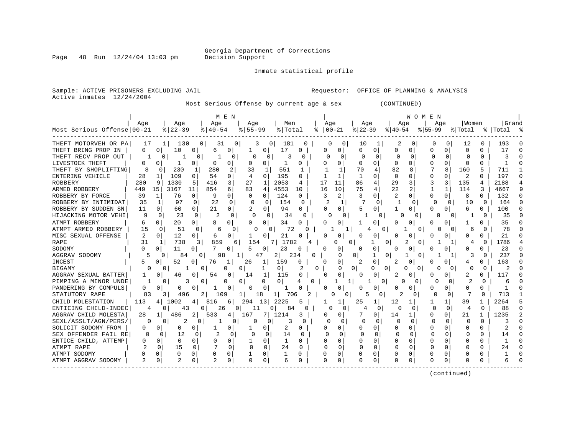Page  $48$  Run  $12/24/04$  13:03 pm

#### Inmate statistical profile

Active inmates 12/24/2004

Sample: ACTIVE PRISONERS EXCLUDING JAIL **Requestor:** OFFICE OF PLANNING & ANALYSIS

Most Serious Offense by current age & sex (CONTINUED)

|                            |              |                     |                       | M E N    |                      |               |                |          |          |          |              |                |              | W O M E N    |              |          |              |              |           |               |
|----------------------------|--------------|---------------------|-----------------------|----------|----------------------|---------------|----------------|----------|----------|----------|--------------|----------------|--------------|--------------|--------------|----------|--------------|--------------|-----------|---------------|
|                            | Age          | Age                 |                       | Age      |                      | Aqe           | Men            |          | Age      |          | Age          |                | Aqe          |              | Aqe          |          | l Women      |              | Grand     |               |
| Most Serious Offense 00-21 |              | $8   22 - 39$       |                       | $ 40-54$ | $8155 - 99$          |               | % Total        |          | ႜ        | $ 00-21$ | $ 22-39$     |                | $ 40-54$     |              | $ 55-99$     |          | % Total      |              | %   Total |               |
| THEFT MOTORVEH OR PA       | 17           | $\mathbf{1}$        | 130<br>0 <sup>1</sup> | 31       | 0                    | 3<br>0        | 181            | 0        | 0        | 0        | 10           | ı              | 2            | 0            | 0            | 0        | 12           | 0            | 193       |               |
| THEFT BRING PROP IN        | 0            | 10<br>0             | 0                     | 6        | 0                    | 0             | 17             | 0        | 0        | 0        | 0            | 0              | $\Omega$     | $\Omega$     | $\Omega$     | 0        | $\mathbf 0$  | $\Omega$     | 17        | $\Omega$      |
| THEFT RECV PROP OUT        | 1            | O                   | $\Omega$              |          | 0                    | $\Omega$<br>O | 3              | U        | $\Omega$ | $\Omega$ | C            | $\Omega$       | C            | 0            | O            | $\Omega$ | $\Omega$     | $\Omega$     | 3         |               |
| LIVESTOCK THEFT            | 0            | O<br>1              | 0                     | $\Omega$ | 0<br>∩               | $\Omega$      | 1              | O        |          | 0        | U            | <sup>0</sup>   | $\Omega$     | $\Omega$     | $\Omega$     | U        | $\Omega$     | <sup>0</sup> |           | $\Omega$      |
| THEFT BY SHOPLIFTING       | 8            | 230<br>O            | 1                     | 280      | 2<br>33              | 1             | 551            | 1        |          | 1        | 70           | 4              | 82           | 8            |              | 8        | 160          | 5            | 711       |               |
| ENTERING VEHICLE           | 28           | 109                 | 0                     | 54       | 0<br>$\overline{4}$  | $\Omega$      | 195            | O        |          |          |              | O              | $\Omega$     | $\Omega$     | $\Omega$     |          | 2            |              | 197       | <sup>0</sup>  |
| <b>ROBBERY</b>             | 280          | 1330<br>9           | 5                     | 416      | 3<br>27              | 1             | 2053           | 4        | 17       | 11       | 86           | 4              | 29           | 3            | 3            | 3        | 135          | 4            | 2188      |               |
| ARMED ROBBERY              | 449          | 15<br>3167          | 11                    | 854      | б.<br>83             | 4             | 4553           | 10       | 16       | 10       | 75           | $\overline{4}$ | 22           | 2            |              | 1        | 114          | 3            | 4667      | q             |
| ROBBERY BY FORCE           | 39           | 76<br>1             | $\Omega$              | 9        | 0<br>$\Omega$        | $\Omega$      | 124            | 0        | 3        | 2        | 3            | <sup>0</sup>   | 2            | O            | $\Omega$     | 0        | 8            | $\Omega$     | 132       | $\Omega$      |
| ROBBERY BY INTIMIDAT       | 35           | 97<br>1             | $\Omega$              | 22       | $\Omega$<br>0        | 0             | 154            | $\Omega$ | 2        | 1        |              | 0              |              | $\Omega$     | O            | $\Omega$ | 10           | 0            | 164       |               |
| ROBBERY BY SUDDEN SN       | 11           | 0<br>60             | 0                     | 21       | 0<br>2               | $\Omega$      | 94             | 0        | 0        | 0        |              | 0              | 1            | 0            | 0            | 0        | 6            | <sup>0</sup> | 100       |               |
| HIJACKING MOTOR VEHI       | 9            | 0<br>23             | 0                     | 2        | 0                    | $\Omega$<br>0 | 34             | O        | O        | 0        |              | 0              |              | 0            | 0            | 0        |              | 0            | 35        |               |
| ATMPT ROBBERY              | 6            | 20<br>O             | 0                     | 8        | 0<br><sup>0</sup>    | 0             | 34             | Ω        |          | 0        |              | 0              | $\Omega$     | 0            | 0            | 0        |              |              | 35        |               |
| ATMPT ARMED ROBBERY        | 15           | 51<br>$\Omega$      | 0                     | 6        | 0                    | 0<br>C        | 72             |          |          |          |              | 0              |              | $\Omega$     |              | 0        | 6            | O            | 78        |               |
| MISC SEXUAL OFFENSE        | $\mathbf{2}$ | 12<br>0             | 0                     | 6        | 0<br>1               | $\Omega$      | 21             |          |          | U        |              | O              | Λ            | <sup>0</sup> | O            |          | <sup>0</sup> | <sup>0</sup> | 21        |               |
| <b>RAPE</b>                | 31           | 738<br>-1           | 3                     | 859      | 6                    | 154           | 1782<br>7      |          |          |          | O            | 0              | 2            | $\Omega$     |              |          | 4            | O            | 1786      |               |
| SODOMY                     |              | 11<br>0             | 0                     | $\Omega$ | 5                    | 0             | 23             | $\Omega$ |          |          |              | 0              |              | 0            |              |          | O            |              | 23        |               |
| AGGRAV SODOMY              | 5            | O                   | 84<br>O               | 98       |                      | 47            | 2              | 234      |          | U        | 0            | U              |              | $\Omega$     |              |          |              | O            | 237       |               |
| <b>INCEST</b>              | 5            | 52<br>$\Omega$      |                       | 76       | 26                   | 1             | 159            | 0        | ∩        | 0        | 2            | 0              |              | <sup>0</sup> | <sup>0</sup> |          | 4            |              | 163       |               |
| <b>BIGAMY</b>              |              | 0                   | 0                     | 0        | $\Omega$             |               | 0 <sup>1</sup> | 2        | 0        | 0        | 0            | 0<br>0         | Ω            | 0            |              | 0        |              | 0            | 2         |               |
| AGGRAV SEXUAL BATTER       | 1            | 0<br>46             | 0                     | 54       | 0<br>14              | 1             | 115            | O        | n        | 0        | <sup>o</sup> | <sup>0</sup>   | 2            | O            | <sup>0</sup> | O        | 2            | 0            | 117       |               |
| PIMPING A MINOR UNDE       |              | O                   | 3<br>0                | 0        | 0                    | 0             | $\Omega$       | 4<br>0   |          | 1        |              | 0              | 0            | 0            | O            | 0        | 2            | 0            | 6         |               |
| PANDERING BY COMPULS       | 0            | O<br>$\Omega$       | 0                     |          | 0<br>0               | 0             | ı              |          |          | U        |              | 0              | Ω            | O            | <sup>0</sup> | 0        | $\Omega$     | 0            |           |               |
| STATUTORY RAPE             | 83           | 3                   | 496                   | 109      |                      | 18            | 706            |          |          | 0<br>U   | 5            | 0              | 2            | O            | $\Omega$     | 0        | 7            | $\Omega$     | 713       |               |
| CHILD MOLESTATION          | 113          | 1002<br>4           | 4                     | 816      | 6<br>294             | 13            | 2225           |          |          |          | 25           | 1              | 12           | 1            |              | 1        | 39           |              | 2264      |               |
| ENTICING CHILD-INDEC       | 4            | U                   | 43<br>0               | 26       | 0                    | 11            | 0<br>84        | O        | O        | O        | 4            | 0              | O            | 0            | 0            | $\Omega$ | 4            | $\Omega$     | 88        | $\cap$        |
| AGGRAV CHILD MOLESTA       | 28           | 486<br>$\mathbf{1}$ | 2                     | 533      | 4<br>167             |               | 1214           | 3        |          | 0        |              | 0              | 14           | 1            | <sup>0</sup> | 0        | 21           | 1            | 1235      | $\mathcal{D}$ |
| SEXL/ASSLT/AGN/PERS/       | U            | 0                   | 2<br><sup>0</sup>     |          | 0                    | ∩<br>0        | ₹              |          | $\Omega$ | 0        |              | 0              | $\Omega$     | 0            | $\Omega$     | $\Omega$ | $\Omega$     | 0            |           |               |
| SOLICIT SODOMY FROM        | 0            | 0                   | 0                     |          | 0                    | 0             | 2              | 0        | Ω        | 0        |              | 0              | 0            | 0            | 0            |          | C            |              |           |               |
| SEX OFFENDER FAIL RE       | O            | 12<br>O             | <sup>0</sup>          |          | 0                    | $\Omega$<br>0 | 14             | O        | O        | n        | O            | O              | $\Omega$     |              | n            | 0        | O            | O            | 14        | $\Omega$      |
| ENTICE CHILD, ATTEMP       | O            | 0<br>U              | 0                     | $\Omega$ | O                    | 0             | $\mathbf{1}$   | U        | Ω        | U        | $\cap$       | $\cap$         | <sup>0</sup> | $\Omega$     | $\cap$       | U        | $\cap$       | U            |           |               |
| ATMPT RAPE                 | 2            | 15<br>0             | $\Omega$              | 7        | $\Omega$<br>$\Omega$ | 0             | 24             | $\Omega$ | U        | $\Omega$ | U            | $\Omega$       | O            | $\Omega$     | <sup>0</sup> | 0        | ∩            | U            | 2.4       |               |
| ATMPT SODOMY               |              | 0<br>0              | $\Omega$              | 0        | 0                    | 0             |                | U        | O        | 0        | O            | O              |              | $\Omega$     | O            | U        | C            | U            |           | n             |
| ATMPT AGGRAV SODOMY        |              | 0                   | 0                     |          | $\Omega$<br>0        | $\Omega$      | 6              | 0        | $\Omega$ | 0        |              | $\Omega$       | Ω            | 0            | <sup>0</sup> | 0        | <sup>0</sup> |              |           |               |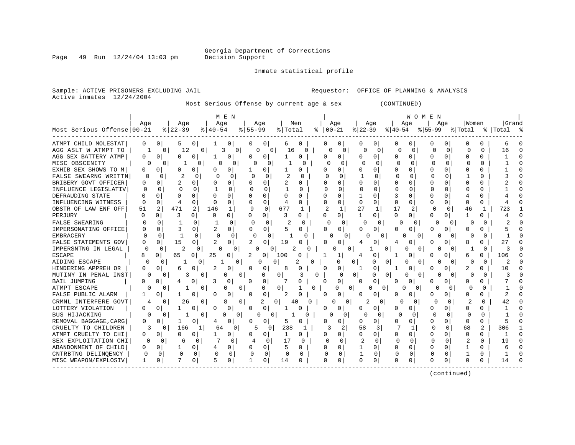Page 49 Run 12/24/04 13:03 pm

Inmate statistical profile

Sample: ACTIVE PRISONERS EXCLUDING JAIL **Requestor:** OFFICE OF PLANNING & ANALYSIS Active inmates 12/24/2004

Most Serious Offense by current age & sex (CONTINUED)

|                            |              |                |                |                |               | M E N         |              |                |                |              |              |                      |              |              |              | WOMEN         |          |              |                |              |                |        |
|----------------------------|--------------|----------------|----------------|----------------|---------------|---------------|--------------|----------------|----------------|--------------|--------------|----------------------|--------------|--------------|--------------|---------------|----------|--------------|----------------|--------------|----------------|--------|
|                            | Aqe          |                | Aqe            |                | Age           |               |              | Aqe            |                | Men          |              | Age                  |              | Age          |              | Aqe           |          | Aqe          | Women          |              | Grand          |        |
| Most Serious Offense 00-21 |              |                | $ 22-39$       |                | $8   40 - 54$ |               | $8 55-99$    |                | % Total        |              | ႜ            | $ 00-21$             | $ 22-39$     |              | $ 40-54 $    |               | $ 55-99$ |              | % Total        |              | %   Total      |        |
| ATMPT CHILD MOLESTAT       | 0            | $\overline{0}$ | 5              | 0 <sup>1</sup> |               | 0             | 0            | 0              | 6              | 0            | 0            | 0                    | O            | 0            | 0            | O             | 0        | O            | O              | O            | 6              |        |
| AGG ASLT W ATMPT TO        |              | 0              | 12             | 0              | 3             | 0             | 0            | $\overline{0}$ | 16             | 0            |              | 0<br>0               |              | O.<br>0      | 0            | 0             | C        | $\mathbf 0$  | Ω              | $\Omega$     | 16             | $\cap$ |
| AGG SEX BATTERY ATMP       | 0            | 0              | $\Omega$       | $\Omega$       |               | 0             |              | $\Omega$       |                | 0            | 0            | 0                    | O            | 0            | 0            | 0             | $\Omega$ | $\Omega$     | 0              | O            |                | $\cap$ |
| MISC OBSCENITY             | $\Omega$     | $\Omega$       | 1              | 0              | O             | 0             | $\cap$       | O              |                |              |              | $\Omega$<br>$\Omega$ | ∩            | $\Omega$     | $\Omega$     | $\Omega$      | $\cap$   | $\Omega$     |                | U            |                | $\cap$ |
| EXHIB SEX SHOWS TO M       | U            | O              | n              | 0              | U             | 0             |              | 0              |                | O            | U            | 0                    | O            | $\Omega$     | U            | $\Omega$      | $\cap$   | <sup>0</sup> | U              | O            |                |        |
| FALSE SWEARNG WRITTN       | 0            | O              | 2              |                | ſ             | 0             | <sup>0</sup> | 0              |                | <sup>0</sup> | O            | O                    |              | O            | $\Omega$     | <sup>0</sup>  | O        | $\Omega$     |                | U            |                |        |
| BRIBERY GOVT OFFICER       | Ω            |                | 2              | 0              |               | 0             |              | <sup>0</sup>   | 2              | U            |              | U                    | $\Omega$     | $\Omega$     | U            | O             | ∩        |              | U              | U            |                |        |
| INFLUENCE LEGISLATIV       | ∩            | U              | $\cap$         | $\Omega$       |               | 0             | O            | $\Omega$       |                | O            | U            | O                    | $\Omega$     | 0            | O            | $\Omega$      | O        | ∩            | U              | O            |                |        |
| DEFRAUDING STATE           | ∩            | ∩              | U              |                | U             | 0             |              | <sup>0</sup>   | U              | O            | $\Omega$     | O                    | 1            | <sup>0</sup> | 3            | $\Omega$      | O        | <sup>n</sup> |                | O            |                |        |
| INFLUENCING WITNESS        | <sup>0</sup> | $\cap$         | $\overline{4}$ | $\Omega$       | $\cap$        | 0             | U            | $\Omega$       | 4              | $\Omega$     | O            | 0                    | $\Omega$     | $\Omega$     | 0            | $\Omega$      | ∩        | $\Omega$     | $\Omega$       | 0            |                |        |
| OBSTR OF LAW ENF OFF       | 51           | $\overline{2}$ | 471            | 2              | 146           | $\mathbf{1}$  | 9            | $\Omega$       | 677            | 1            | 2            | $\mathbf{1}$         | 27           | 1            | 17           | 2             | 0        | $\Omega$     | 46             |              | 723            |        |
| PERJURY                    | O            | $\Omega$       | 3              | 0              | $\Omega$      | 0 I           | O            | 0              | 3              | 0            | 0            | $\overline{0}$       | $\mathbf{1}$ | $\Omega$     | $\Omega$     | 0             | O        | 0            |                | 0            |                |        |
| <b>FALSE SWEARING</b>      | <sup>0</sup> | O              |                | 0              |               | $\Omega$      | 0            | $\Omega$       | 2              | 0            |              | $\Omega$<br>0        | 0            | 0            | 0            | 0             | 0        | $\Omega$     | O              | O            | $\overline{c}$ |        |
| IMPERSONATING OFFICE       | O            | 0              | 3              | 0              |               | 0             | 0            | $\overline{0}$ | 5              | 0            | O            | 0                    | O            | 0            | O            | 0             | 0        | 0            | O              | U            |                |        |
| <b>EMBRACERY</b>           |              | $\Omega$       | $\mathbf{1}$   | $\Omega$       |               | 0             | $\Omega$     | 0              |                | U            |              | $\cap$               | 0            | U            |              | O             |          | O            | ∩              | 0            |                |        |
| FALSE STATEMENTS GOV       | U            | O              | 15             | 0              | 2             | 0             | 2            | $\Omega$       | 19             |              | Λ            | 0                    |              | 0            | 4            | ∩             | O        | <sup>0</sup> | 8              | U            | 27             |        |
| IMPERSNTNG IN LEGAL        | n            | 0              | 2              | O              | ∩             | 0             | በ            | O              |                | ∩            |              | $\Omega$             | 0            |              | <sup>o</sup> | ∩<br>0        |          |              |                | 0            | 3              | C      |
| <b>ESCAPE</b>              |              | 0              | 65             | O              | 25            | N             | 2            | 0              | 100            | 0            |              |                      | 4            | 0            |              | 0             | O        |              | 6              |              | 106            |        |
| AIDING ESCAPE              | $\Omega$     | O              |                |                |               | 0             |              | O              |                | O            |              | O                    | 0            | O            | 0            | 0<br>$\Omega$ |          |              | U              | $\Omega$     |                |        |
| HINDERING APPREH OR        | U            | $\Omega$       | Б              |                | 2             | 0             | n            | $\Omega$       | 8              |              | $\Omega$     | 0                    | -1           | 0            |              | $\Omega$      | U        | O            | 2              | U            | 10             |        |
| MUTINY IN PENAL INST       | U            | 0              | 3              | 0              |               | O<br>$\Omega$ |              | 0              | $\Omega$       | 3            |              | $\Omega$             | $\Omega$     | 0            | 0            | $\Omega$<br>0 |          | 0            | U              | 0            | 3              |        |
| <b>BAIL JUMPING</b>        |              | $\Omega$       | 4              | O              | 3             | 0             | <sup>0</sup> | 0              |                | 0            | ∩            | $\Omega$             | 0            | 0            | 0            | 0             | O        | $\Omega$     | O              | U            |                |        |
| ATMPT ESCAPE               | O            | 0              |                | 0              |               | O<br>0        |              | 0              | $\Omega$       |              | $\Omega$     | 0                    | 01           | O            | 0            | 0<br>0        | Ω        | $\Omega$     | Ω              | <sup>0</sup> |                |        |
| FALSE PUBLIC ALARM         |              | $\Omega$       |                | 0              | 0             | 0             | <sup>0</sup> | 0              | 2              | C            | 0            | 0                    | 0            | 0            | 0            | $\Omega$      | 0        | 0            | 0              | O            | 2              |        |
| CRMNL INTERFERE GOVT       | 4            | 0              | 26             | 0              |               | 8<br>0        |              | 2              | $\Omega$<br>40 | <sup>0</sup> |              | 0                    | 0            | 2<br>0       | O            | 0             | 0        | <sup>0</sup> |                | O            | 42             |        |
| LOTTERY VIOLATION          | U            | $\Omega$       |                | <sup>n</sup>   | O             | 0             | <sup>0</sup> | $\Omega$       | 1              | U            | $\Omega$     | 0                    | U            | 0            | U            | ∩             | O        | <sup>o</sup> | U              | O            |                |        |
| BUS HIJACKING              | $\Omega$     | $\Omega$       |                | $\Omega$       | ∩             | $\Omega$      | O            | $\Omega$       |                | 0            |              | ∩<br>$\Omega$        |              | ∩<br>0       | $\Omega$     | $\Omega$      | ∩        | $\Omega$     | O              | $\Omega$     |                |        |
| REMOVAL BAGGAGE, CARG      | <sup>0</sup> | 0              | 1              | 0              | 4             | 0             | U            | 0              | 5              | 0            | O            | 0                    | O            | 0            | O            | 0             | ∩        | $\Omega$     | O              | O            |                |        |
| CRUELTY TO CHILDREN        | 3            | 0              | 166            |                | 64            | $\Omega$      | 5            | 0              | 238            | 1            |              | 2                    | 58           | 3            |              | 1             |          | $\Omega$     | 68             | 2            | 306            |        |
| ATMPT CRUELTY TO CHI       | 0            | U              | ∩              |                |               | 0             |              | $\Omega$       | 1              | U            | O            | 0                    | $\Omega$     | $\Omega$     | U            | 0             | $\Omega$ | $\Omega$     | $\Omega$       | U            |                |        |
| SEX EXPLOITATION CHI       | <sup>0</sup> | 0              | 6              | 0              | $\mathbf{r}$  | $\Omega$      | 4            | 0              | 17             | $\Omega$     |              | $\Omega$<br>$\Omega$ |              | $\Omega$     | $\Omega$     | $\Omega$      | $\Omega$ | $\Omega$     | $\overline{2}$ | U            | 19             |        |
| ABANDONMENT OF CHILD       | 0            | 0              |                | 0              |               | 0             | O            | $\Omega$       | 5              | 0            | U            | 0                    |              | 0            | U            | $\Omega$      | O        | $\Omega$     | -1             | O            | 6              |        |
| CNTRBTNG DELINOENCY        | $\Omega$     | 0              | $\Omega$       | $\Omega$       | 0             | 0             | O            | $\Omega$       | $\overline{0}$ | 0            |              | $\Omega$             |              | $\mathbf 0$  | $\Omega$     | $\Omega$      | $\Omega$ | $\Omega$     |                | 0            |                |        |
| MISC WEAPON/EXPLOSIV       | 1            | 0              |                | $\Omega$       | 5             | 0             |              | 0              | 14             | 0            | <sup>0</sup> | $\Omega$             | O            | $\Omega$     | 0            | $\Omega$      | $\Omega$ | $\Omega$     | ∩              | U            | 14             |        |
|                            |              |                |                |                |               |               |              |                |                |              |              |                      |              |              |              |               |          |              |                |              |                |        |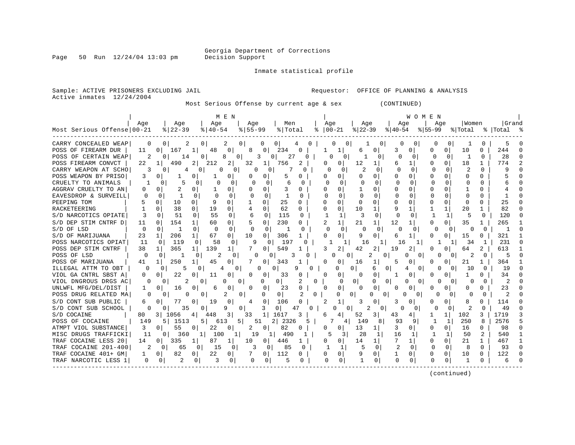Page 50 Run  $12/24/04$  13:03 pm

#### Inmate statistical profile

Active inmates 12/24/2004

Sample: ACTIVE PRISONERS EXCLUDING JAIL **Requestor:** OFFICE OF PLANNING & ANALYSIS

Most Serious Offense by current age & sex (CONTINUED)

|                            | M E N    |                          |                                  |                     |                      |              |                    | W O M E N           |                           |                      |               |              |                      |  |  |  |
|----------------------------|----------|--------------------------|----------------------------------|---------------------|----------------------|--------------|--------------------|---------------------|---------------------------|----------------------|---------------|--------------|----------------------|--|--|--|
|                            | Aqe      | Age                      | Aqe                              | Aqe                 | Men                  |              | Age                | Aqe                 | Age                       | Aqe                  | Women         |              | Grand                |  |  |  |
| Most Serious Offense 00-21 |          | $ 22-39 $                | $ 40-54 $                        | $8155 - 99$         | % Total              |              | $8   00 - 21$      | $ 22-39 $           | ୫∣40-54                   | $8155 - 99$          | % Total       |              | %   Total %          |  |  |  |
| CARRY CONCEALED WEAP       | O        | $\Omega$<br>2            | 0<br>2                           | 0 <sup>1</sup><br>0 | 01                   |              | 0<br>0             | 0                   | 0                         | $\Omega$<br>0        |               | O            | 5                    |  |  |  |
| POSS OF FIREARM DUR        | 11       | 167<br>$\Omega$          | 48<br>0<br>1                     | $\Omega$<br>8       | 234<br>O             |              | 1                  | 0<br>6              | 3<br>0                    | 0<br>0               | 10            | $\Omega$     | 244                  |  |  |  |
| POSS OF CERTAIN WEAP       | 2        | 14                       | $\Omega$<br>8                    | $\Omega$<br>3       | 27<br>0              | <sup>0</sup> | O                  | 0                   | U<br>$\Omega$             | $\Omega$<br>O        | -1            | $\Omega$     | 28                   |  |  |  |
| POSS FIREARM CONVCT        | 22       | 490<br>1                 | 2<br>2<br>212                    | 32<br>1             | 756<br>2             |              | 0                  | 12<br>1             | 6<br>1                    | U<br>0               | 18            | 1            | 774<br>$\mathcal{P}$ |  |  |  |
| CARRY WEAPON AT SCHO       | 3        | 4                        | 0                                | 0                   | 0<br>O               |              | n<br>0             | 0                   | $\Omega$<br>O             | $\Omega$             | 2             | O            | Q                    |  |  |  |
| POSS WEAPON BY PRISO       | 3        |                          | 0<br>0<br>1                      | 0                   | 5<br>U               | O            | O                  | O<br>O              | U<br><sup>0</sup>         | <sup>0</sup>         |               |              |                      |  |  |  |
| CRUELTY TO ANIMALS         |          | 0                        | N                                | 0<br>$\Omega$       | б<br>n               |              | U                  |                     |                           | 0                    | $\cap$        | U            |                      |  |  |  |
| AGGRAV CRUELTY TO AN       | 0        |                          | 0<br>0                           | 0                   |                      | O            | 0                  |                     | U<br><sup>0</sup>         | <sup>0</sup>         |               |              |                      |  |  |  |
| EAVESDROP & SURVEILL       | $\Omega$ | $\Omega$<br>1            | $\Omega$<br>$\Omega$<br>$\Omega$ | ∩<br>$\Omega$       | 0                    |              | $\cap$             | $\Omega$<br>O       | $\Omega$<br><sup>0</sup>  | $\Omega$<br>O        | $\Omega$      | O            |                      |  |  |  |
| PEEPING TOM                | 5        | $\Omega$<br>10           | 9<br>0<br>0                      | 0                   | 25<br>$\Omega$       | $\Omega$     | $\Omega$           | 0<br>O              | $\Omega$                  | 0<br>U               | $\Omega$      |              | 25                   |  |  |  |
| RACKETEERING               |          | 38<br>$\Omega$           | $\Omega$<br>19<br>0              | $\Omega$            | 62<br>0              | $\Omega$     | 0                  | $\mathbf{1}$<br>10  | 1<br>9                    | $\mathbf{1}$         | 20            |              | 82                   |  |  |  |
| S/D NARCOTICS OPIATE       | 3        | 51<br>$\Omega$           | 55<br>0<br>$\Omega$              | 6<br>$\Omega$       | 115<br>0             |              | 1                  | 3<br>$\Omega$       | $\Omega$<br>0             | 1                    | 5             | $\Omega$     | 120                  |  |  |  |
| S/D DEP STIM CNTRF D       | 11       | 154<br>$\Omega$          | 60<br>0                          | 0                   | 230                  |              | 1                  | 21<br>$\mathbf{1}$  | 12<br>1                   | 0<br>0               | 35            |              | 265                  |  |  |  |
| S/D OF LSD                 | $\Omega$ | $\mathbf{1}$<br>$\Omega$ | $\Omega$<br>$\Omega$<br>0        | $\Omega$<br>0       | -1<br>$\Omega$       |              | $\cap$<br>$\Omega$ | $\Omega$            | $\Omega$                  | $\Omega$<br>0        | $\Omega$      | $\Omega$     |                      |  |  |  |
| S/D OF MARIJUANA           | 23       | 206<br>1                 | 67<br>1<br>0                     | 10<br>$\Omega$      | 306                  |              | 0                  | 9<br>0              | 6<br>1                    | <sup>0</sup><br>0    | 15            | 0            | 321                  |  |  |  |
| POSS NARCOTICS OPIAT       | -11      | 119<br>$\Omega$          | 58<br>0                          | 9<br>$\Omega$       | 197                  |              |                    | 16                  | 16                        |                      | 34            |              | 231<br>$\cap$        |  |  |  |
| POSS DEP STIM CNTRF        | 38       | 365                      | 139<br>1                         | O                   | 549                  |              | 2                  | 42                  | 19<br>2                   | <sup>0</sup>         | 64            | 2            | 613                  |  |  |  |
| POSS OF LSD                |          | $\Omega$                 |                                  | O                   |                      |              | 0                  |                     | 0                         | 0<br>0               | 2             | 0            |                      |  |  |  |
| POSS OF MARIJUANA          | 41       | 250                      | 45<br>0                          | <sup>0</sup>        | 343                  | $\Omega$     | $\Omega$           | 16<br>1             | 5<br>0                    | <sup>0</sup>         | 21            |              | 364                  |  |  |  |
| ILLEGAL ATTM TO OBT        |          | O<br>5                   |                                  | O                   | $\Omega$<br>q        |              | 0                  | 0<br>6              | 0<br>4                    | $\Omega$<br>$\Omega$ | 10            | 0            | 19                   |  |  |  |
| VIOL GA CNTRL SBST A       | 0        | 22<br>0                  | 0<br>11<br>0                     | 0<br>0              | 33                   | 0            | 0                  | 0<br>0              | 0<br>1                    | O<br>0               | 1             |              | 34                   |  |  |  |
| VIOL DNGROUS DRGS AC       | $\Omega$ | 2<br>0                   | 0<br>O                           | 0<br>U              | $\mathbf{0}$<br>2    | O            | $\Omega$           | $\Omega$<br>0       | 0<br>0                    | 0<br>U<br>$\Omega$   | $\Omega$      | $\Omega$     | 2                    |  |  |  |
| UNLWFL MFG/DEL/DIST        |          | 16                       | 0<br>0<br>6                      | $\Omega$<br>0       | 23                   | 0            | 0                  | 0<br>O              | 0<br>0                    | 0<br>0               | $\Omega$      |              | 23                   |  |  |  |
| POSS DRUG RELATED MA       | $\Omega$ | $\Omega$                 | 2<br>0                           | 0<br>$\Omega$       | 0 <sup>1</sup>       | 0            | 0                  | 0<br>$\Omega$       | $\Omega$<br>N<br>$\Omega$ | O<br>$\Omega$        | O             |              | 2                    |  |  |  |
| S/D CONT SUB PUBLIC        | 6        | 77<br>0                  | 19<br>0<br>0                     | 0<br>4              | 106<br>0             |              |                    | 0                   | 3<br>0                    | <sup>0</sup><br>0    | 8             |              | 114                  |  |  |  |
| S/D CONT SUB SCHOOL        | $\Omega$ | 35<br>0                  | 9<br>0                           | 3<br>$\Omega$       | 47<br>0              | $\Omega$     | O                  | $\mathfrak{D}$<br>∩ | ∩<br>0                    | ∩<br>$\Omega$        | $\mathcal{P}$ | $\Omega$     | 49                   |  |  |  |
| S/D COCAINE                | 80       | 1056<br>3 I              | 3<br>448<br>4                    | 33<br>1             | 1617<br>3            | 6            |                    | 52<br>3             | 43                        | 1 <sup>1</sup>       | 102           | 3            | 1719<br>3            |  |  |  |
| POSS OF COCAINE            | 149      | 1513<br>5 <sub>1</sub>   | 5 <sub>1</sub><br>613            | 5<br>51             | 2 <br>2326           | 5            | 4                  | 149<br>8            | 93<br>9                   | 1<br>1               | 250           | 8            | 2576                 |  |  |  |
| ATMPT VIOL SUBSTANCE       | 3        | 55<br>0                  | 22<br>0<br>0                     | 2<br>0 <sup>1</sup> | 82                   | 0            | 0                  | 13<br>1             | 3<br>0                    | <sup>0</sup><br>0    | 16            |              | 98                   |  |  |  |
| MISC DRUGS TRAFFICKI       | 11       | 0<br>360                 | 100<br>$1\vert$                  | 1<br>19             | 1<br>$1\vert$<br>490 |              |                    | 28<br>1             | 16<br>1                   | 1                    | 50            |              | 540                  |  |  |  |
| TRAF COCAINE LESS 20       | 14       | 335<br>0 <sup>1</sup>    | 87<br>1<br>1                     | 10<br>01            | 446<br>1             |              | 0                  | 14<br>$1\vert$      |                           | $\Omega$             | 21            | $\mathbf{1}$ | 467                  |  |  |  |
| TRAF COCAINE 201-400       | 2        | $\Omega$<br>65           | $\Omega$<br>15                   | 0<br>3<br>$\Omega$  | 85<br>$\Omega$       |              |                    | 5<br>$\Omega$       | 2<br>$\Omega$             | $\Omega$<br>$\Omega$ | 8             | 0            | 93<br>n              |  |  |  |
| TRAF COCAINE 401+ GM       |          | 82<br>0 <sup>1</sup>     | 0<br>22<br>0                     | $\Omega$            | 112<br>O             | 0            | 0                  | 9<br>0              | 0                         | 0<br>0               | 10            | $\Omega$     | 122                  |  |  |  |
| TRAF NARCOTIC LESS 1       | 0        | 2<br>0 <sup>1</sup>      | 3<br>0<br>0                      | 0<br>0              | 5<br>0               |              | O<br>$\circ$       | 0                   | <sup>0</sup><br>0         | <sup>0</sup><br>0    |               | 0            | 6                    |  |  |  |
|                            |          |                          |                                  |                     |                      |              |                    |                     |                           |                      |               |              |                      |  |  |  |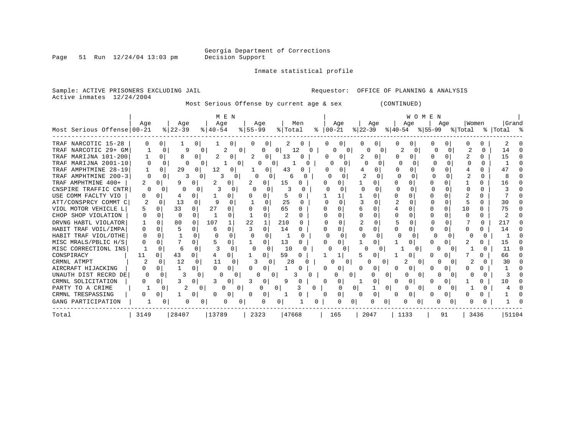Page 51 Run  $12/24/04$  13:03 pm

Inmate statistical profile

Sample: ACTIVE PRISONERS EXCLUDING JAIL **Requestor:** OFFICE OF PLANNING & ANALYSIS

Active inmates 12/24/2004

Most Serious Offense by current age & sex (CONTINUED)

|                            | M E N |              |          |              |             |              | WOMEN       |              |                |                  |          |               |              |           |                   |          |      |              |   |     |                              |              |           |  |
|----------------------------|-------|--------------|----------|--------------|-------------|--------------|-------------|--------------|----------------|------------------|----------|---------------|--------------|-----------|-------------------|----------|------|--------------|---|-----|------------------------------|--------------|-----------|--|
|                            | Age   |              | Aqe      |              | Age         |              |             | Age          |                | Men              |          |               | Age          |           | Age               |          | Age  |              |   | Aqe | Women                        |              | Grand     |  |
| Most Serious Offense 00-21 |       |              | $ 22-39$ |              | $8140 - 54$ |              | $8155 - 99$ |              | % Total        |                  |          | $8   00 - 21$ |              | $ 22-39 $ |                   |          |      |              |   |     | $ 40-54 \t  55-99 \t  Total$ |              | %   Total |  |
| TRAF NARCOTIC 15-28        |       | 0            |          | 0            |             | 01           |             | 0            |                |                  |          |               |              |           |                   |          |      |              |   |     |                              |              |           |  |
| TRAF NARCOTIC 29+ GM       |       | $\Omega$     | Q        | <sup>0</sup> | 2           |              | $\Omega$    | 0            | 0 <sup>1</sup> | 12               | $^{(1)}$ |               | $\Omega$     |           | O<br><sup>n</sup> |          |      |              |   |     |                              |              | 14        |  |
| TRAF MARIJNA 101-200       |       | 0            | 8        |              |             | 0            |             | 0            | 13             | 0                |          |               | O            |           |                   |          |      |              |   | U   |                              | <sup>o</sup> | 15        |  |
| TRAF MARIJNA 2001-10       |       |              |          |              |             | $\Omega$     |             |              | 0              |                  | 0        |               | 0            |           |                   |          |      |              |   |     |                              |              |           |  |
| TRAF AMPHTMINE 28-19       |       | 0            | 29       |              | 12          | 0            |             |              | 43             | $\left( \right)$ |          |               |              |           |                   |          |      |              |   |     |                              |              |           |  |
| TRAF AMPHTMINE 200-3       |       |              | 3        | 0            |             | O            |             | <sup>0</sup> |                | n                |          |               |              |           |                   |          |      | ∩            |   |     |                              |              |           |  |
| TRAF AMPHTMINE 400+        |       |              |          |              |             |              |             |              | 15             |                  |          |               |              |           |                   |          |      |              |   |     |                              |              | 16        |  |
| CNSPIRE TRAFFIC CNTR       |       |              |          |              |             |              |             |              |                |                  |          |               |              |           |                   |          |      |              |   |     |                              |              |           |  |
| USE COMM FACLTY VIO        |       | O            |          |              |             |              |             |              |                |                  |          |               |              |           |                   |          |      |              |   |     |                              |              |           |  |
| ATT/CONSPRCY COMMT C       | 2     |              | 13       |              |             |              |             |              | 25             | n                |          |               |              |           |                   |          |      |              |   |     |                              | U            | 30        |  |
| VIOL MOTOR VEHICLE L       | 5     |              | 33       |              | 27          |              |             |              | 65             |                  |          |               |              |           |                   |          |      |              |   |     | 10                           |              | 75        |  |
| CHOP SHOP VIOLATION        |       |              | $\Omega$ | 0            |             | <sup>n</sup> |             | U            |                |                  |          |               | ∩            |           | ∩                 |          |      |              |   |     |                              | 0            |           |  |
| DRVNG HABTL VIOLATOR       |       |              | 80       | <sup>0</sup> | 107         |              | 22          |              | 210            | U                |          |               | $\Omega$     |           |                   |          |      |              |   |     |                              | $\Omega$     | 217       |  |
| HABIT TRAF VOIL/IMPA       |       |              |          |              |             | U            |             |              | 14             |                  |          |               | U            |           |                   |          |      |              |   | U   |                              |              | 14        |  |
| HABIT TRAF VIOL/OTHE       |       |              |          |              |             |              |             | <sup>0</sup> |                |                  |          |               |              |           |                   |          |      |              |   |     |                              | n            |           |  |
| MISC MRALS/PBLIC H/S       |       |              |          |              |             |              |             | 0            | 13             |                  |          |               | 0            |           |                   |          |      |              |   | 0   |                              |              | 15        |  |
| MISC CORRECTIONL INS       |       |              | 6        |              |             | <sup>0</sup> | O           | <sup>n</sup> | 10             |                  |          |               | <sup>n</sup> |           | <sup>0</sup>      |          |      |              | O |     |                              |              | 11        |  |
| CONSPIRACY                 | 11    |              | 43       |              |             | 0            |             | <sup>o</sup> | 59             |                  |          |               |              |           | O                 |          |      |              |   |     |                              |              | 66        |  |
| CRMNL ATMPT                |       | <sup>0</sup> | 12       |              |             | $\Omega$     | 3           | 0            | 28             |                  |          |               |              |           |                   | 0        |      | $\Omega$     |   |     | 2                            |              | 30        |  |
| AIRCRAFT HIJACKING         |       |              |          |              |             | U            |             |              |                |                  |          |               |              |           |                   |          |      |              |   |     |                              |              |           |  |
| UNAUTH DIST RECRD DE       | n     |              |          |              |             | 0            |             |              | 0              |                  |          |               |              |           |                   | $\Omega$ |      |              | U |     |                              |              |           |  |
| CRMNL SOLICITATION         |       | O            | 3        | 0            | 3           | 0            | 3           |              | 9              |                  |          | O             | 0            |           | 0                 | $^{(1)}$ | 0    |              |   | 0   |                              |              |           |  |
| PARTY TO A CRIME           |       | 0            | 2        | 0            | O           | 0            |             | n            | 0              |                  | 0        |               |              |           |                   | $\Omega$ |      | <sup>0</sup> |   |     |                              |              |           |  |
| CRMNL TRESPASSING          | 0     |              |          |              |             | 0            |             |              |                |                  |          | 0             | 0            |           | $\Omega$          |          |      |              |   |     |                              |              |           |  |
| GANG PARTICIPATION         |       |              |          |              |             |              |             | N            |                |                  |          |               | U            |           |                   |          |      |              |   |     |                              |              |           |  |
| Total                      | 3149  |              | 28407    |              | 13789       |              |             | 2323         |                | 47668            |          |               | 165          |           | 2047              |          | 1133 |              |   | 91  | 3436                         |              | 51104     |  |